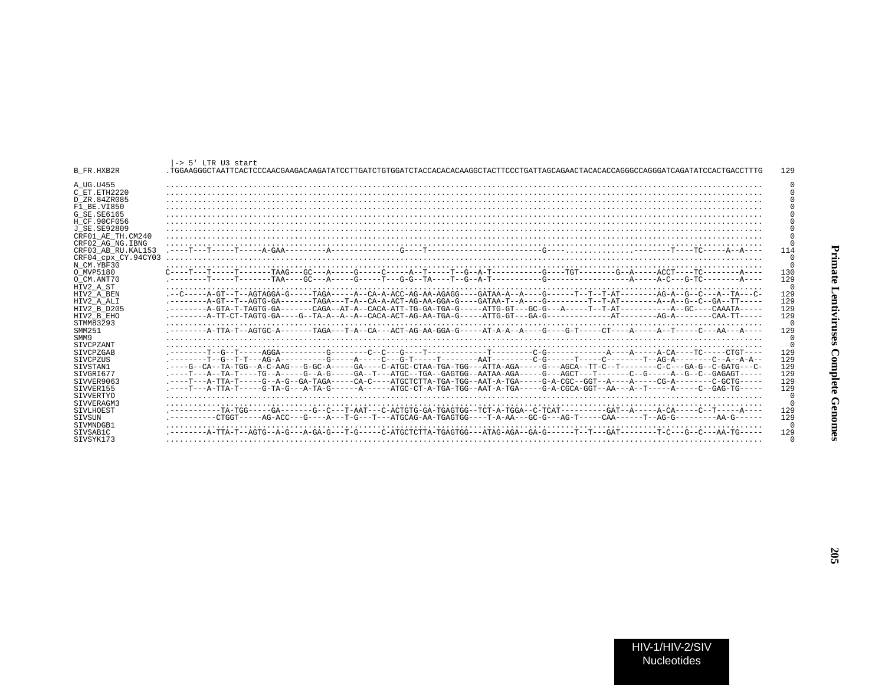| ŀ                     |
|-----------------------|
| IC LEIUVII USES VOIII |
|                       |
| $\sim$                |

| B FR.HXB2R                                 | $-> 5!$ LTR U3 start                                                                                                                                                                                                                                               | 129             |
|--------------------------------------------|--------------------------------------------------------------------------------------------------------------------------------------------------------------------------------------------------------------------------------------------------------------------|-----------------|
| A UG.U455<br>C ET.ETH2220<br>D ZR.84ZR085  |                                                                                                                                                                                                                                                                    |                 |
| F1 BE.VI850                                |                                                                                                                                                                                                                                                                    |                 |
| G SE.SE6165                                |                                                                                                                                                                                                                                                                    |                 |
| H CF.90CF056<br>J SE.SE92809               |                                                                                                                                                                                                                                                                    |                 |
| CRF01 AE TH.CM240                          |                                                                                                                                                                                                                                                                    |                 |
| CRF02 AG NG. IBNG                          |                                                                                                                                                                                                                                                                    | $\cap$          |
| CRF03 AB RU. KAL153<br>CRF04 cpx CY.94CY03 |                                                                                                                                                                                                                                                                    | 114             |
| N CM.YBF30                                 |                                                                                                                                                                                                                                                                    | $\Omega$        |
| O MVP5180                                  |                                                                                                                                                                                                                                                                    | 130             |
| O CM.ANT70<br>HIV2 A ST                    |                                                                                                                                                                                                                                                                    | 129<br>0        |
| HIV2 A BEN                                 |                                                                                                                                                                                                                                                                    | 129             |
| HIV2 A ALI                                 |                                                                                                                                                                                                                                                                    | 129<br>129      |
| HIV2 B D205<br>HIV2 B EHO                  |                                                                                                                                                                                                                                                                    | 129             |
| STMM83293                                  |                                                                                                                                                                                                                                                                    | $\cap$          |
| SMM251<br>SMM9                             |                                                                                                                                                                                                                                                                    | 129<br>$\Omega$ |
| SIVCPZANT                                  |                                                                                                                                                                                                                                                                    | $\Omega$        |
| SIVCPZGAB                                  |                                                                                                                                                                                                                                                                    | 129             |
| SIVCPZUS<br>SIVSTAN1                       | .-------T--G--T-T---AG-A----------G-----A----C---G-T-----T-------AAT--------C-G------T----C-A------T--AG-A--------C--A--A-A--<br>.----G--CA--TA-TGG--A-C-AAG---G-GC-A-----GA----C-ATGC-CTAA-TGA-TGG---ATTA-AGA-----G---AGCA--TT-C--T-------C-C---GA-G--C-GATG---C- | 129<br>129      |
| STVGRT677                                  | .----T---A--TA-T----TG--A-----G--A-G-----GA--T---ATGC--TGA--GAGTGG--AATAA-AGA-----G---AGCT---T-------C--G-----A--G--C--GAGAGT-----                                                                                                                                 | 129             |
| STVVER9063                                 |                                                                                                                                                                                                                                                                    | 129             |
| STVVER155<br>SIVVERTYO                     | .----T---A-TTA-T-----G-TA-G---A-TA-G------A------ATGC-CT-A-TGA-TGG--AAT-A-TGA-----G-A-CGCA-GGT--AA---A--T-----A-----C--GAG-TG-----                                                                                                                                 | 129<br>$\cap$   |
| SIVVERAGM3                                 |                                                                                                                                                                                                                                                                    | $\cap$          |
| <b>STVLHOEST</b>                           | .---------TA-TGG-----GA------G--C---T-AAT---C-ACTGTG-GA-TGAGTGG--TCT-A-TGGA--C-TCAT--------GAT--A----A-CA----C--T----A----<br>.---------CTGGT-----AG-ACC---G----A---T-G---T---ATGCAG-AA-TGAGTGG----T-A-AA---GC-G---AG-T-----CAA------T--AG-G--------AA-G------     | 129<br>129      |
| SIVSUN<br>STVMNDGB1                        |                                                                                                                                                                                                                                                                    | $\cap$          |
| STVSAB1C                                   |                                                                                                                                                                                                                                                                    | 129             |
| STVSYK173                                  |                                                                                                                                                                                                                                                                    |                 |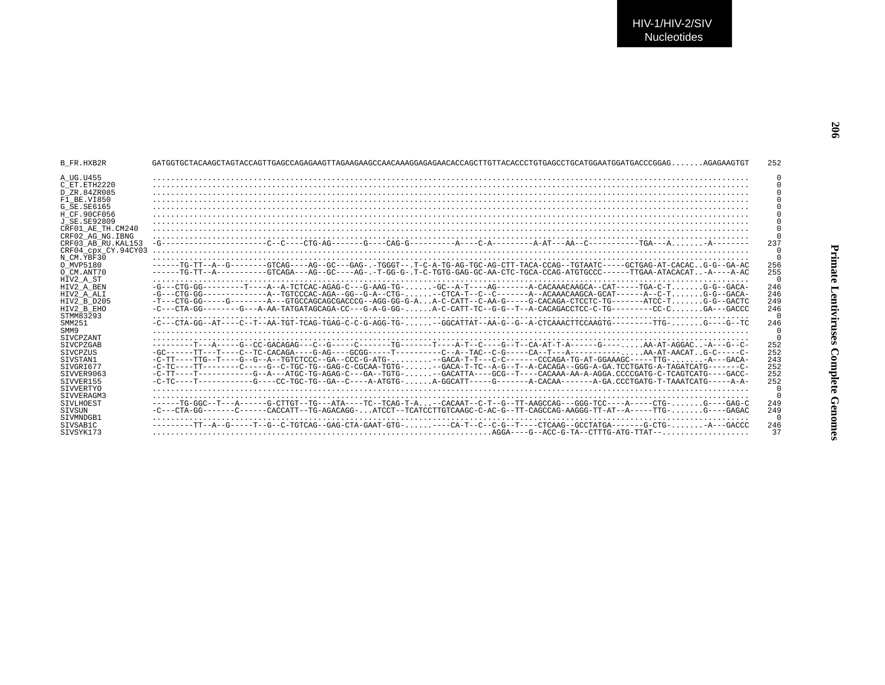| B FR.HXB2R          | GAGGERAGCLAGTER ANGELIGEN AN EIGEN AUCTIONSTAGT AND ANGELIGER AND A STARBAGGER AND A STARBAGGER AND A STARBAGGER AND A STARBAGGER AND A STARBAGGER AND A STARBAGGER AND A STARBAGGER AND A STARBAGGER AND A STARBAGGER AND A S | 252      |
|---------------------|--------------------------------------------------------------------------------------------------------------------------------------------------------------------------------------------------------------------------------|----------|
| A UG.U455           |                                                                                                                                                                                                                                |          |
| C ET ETH2220        |                                                                                                                                                                                                                                |          |
| D ZR.84ZR085        |                                                                                                                                                                                                                                |          |
| F1 BE.VI850         |                                                                                                                                                                                                                                |          |
| G SE.SE6165         |                                                                                                                                                                                                                                |          |
| H CF.90CF056        |                                                                                                                                                                                                                                |          |
| J SE.SE92809        |                                                                                                                                                                                                                                |          |
| CRF01 AE TH.CM240   |                                                                                                                                                                                                                                |          |
| CRF02 AG NG.IBNG    |                                                                                                                                                                                                                                |          |
| CRF03 AB RU.KAL153  |                                                                                                                                                                                                                                | 237      |
| CRF04 cpx CY.94CY03 |                                                                                                                                                                                                                                |          |
| N CM.YBF30          |                                                                                                                                                                                                                                |          |
| O MVP5180           | ------TG-TT--A--G-------GTCAG----AG--GC---GAG-.-TGGGT--.T-C-A-TG-AG-TGC-AG-CTT-TACA-CCAG--TGTAATC-----GCTGAG-AT-CACACG-G--GA-AC                                                                                                | 256      |
| O CM.ANT70          | -----TG-TT--A--------GTCAGA---AG--GC----AG---T-GG-G--T-C-TGTG-GAA-CC-AA-CTC-FGCA-CCAG-ATGTGCCC------TTGAA-ATACACAT-A----A-AC                                                                                                   | 255      |
| HIV2 A ST           |                                                                                                                                                                                                                                | $\cap$   |
| HIV2 A BEN          | -G---CTG-GG---------T---A-A-TCTCAC-AGAG-C---G-AAG-TG-GC--A-T----AG-------A-CACAAACAAGCA--CAT-----TGA-C-TG-G--GACA-                                                                                                             | 246      |
| HIV2 A ALI          | $-G--CTG-GG---------A--TGTCCCAC-AGA-GG--G-A--CTG-$ -CTCA-T--C--C-------A--ACAAACAAGCA-GCAT-----A-C-TG-G--GACA-                                                                                                                 | 246      |
| HIV2 B D205         |                                                                                                                                                                                                                                | 249      |
| HIV2 B EHO          | -C---CTA-GG--------G---A-AA-TATGATAGCAGA-CC---G-A-G-GG-A-C-CATT-TC--G-G--T--A-CACAGACCTCC-C-TG---------CC-CGA---GACCC                                                                                                          | 246      |
| STMM83293           |                                                                                                                                                                                                                                | $\cap$   |
| SMM251              | -C---CTA-GG--AT----C--T--AA-TGT-TCAG-TGAG-C-C-G-AGG-TG--GGCATTAT--AA-G--G--A-CTCAAACTTCCAAGTG---------TTG-G----G--TC                                                                                                           | 246      |
| SMM9                |                                                                                                                                                                                                                                | $\Omega$ |
| SIVCPZANT           |                                                                                                                                                                                                                                | $\cap$   |
| <b>STVCPZGAB</b>    |                                                                                                                                                                                                                                | 252      |
| <b>STVCPZUS</b>     |                                                                                                                                                                                                                                | 252      |
| SIVSTAN1            | -C-TT----TTG--T---G--G--A--TGTCTCCC--GA--CCC-G-ATG- --GACA-T-T---C-C-----CCCAGA-TG-ATG-ATG-ATG-ATG-----TTG- - A---GACA-                                                                                                        | 243      |
| STVGRT677           | -C-TC----TT-------C----G--C-TGC-TG--GAG-C-CGCAA-TGTG---GACA-T-TC--A-G--T--A-CACAGA--GGG-A-GA.TCCTGATG-A-TAGATCATG-------C-                                                                                                     | 252      |
| SIVVER9063          | -C-TT----T----------G--A---ATGC-TG-AGAG-C---GA--TGTG---GACATTA----GCG--T----CACAAA-AA-A-AGGA.CCCCGATG-C-TCAGTCATG----GACC-                                                                                                     | 252      |
| STVVER155           | $-C-TC---T------G---GC-TGC-TGC-GA--C---A-ATGTG A-GGCATT---G---A-CACAA---A-GGA$                                                                                                                                                 | 252      |
| SIVVERTYO           |                                                                                                                                                                                                                                | $\Omega$ |
| STVVERAGM3          |                                                                                                                                                                                                                                | $\cap$   |
| SIVLHOEST           | ------TG-GGC--T---A------G-CTTGT--TG---ATA----TC--TCAG-T-A-CACAAT--C-T--G--TT-AAGCCAG---GGG-TCC----A-----CTG-. G----GAG-C                                                                                                      | 249      |
| STVSUN              | -C---CTA-GG-------C-----CACCATT--TG-AGACAGG-ATCCT--TCATCCTTGTCAAGC-C-AC-G--TT-CAGCCAG-AAGGG-TT-AT--A-----TTG-G----GAGAC                                                                                                        | 249      |
| SIVMNDGB1           |                                                                                                                                                                                                                                | $\Omega$ |
| SIVSAB1C            |                                                                                                                                                                                                                                | 246      |
| STVSYK173           |                                                                                                                                                                                                                                | 37       |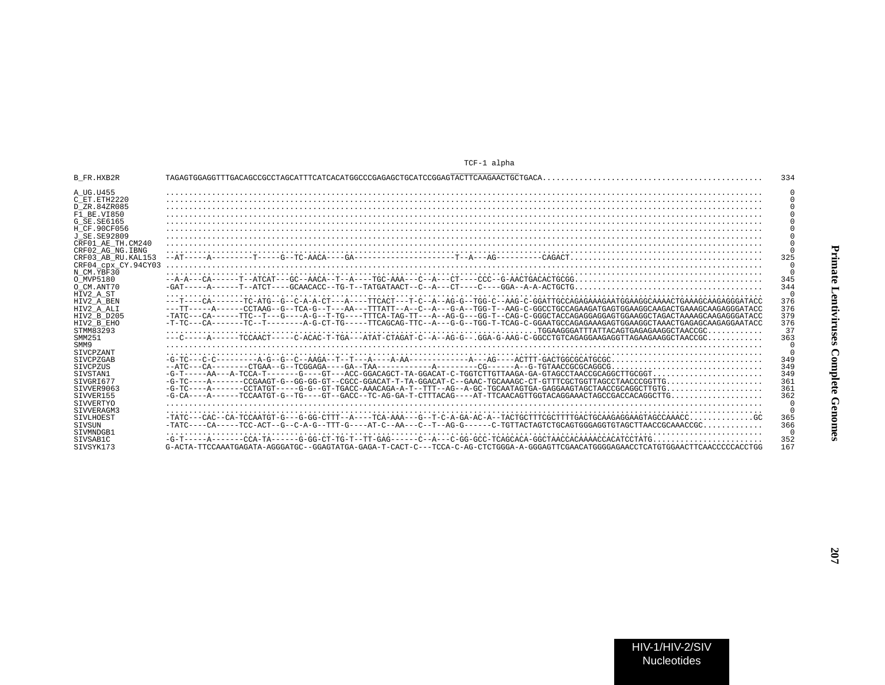| <b>B FR.HXB2R</b>   |                                                                                                                                    | 334            |
|---------------------|------------------------------------------------------------------------------------------------------------------------------------|----------------|
| A UG.U455           |                                                                                                                                    |                |
| C ET. ETH2220       |                                                                                                                                    |                |
| D ZR.84ZR085        |                                                                                                                                    |                |
| F1 BE.VI850         |                                                                                                                                    |                |
| G SE.SE6165         |                                                                                                                                    |                |
| H CF.90CF056        |                                                                                                                                    |                |
| J SE. SE92809       |                                                                                                                                    |                |
| CRF01 AE TH.CM240   |                                                                                                                                    |                |
| CRF02 AG NG. IBNG   |                                                                                                                                    |                |
| CRF03 AB RU. KAL153 |                                                                                                                                    | 325            |
| CRF04 CDX CY.94CY03 |                                                                                                                                    | $\cap$         |
| N CM.YBF30          |                                                                                                                                    | $\overline{0}$ |
| O MVP5180           |                                                                                                                                    | 345            |
| O CM.ANT70          |                                                                                                                                    | 344            |
| HIV2 A ST           |                                                                                                                                    | $\cap$         |
| HIV2 A BEN          |                                                                                                                                    | 376            |
| HIV2 A ALI          | ---TT-----A------CCTAAG--G--TCA-G--T---AA---TTTATT--A--C--A---G-A--TGG-T--AAG-C-GGCCTGCCAGAAGATGAGTGGAAGGCAAGACTGAAAGCAAGAGGGATACC | 376            |
| HIV2 B D205         | -TATC---CA-----TTC--T---G---A-G--T-TG----TTCA-TAG-TT---A-G-G---GG-T--CAG-C-GGGCTACCAGAGGAGGAGGCTAGACTAAAAGCAAGAGGGATACC            | 379            |
| HIV2 B EHO          |                                                                                                                                    | 376            |
| STMM83293           |                                                                                                                                    | 37             |
| SMM251              |                                                                                                                                    | 363            |
| SMM9                |                                                                                                                                    | $\cap$         |
| <b>SIVCPZANT</b>    |                                                                                                                                    | $\cap$         |
| SIVCPZGAB           |                                                                                                                                    | 349            |
| SIVCPZUS            | $-ATC---CA---CTGAA--G---TCGGAGA---GA---TAA------A---A---CG---A-G-TGTAACCGCCCGCAGGG, , , , , , , , ,$                               | 349            |
| SIVSTAN1            | $-G-T---AA---G-TCCA-T-----G---GT---GTC-GGACAGCT-TA-GGACAT-C-TGGTCTTGTTAAGA-GA-GTAGCCTAACCGCAGCTTGCGGT$                             | 349            |
| SIVGRI677           | $-G-TC---A----CCGAAGT-G---GG-GG-GT---CGCC-CGACAT-T-TA-GGACAT-C--GAC-TGCAAAGC-CT-GTTTCGCTGGTTAGCCTAACCCGGTTG$                       | 361            |
| SIVVER9063          |                                                                                                                                    | 361            |
| SIVVER155           |                                                                                                                                    | 362            |
| SIVVERTYO           |                                                                                                                                    | -0             |
| SIVVERAGM3          |                                                                                                                                    | $\Omega$       |
| <b>STVLHOEST</b>    | $-TATC---CAC---CA-TCCAATGT-G---G-GGG-CTTTP-A---TCA-AA---G---T-C-A-GA-AC-A---TACTGTGTCTCGCTTTTCGCTTTTGACTGCAAGAGAAGTAGCCAAACCCGCC$  | 365            |
| SIVSUN              | $-TATC---CA---TCC-ACT--G-C-A-G--TTT-G---A-T-C--A-A---C--T--AG-G-----C-TGTTACTAGCTGCGAGGTTGGGAGGTTAAGCCGCAAAACCGC.$                 | 366            |
| STVMNDGB1           |                                                                                                                                    | $\Omega$       |
| SIVSAB1C            |                                                                                                                                    | 352            |
| STVSYK173           | G-ACTA-TTCCAAATGAGATA-AGGGATGC--GGAGTATGA-GAGA-T-CACT-C---TCCA-C-AG-CTCTGGGA-A-GGGAGTTCGAACATGGGGAGAACCTCATGTGGAACTTCAACCCCCACCTGG | 167            |

TCF-1 alpha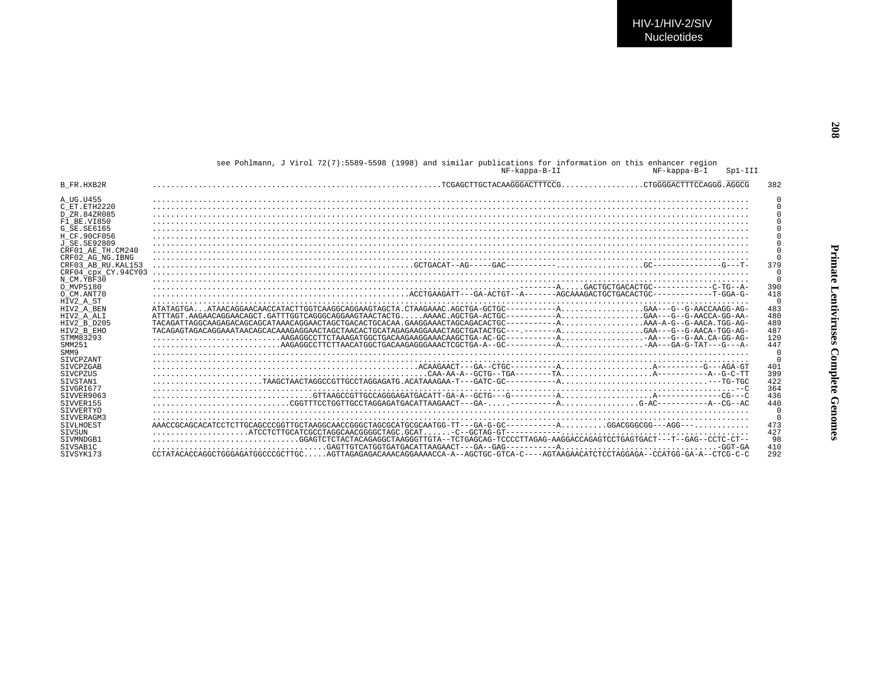|                      | see Pohlmann, J Virol 72(7):5589-5598 (1998) and similar publications for information on this enhancer region<br>NF-kappa-B-II<br>NF-kappa-B-I<br>$Spl-III$                                                                    |          |
|----------------------|--------------------------------------------------------------------------------------------------------------------------------------------------------------------------------------------------------------------------------|----------|
| B FR.HXB2R           |                                                                                                                                                                                                                                | 382      |
| A UG.U455            |                                                                                                                                                                                                                                |          |
| C ET ETH2220         |                                                                                                                                                                                                                                |          |
| D ZR. 84ZR085        |                                                                                                                                                                                                                                |          |
| F1 BE.VI850          |                                                                                                                                                                                                                                |          |
| G SE. SE6165         |                                                                                                                                                                                                                                |          |
| H CF.90CF056         |                                                                                                                                                                                                                                |          |
| <b>J SE. SE92809</b> |                                                                                                                                                                                                                                | $\Omega$ |
| CRF01 AE TH.CM240    |                                                                                                                                                                                                                                | $\Omega$ |
| CRF02 AG NG. IBNG    |                                                                                                                                                                                                                                |          |
| CRF03 AB RU. KAL153  |                                                                                                                                                                                                                                | 379      |
| CRF04 CDX CY.94CY03  |                                                                                                                                                                                                                                | $\cap$   |
| N CM.YBF30           |                                                                                                                                                                                                                                | $\cap$   |
| O MVP5180            |                                                                                                                                                                                                                                | 390      |
| O CM.ANT70           |                                                                                                                                                                                                                                | 418      |
| HIV2 A ST            |                                                                                                                                                                                                                                | $\Omega$ |
| HIV2 A BEN           | -RATAGTORA COACA CONTACTROTECHOLAR CONTACTROTECHOLAR CONTACTROTECHOLAR CONTACTROTECHOLAR CONTACT A CONTACT CONTACT CONTACT A CONTACT A CONTACT A CONTACT A CONTACT A CONTACT A CONTACT A CONTACT A CONTACT A CONTACT A CONTACT | 483      |
| HIV2 A ALI           | ATTTAGT.AAGAACAGGAACAGCT.GATTTGGTCAGGGCAGGAAGTAACTACTGAAAAC.AGCTGA-ACTGC----------AGAA---G--G-AACCA-GG-AA-                                                                                                                     | 480      |
| HIV2 B D205          | TACAGATTAGGCAAGAGACAGCAGCATAAACAGGAACTAGCTGACACTGCACAA.GAAGGAAACTAGCAGACACTGC-----------AAAA-A-G--G-AACA.TGG-AG-                                                                                                               | 489      |
| HIV2 B EHO           | TACAGAGTAGACAGGAAATAACAGCACAAAGAGGAACTAGCTAACACTGCATAGAGGAAACTAGCTGATACTGC---.-------AGAA---G--G-AACA-TGG-AG-                                                                                                                  | 487      |
| STMM83293            |                                                                                                                                                                                                                                | 120      |
| SMM251               |                                                                                                                                                                                                                                | 447      |
| SMM9                 |                                                                                                                                                                                                                                | $\cap$   |
| SIVCPZANT            |                                                                                                                                                                                                                                | $\Omega$ |
| <b>STVCPZGAB</b>     |                                                                                                                                                                                                                                | 401      |
| SIVCPZUS             |                                                                                                                                                                                                                                | 399      |
| STVSTAN1             |                                                                                                                                                                                                                                | 422      |
| STVGRT677            |                                                                                                                                                                                                                                | 364      |
| SIVVER9063           |                                                                                                                                                                                                                                | 436      |
| SIVVER155            |                                                                                                                                                                                                                                | 440      |
| SIVVERTYO            |                                                                                                                                                                                                                                |          |
| STVVERAGM3           |                                                                                                                                                                                                                                | $\Omega$ |
| SIVLHOEST            |                                                                                                                                                                                                                                | 473      |
| <b>STVSUN</b>        |                                                                                                                                                                                                                                | 427      |
| STVMNDGB1            | GGAGTCTCTACTACAGAGGCTAAGGGTTGTA--TCTGAGCAG-TCCCCTTAGAG-AAGGACCAGAGTCCTGAGTGACT---T--GAG--CCTC-CT--                                                                                                                             | 98       |
| SIVSAB1C             |                                                                                                                                                                                                                                | 410      |
| STVSYK173            | CCTATACACCAGGCTGGGAGATGGCCCGCTTGCAGTTAGAGAGACAAACAGGAAAACCA-A--AGCTGC-GTCA-C----AGTAAGAACATCTCCTAGGAGA--CCATGG-GA-A--CTCG-C-C                                                                                                  | 292      |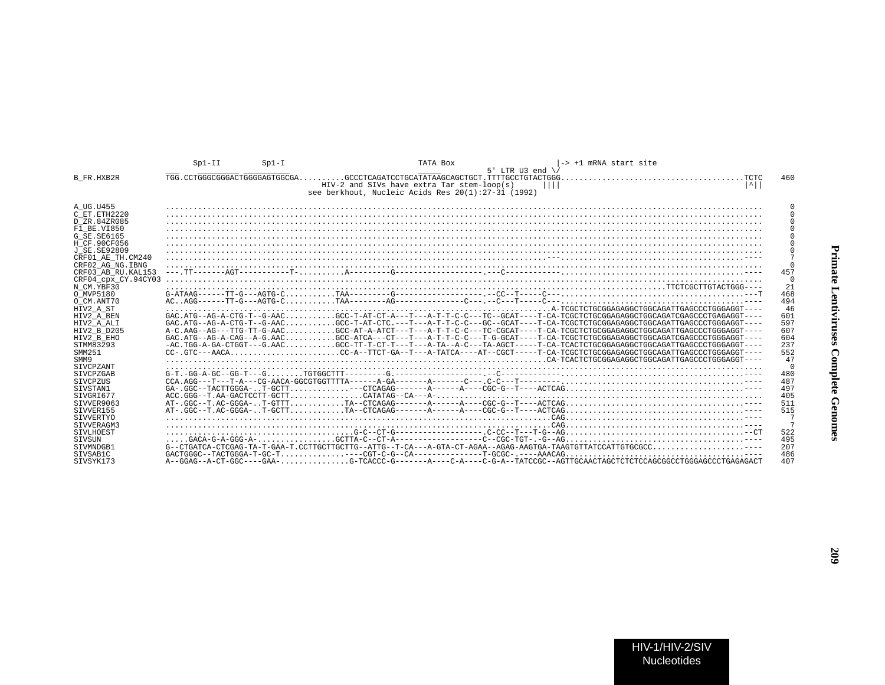|                     | $Spl-II$ | $Sp1-I$                        | TATA Box<br>-> +1 mRNA start site<br>5' LTR U3 end $\sqrt{ }$                                                                                                                                                                                                                                                                                                                                                                                         |          |
|---------------------|----------|--------------------------------|-------------------------------------------------------------------------------------------------------------------------------------------------------------------------------------------------------------------------------------------------------------------------------------------------------------------------------------------------------------------------------------------------------------------------------------------------------|----------|
| B FR.HXB2R          |          | TGG. CCTGGGCGGGACTGGGGAGTGGCGA | . TCTC                                                                                                                                                                                                                                                                                                                                                                                                                                                | 460      |
|                     |          |                                | $ \uparrow $<br>HIV-2 and SIVs have extra Tar stem-loop(s)<br>see berkhout, Nucleic Acids Res 20(1):27-31 (1992)                                                                                                                                                                                                                                                                                                                                      |          |
| A UG.U455           |          |                                |                                                                                                                                                                                                                                                                                                                                                                                                                                                       |          |
| C ET.ETH2220        |          |                                |                                                                                                                                                                                                                                                                                                                                                                                                                                                       |          |
| D ZR.84ZR085        |          |                                |                                                                                                                                                                                                                                                                                                                                                                                                                                                       |          |
| F1 BE.VI850         |          |                                |                                                                                                                                                                                                                                                                                                                                                                                                                                                       |          |
| G SE. SE6165        |          |                                |                                                                                                                                                                                                                                                                                                                                                                                                                                                       |          |
| H CF.90CF056        |          |                                |                                                                                                                                                                                                                                                                                                                                                                                                                                                       |          |
| J SE. SE92809       |          |                                |                                                                                                                                                                                                                                                                                                                                                                                                                                                       |          |
| CRF01 AE TH.CM240   |          |                                |                                                                                                                                                                                                                                                                                                                                                                                                                                                       |          |
| CRF02 AG NG. IBNG   |          |                                |                                                                                                                                                                                                                                                                                                                                                                                                                                                       | $\Omega$ |
| CRF03 AB RU. KAL153 |          |                                |                                                                                                                                                                                                                                                                                                                                                                                                                                                       | 457      |
| CRF04 cpx CY.94CY03 |          |                                |                                                                                                                                                                                                                                                                                                                                                                                                                                                       | $\Omega$ |
| N CM.YBF30          |          |                                |                                                                                                                                                                                                                                                                                                                                                                                                                                                       | 21       |
| O MVP5180           |          |                                | $G-ATAAG---TT-G---AGTG-C.$                                                                                                                                                                                                                                                                                                                                                                                                                            | 468      |
| O CM.ANT70          |          |                                |                                                                                                                                                                                                                                                                                                                                                                                                                                                       | 494      |
| HIV2 A ST           |          |                                |                                                                                                                                                                                                                                                                                                                                                                                                                                                       | 46       |
| HIV2 A BEN          |          |                                | GAC.ATG--AG-A-CTG-T--G-AACGCC-T-AT-CT-A---T---A-T-T-C-C---TC--GCAT----T-CA-TCGCTCTGGGAGAGGCTGGGAGATCGAGCCCTGAGAGGCTGAGAGG                                                                                                                                                                                                                                                                                                                             | 601      |
| HIV2 A ALI          |          |                                | GAC.ATG--AG-A-CTG-T--G-AACGCC-T-AT-CTC.---T--A-T-C-C---GC--GCAT----T-CA-TCGCTCTGCGGAGAGCTGGCAGATTGAGCCCTGGGAGGCT---                                                                                                                                                                                                                                                                                                                                   | 597      |
| HIV2 B D205         |          |                                |                                                                                                                                                                                                                                                                                                                                                                                                                                                       | 607      |
| HIV2 B EHO          |          |                                | GAC.ATG--AG-A-CAG--A-G.AACGCC-ATCA---CT---T---A-T-T-C-C---T-G-GCAT----T-CA-TCGCTCTGCGGAGAGGCTGGCAGATCGAGCCCTGGGAGT----                                                                                                                                                                                                                                                                                                                                | 604      |
| STMM83293           |          |                                | -AC.TGG-A-GA-CTGGT---G.AACGCC-TT-T-CT---A-T---A-C---TA-AGCT-----T-CA-TCACTCTGGGAGAGCCGGAGATTGAGCCCTGGGAGGGT---                                                                                                                                                                                                                                                                                                                                        | 237      |
| SMM251              |          |                                | CC-A-TTCT-GA--T--ATCA----ATCT---ATC-----T-CGCT-----T-CGCTCTGCGGAGAGGCTGGCAGATTGAGCCCTGGGAGGT----                                                                                                                                                                                                                                                                                                                                                      | 552      |
| SMM9                |          |                                |                                                                                                                                                                                                                                                                                                                                                                                                                                                       | 47       |
| SIVCPZANT           |          |                                |                                                                                                                                                                                                                                                                                                                                                                                                                                                       | $\Omega$ |
| <b>STVCPZGAB</b>    |          |                                | $G-T.-GG-A-GC--GG-T---GTGTGGCTTT---G. --- --- --- 0. -C--- --- --- 0. -C------ --- 0. -C------ --- 0. -C------ --- 0. -C------ --- 0. -C------ --- 0. -C------ --- 0. -C------ --- 0. -C------ --- 0. -C------ --- 0. -C------ --- 0. -C------ --- 0. -C------ --- 0. -C------ --- 0. -C------ --- 0. -C------ --- 0. -C------ --- 0. -C------ --- 0. -C------ --- 0. -C------ --- 0. -C------ --- 0. -C------ --- 0. -C------ --- 0. -C------ --- 0$ | 480      |
| SIVCPZUS            |          |                                |                                                                                                                                                                                                                                                                                                                                                                                                                                                       | 487      |
| SIVSTAN1            |          |                                |                                                                                                                                                                                                                                                                                                                                                                                                                                                       | 497      |
| SIVGRI677           |          |                                |                                                                                                                                                                                                                                                                                                                                                                                                                                                       | 405      |
| SIVVER9063          |          |                                |                                                                                                                                                                                                                                                                                                                                                                                                                                                       | 511      |
| SIVVER155           |          |                                |                                                                                                                                                                                                                                                                                                                                                                                                                                                       | 515      |
| SIVVERTYO           |          |                                |                                                                                                                                                                                                                                                                                                                                                                                                                                                       | 7        |
| SIVVERAGM3          |          |                                |                                                                                                                                                                                                                                                                                                                                                                                                                                                       | 7        |
| <b>STVLHOEST</b>    |          |                                |                                                                                                                                                                                                                                                                                                                                                                                                                                                       | 522      |
| SIVSUN              |          |                                | $\ldots$ .GACA-G-A-GGG-A- $\ldots$                                                                                                                                                                                                                                                                                                                                                                                                                    | 495      |
| SIVMNDGB1           |          |                                |                                                                                                                                                                                                                                                                                                                                                                                                                                                       | 207      |
| SIVSAB1C            |          |                                |                                                                                                                                                                                                                                                                                                                                                                                                                                                       | 486      |
| STVSYK173           |          |                                |                                                                                                                                                                                                                                                                                                                                                                                                                                                       | 407      |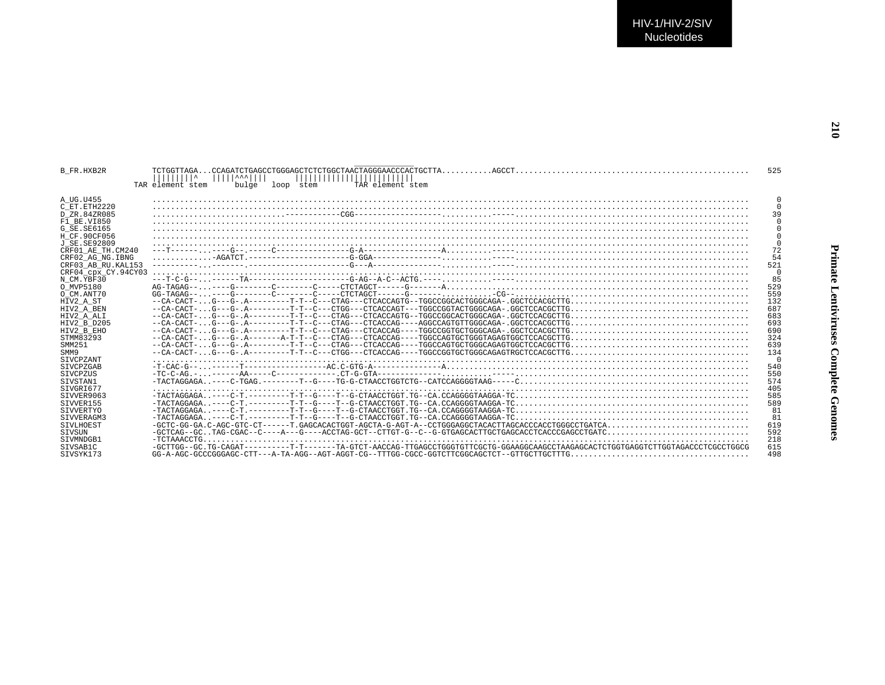| <b>B FR.HXB2R</b>                    | TAR element stem<br>TAR element stem<br>bulge<br>loop stem                                                                      | 525        |
|--------------------------------------|---------------------------------------------------------------------------------------------------------------------------------|------------|
| A UG.U455<br>C ET ETH2220            |                                                                                                                                 |            |
| D ZR.84ZR085                         |                                                                                                                                 | 39         |
| F1 BE.VI850                          |                                                                                                                                 |            |
| G SE.SE6165                          |                                                                                                                                 |            |
| H CF.90CF056<br>J SE. SE92809        |                                                                                                                                 |            |
| CRF01 AE TH.CM240                    |                                                                                                                                 | 72         |
| CRF02 AG NG. IBNG                    |                                                                                                                                 | 54         |
| CRF03 AB RU. KAL153                  |                                                                                                                                 | 521        |
| CRF04 cpx CY.94CY03                  |                                                                                                                                 |            |
| N CM.YBF30                           |                                                                                                                                 | 85         |
| O MVP5180                            |                                                                                                                                 | 529        |
| O CM.ANT70                           |                                                                                                                                 | 559        |
| HIV2 A ST<br>HIV2 A BEN              |                                                                                                                                 | 132<br>687 |
| HIV2 A ALI                           |                                                                                                                                 | 683        |
| HIV2 B D205                          | $-cA-CACT G--G-.$ $A---------T T-C---CTAG---CTACCAG---AGGCCAGTGTTGGCAGA-.$ $GGCTCCACGCTTG$                                      | 693        |
| HIV2 B EHO                           |                                                                                                                                 | 690        |
| STMM83293                            |                                                                                                                                 | 324        |
| SMM251                               |                                                                                                                                 | 639        |
| SMM9                                 |                                                                                                                                 | 134        |
| <b>STVCPZANT</b><br><b>STVCPZGAB</b> |                                                                                                                                 | 540        |
| SIVCPZUS                             |                                                                                                                                 | 550        |
| SIVSTAN1                             |                                                                                                                                 | 574        |
| STVGRT677                            |                                                                                                                                 | 405        |
| SIVVER9063                           |                                                                                                                                 | 585        |
| SIVVER155                            |                                                                                                                                 | 589        |
| SIVVERTYO                            |                                                                                                                                 | 81         |
| SIVVERAGM3                           |                                                                                                                                 |            |
| SIVLHOEST<br>SIVSUN                  |                                                                                                                                 | 619<br>592 |
| SIVMNDGB1                            |                                                                                                                                 | 218        |
| SIVSAB1C                             | -GCTTGG--GC_TG-CAGAT---------T-T-----TA-GTCT-AACCAG-TTGAGCCTGGGTGTTCGCTG-GGAAGGCAAGCCTAAGAGCACTCTGGTGAGGTCTTGGTAGACCCTCGCCTGGCG | 615        |
| STVSYK173                            |                                                                                                                                 | 498        |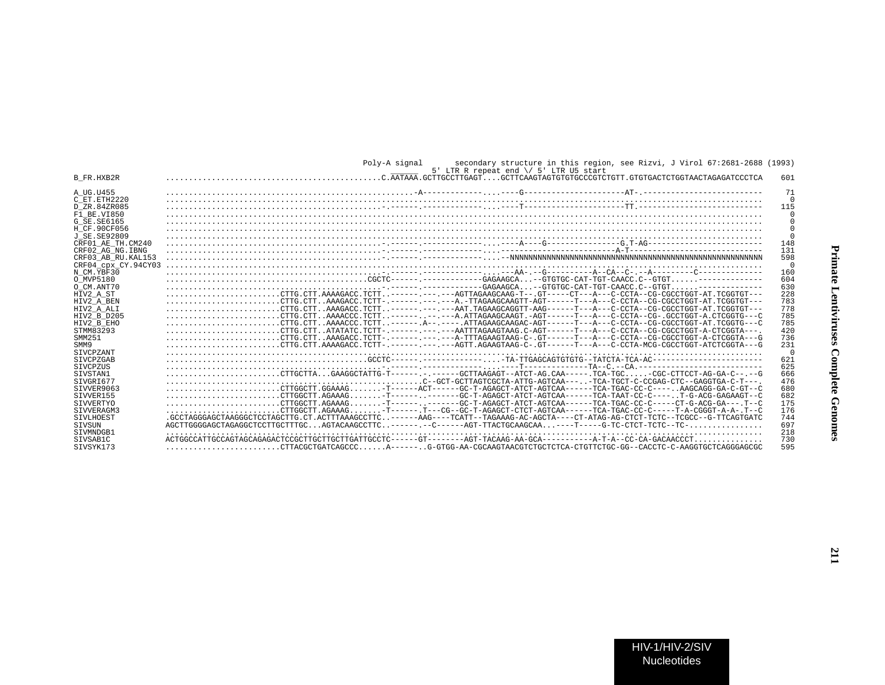|                     | secondary structure in this region, see Rizvi, J Virol 67:2681-2688 (1993)<br>Polv-A signal<br>5' LTR R repeat end \/ 5' LTR U5 start                                |          |
|---------------------|----------------------------------------------------------------------------------------------------------------------------------------------------------------------|----------|
| B FR.HXB2R          |                                                                                                                                                                      | 601      |
| A UG.U455           |                                                                                                                                                                      | 71       |
| C ET.ETH2220        |                                                                                                                                                                      | $\Omega$ |
| D ZR.84ZR085        |                                                                                                                                                                      | 115      |
| F1 BE.VI850         |                                                                                                                                                                      | $\Omega$ |
| G SE.SE6165         |                                                                                                                                                                      | 0        |
| H CF.90CF056        |                                                                                                                                                                      |          |
| J SE. SE92809       |                                                                                                                                                                      | $\Omega$ |
| CRF01 AE TH.CM240   |                                                                                                                                                                      | 148      |
| CRF02 AG NG. IBNG   |                                                                                                                                                                      | 131      |
| CRF03 AB RU. KAL153 |                                                                                                                                                                      | 598      |
| CRF04_cpx_CY.94CY03 |                                                                                                                                                                      | $\Omega$ |
| N CM.YBF30          |                                                                                                                                                                      | 160      |
| O MVP5180           |                                                                                                                                                                      | 604      |
| O CM.ANT70          |                                                                                                                                                                      | 630      |
| HIV2 A ST           |                                                                                                                                                                      | 228      |
| HIV2 A BEN          | $\ldots \ldots \ldots \ldots \ldots \ldots$ . CTTG.CTTAAAGACC.TCTT-.------.-----------TTAGAAGCAAGTT-AGT------T---A---C-CCTA--CG-CGCCTGGT-AT.TCGGTGT---               | 783      |
| HIV2 A ALI          | $\ldots \ldots \ldots \ldots \ldots \ldots$ . CTTG.CTTAAAGACC.TCTT------.---AAT.TAGAAGCAGGTT-AAG------T---A---C-CCTA--CG-CGCCTGGT-AT.TCGGTGT---                      | 778      |
| HIV2 B D205         | $\ldots \ldots \ldots \ldots \ldots \ldots$ . CTTG.CTTAAAACCC.TCTT--------.--A.ATTAGAAGCAAGT.-AGT------T---A---C-CCTA--CG-.GCCTGGT-A.CTCGGTG---C                     | 785      |
| HIV2 B EHO          | $\ldots \ldots \ldots \ldots \ldots \ldots$ . CTTG. CTT. . AAAACCC. TCTT. . ------. A-- . ----- . ATTAGAAGCAAGAC-AGT------T---A---C-CCTA--CG-CGCCTGGT-AT. TCGGTG---C | 785      |
| STMM83293           | $\ldots \ldots \ldots \ldots \ldots \ldots$ . CTTG.CTTATATATC.TCTT-.------.---AATTTAGAAGTAAG.C-AGT-----T---A---C-CCTA--CG-CGCCTGGT-A-CTCGGTA---.                     | 420      |
| SMM251              | CTTG.CTTAAAGACC.TCTT-.------.---A-TTTAGAAGTAAG-C-.GT-----T--A---C-CCTA--CG-CGCCTGGT-A-CTCGGTA---G                                                                    | 736      |
| SMM9                | CTTG.CTT.AAAAGACC.TCTT-.-----.----AGTT.AGAAGTAAG-C-.GT-----T---A---C-CCTA-MCG-CGCCTGGT-ATCTCGGTA---G                                                                 | 231      |
| SIVCPZANT           |                                                                                                                                                                      | $\Omega$ |
| SIVCPZGAB           |                                                                                                                                                                      | 621      |
| SIVCPZUS            |                                                                                                                                                                      | 625      |
| SIVSTAN1            | $\ldots \ldots \ldots \ldots \ldots \ldots$ . CTTGCTTA.GAAGGCTATTG-T------ . - -----GCTTAAGAGT--ATCT-AG.CAA----- . TCA-TGC. -CGC-CTTCCT-AG-GA-C-- . --G              | 666      |
| STVGRT677           |                                                                                                                                                                      | 476      |
| STVVER9063          | CTTGGCTT.GGAAAG-T-----ACT-----GC-T-AGAGCT-ATCT-AGTCAA------TCA-TGAC-CC-C----AAGCAGG-GA-C-GT--C                                                                       | 680      |
| STVVER155           | CTTGGCTT.AGAAAGT----------GC-T-AGAGCT-ATCT-AGTCAA------TCA-TAAT-CC-C----T-G-ACG-GAGAAGT--C                                                                           | 682      |
| SIVVERTYO           | $\ldots \ldots \ldots \ldots \ldots \ldots$ CTTGGCTT.AGAAAG-T------------GC-T-AGAGCT-ATCT-AGTCAA------TCA-TGAC-CC-C-----CT-G-ACG-GA---.T--C                          | 175      |
| SIVVERAGM3          | CTTGGCTT.AGAAAG-T------.T---CG--GC-T-AGAGCT-CTCT-AGTCAA------TCA-TGAC-CC-C-----T-A-CGGGT-A-A-.T--C                                                                   | 176      |
| SIVLHOEST           | .GCCTAGGGAGCTAAGGGCTCCTAGCTTG.CT.ACTTTAAAGCCTTC-----AAG----TCATT--TAGAAAG-AC-AGCTA----CT-ATAG-AG-CTCT-TCTC--TCGCC--G-TTCAGTGATC                                      | 744      |
| <b>STVSUN</b>       |                                                                                                                                                                      | 697      |
| STVMNDGB1           |                                                                                                                                                                      | 218      |
| STVSAB1C            |                                                                                                                                                                      | 730      |
| STVSYK173           |                                                                                                                                                                      | 595      |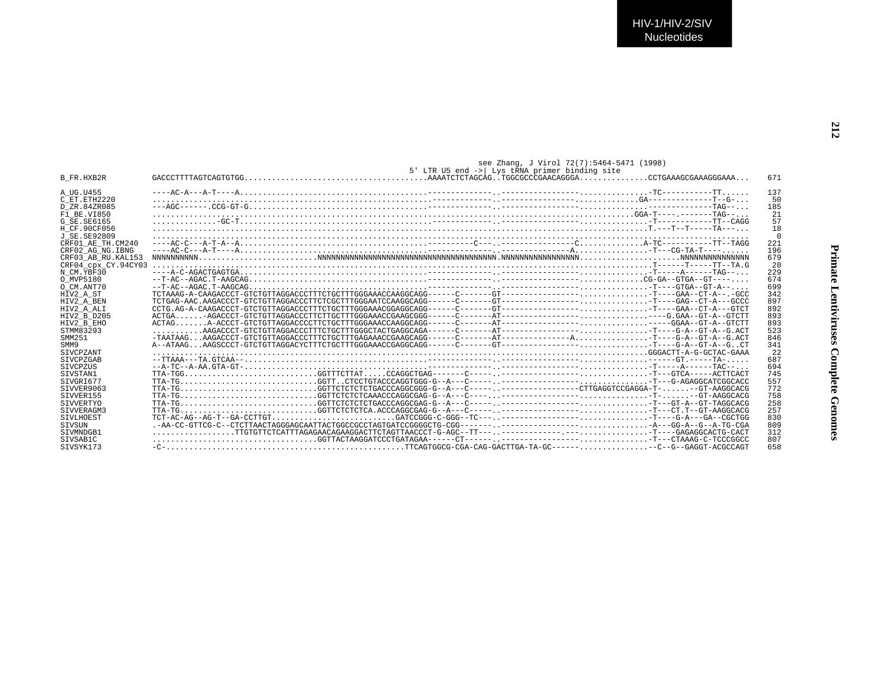**Primate Lentiviruses Complete Genomes**

Primate Lentiviruses Complete Genomes

|                     | see Zhang, J Virol 72(7):5464-5471 (1998)<br>5' LTR U5 end ->  Lys tRNA primer binding site                                                                              |          |
|---------------------|--------------------------------------------------------------------------------------------------------------------------------------------------------------------------|----------|
| B FR.HXB2R          |                                                                                                                                                                          | 671      |
| A UG.U455           |                                                                                                                                                                          | 137      |
| C ET.ETH2220        |                                                                                                                                                                          | 50       |
| D ZR.84ZR085        |                                                                                                                                                                          | 185      |
| $F1$ BE.VI850       |                                                                                                                                                                          | 21       |
| G SE. SE6165        |                                                                                                                                                                          | 57       |
| H CF.90CF056        |                                                                                                                                                                          | 18       |
| J SE. SE92809       |                                                                                                                                                                          | $\Omega$ |
| CRF01 AE TH.CM240   |                                                                                                                                                                          | 221      |
| CRF02 AG NG. IBNG   |                                                                                                                                                                          | 196      |
| CRF03 AB RU.KAL153  |                                                                                                                                                                          | 679      |
| CRF04 cpx CY.94CY03 |                                                                                                                                                                          | 20       |
| N CM.YBF30          |                                                                                                                                                                          | 229      |
| O MVP5180           |                                                                                                                                                                          | 674      |
| O CM.ANT70          |                                                                                                                                                                          | 699      |
| HIV2 A ST           |                                                                                                                                                                          | 342      |
| HIV2 A BEN          |                                                                                                                                                                          | 897      |
| HIV2 A ALI          |                                                                                                                                                                          | 892      |
| HIV2 B D205         |                                                                                                                                                                          | 893      |
| HIV2 B EHO          |                                                                                                                                                                          | 893      |
| STMM83293           |                                                                                                                                                                          | 523      |
| SMM251              | $-TAATAAGAAGACCCT-GTCTGTTTAGGACCCCTTTCTGCTTGAGAAAACCGAAACCGAAGCGA---C----A-T------A---A$                                                                                 | 846      |
| SMM9                |                                                                                                                                                                          | 341      |
| <b>STVCPZANT</b>    |                                                                                                                                                                          | 2.2      |
| <b>STVCPZGAB</b>    |                                                                                                                                                                          | 687      |
| <b>STVCPZUS</b>     |                                                                                                                                                                          | 694      |
| STVSTAN1            |                                                                                                                                                                          | 745      |
| STVGRT677           |                                                                                                                                                                          | 557      |
| SIVVER9063          |                                                                                                                                                                          | 772      |
| STVVER155           | $TTA-TG.\ldots,\ldots,\ldots,\ldots,\ldots,\ldots, GGTTCTCTCTCAAACCCAGCGAG-G--A---C---\ldots,\ldots,\ldots-\ldots-\ldots,\ldots,\ldots,\ldots,\ldots,\ldots,-GT-AGGCACG$ | 758      |
| <b>STVVERTYO</b>    |                                                                                                                                                                          | 258      |
| SIVVERAGM3          |                                                                                                                                                                          | 257      |
| SIVLHOEST           |                                                                                                                                                                          | 830      |
| <b>STVSUN</b>       |                                                                                                                                                                          | 809      |
| STVMNDGB1           |                                                                                                                                                                          | 312      |
| STVSAB1C            |                                                                                                                                                                          | 807      |
| STVSYK173           |                                                                                                                                                                          | 658      |
|                     |                                                                                                                                                                          |          |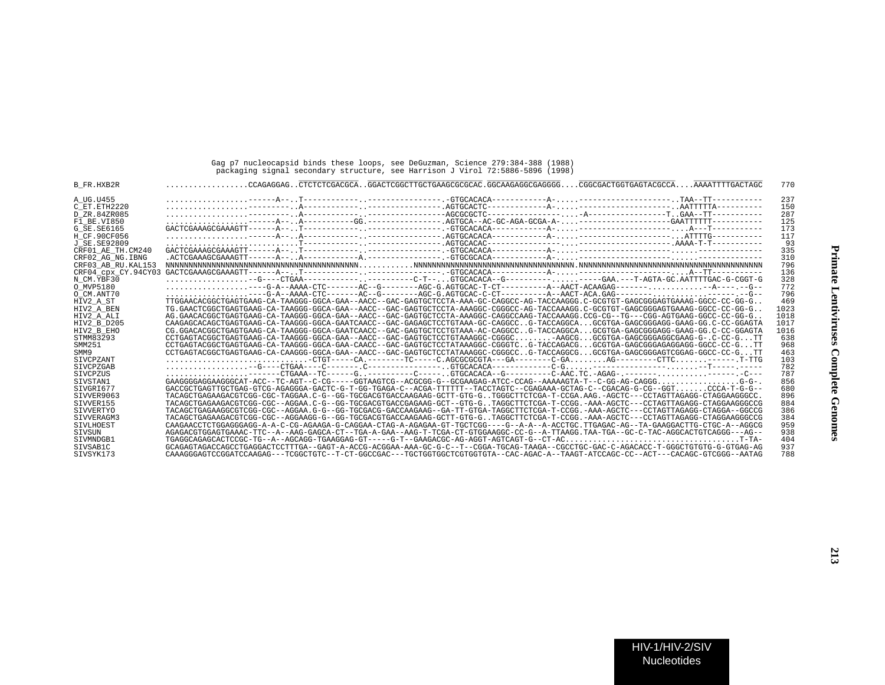## Gag p7 nucleocapsid binds these loops, see DeGuzman, Science 279:384-388 (1988) packaging signal secondary structure, see Harrison J Virol 72:5886-5896 (1998)

| B FR.HXB2R              |                                                                                                                                                                          | 770  |
|-------------------------|--------------------------------------------------------------------------------------------------------------------------------------------------------------------------|------|
| A UG.U455               |                                                                                                                                                                          | 237  |
| C ET. ETH2220           |                                                                                                                                                                          | 150  |
| D ZR.84ZR085            |                                                                                                                                                                          | 287  |
| F1 BE.VI850             |                                                                                                                                                                          | 125  |
| G SE. SE6165            | $GACTCGAAAGCGAAAGTT---A--T---------------GFGCACACA------A-------------$                                                                                                  | 173  |
| H CF.90CF056            |                                                                                                                                                                          | 117  |
| J SE. SE92809           |                                                                                                                                                                          | 93   |
| CRF01 AE TH.CM240       |                                                                                                                                                                          | 335  |
| CRF02 AG NG.IBNG        |                                                                                                                                                                          | 310  |
| CRF03 AB RU. KAL153     |                                                                                                                                                                          | 796  |
| CRF04 cpx CY.94CY03     |                                                                                                                                                                          | 136  |
| N CM.YBF30              | $\ldots \ldots \ldots \ldots \ldots --$ G----CTGAA------------. .---------C-T--.GTGCACACA--G--------------GAA.---T-AGTA-GC .AATTTTGAC-G-CGGT-G                           | 328  |
| O MVP5180               | --G-A--AAAA-CTC-------AC--G------AGC-G.AGTGCAC-T-CT--------A--AACT-ACAAGAG---------A-------G--                                                                           | 772  |
| O CM.ANT70              |                                                                                                                                                                          | 796  |
|                         | TTGGAACACGGCTGAGTGAAG-CA-TAAGGG-GGCA-GAA--AACC--GAC-GAGTGCTCCTA-AAA-GC-CAGGCC-AG-TACCAAGGG.C-GCGTGT-GAGCGGGAGTGAAAG-GGCC-CC-GG-G                                         | 469  |
| HIV2 A ST<br>HIV2 A BEN | . . TG . GAACTCGGCTGAGTGAAG-CA-TAAGGG-GGCA-GAA--AACC--GAC-GAGTGCTCCTA-AAAGGC-CGGGCC-AG-TACCAAAGG. C-GCGTGT-GAGCGGGAGTGAAAG-GGCC-CC-GG-G                                  | 1023 |
|                         |                                                                                                                                                                          | 1018 |
| HIV2 A ALI              | . AG GAACAGGCTGAGTGAAG-CA-TAAGGG-GGCA-GAA--AAC-CA-GAC-GACTGCTCCTA-AAGGC-CAGGCCAAG-TACCAAAGG.CCG-CG--GG--TG--CGG-AGTGAAG-GGC-CA-CA-G-G-                                   | 1017 |
| HIV2 B D205             | CAAGAGCACACCTGAGTGAAG-CA-TAAGGG-GGCA-GAATCAACC--GAC-GAGAGCTCCTGTAAA-GC-CAGGCCG-TACCAGGCAGCGTGA-GAGCGGAGG-GAAG-GG-CA-CC-CC-GGAGTA                                         |      |
| HIV2 B EHO              | CG.GGACACGGCTGAGTGAAG-CA-TAAGGG-GGCA-GAATCAACC--GAC-GAGTGCTCCTGTAAA-AC-CAGGCCG-TACCAGGCAGCGTGA-GAGCGGGAGG-GAAG-GG.C-CC-GGAGTA                                            | 1016 |
| STMM83293               | CCTGAGTACGGCTGAGTGAAG-CA-TAAGGG-GGCA-GAA--AACC--GAC-GAGTGCTCCTGTAAAGGC-CGGGCAAGCGGCGTGA-GAGCGGGAGGCGAAG-G-.C-CC-GTT                                                      | 638  |
| SMM251                  | CCTGAGTACGGCTGAGTGAAG-CA-TAAGGG-GGCA-GAA-CAACC--GAC-GAGTGCTCCTATAAAGGC-CGGGTCG-TACCAGACGGCGTGA-GAGCGGGAGAGGAGG-GGCC-CC-GTT                                               | 968  |
| SMM9                    | CCTGAGTACGGCTGAGTGAAG-CA-CAAGGG-GGCA-GAA--AACC--GAC-GAGTGCTCCTATAAAGGC-CGGGCCG-TACCAGGCGGCGTGA-GAGCGGGAGTCGGAG-GGCC-CC-GTT                                               | 463  |
| <b>STVCPZANT</b>        | $\ldots \ldots \ldots \ldots \ldots \ldots \ldots \ldots$ -CTGT----CA.-------TC-----C.AGCGCGCGTA---GA--------C-GAAG---------CTTC-------.T-TG                             | 103  |
| <b>STVCPZGAB</b>        |                                                                                                                                                                          | 782  |
| <b>STVCPZUS</b>         | ------CTGAAA--TC------G----------C-----.GTGCACACA--G----------C-AAC.TC.-AGAG-.--------------.C---                                                                        | 787  |
| STVSTAN1                | GAAGGGGAAGGGCAA-ACC--TC-AGT--C-CG-----GGTAAGTCG--ACGCGG-G--GCGAAGAG-ATCC-CCAG--AAAAAGTA-T--C-GG-AG-CAGGGG-G--                                                            | 856  |
| STVGRT677               | GACCGCTGAGTTGCTGAG-GTCG-AGAGGGA-GACTC-G-T-GG-TGAGA-C--ACGA-TTTTT--TACCTAGTC--CGAGAAA-GCTAG-C--CGACAG-G-CG--GGT                                                           | 680  |
| SIVVER9063              | TACAGCTGAGAAGACGTCGG-CGC-TAGGAA.C-G--GG-TGCGACGTGACCAAGAAG-GCTT-GTG-GTGGGCTTCTCGA-T-CCGA.AAG.-AGCTC---CCTAGTTAGAGG-CTAGGAAGGGCC.                                         | 896  |
| SIVVER155               | TACAGCTGAGAAGACGTCGG-CGC--AGGAA.C-G--GG-TGCGACGTGACCGAGAAG-GCT--GTG-GTAGGCTTCTCGA-T-CCGG.-AAA-AGCTC---CCTAGTTAGAGG-CTAGGAAGGGCCG                                         | 884  |
| SIVVERTYO               | TACAGCTGAGAAGGCGTCGG--GGC--AGGAA_G-G--GG-TGCGACG-GACCAAGAAG--GA-TT-GTGA-TAGGCTTCTCGA-T-CCGG_-AAA-AGCTC---CCTAGTTAGAGG-CTAGGA--GGCCG                                      | 386  |
| SIVVERAGM3              | TACAGCTGAGAAGACGTCGG-CGC--AGGAAGG-G--GG-TGCGACGTGACCAAGAAG-GCTT-GTG-GTAGGCTTCTCGA-T-CCGG.-AAA-AGCTC---CCTAGTTAGAGG-CTAGGAAGGCCG                                          | 384  |
| <b>STVLHOEST</b>        | CAAGAACCTCTGGGGGGGGGG-A-A-C-CG-AGAAGA-G-CAGGAA-CTAG-A-AGAGAA-GT-TGCTCGG----G--A-A-ACCTGC.TTGAGAC-AG--TA-GAAGGACTTG-CTGC-A--AGGCG                                         | 959  |
| SIVSUN                  | -AGAGACGTGGAGTGAAAC-TTC--A--AAG-GAGCA-CT--TGA-A-GAA--AAG-T-TCGA-CT-GTGGAAGGC-CC-G--A-TTAAGG.TAA-TGA--GC-C-TAC-AGGCACTGTCAGGG---AG-                                       | 938  |
| STVMNDGB1               |                                                                                                                                                                          | 404  |
| STVSAB1C                | GCAGAGTAGACCAGCCTGAGGACTCCTTTGA - - GAGT - A - ACCG-ACGGAA - AAA - GC-G-C - - T - - CGGA - TGCAG - TAAGA - - CGCCTGC - GAC - C - AGACACC - T - GGGCTGTGTG - G-GTCTGAG-AG | 937  |
| SIVSYK173               | CAAAGGGAGTCCGGATCCAAGAG---TCGGCTGTC--T-CT-GGCCGAC---TGCTGGTGGCTCGTGGTGTA--CAC-AGAC-A--TAAGT-ATCCAGC-CC--ACT---CACAGC-GTCGGG--AATAG                                       | 788  |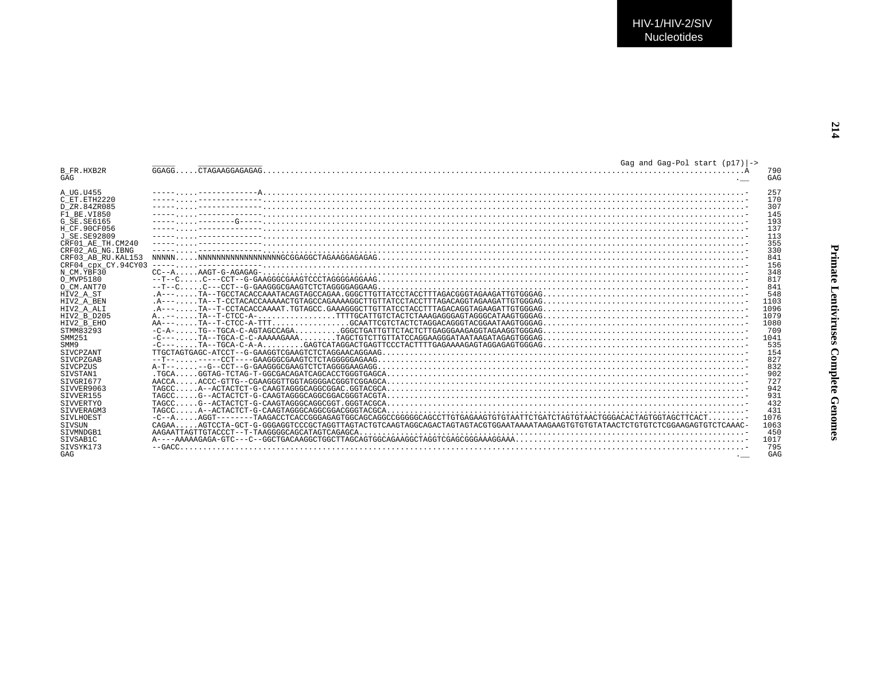| Gag and Gag-Pol start $(p17)$ ->                          |                                                                                                                                                                                                                                                                                                                                                                                                                                                                           |
|-----------------------------------------------------------|---------------------------------------------------------------------------------------------------------------------------------------------------------------------------------------------------------------------------------------------------------------------------------------------------------------------------------------------------------------------------------------------------------------------------------------------------------------------------|
| GGAGG.                                                    | 790<br>GAG                                                                                                                                                                                                                                                                                                                                                                                                                                                                |
|                                                           | 257                                                                                                                                                                                                                                                                                                                                                                                                                                                                       |
|                                                           | 170                                                                                                                                                                                                                                                                                                                                                                                                                                                                       |
|                                                           | 307                                                                                                                                                                                                                                                                                                                                                                                                                                                                       |
|                                                           | 145                                                                                                                                                                                                                                                                                                                                                                                                                                                                       |
|                                                           | 193                                                                                                                                                                                                                                                                                                                                                                                                                                                                       |
|                                                           | 137                                                                                                                                                                                                                                                                                                                                                                                                                                                                       |
|                                                           | 113                                                                                                                                                                                                                                                                                                                                                                                                                                                                       |
|                                                           | 355                                                                                                                                                                                                                                                                                                                                                                                                                                                                       |
|                                                           |                                                                                                                                                                                                                                                                                                                                                                                                                                                                           |
|                                                           | 330                                                                                                                                                                                                                                                                                                                                                                                                                                                                       |
|                                                           | 841                                                                                                                                                                                                                                                                                                                                                                                                                                                                       |
|                                                           | 156                                                                                                                                                                                                                                                                                                                                                                                                                                                                       |
|                                                           | 348                                                                                                                                                                                                                                                                                                                                                                                                                                                                       |
|                                                           | 817                                                                                                                                                                                                                                                                                                                                                                                                                                                                       |
|                                                           | 841                                                                                                                                                                                                                                                                                                                                                                                                                                                                       |
|                                                           | 548                                                                                                                                                                                                                                                                                                                                                                                                                                                                       |
|                                                           | 1103                                                                                                                                                                                                                                                                                                                                                                                                                                                                      |
|                                                           | 1096                                                                                                                                                                                                                                                                                                                                                                                                                                                                      |
|                                                           | 1079                                                                                                                                                                                                                                                                                                                                                                                                                                                                      |
|                                                           | 1080                                                                                                                                                                                                                                                                                                                                                                                                                                                                      |
|                                                           | 709                                                                                                                                                                                                                                                                                                                                                                                                                                                                       |
|                                                           | 1041                                                                                                                                                                                                                                                                                                                                                                                                                                                                      |
|                                                           | 535                                                                                                                                                                                                                                                                                                                                                                                                                                                                       |
|                                                           | 154                                                                                                                                                                                                                                                                                                                                                                                                                                                                       |
|                                                           | 827                                                                                                                                                                                                                                                                                                                                                                                                                                                                       |
|                                                           | 832                                                                                                                                                                                                                                                                                                                                                                                                                                                                       |
|                                                           | 902                                                                                                                                                                                                                                                                                                                                                                                                                                                                       |
| A A C C A                                                 | 727                                                                                                                                                                                                                                                                                                                                                                                                                                                                       |
| TAGCC.                                                    | 942                                                                                                                                                                                                                                                                                                                                                                                                                                                                       |
| TAGCC.                                                    | 931                                                                                                                                                                                                                                                                                                                                                                                                                                                                       |
| TAGCC.                                                    | 432                                                                                                                                                                                                                                                                                                                                                                                                                                                                       |
| A--ACTACTCT-G-CAAGTAGGGCAGGCGGACGGGTACGCA<br><b>TAGCC</b> | 431                                                                                                                                                                                                                                                                                                                                                                                                                                                                       |
|                                                           | 1076                                                                                                                                                                                                                                                                                                                                                                                                                                                                      |
| CAGAA                                                     | 1063                                                                                                                                                                                                                                                                                                                                                                                                                                                                      |
|                                                           | 450                                                                                                                                                                                                                                                                                                                                                                                                                                                                       |
|                                                           | 1017                                                                                                                                                                                                                                                                                                                                                                                                                                                                      |
|                                                           | 795                                                                                                                                                                                                                                                                                                                                                                                                                                                                       |
|                                                           | GAG                                                                                                                                                                                                                                                                                                                                                                                                                                                                       |
|                                                           | CRF04 cpx CY.94CY03<br>$-C=-1, 1, 1, 1$ $T = TGCA-C-A-A$ , $1, 2, 3, 4, 5$ $G = C$ . $G = C$ . $G = C$ . The set of $G = C$ . The set of $G = C$ . The set of $G = C$ . The set of $G = C$ . The set of $G = C$ . The set of $G = C$ . The set of $G = C$ . The set of $G = C$ . Th<br>$\ldots$ G--ACTACTCT-G-CAAGTAGGGCAGGCGGACGGGTACGTA<br>$\ldots$ . AGGT-------TAAGACCTCACCGGGAGAGTGGCAGCAGGCCGGGGCGAGCCTTGTGAGAAGTGTGTAATTCTGATCTAGTGTAACTGGGACACTAGTGGTAGCTTCACT. - |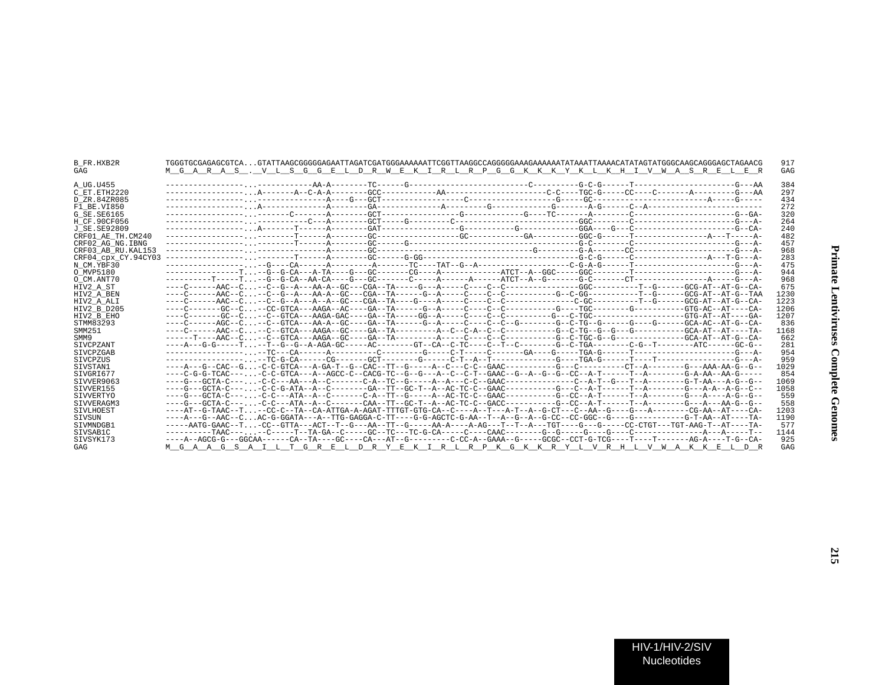| B FR.HXB2R<br>GAG   | M G A R A S . V L S G G E L D R W E K I R L R P G G K K K Y K L K H I V W A S R E L E R                                       | 917<br>GAG |
|---------------------|-------------------------------------------------------------------------------------------------------------------------------|------------|
| A UG.U455           |                                                                                                                               | 384        |
| C ET.ETH2220        |                                                                                                                               | 297        |
| D ZR.84ZR085        |                                                                                                                               | 434        |
| F1 BE.VI850         |                                                                                                                               | 272        |
| G SE. SE6165        |                                                                                                                               | 320        |
| H CF.90CF056        |                                                                                                                               | 264        |
| J SE. SE92809       |                                                                                                                               | 240        |
| CRF01 AE TH.CM240   |                                                                                                                               | 482        |
| CRF02 AG NG. IBNG   |                                                                                                                               | 457        |
| CRF03 AB RU. KAL153 |                                                                                                                               | 968        |
| CRF04 cpx CY.94CY03 |                                                                                                                               | 283        |
| N CM.YBF30          |                                                                                                                               | 475        |
| O MVP5180           |                                                                                                                               | 944        |
| O CM.ANT70          |                                                                                                                               | 968        |
| HIV2 A ST           |                                                                                                                               | 675        |
| HIV2 A BEN          |                                                                                                                               | 1230       |
| HIV2 A ALI          |                                                                                                                               | 1223       |
| HIV2 B D205         |                                                                                                                               | 1206       |
| HIV2 B EHO          |                                                                                                                               | 1207       |
| STMM83293           | ----C------AGC--C--C--GTCA---AA-A--GC----GA--TA------G--A-----C---C--C--C--C-----G--C-TG--G------G----G-----GCA-AC--AT-G--CA- | 836        |
| SMM251              |                                                                                                                               | 1168       |
| SMM9                |                                                                                                                               | 662        |
| SIVCPZANT           | ---A---G-G-----T-T--G--G-A-AGA-GC-----AC-------GT--CA--C-TC-----C--T--C-------G--C-TGA--------C-G--T--------ATC------GC-G--   | 281        |
| SIVCPZGAB           |                                                                                                                               | 954        |
| SIVCPZUS            |                                                                                                                               | 959        |
| SIVSTAN1            |                                                                                                                               | 1029       |
| STVGRT677           | ----C-G-G-TCAC----C-C-GTCA---A--AGCC-C--CACG-TC--G--G--A--C--C-T--GAAC--G--A--G--C--A-T------T--A------G-A-AA--AA-G-----      | 854        |
| SIVVER9063          |                                                                                                                               | 1069       |
| SIVVER155           |                                                                                                                               | 1058       |
| SIVVERTYO           | ---G--GCTA-C----C-C---ATA--A--C-------C-A--TT--G-----AC-TC-C--GAAC---------G--CC--A-T------T--A-------G--A----A-G--G--        | 559        |
| STVVERAGM3          |                                                                                                                               | 558        |
| SIVLHOEST           |                                                                                                                               | 1203       |
| SIVSUN              |                                                                                                                               | 1190       |
| STVMNDGB1           |                                                                                                                               | 577        |
| SIVSAB1C            |                                                                                                                               | 1144       |
| SIVSYK173           |                                                                                                                               | 925        |
| GAG                 | M G A A G S A I L T G R E L D R Y E K I R L R P K G K K R Y L V R H L V W A K K E L D R                                       | GAG        |
|                     |                                                                                                                               |            |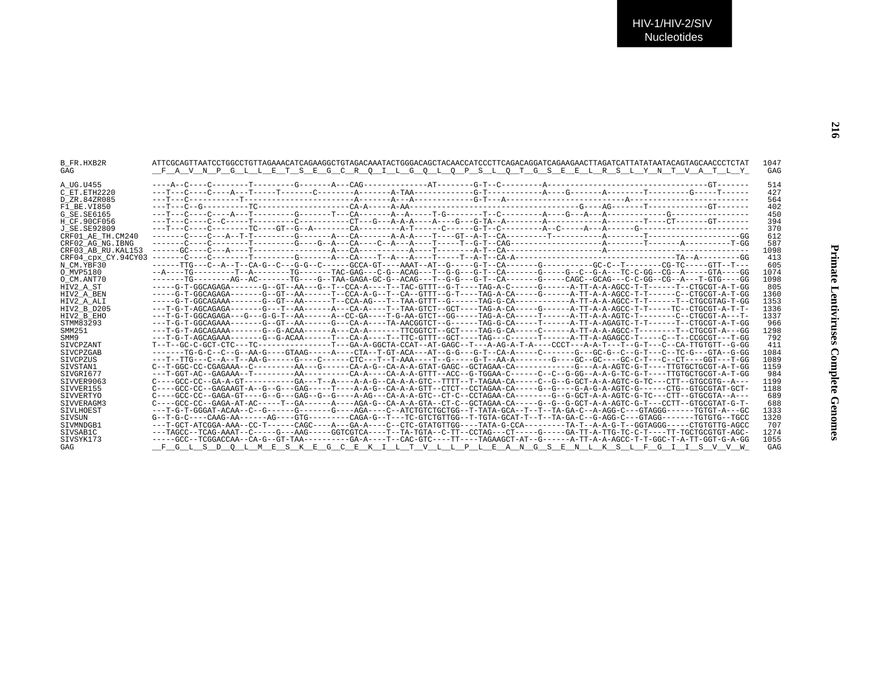| <b>B FR.HXB2R</b><br>GAG | FAVNPGLLETSEGCROILGOLOPSLOTGSEELRSLYNTVATLY                                                                                              | 1047<br>GAG |
|--------------------------|------------------------------------------------------------------------------------------------------------------------------------------|-------------|
| A UG.U455                |                                                                                                                                          | 514         |
| C ET. ETH2220            |                                                                                                                                          | 427         |
| D ZR.84ZR085             |                                                                                                                                          | 564         |
| F1 BE.VI850              |                                                                                                                                          | 402         |
| G SE.SE6165              |                                                                                                                                          | 450         |
| H CF.90CF056             |                                                                                                                                          | 394         |
| J SE.SE92809             |                                                                                                                                          | 370         |
| CRF01 AE TH.CM240        |                                                                                                                                          | 612         |
| CRF02 AG NG. IBNG        |                                                                                                                                          | 587         |
| CRF03 AB RU. KAL153      |                                                                                                                                          | 1098        |
| CRF04 CDX CY.94CY03      |                                                                                                                                          | 413         |
| N CM.YBF30               | ------TTG---C--A--T--CA-G--C---G-G--C-----GCCA-GT----AAAT--AT--G-----G-T--CA-------G---------GC-C--T-------CG-TC-----GTT--T--            | 605         |
| O MVP5180                | --A----TG---------T--A-------TG------TG-----TAC-GAG---C-G--ACAG---T--G-G---C-----G-------G----C--G-A---TC-C-GG--CG--A-----GTA----GG      | 1074        |
| O CM.ANT70               |                                                                                                                                          | 1098        |
| HIV2 A ST                | ----G-T-GGCAGAGA------G--GT--AA---G--T--CCA-A----T--TAC-GTTT--G-T----TAG-A-C-----G-----A-TT-A-A-AGCC-T-T-----T--CTGCGT-A-T-GG            | 805         |
| HIV2 A BEN               | -----G-T-GGCAGAGA-------GT--GT--AA------T--CCA-A-G--T--CA--GTTT--G-T----TAG-A-CA-----G-----A-TT-A-A-AGCC-T-T-----CT-CTGCGT-A-T-GG        | 1360        |
| HIV2 A ALI               |                                                                                                                                          | 1353        |
| HIV2 B D205              | ---T-G-T-AGCAGAGA-------G---T--AA------A---CA-A----T--TAA-GTCT--GCT----TAG-A-CA-----G------A-TT-A-A-AGCC-T-T-----TC--CTGCGT-A-T-T-       | 1336        |
| HIV2 B EHO               | ---T-G-T-GGCAGAGA---G--G-G-T--AA------A--CC-GA----T-G-AA-GTCT--GG-----TAG-A-CA-----T-----A-TT-A-A-AGTC-T------C--CTGCGT-A---T-           | 1337        |
| STMM83293                | ---T-G-T-GGCAGAAA-------G--GT--AA------G--CA-A----TA-AACGGTCT--G------TAG-G-CA-----T-----A-TT-A-AGAGTC-T-T------T-CTGCGT-A-T-GG          | 966         |
| SMM251                   | ---T-G-T-AGCAGAAA-------G--G-ACAA-------A---CA-A-------TTCGGTCT--GCT----TAG-G-CA-----C------A-TT-A-A-AGCC-T-------T--CTGCGT-A---GG       | 1298        |
| SMM9                     | ---T-G-T-AGCAGAAA-------G--G-ACAA-------T---CA-A-----T-CGTTT--GCT----TAG---C------T-----A-TT-A-AGAGCC-T-----C--T--CCGCGT---T-GG          | 792         |
| <b>STVCPZANT</b>         | T--T--GC-C-GCT-CTC---TC--------------T---GA-A-GGCTA-CCAT--AT-GAGC--T---A-AG-A-T-A----CCCT---A-A-T---T--G-T---C--CA-TTGTGTT--G-GG         | 411         |
| SIVCPZGAB                | -------TG-G-C--C--G--AA-G----GTAAG-----A----CTA--T-GT-ACA---AT--G-G---G-T--CA-A-----C------G---GC-G--C--G-T---C--TC-G---GTA--G-GG        | 1084        |
| <b>STVCPZUS</b>          | ---T--TTG---C--A--T--AA-G------G-----CC------CTC---T--AAA----T--G-----G-T--AA-A--------GC--GC----GC-C-T---C--CT----GGT---T-GG            | 1089        |
| STVSTAN1                 |                                                                                                                                          | 1159        |
| STVGRT677                | ---T-GGT-AC--GAGAAA--T--------AA---------CA-A----CA-A-A-GTTT--ACC--G-TGGAA-C------C--C--G-GG--A-A-G-TC-G-T----TTGTGCTGCGT-A-T-GG         | 984         |
| SIVVER9063               | C----GCC-CC--GA-A-GT------------GA---T--A-----A-A-G--CA-A-A-GTC--TTT--T-TAGAA-CA-----C--G--G-GCT-A-A-AGTC-G-TC---CTT--GTGCGTG--A--       | 1199        |
| SIVVER155                |                                                                                                                                          | 1188        |
| SIVVERTYO                | C----GCC-CC--GAGA-GT----G--G--GAG--G--C----A-AG---CA-A-A-GTC--CT-C--CCTAGAA-CA--------G--G-GCT-A-A-AGTC-G-TC---CTT--GTGCGTA--A--         | 689         |
| STVVERAGM3               |                                                                                                                                          | 688         |
| <b>STVLHOEST</b>         | ---T-G-T-GGGAT-ACAA--C--G------G------G----AGA----C--ATCTGTCTGCTGG--T-TATA-GCA--T--TA-GA-C--A-AGG-C---GTAGGG------TGTGT-A---GC           | 1333        |
| SIVSUN                   | G--T-G-C----CAAG-AA------AG----GTG--------CAGA-G--T---TC-GTCTGTTGG--T-TGTA-GCAT-T--T--TA-GA-C--G-AGG-C---GTAGG-------TGTGTG--TGCC        | 1320        |
| SIVMNDGB1                | ---T-GCT-ATCGGA-AAA--CC-T------CAGC----A---GA-A----C--CTC-GTATGTTGG----TATA-G-CCA--------TA-A-G-T--AA-G-C-T---GGTAGGG-----CGTGTGTTG-AGCC | 707         |
| STVSAB1C                 |                                                                                                                                          | 1274        |
| SIVSYK173                | -----GCC--TCGGACCAA--CA-G--GT-TAA---------GA-A----T--CAC-GTC----TT----TAGAAGCT-AT--G-------A-TT-A-A-AGCC-T-T-GGC-T-A-TT-GGT-G-A-GG       | 1055        |
| GAG                      | F G L S D O L M E S K E G C E K I L T V L L P L E A N G S E N L K S L F G I I S V V W                                                    | GAG         |
|                          |                                                                                                                                          |             |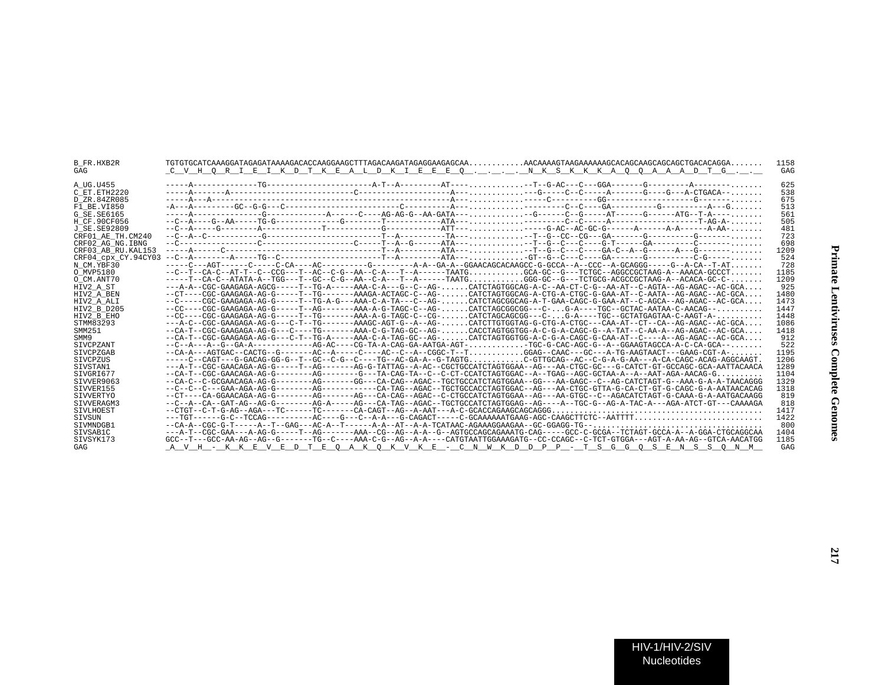| B FR.HXB2R<br>GAG   | <u>C V H Q R I E I K D T K E A L D K I E E E Q  N K S K K K A Q Q A A A D T G </u>                                                                                                                                                                                                                                                                                                                                | 1158<br>GAG |
|---------------------|-------------------------------------------------------------------------------------------------------------------------------------------------------------------------------------------------------------------------------------------------------------------------------------------------------------------------------------------------------------------------------------------------------------------|-------------|
| A UG.U455           |                                                                                                                                                                                                                                                                                                                                                                                                                   | 625         |
| C ET.ETH2220        |                                                                                                                                                                                                                                                                                                                                                                                                                   | 538         |
| D ZR.84ZR085        |                                                                                                                                                                                                                                                                                                                                                                                                                   | 675         |
| F1 BE.VI850         |                                                                                                                                                                                                                                                                                                                                                                                                                   | 513         |
| G SE.SE6165         | -----A-------------G-------------A-----C----AG-AG-G--AA-GATA-----G------C--G-----AT------G------ATG--T-A----                                                                                                                                                                                                                                                                                                      | 561         |
| H CF.90CF056        |                                                                                                                                                                                                                                                                                                                                                                                                                   | 505         |
| J SE.SE92809        |                                                                                                                                                                                                                                                                                                                                                                                                                   | 481         |
| CRF01 AE TH.CM240   | $-c-a-c$ - $c$ - $-c$ - $-c$ - $-c$ - $-c$ - $-c$ - $-c$ - $-c$ - $-c$ - $-c$ - $c$ - $c$ - $-c$ - $c$ - $-c$ - $-c$ - $-c$ - $-c$ - $-c$ - $-c$ - $-c$ - $-c$ - $-c$ - $-c$ - $-c$ - $-c$ - $-c$ - $-c$ - $-c$ - $-c$ - $-c$ - $c$ - $c$ $c$ $c$ $c$ $c$                                                                                                                                                         | 723         |
| CRF02 AG NG. IBNG   |                                                                                                                                                                                                                                                                                                                                                                                                                   | 698         |
| CRF03 AB RU. KAL153 |                                                                                                                                                                                                                                                                                                                                                                                                                   | 1209        |
| CRF04 cpx CY.94CY03 |                                                                                                                                                                                                                                                                                                                                                                                                                   | 524         |
| N CM.YBF30          |                                                                                                                                                                                                                                                                                                                                                                                                                   | 728         |
| O MVP5180           | $--C--T--CA-C--AT-T--C--CCG---T--AC--C--A--CA--C--A---T--A---T AATG GCA-GC--G---TCTGC--AGCCGCTAAG-A--AAACA-GCCCT$                                                                                                                                                                                                                                                                                                 | 1185        |
| O CM.ANT70          | -----T--CA-C--ATATA-A--TGG---T--GC--C-G--AA--C-A---T--A------TAATGGGG-GC--G---TCTGCG-ACGCCGCTAAG-A--ACACA-GC-C-                                                                                                                                                                                                                                                                                                   | 1209        |
| HIV2 A ST           | ---A-A--CGC-GAAGAGA-AGCG-----T--TG-A-----AAA-C-A---G--C--AG-CATCTAGTGGCAG-A-C--AA-CT-C-G--AA-AT--C-AGTA--AG-AGAC--AC-GCA                                                                                                                                                                                                                                                                                          | 925         |
| HIV2 A BEN          | --CT----CGC-GAAGAGA-AG-G-----T--TG------AAAGA-ACTAGC-C--AG-CATCTAGTGGCAG-A-CTG-A-CTGC-G-GAA-AT--C-AATA--AG-AGAC--AC-GCA                                                                                                                                                                                                                                                                                           | 1480        |
| HIV2 A ALI          | --C-----CGC-GAAGAGA-AG-G-----T--TG-A-G---AAA-C-A-TA---C--AG- CATCTAGCGGCAG-A-T-GAA-CAGC-G-GAA-AT--C-AGCA--AG-AGAC--AC-GCA                                                                                                                                                                                                                                                                                         | 1473        |
| HIV2 B D205         | --CC----CGC-GAAGAGA-AG-G-----T--AG-------AAA-A-G-TAGC-C--AG-CATCTAGCGGCGG---C-G-A----TGC--GCTAC-AATAA-C-AACAG--                                                                                                                                                                                                                                                                                                   | 1447        |
| HIV2 B EHO          | --CC----CGC-GAAGAGA-AG-G-----T--TG------AAA-A-G-TAGC-C--CG-CATCTAGCAGCGG---C-G-A----TGC--GCTATGAGTAA-C-AAGT-A-                                                                                                                                                                                                                                                                                                    | 1448        |
| STMM83293           |                                                                                                                                                                                                                                                                                                                                                                                                                   | 1086        |
| SMM251              | --CA-T--CGC-GAAGAGA-AG-G---C----TG------AAA-C-G-TAG-GC--AG-CACCTAGTGGTGG-A-C-G-A-CAGC-G--A-TAT--C-AA-A--AG-AGAC--AC-GCA                                                                                                                                                                                                                                                                                           | 1418        |
| SMM9                | --CA-T--CGC-GAAGAGA-AG-G---C-T--TG-A-----AAA-C-A-TAG-GC--AG-CATCTAGTGGTGG-A-C-G-A-CAGC-G-CAA-AT--C----A--AG-AGAC--AC-GCA                                                                                                                                                                                                                                                                                          | 912         |
| SIVCPZANT           | --C--A---A--G--GA-A------------AG-AC----CG-TA-A-CAG-GA-AATGA-AGT-TGC-G-CAC-AGC-G--A--GGAAGTAGCCA-A-C-CA-GCA--                                                                                                                                                                                                                                                                                                     | 522         |
| SIVCPZGAB           | --CA-A---AGTGAC--CACTG--G-------AC--A----C----AC--C--A--CGGC-T--TGGAG--CAAC---GC---A-TG-AAGTAACT---GAAG-CGT-A-                                                                                                                                                                                                                                                                                                    | 1195        |
| SIVCPZUS            | -----C-CAGT---G-GACAG-GG-G--T--GC--C-G--C----TG--AC-GA-A--G-TAGTGC-GTTGCAG--AC--C-G-A-G-AA---A-CA-CAGC-ACAG-AGGCAAGT                                                                                                                                                                                                                                                                                              | 1206        |
| SIVSTAN1            | ---A-T--CGC-GAACAGA-AG-G------T--AG-------AG-G-TATTAG--A-AC--CGCTGCCATCTAGTGGAA--AG---AA-CTGC-GC---G-CATCT-GT-GCCAGC-GCA-AATTACAACA                                                                                                                                                                                                                                                                               | 1289        |
| SIVGRI677           | -CA-T--CGC-GAACAGA-AG-G--------AG-------G---TA-CAG-TA--C--C-CT-CCATCTAGTGGAC--A--TGAG--AGC-GCTAA-A--A--AAT-AGA-AACAG-G                                                                                                                                                                                                                                                                                            | 1104        |
| STVVER9063          | --CA-C--C-GCGAACAGA-AG-G--------AG------GG---CA-CAG--AGAC--TGCTGCCATCTAGTGGAA--GG---AA-GAGC--C--AG-CATCTAGT-G--AAA-G-A-A-TAACAGGG                                                                                                                                                                                                                                                                                 | 1329        |
| STVVER155           |                                                                                                                                                                                                                                                                                                                                                                                                                   | 1318        |
| SIVVERTYO           | --CT----CA-GGAACAGA-AG-G--------AG-------AG---CA-CAG--AGAC--C-CTGCCATCTAGTGGAA--AG---AA-GTGC--C--AGACATCTAGT-G-CAAA-G-A-AATGACAAGG                                                                                                                                                                                                                                                                                | 819         |
| SIVVERAGM3          | --C--A--CA--GAT-AG--AG-G--------AG-A-----AG---CA-TAG--AGAC--TGCTGCCATCTAGTGGAG--AG----A--TGC-G--AG-A-TAC-A---AGA-ATCT-GT---CAAAAGA                                                                                                                                                                                                                                                                                | 818         |
| SIVLHOEST           |                                                                                                                                                                                                                                                                                                                                                                                                                   | 1417        |
| SIVSUN              | ---TGT------G-C--TCCAG---------AC----G---C--A-A---G-CAGACT-----C-GCAAAAAATGAAG-AGC-CAAGCTTCTC--AATTTT                                                                                                                                                                                                                                                                                                             | 1422        |
| SIVMNDGB1           | $-cA-A-cGC-G-T---A--T--GAG---AC-A--T---A-A--AT--AT--A-A-TCATAAC-AGAAGGAAGGAAGAG--GG-GGAGG-TG--\\ \dots\,,\, \dots\,,\, \dots\,,\, \dots\,,\, \dots\,,\, \dots\,,\, \dots\,,\, \dots\,,\, \dots\,,\, \dots\,,\, \dots\,,\, \dots\,,\, \dots\,,\, \dots\,,\, \dots\,,\, \dots\,,\, \dots\,,\, \dots\,,\, \dots\,,\, \dots\,,\, \dots\,,\, \dots\,,\, \dots\,,\, \dots\,,\, \dots\,,\, \dots\,,\, \dots\,,\, \dots\$ | 800         |
| STVSAB1C            | ---A-T--CGC-GAA---A-AG-G-----T--AG-------AAA--CG--AG--A-A--G--AGTGCCAGCAGAAATG-CAG-----GCC-C-GCGA--TCTAGT-GCCA-A--A-GGA-CTGCAGGCAA                                                                                                                                                                                                                                                                                | 1404        |
| SIVSYK173           | GCC--T---GCC-AA-AG--AG--G-------TG--C----AAA-C-G--AG--A-A----CATGTAATTGGAAAGATG--CC-CCAGC--C-TCT-GTGGA---AGT-A-AA-AG--GTCA-AACATGG                                                                                                                                                                                                                                                                                | 1185        |
| GAG                 | A V H - K K E V E D T E O A K O K V K E - C N W K D D P P - T S G G O S E N S S O N M                                                                                                                                                                                                                                                                                                                             | GAG         |
|                     |                                                                                                                                                                                                                                                                                                                                                                                                                   |             |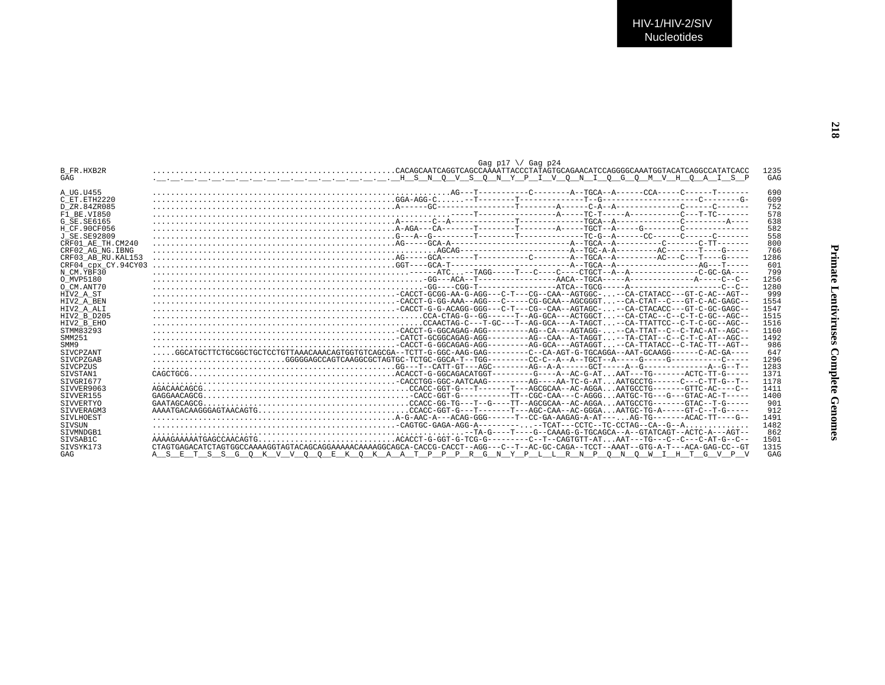| <b>B FR.HXB2R</b><br>GAG | Gag p17 $\setminus$ Gag p24<br>.CACAGCAATCAGGTCAGCCAAAATTACCCTATAGTGCAGAACATCCAGGGGCAAATGGTACATCAGGCCATATCACC                                                                                                                                                                                                                                                                                                             | 1235<br>GAG |
|--------------------------|---------------------------------------------------------------------------------------------------------------------------------------------------------------------------------------------------------------------------------------------------------------------------------------------------------------------------------------------------------------------------------------------------------------------------|-------------|
| A UG.U455                |                                                                                                                                                                                                                                                                                                                                                                                                                           | 690         |
| C ET.ETH2220             |                                                                                                                                                                                                                                                                                                                                                                                                                           | 609         |
| D ZR.84ZR085             |                                                                                                                                                                                                                                                                                                                                                                                                                           | 752         |
| F1 BE.VI850              |                                                                                                                                                                                                                                                                                                                                                                                                                           | 578         |
| G SE.SE6165              |                                                                                                                                                                                                                                                                                                                                                                                                                           | 638         |
| H CF.90CF056             |                                                                                                                                                                                                                                                                                                                                                                                                                           | 582         |
| J SE. SE92809            |                                                                                                                                                                                                                                                                                                                                                                                                                           | 558         |
| CRF01 AE TH.CM240        |                                                                                                                                                                                                                                                                                                                                                                                                                           | 800         |
| CRF02 AG NG. IBNG        |                                                                                                                                                                                                                                                                                                                                                                                                                           | 766         |
| CRF03 AB RU.KAL153       |                                                                                                                                                                                                                                                                                                                                                                                                                           | 1286        |
| CRF04 cpx CY.94CY03      | $GCT---GCT---A-T=0.$                                                                                                                                                                                                                                                                                                                                                                                                      | 601         |
| N CM.YBF30               |                                                                                                                                                                                                                                                                                                                                                                                                                           | 799         |
| O MVP5180                |                                                                                                                                                                                                                                                                                                                                                                                                                           | 1256        |
| O CM.ANT70               |                                                                                                                                                                                                                                                                                                                                                                                                                           | 1280        |
| HIV2 A ST                |                                                                                                                                                                                                                                                                                                                                                                                                                           | 999         |
| HIV2 A BEN               |                                                                                                                                                                                                                                                                                                                                                                                                                           | 1554        |
|                          |                                                                                                                                                                                                                                                                                                                                                                                                                           | 1547        |
| HIV2 A ALI               |                                                                                                                                                                                                                                                                                                                                                                                                                           |             |
| HIV2 B D205              |                                                                                                                                                                                                                                                                                                                                                                                                                           | 1515        |
| HIV2 B EHO               |                                                                                                                                                                                                                                                                                                                                                                                                                           | 1516        |
| STMM83293                |                                                                                                                                                                                                                                                                                                                                                                                                                           | 1160        |
| SMM251                   | $\texttt{CATE} = \texttt{CATE} + \texttt{CATE} + \texttt{CATE} + \texttt{CATE} + \texttt{CATE} + \texttt{CATE} + \texttt{CAGAG} + \texttt{CAGB} + \texttt{CAGB} - \texttt{CGAB} - \texttt{CGAB} - \texttt{CGAB} - \texttt{CFAB} - \texttt{A-B-TRSGT} \texttt{CATE} - \texttt{C-C-T-C-ATA--RGC} - \texttt{CFAB} + \texttt{CFAB} + \texttt{CFAB} + \texttt{CFAB} + \texttt{CFAB} + \texttt{CFAB} + \texttt{CFAB} + \texttt$ | 1492        |
| SMM9                     |                                                                                                                                                                                                                                                                                                                                                                                                                           | 986         |
| <b>SIVCPZANT</b>         | GCATGCTTCTGCGGCTGCTCCTGTTAAACAAACAGTGGTGCAA--TCTT-G-GGC-AAG-GAG--------C--CA-AGT-G-TGCAGGA--AAT-GCAAGG------C-AC-GA----                                                                                                                                                                                                                                                                                                   | 647         |
| <b>STVCPZGAB</b>         |                                                                                                                                                                                                                                                                                                                                                                                                                           | 1296        |
| SIVCPZUS                 |                                                                                                                                                                                                                                                                                                                                                                                                                           | 1283        |
| STVSTAN1                 |                                                                                                                                                                                                                                                                                                                                                                                                                           | 1371        |
| STVGRT677                |                                                                                                                                                                                                                                                                                                                                                                                                                           | 1178        |
| STVVER9063               |                                                                                                                                                                                                                                                                                                                                                                                                                           | 1411        |
| STVVER155                |                                                                                                                                                                                                                                                                                                                                                                                                                           | 1400        |
| SIVVERTYO                | GATAGCAGCG                                                                                                                                                                                                                                                                                                                                                                                                                | 901         |
| STVVERAGM3               |                                                                                                                                                                                                                                                                                                                                                                                                                           | 912         |
| SIVLHOEST                |                                                                                                                                                                                                                                                                                                                                                                                                                           | 1491        |
| <b>STVSUN</b>            |                                                                                                                                                                                                                                                                                                                                                                                                                           | 1482        |
| STVMNDGB1                |                                                                                                                                                                                                                                                                                                                                                                                                                           | 862         |
| STVSAB1C                 |                                                                                                                                                                                                                                                                                                                                                                                                                           | 1501        |
| SIVSYK173                | CTAGTGAGACATCTAGTGGCCAAAAGGTAGTACAGCAGGAAAAACAAAAGGCAGCA-CACCG-CACCT--AGG---C--T--AC-GC-CAGA--TCCT--AAAT--GTG-A-T---ACA-GAG-CC--GT                                                                                                                                                                                                                                                                                        | 1315        |
|                          |                                                                                                                                                                                                                                                                                                                                                                                                                           |             |
| GAG                      | A S E T S S G O K V V O O E K O K A A T P P P R G N Y P L L R N P O N O W I H T G V P V                                                                                                                                                                                                                                                                                                                                   | GAG         |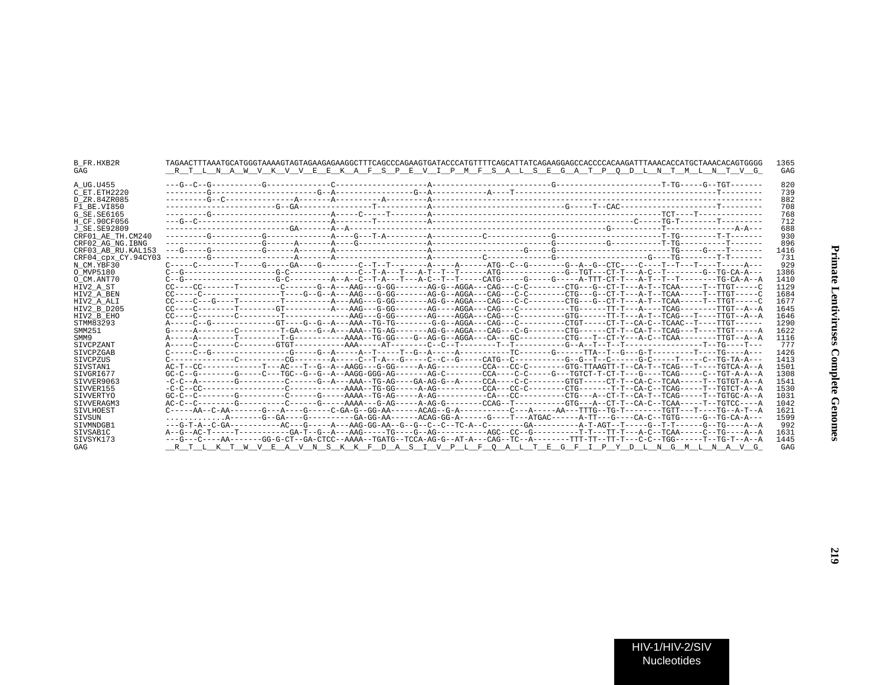| B FR.HXB2R<br>GAG   | 1365<br>RT L N A W V K V V E E K A F S P E V I P M F S A L S E G A T P O D L N T M L N T V G<br>GAG                                                                      |
|---------------------|--------------------------------------------------------------------------------------------------------------------------------------------------------------------------|
| A UG.U455           | 820                                                                                                                                                                      |
| C ET. ETH2220       | 739                                                                                                                                                                      |
| D ZR.84ZR085        | 882                                                                                                                                                                      |
| F1 BE.VI850         | 708                                                                                                                                                                      |
| G SE.SE6165         | 768                                                                                                                                                                      |
| H CF.90CF056        | 712                                                                                                                                                                      |
| J SE.SE92809        | 688                                                                                                                                                                      |
| CRF01 AE TH.CM240   | 930                                                                                                                                                                      |
| CRF02 AG NG. IBNG   | 896                                                                                                                                                                      |
| CRF03 AB RU. KAL153 | 1416                                                                                                                                                                     |
| CRF04 cpx CY.94CY03 | 731                                                                                                                                                                      |
| N CM.YBF30          | 929                                                                                                                                                                      |
| O MVP5180           | C--G-----------------G-C---------C-C--T-A---T--A-T--T----ATG---------G--TGT---CT-T---A-C--T------G--TG-CA-A---<br>1386                                                   |
| O CM.ANT70          | 1410                                                                                                                                                                     |
| HIV2 A ST           | $CC---CC------T------C------G---A--AAG---AC-G-G---AGA--GG--AGGA---CAG---C------CTG--G--CT-T---A-T--TCAA-----T--TGT---T--TGT---C-$<br>1129                                |
| HIV2 A BEN          | 1684                                                                                                                                                                     |
| HIV2 A ALI          | CC----C---G----T---------T-------A---AAG---G-GG------AG-G--AGGA---CAG---C-C-------CTG---G-CT-T---A-T--TCAA-----TTGT-----C<br>1677                                        |
| HIV2 B D205         | 1645                                                                                                                                                                     |
| HIV2 B EHO          | $CC---C------C------T------AAG---G-GG---AGG---GG---AGGA---CAG---C------GTG-----TT-T---A-T---TCAG---T---TT-T---TT0G---T---TT0G---T---TT0G---T---T0G---T---AG---A$<br>1646 |
| STMM83293           | 1290                                                                                                                                                                     |
| SMM251              | G-----A--------C---------T-GA----G--A---AAA--TG-AG-------AG-G--AGGA--CAG---C-G-------CTG------CT-T--CA-T--TCAG---T----TTGT-----A-<br>1622                                |
| SMM9                | 1116                                                                                                                                                                     |
| <b>STVCPZANT</b>    | 777                                                                                                                                                                      |
| SIVCPZGAB           | 1426                                                                                                                                                                     |
| SIVCPZUS            | 1413                                                                                                                                                                     |
| SIVSTAN1            | 1501                                                                                                                                                                     |
| SIVGRI677           | 1308                                                                                                                                                                     |
| SIVVER9063          | 1541                                                                                                                                                                     |
| SIVVER155           | 1530                                                                                                                                                                     |
| SIVVERTYO           | 1031                                                                                                                                                                     |
| SIVVERAGM3          | 1042                                                                                                                                                                     |
| SIVLHOEST           | $C---AA--C-AA-----G---A---G---C---C-GA-G--GG-AG---AC-AA---ACAG--G-A-------C---A---A---A---TTG-TC-T-----TGTT---T-T-T---TC--A-T--A$<br>1621                                |
| SIVSUN              | 1599                                                                                                                                                                     |
| SIVMNDGB1           | 992                                                                                                                                                                      |
| SIVSAB1C            | 1631                                                                                                                                                                     |
| SIVSYK173           | ---G---C----AA------GG-G-CT--GA-CTCC--AAAA--TGATG--TCCA-AG-G--AT-A---CAG--TC--A-------TTT-TT--TC-C--TGG------T--TG-T--A-A<br>1445                                        |
| GAG                 | RTLKTWVEAVNSKKFDASIVPLFOALTEGFIPYDLNGMLNAVG<br>GAG                                                                                                                       |

219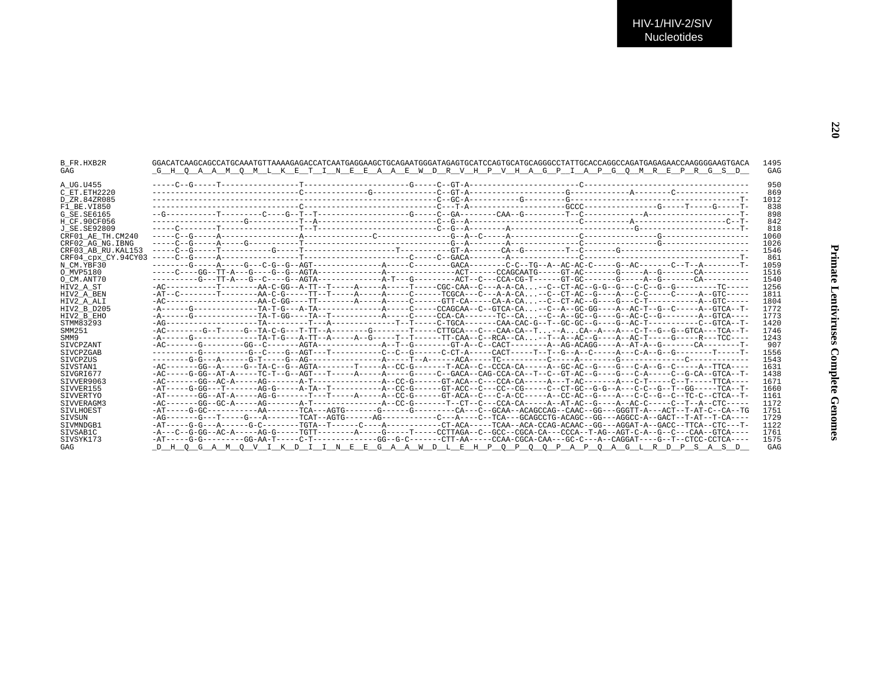| B FR.HXB2R<br>GAG   | <u>G H Q A A M Q M L K E T I N E E A A E W D R V H P V H A G P I A P G O M R E P R G S D</u>                                     | 1495<br>GAG |
|---------------------|----------------------------------------------------------------------------------------------------------------------------------|-------------|
| A UG.U455           |                                                                                                                                  | 950         |
| C ET.ETH2220        |                                                                                                                                  | 869         |
| D ZR.84ZR085        |                                                                                                                                  | 1012        |
| F1 BE.VI850         |                                                                                                                                  | 838         |
| G SE. SE6165        |                                                                                                                                  | 898         |
| H CF.90CF056        |                                                                                                                                  | 842         |
| J SE. SE92809       |                                                                                                                                  | 818         |
| CRF01 AE TH.CM240   |                                                                                                                                  | 1060        |
| CRF02 AG NG. IBNG   |                                                                                                                                  | 1026        |
| CRF03 AB RU. KAL153 |                                                                                                                                  | 1546        |
| CRF04 cpx CY.94CY03 |                                                                                                                                  | 861         |
| N CM.YBF30          |                                                                                                                                  | 1059        |
| O MVP5180           |                                                                                                                                  | 1516        |
| O CM.ANT70          |                                                                                                                                  | 1540        |
| HIV2 A ST           | -AC----------T------AA-C-GG--A-TT--T-----A-----A-----T----CGC-CAA--C---A-A-CA-C--CT-AC--G-G--G--C--G--G--G--------TC-----        | 1256        |
| HIV2 A BEN          | -AT--C---------T-------AA-C-G-----TT--T-----A-----A-----C------TCGCA---C---A-A-CA-C--CT-AC--G----A---C-C-----C------A--GTC-----  | 1811        |
| HIV2 A ALI          | -AC-------------------AA-C-GG----TT--------A-----A-----C-----GTT-CA-----CA-A-CA-C--CT-AC--G---G---C-T------------A-GTC-----      | 1804        |
| HIV2 B D205         |                                                                                                                                  | 1772        |
| HIV2 B EHO          |                                                                                                                                  | 1773        |
| STMM83293           |                                                                                                                                  | 1420        |
| SMM251              | -AC--------G-T-----G--TA-C-G---T-TT--A-------G-------T-----TT-----CTTGCA---C---CAA-CA--T--ACA--A---A---C-T--G--G--GTCA---TCA--T- | 1746        |
| SMM9                |                                                                                                                                  | 1243        |
| <b>STVCPZANT</b>    |                                                                                                                                  | 907         |
| <b>STVCPZGAB</b>    |                                                                                                                                  | 1556        |
| SIVCPZUS            |                                                                                                                                  | 1543        |
| SIVSTAN1            |                                                                                                                                  | 1631        |
| SIVGRI677           | -AC-----G-GG--AT-A-----TC-T--G--AGT---T------A-----A----G----C--GACA--CAG-CCA-CA--T--C--GT-AC--G---C-A-----C--G-CA--GTCA--T-     | 1438        |
| STVVER9063          |                                                                                                                                  | 1671        |
| SIVVER155           |                                                                                                                                  | 1660        |
| <b>SIVVERTYO</b>    |                                                                                                                                  | 1161        |
| SIVVERAGM3          |                                                                                                                                  | 1172        |
| SIVLHOEST           | -AT----G-GC----------AA-------TCA---AGTG-------G------G-------CA---C--GCAA--ACAGCCAG--CAAC--GG---GGGTT-A---ACT--T-AT-C--CA--TG   | 1751        |
| SIVSUN              | -AG-------G---T-----G---A-------TCAT--AGTG------AG--------C---A----C--TCA---GCAGCCTG-ACAGC--GG---AGGCC-A--GACT--T-AT--T-CA----   | 1729        |
| STVMNDGB1           | -AT-----G-G---A------G-C-------TGTA--T-----C---A---------CT-ACA-----TCAA-ACA-CCAG-ACAAC--GG---AGGAT-A--GACC--TTCA--CTC---T-      | 1122        |
| STVSAB1C            | -A---C--G-GG--AC-A-----AG-G-----TGTT--------A----G-----T----CCTTAGA--C--GCC--CGCA-CA---CCCA--T-AG--AGT-C-A--G--C--CAA--GTCA----  | 1761        |
| SIVSYK173           |                                                                                                                                  | 1575        |
| GAG                 | D H O G A M O V I K D I I N E E G A A W D L E H P O P O O P A P O A G L R D P S A S D                                            | GAG         |
|                     |                                                                                                                                  |             |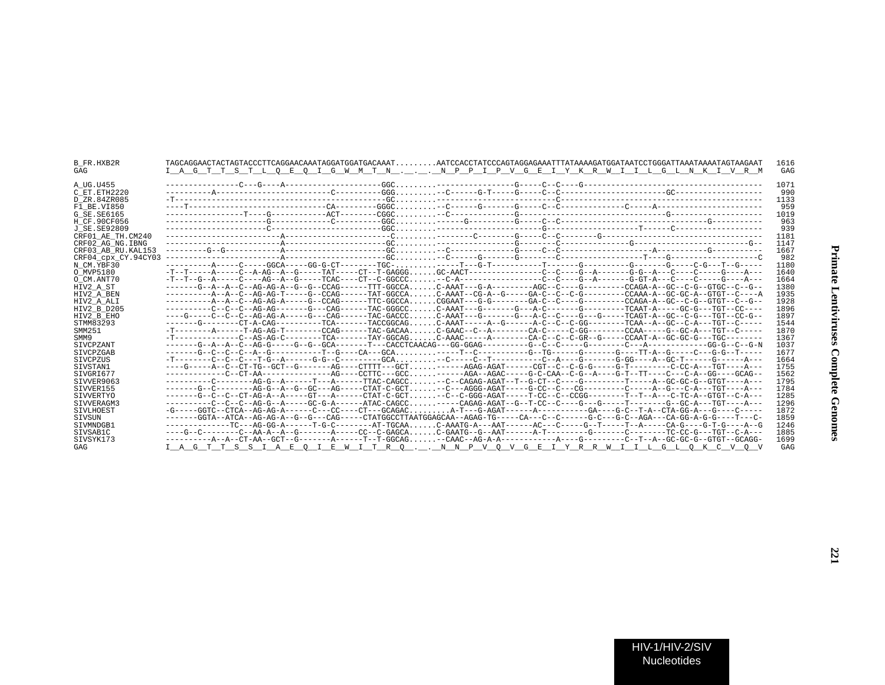| B FR.HXB2R<br>GAG   | I A G T T S T L O E O I G W M T N N P P I P V G E I Y K R W I I L G L N K I V R M                                              |  |                                                                              | 1616<br>GAG |
|---------------------|--------------------------------------------------------------------------------------------------------------------------------|--|------------------------------------------------------------------------------|-------------|
| A UG.U455           |                                                                                                                                |  |                                                                              | 1071        |
| C ET.ETH2220        |                                                                                                                                |  |                                                                              | 990         |
| D ZR.84ZR085        |                                                                                                                                |  |                                                                              | 1133        |
| F1 BE.VI850         |                                                                                                                                |  |                                                                              | 959         |
| G SE.SE6165         |                                                                                                                                |  |                                                                              | 1019        |
| H CF.90CF056        |                                                                                                                                |  |                                                                              | 963         |
| J SE.SE92809        |                                                                                                                                |  |                                                                              | 939         |
| CRF01_AE_TH.CM240   |                                                                                                                                |  |                                                                              | 1181        |
| CRF02 AG NG.IBNG    |                                                                                                                                |  |                                                                              | 1147        |
| CRF03 AB RU.KAL153  |                                                                                                                                |  |                                                                              | 1667        |
| CRF04_cpx_CY.94CY03 |                                                                                                                                |  |                                                                              | 982         |
| N CM.YBF30          |                                                                                                                                |  |                                                                              | 1180        |
| O MVP5180           |                                                                                                                                |  |                                                                              | 1640        |
| O CM.ANT70          |                                                                                                                                |  |                                                                              | 1664        |
| HIV2 A ST           | -------G--A--A--C--AG-AG-A--G--G--CCAG------TTT-GGCCAC-AAAT---G-A---------AGC--C----G---------CCAGA-A--GC--C-G--GTGC--C--G--   |  |                                                                              | 1380        |
| HIV2 A BEN          |                                                                                                                                |  | . C-AAAT--CG-A--G------GA-C--C--C-G---------CCAAA-A--GC-GC-A--GTGT--C-----A  | 1935        |
| HIV2 A ALI          |                                                                                                                                |  | .CGGAAT---G--------GA-C--C----G---------CCAGA-A--GC--C-G--GTGT--C--G--       | 1928        |
| HIV2 B D205         | ---------C--C--C--AG-AG-------G---CAG------TAC-GGGCC.                                                                          |  | C-AAAT---G-------G---A-C-------G---------TCAAT-A-----GC-G---TGT--CC----      | 1896        |
| HIV2 B EHO          | ----G-----C--C--AG-AG-A------G---CAG-----TAC-GACCC                                                                             |  | .C-AAAT---G------G---A-C--C----G---G----TCAGT-A--GC--C-G---TGT--CC-G--       | 1897        |
| STMM83293           | -------G--------CT-A-CAG----------TCA------TACCGGCAG.                                                                          |  |                                                                              | 1544        |
| SMM251              | $-T-----A---T-AG-AG-T-----CCAG---T-ATAC-GACAA.$                                                                                |  |                                                                              | 1870        |
| SMM9                | $-T$ --------------C--AS-AG-C--------TCA-------TAY-GGCAG.                                                                      |  | .C-AAAC-----A-------CA-C--C--C-GR--G-----CCAAT-A--GC-GC-G---TGC--------      | 1367        |
| SIVCPZANT           |                                                                                                                                |  |                                                                              | 1037        |
| SIVCPZGAB           | -------G--C--C--C--A--G----------T--G----CA---GCA                                                                              |  | .-----T--C------------G--TG-------G-------G----TT-A--G-----C---G-G--T-----   | 1677        |
| SIVCPZUS            |                                                                                                                                |  | .--C------C--T-----------C--A----G--------G-GG----A--GC-T-------G-------A--- | 1664        |
| SIVSTANl            | ----G-----A--C--CT-TG--GCT--G-------AG----CTTTT---GCT.                                                                         |  | ------AGAG-AGAT------CGT--C--C-G-G-----G-T---------C-CC-A---TGT----A---      | 1755        |
| SIVGRI677           | ------------C--CT-AA----------------AG----CCTTC---GCC.                                                                         |  | -------AGA--AGAC-----G-C-CAA--C-G--A----G-T--TT----C---C-A--GG----GCAG--     | 1562        |
| SIVVER9063          | ----------C--------AG-G--A------T---A------TTAC-CAGCC                                                                          |  | --C--CAGAG-AGAT--T--G-CT--C----G---------T-----A--GC-GC-G--GTGT----A---      | 1795        |
| SIVVER155           | -------G--C--------AG-G--A--G--GC---AG-----CTAT-C-GCT.                                                                         |  | --C---AGGG-AGAT-----G-CC--C---CG---------C-----A--G---C-A---TGT----A---      | 1784        |
| SIVVERTYO           | -------G--C--C--CT-AG-A--A-----GT---A------CTAT-C-GCT.                                                                         |  | .--C--C-GGG-AGAT-----T-CC--C--CCGG--------T--T--A---C-TC-A--GTGT--C-A---     | 1285        |
| SIVVERAGM3          | ----------C--C--AG-G--A-----GC-G-A------ATAC-CAGCC                                                                             |  | .-----CAGAG-AGAT--G--T-CC--C----G---G----T-------G--GC-A---TGT----A---       | 1296        |
| SIVLHOEST           | -G-----GGTC--CTCA--AG-AG-A------C---CC----CT---GCAGAC.                                                                         |  | A-T---G-AGAT-------A------------GA----G-C--T-A--CTA-GG-A---G----C-----       | 1872        |
| SIVSUN              | -------GGTA--ATCA--AG-AG-A--G---C--CAG-----CTATGGCCTTAATGGAGCAA--AGAG-TG-----CA---C-----G-C---G-C--AGA---CA-GG-A-G-G----T---C- |  |                                                                              | 1859        |
| SIVMNDGB1           | --------------TC---AG-GG-A-------T-G-C---------AT-TGCAA.                                                                       |  | .C-AAATG-A---AAT-------AC---C-----G--T-----T--A-----CA-G----G-T-G----A--G    | 1246        |
| SIVSAB1C            | ----G--C--------C--AA-A--A--G-------A---CC--C-GAGCA.                                                                           |  | .C-GAATG--G--AAT------A-T--------G-------C--------TC-CC-G---TGT--C-A---      | 1885        |
| SIVSYK173           | ----------A--A--CT-AA--GCT--G-------A------T--T-GGCAG-CAAC--AG-A-A-----------A---G-------C--T--A--GC-GC-G--GTGT--GCAGG-        |  |                                                                              | 1699        |
| GAG                 | <u>I A G T T S S I A E Q I E W I T R Q  N N P V Q V G E I Y R R W I I L G L Q K C V Q V</u>                                    |  |                                                                              | GAG         |
|                     |                                                                                                                                |  |                                                                              |             |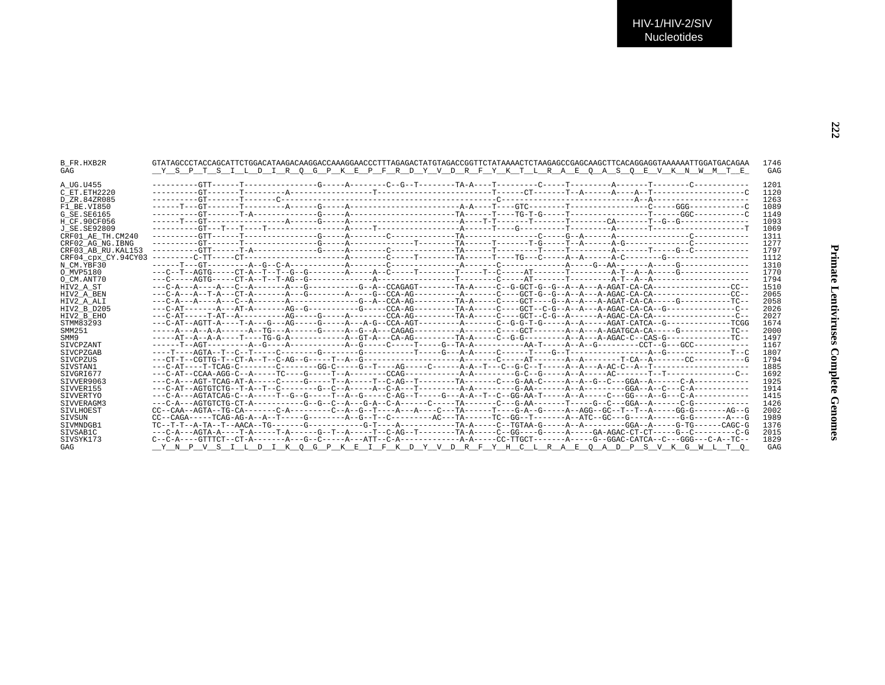| 1201<br>1120<br>1263<br>1089<br>1149<br>1093<br>1069<br>1311<br>1277<br>1797<br>1112<br>1310<br>1770<br>1794<br>1510<br>HIV2 A ST<br>2065<br>2058<br>2026<br>HIV2 B D205<br>2027<br>HIV2 B EHO<br>1674<br>2000<br>1497<br>SMM9<br>1167<br>1807<br>SIVCPZGAB<br>1794<br>SIVCPZUS<br>1885<br>1692<br>1925<br>SIVVER9063<br>1914<br>SIVVER155<br>1415<br>1426<br>SIVVERAGM3<br>2002<br>SIVLHOEST<br>1989<br>SIVSUN<br>1376<br>SIVMNDGB1<br>2015<br>SIVSAB1C | B FR.HXB2R<br>GAG   | GTATAGCCCTACCAGCATTCTGGACATAAGACAAGGACCAAGGAACCCTTTAGAGACTATGTAGACCGGTTCTATAAAACTCTAAGAGCCGAGCAAGCTTCACAGGAGGTAAAAAATTGGATGACAGAA<br>Y S P T S I L D I R O G P K E P F R D Y V D R F Y K T L R A E O A S O E V K N W M T E | 1746<br>GAG |
|----------------------------------------------------------------------------------------------------------------------------------------------------------------------------------------------------------------------------------------------------------------------------------------------------------------------------------------------------------------------------------------------------------------------------------------------------------|---------------------|----------------------------------------------------------------------------------------------------------------------------------------------------------------------------------------------------------------------------|-------------|
|                                                                                                                                                                                                                                                                                                                                                                                                                                                          | A UG.U455           |                                                                                                                                                                                                                            |             |
|                                                                                                                                                                                                                                                                                                                                                                                                                                                          | C ET.ETH2220        |                                                                                                                                                                                                                            |             |
|                                                                                                                                                                                                                                                                                                                                                                                                                                                          | D ZR.84ZR085        |                                                                                                                                                                                                                            |             |
|                                                                                                                                                                                                                                                                                                                                                                                                                                                          | F1 BE.VI850         |                                                                                                                                                                                                                            |             |
|                                                                                                                                                                                                                                                                                                                                                                                                                                                          | G SE. SE6165        |                                                                                                                                                                                                                            |             |
|                                                                                                                                                                                                                                                                                                                                                                                                                                                          | H CF.90CF056        |                                                                                                                                                                                                                            |             |
|                                                                                                                                                                                                                                                                                                                                                                                                                                                          | J SE. SE92809       |                                                                                                                                                                                                                            |             |
|                                                                                                                                                                                                                                                                                                                                                                                                                                                          | CRF01 AE TH.CM240   |                                                                                                                                                                                                                            |             |
|                                                                                                                                                                                                                                                                                                                                                                                                                                                          | CRF02 AG NG. IBNG   |                                                                                                                                                                                                                            |             |
|                                                                                                                                                                                                                                                                                                                                                                                                                                                          | CRF03 AB RU. KAL153 |                                                                                                                                                                                                                            |             |
|                                                                                                                                                                                                                                                                                                                                                                                                                                                          | CRF04 cpx CY.94CY03 |                                                                                                                                                                                                                            |             |
|                                                                                                                                                                                                                                                                                                                                                                                                                                                          | N CM.YBF30          |                                                                                                                                                                                                                            |             |
|                                                                                                                                                                                                                                                                                                                                                                                                                                                          | O MVP5180           |                                                                                                                                                                                                                            |             |
|                                                                                                                                                                                                                                                                                                                                                                                                                                                          | O CM.ANT70          |                                                                                                                                                                                                                            |             |
|                                                                                                                                                                                                                                                                                                                                                                                                                                                          |                     |                                                                                                                                                                                                                            |             |
|                                                                                                                                                                                                                                                                                                                                                                                                                                                          | HIV2 A BEN          |                                                                                                                                                                                                                            |             |
|                                                                                                                                                                                                                                                                                                                                                                                                                                                          | HIV2 A ALI          |                                                                                                                                                                                                                            |             |
|                                                                                                                                                                                                                                                                                                                                                                                                                                                          |                     |                                                                                                                                                                                                                            |             |
|                                                                                                                                                                                                                                                                                                                                                                                                                                                          |                     |                                                                                                                                                                                                                            |             |
|                                                                                                                                                                                                                                                                                                                                                                                                                                                          | STMM83293           |                                                                                                                                                                                                                            |             |
|                                                                                                                                                                                                                                                                                                                                                                                                                                                          | SMM251              |                                                                                                                                                                                                                            |             |
|                                                                                                                                                                                                                                                                                                                                                                                                                                                          |                     |                                                                                                                                                                                                                            |             |
|                                                                                                                                                                                                                                                                                                                                                                                                                                                          | <b>STVCPZANT</b>    |                                                                                                                                                                                                                            |             |
|                                                                                                                                                                                                                                                                                                                                                                                                                                                          |                     |                                                                                                                                                                                                                            |             |
|                                                                                                                                                                                                                                                                                                                                                                                                                                                          |                     |                                                                                                                                                                                                                            |             |
|                                                                                                                                                                                                                                                                                                                                                                                                                                                          | SIVSTAN1            |                                                                                                                                                                                                                            |             |
|                                                                                                                                                                                                                                                                                                                                                                                                                                                          | SIVGRI677           |                                                                                                                                                                                                                            |             |
|                                                                                                                                                                                                                                                                                                                                                                                                                                                          |                     |                                                                                                                                                                                                                            |             |
|                                                                                                                                                                                                                                                                                                                                                                                                                                                          |                     |                                                                                                                                                                                                                            |             |
|                                                                                                                                                                                                                                                                                                                                                                                                                                                          | <b>STVVERTYO</b>    |                                                                                                                                                                                                                            |             |
|                                                                                                                                                                                                                                                                                                                                                                                                                                                          |                     |                                                                                                                                                                                                                            |             |
|                                                                                                                                                                                                                                                                                                                                                                                                                                                          |                     |                                                                                                                                                                                                                            |             |
|                                                                                                                                                                                                                                                                                                                                                                                                                                                          |                     |                                                                                                                                                                                                                            |             |
|                                                                                                                                                                                                                                                                                                                                                                                                                                                          |                     |                                                                                                                                                                                                                            |             |
|                                                                                                                                                                                                                                                                                                                                                                                                                                                          |                     |                                                                                                                                                                                                                            |             |
|                                                                                                                                                                                                                                                                                                                                                                                                                                                          | SIVSYK173           |                                                                                                                                                                                                                            | 1829        |
| Y N P V S I L D I K O G P K E I F K D Y V D R F Y H C L R A E O A D P S V K G W L T O<br>GAG                                                                                                                                                                                                                                                                                                                                                             | GAG                 |                                                                                                                                                                                                                            |             |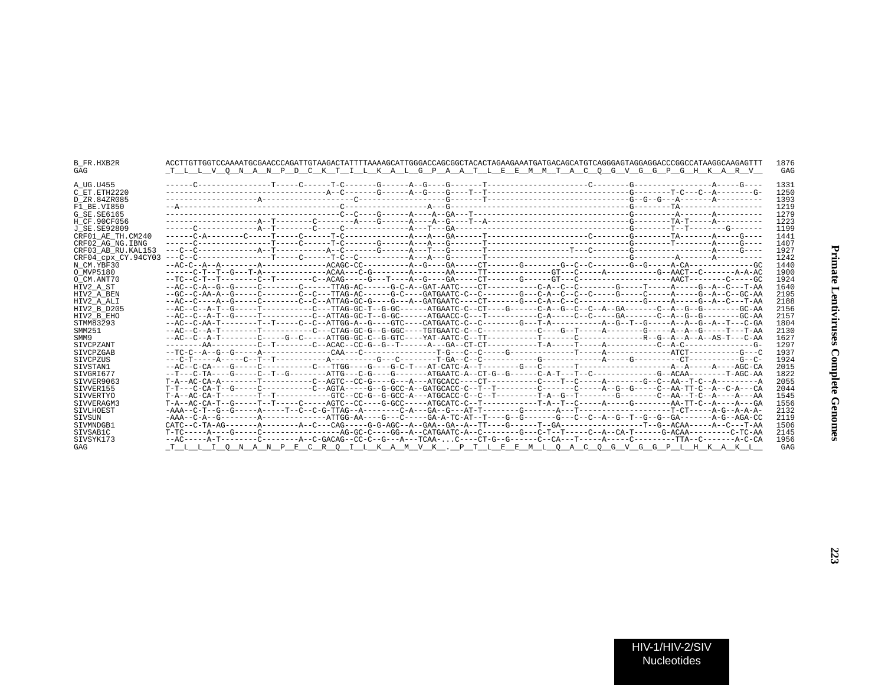| <b>B FR.HXB2R</b><br>GAG | ACCTTGTTGGTCCAAAATGCGAACCCAGATTGTAAGACTATTTTAAAAGCATTGGGACCAGCGGCTACACTAGAAGAAATGATGACAGCATGTCAGGGAGTAGGAGGACCCGGCCATAAGGCAAGAGTTT<br>T L L V O N A N P D C K T I L K A L G P A A T L E E M M T A C O G V G G P G H K A R V | 1876<br>GAG |
|--------------------------|-----------------------------------------------------------------------------------------------------------------------------------------------------------------------------------------------------------------------------|-------------|
| A UG.U455                |                                                                                                                                                                                                                             | 1331        |
| C ET. ETH2220            |                                                                                                                                                                                                                             | 1250        |
| D ZR.84ZR085             |                                                                                                                                                                                                                             | 1393        |
|                          |                                                                                                                                                                                                                             | 1219        |
| F1 BE.VI850              |                                                                                                                                                                                                                             | 1279        |
| G SE. SE6165             |                                                                                                                                                                                                                             | 1223        |
| H CF.90CF056             |                                                                                                                                                                                                                             |             |
| J SE.SE92809             |                                                                                                                                                                                                                             | 1199        |
| CRF01 AE TH.CM240        |                                                                                                                                                                                                                             | 1441        |
| CRF02 AG NG. IBNG        |                                                                                                                                                                                                                             | 1407        |
| CRF03 AB RU. KAL153      |                                                                                                                                                                                                                             | 1927        |
| CRF04 cpx CY.94CY03      |                                                                                                                                                                                                                             | 1242        |
| N CM.YBF30               |                                                                                                                                                                                                                             | 1440        |
| O MVP5180                |                                                                                                                                                                                                                             | 1900        |
| O CM.ANT70               |                                                                                                                                                                                                                             | 1924        |
| HIV2 A ST                |                                                                                                                                                                                                                             | 1640        |
| HIV2 A BEN               | --GC--C-AA-A--G-----C------C--C--TTAG-AC------G-C----GATGAATC-C--C------G---C-A--C--C-----G-----C-----A----G--AA                                                                                                            | 2195        |
| HIV2 A ALI               |                                                                                                                                                                                                                             | 2188        |
| HIV2 B D205              | --AC--C--A-T--G-----T---------C---TTAG-GC-T--G-GC------ATGAATC-C--CT----G------C-A--G--C--A--GA-------C--A--G--G-------GC-AA                                                                                                | 2156        |
| HIV2 B EHO               | --AC--C--A-T--G-----T---------C--ATTAG-GC-T--G-GC------ATGAACC-C---T---------C-A-----C--GA------C-A--G--G--G------GC-AA                                                                                                     | 2157        |
| STMM83293                |                                                                                                                                                                                                                             | 1804        |
| SMM251                   |                                                                                                                                                                                                                             | 2130        |
| SMM9                     |                                                                                                                                                                                                                             | 1627        |
| SIVCPZANT                |                                                                                                                                                                                                                             | 1297        |
| SIVCPZGAB                |                                                                                                                                                                                                                             | 1937        |
| SIVCPZUS                 |                                                                                                                                                                                                                             | 1924        |
| STVSTAN1                 |                                                                                                                                                                                                                             | 2015        |
| SIVGRI677                |                                                                                                                                                                                                                             | 1822        |
| SIVVER9063               |                                                                                                                                                                                                                             | 2055        |
| SIVVER155                | T-T---C-CA-T--G------C---------C--AGTA-----G--G-GCC-A--GATGCACC-C--T--T---------C-------C----A--G--C--AA-TT-C--A--C-A---CA                                                                                                  | 2044        |
| <b>SIVVERTYO</b>         |                                                                                                                                                                                                                             | 1545        |
| SIVVERAGM3               |                                                                                                                                                                                                                             | 1556        |
| SIVLHOEST                |                                                                                                                                                                                                                             | 2132        |
|                          | -AAA--C-A--G--------A-------------ATTGG-AA----G---C-----GA-A-TC-AT--T----G--G------G--C--A--G--T--G--G--GA-------A-G--AGA-CC                                                                                                |             |
| SIVSUN                   |                                                                                                                                                                                                                             | 2119        |
| SIVMNDGB1                |                                                                                                                                                                                                                             | 1506        |
| STVSAB1C                 | T-TC-----A----G-----C---------------AG-GC-C----GG--A--CATGAATC-A--C--------G---C-T--T----C-A--CA-T------G-ACAA--------C-TC-AA                                                                                               | 2145        |
| SIVSYK173                |                                                                                                                                                                                                                             | 1956        |
| GAG                      | T L L I O N A N P E C R O I L K A M V K . P T L E E M L O A C O G V G G P L H K A K L                                                                                                                                       | GAG         |
|                          |                                                                                                                                                                                                                             |             |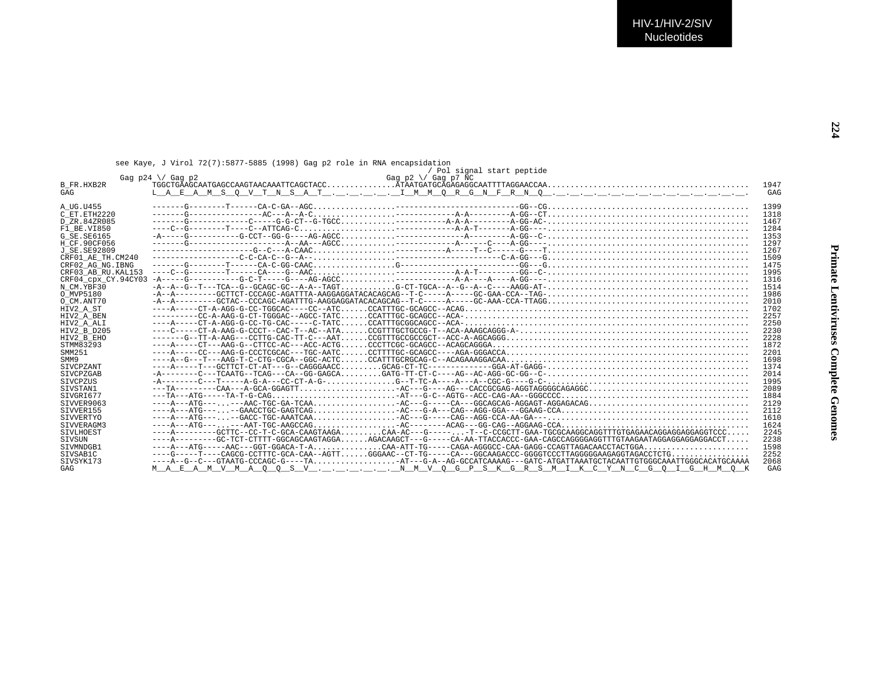| see Kaye, J Virol 72(7):5877-5885 (1998) Gag p2 role in RNA encapsidation |  |  |  |  |                            |
|---------------------------------------------------------------------------|--|--|--|--|----------------------------|
|                                                                           |  |  |  |  | / Pol signal start peptide |

| 1947<br>B FR.HXB2R<br>GAG<br>GAG<br>$---G---G---T---CA-C-GA-AGC$<br>1399<br>A UG.U455<br>$---G---G------AC---A-C---A-C$<br>1318<br>C ET.ETH2220<br>D ZR.84ZR085<br>1467<br>$---C-G---S---T---C--ATTCAG-C$<br>F1 BE.VI850<br>1284<br>1353<br>G SE. SE6165<br>1297<br>H CF.90CF056<br>$-\frac{1}{2}+\frac{1}{2}+\frac{1}{2}+\frac{1}{2}+\frac{1}{2}-\frac{1}{2}-\frac{1}{2}-\frac{1}{2}-\frac{1}{2}-\frac{1}{2}-\frac{1}{2}-\frac{1}{2}-\frac{1}{2}-\frac{1}{2}-\frac{1}{2}-\frac{1}{2}-\frac{1}{2}-\frac{1}{2}-\frac{1}{2}-\frac{1}{2}-\frac{1}{2}-\frac{1}{2}-\frac{1}{2}-\frac{1}{2}-\frac{1}{2}-\frac{1}{2}-\frac{1}{2}-\frac{1}{2}-\frac{1}{2}-\frac{1}{2}-\frac{1}{2}-\frac{$<br>1267<br>J SE. SE92809<br>1509<br>CRF01 AE TH.CM240<br>1475<br>CRF02 AG NG. IBNG<br>CRF03 AB RU. KAL153<br>1995<br>CRF04 cpx CY.94CY03<br>1316<br>1514<br>N CM.YBF30<br>1986<br>O MVP5180<br>2010<br>O CM.ANT70<br>1702<br>HIV2 A ST<br>2257<br>HIV2 A BEN<br>2250<br>HIV2 A ALI<br>2230<br>HIV2 B D205<br>2228<br>HIV2 B EHO<br>STMM83293<br>1872<br>2201<br>SMM251<br>$---A-G---T---AAG-T-C-CTG-CGCA--GGC-ACTCCCTGTRGCRGCAG-C--ACAGAAAGGACAA$<br>1698<br>SMM9<br>1374<br>SIVCPZANT<br>2014<br><b>STVCPZGAB</b><br>1995<br><b>STVCPZUS</b><br>2089<br>STVSTAN1<br>STVGRT677<br>1884<br>$---A---ATG---, ----AAC-TGC-GA-TCAA$ $--- 0.12 - 0.01 - 0.01 - 0.01 - 0.01 - 0.01 - 0.001 - 0.001 - 0.001 - 0.001 - 0.001 - 0.001 - 0.001 - 0.001 - 0.001 - 0.001 - 0.001 - 0.001 - 0.001 - 0.001 - 0.001 - 0.001 - 0.001 - 0.001 - 0.001 - 0.001 - 0.001 - 0.001 - 0.001 -$<br>2129<br>SIVVER9063<br>SIVVER155<br>2112<br>SIVVERTYO<br>1610<br>1624<br>STVVERAGM3<br>$---A-----GCTTC--CC-T-C-GCA-CAAGTAGACAA-AC---G----T--C-CCGCTT-GAA-TGCGCAAGGCAGGTTTGGAGGAGGGAGGGAGGGAGGGTCCC$<br>2245<br>SIVLHOEST<br>SIVSUN<br>2238<br>1598<br>SIVMNDGB1<br>$---G---T---CAGCG-CCTTTC-GCA-CAA-AGTT GGGAAC-CT-TG---CA---GGCAAGACCC-GGGGTCCCTTAGGGGGAAGAGGCTAGGCTAGGCTGACTCTCTG$<br>2252<br>SIVSAB1C<br>----A--G--C---GTAATG-CCCAGC-G----TAAT---G-A--AG-GCCATCAAAAG---GATC-ATGATTAAATGCTACAATTGTGGGCAAATTGGGCACATGCAAAA<br>STVSYK173<br>2068 |     | Gag $p2 \ \lor$ Gag $p7$ NC<br>Gag $p24 \ \sqrt{}$ Gag $p2$ |     |
|-------------------------------------------------------------------------------------------------------------------------------------------------------------------------------------------------------------------------------------------------------------------------------------------------------------------------------------------------------------------------------------------------------------------------------------------------------------------------------------------------------------------------------------------------------------------------------------------------------------------------------------------------------------------------------------------------------------------------------------------------------------------------------------------------------------------------------------------------------------------------------------------------------------------------------------------------------------------------------------------------------------------------------------------------------------------------------------------------------------------------------------------------------------------------------------------------------------------------------------------------------------------------------------------------------------------------------------------------------------------------------------------------------------------------------------------------------------------------------------------------------------------------------------------------------------------------------------------------------------------------------------------------------------------------------------------------------------------------------------------------------------------------------------------------------------------------------------------------------------------------------------------------------------------------------------------------------------------------------------------------------------------------------------------------------------------------------------------------------------|-----|-------------------------------------------------------------|-----|
|                                                                                                                                                                                                                                                                                                                                                                                                                                                                                                                                                                                                                                                                                                                                                                                                                                                                                                                                                                                                                                                                                                                                                                                                                                                                                                                                                                                                                                                                                                                                                                                                                                                                                                                                                                                                                                                                                                                                                                                                                                                                                                             |     |                                                             |     |
|                                                                                                                                                                                                                                                                                                                                                                                                                                                                                                                                                                                                                                                                                                                                                                                                                                                                                                                                                                                                                                                                                                                                                                                                                                                                                                                                                                                                                                                                                                                                                                                                                                                                                                                                                                                                                                                                                                                                                                                                                                                                                                             |     |                                                             |     |
|                                                                                                                                                                                                                                                                                                                                                                                                                                                                                                                                                                                                                                                                                                                                                                                                                                                                                                                                                                                                                                                                                                                                                                                                                                                                                                                                                                                                                                                                                                                                                                                                                                                                                                                                                                                                                                                                                                                                                                                                                                                                                                             |     |                                                             |     |
|                                                                                                                                                                                                                                                                                                                                                                                                                                                                                                                                                                                                                                                                                                                                                                                                                                                                                                                                                                                                                                                                                                                                                                                                                                                                                                                                                                                                                                                                                                                                                                                                                                                                                                                                                                                                                                                                                                                                                                                                                                                                                                             |     |                                                             |     |
|                                                                                                                                                                                                                                                                                                                                                                                                                                                                                                                                                                                                                                                                                                                                                                                                                                                                                                                                                                                                                                                                                                                                                                                                                                                                                                                                                                                                                                                                                                                                                                                                                                                                                                                                                                                                                                                                                                                                                                                                                                                                                                             |     |                                                             |     |
|                                                                                                                                                                                                                                                                                                                                                                                                                                                                                                                                                                                                                                                                                                                                                                                                                                                                                                                                                                                                                                                                                                                                                                                                                                                                                                                                                                                                                                                                                                                                                                                                                                                                                                                                                                                                                                                                                                                                                                                                                                                                                                             |     |                                                             |     |
|                                                                                                                                                                                                                                                                                                                                                                                                                                                                                                                                                                                                                                                                                                                                                                                                                                                                                                                                                                                                                                                                                                                                                                                                                                                                                                                                                                                                                                                                                                                                                                                                                                                                                                                                                                                                                                                                                                                                                                                                                                                                                                             |     |                                                             |     |
|                                                                                                                                                                                                                                                                                                                                                                                                                                                                                                                                                                                                                                                                                                                                                                                                                                                                                                                                                                                                                                                                                                                                                                                                                                                                                                                                                                                                                                                                                                                                                                                                                                                                                                                                                                                                                                                                                                                                                                                                                                                                                                             |     |                                                             |     |
|                                                                                                                                                                                                                                                                                                                                                                                                                                                                                                                                                                                                                                                                                                                                                                                                                                                                                                                                                                                                                                                                                                                                                                                                                                                                                                                                                                                                                                                                                                                                                                                                                                                                                                                                                                                                                                                                                                                                                                                                                                                                                                             |     |                                                             |     |
|                                                                                                                                                                                                                                                                                                                                                                                                                                                                                                                                                                                                                                                                                                                                                                                                                                                                                                                                                                                                                                                                                                                                                                                                                                                                                                                                                                                                                                                                                                                                                                                                                                                                                                                                                                                                                                                                                                                                                                                                                                                                                                             |     |                                                             |     |
|                                                                                                                                                                                                                                                                                                                                                                                                                                                                                                                                                                                                                                                                                                                                                                                                                                                                                                                                                                                                                                                                                                                                                                                                                                                                                                                                                                                                                                                                                                                                                                                                                                                                                                                                                                                                                                                                                                                                                                                                                                                                                                             |     |                                                             |     |
|                                                                                                                                                                                                                                                                                                                                                                                                                                                                                                                                                                                                                                                                                                                                                                                                                                                                                                                                                                                                                                                                                                                                                                                                                                                                                                                                                                                                                                                                                                                                                                                                                                                                                                                                                                                                                                                                                                                                                                                                                                                                                                             |     |                                                             |     |
|                                                                                                                                                                                                                                                                                                                                                                                                                                                                                                                                                                                                                                                                                                                                                                                                                                                                                                                                                                                                                                                                                                                                                                                                                                                                                                                                                                                                                                                                                                                                                                                                                                                                                                                                                                                                                                                                                                                                                                                                                                                                                                             |     |                                                             |     |
|                                                                                                                                                                                                                                                                                                                                                                                                                                                                                                                                                                                                                                                                                                                                                                                                                                                                                                                                                                                                                                                                                                                                                                                                                                                                                                                                                                                                                                                                                                                                                                                                                                                                                                                                                                                                                                                                                                                                                                                                                                                                                                             |     |                                                             |     |
|                                                                                                                                                                                                                                                                                                                                                                                                                                                                                                                                                                                                                                                                                                                                                                                                                                                                                                                                                                                                                                                                                                                                                                                                                                                                                                                                                                                                                                                                                                                                                                                                                                                                                                                                                                                                                                                                                                                                                                                                                                                                                                             |     |                                                             |     |
|                                                                                                                                                                                                                                                                                                                                                                                                                                                                                                                                                                                                                                                                                                                                                                                                                                                                                                                                                                                                                                                                                                                                                                                                                                                                                                                                                                                                                                                                                                                                                                                                                                                                                                                                                                                                                                                                                                                                                                                                                                                                                                             |     |                                                             |     |
|                                                                                                                                                                                                                                                                                                                                                                                                                                                                                                                                                                                                                                                                                                                                                                                                                                                                                                                                                                                                                                                                                                                                                                                                                                                                                                                                                                                                                                                                                                                                                                                                                                                                                                                                                                                                                                                                                                                                                                                                                                                                                                             |     |                                                             |     |
|                                                                                                                                                                                                                                                                                                                                                                                                                                                                                                                                                                                                                                                                                                                                                                                                                                                                                                                                                                                                                                                                                                                                                                                                                                                                                                                                                                                                                                                                                                                                                                                                                                                                                                                                                                                                                                                                                                                                                                                                                                                                                                             |     |                                                             |     |
|                                                                                                                                                                                                                                                                                                                                                                                                                                                                                                                                                                                                                                                                                                                                                                                                                                                                                                                                                                                                                                                                                                                                                                                                                                                                                                                                                                                                                                                                                                                                                                                                                                                                                                                                                                                                                                                                                                                                                                                                                                                                                                             |     |                                                             |     |
|                                                                                                                                                                                                                                                                                                                                                                                                                                                                                                                                                                                                                                                                                                                                                                                                                                                                                                                                                                                                                                                                                                                                                                                                                                                                                                                                                                                                                                                                                                                                                                                                                                                                                                                                                                                                                                                                                                                                                                                                                                                                                                             |     |                                                             |     |
|                                                                                                                                                                                                                                                                                                                                                                                                                                                                                                                                                                                                                                                                                                                                                                                                                                                                                                                                                                                                                                                                                                                                                                                                                                                                                                                                                                                                                                                                                                                                                                                                                                                                                                                                                                                                                                                                                                                                                                                                                                                                                                             |     |                                                             |     |
|                                                                                                                                                                                                                                                                                                                                                                                                                                                                                                                                                                                                                                                                                                                                                                                                                                                                                                                                                                                                                                                                                                                                                                                                                                                                                                                                                                                                                                                                                                                                                                                                                                                                                                                                                                                                                                                                                                                                                                                                                                                                                                             |     |                                                             |     |
|                                                                                                                                                                                                                                                                                                                                                                                                                                                                                                                                                                                                                                                                                                                                                                                                                                                                                                                                                                                                                                                                                                                                                                                                                                                                                                                                                                                                                                                                                                                                                                                                                                                                                                                                                                                                                                                                                                                                                                                                                                                                                                             |     |                                                             |     |
|                                                                                                                                                                                                                                                                                                                                                                                                                                                                                                                                                                                                                                                                                                                                                                                                                                                                                                                                                                                                                                                                                                                                                                                                                                                                                                                                                                                                                                                                                                                                                                                                                                                                                                                                                                                                                                                                                                                                                                                                                                                                                                             |     |                                                             |     |
|                                                                                                                                                                                                                                                                                                                                                                                                                                                                                                                                                                                                                                                                                                                                                                                                                                                                                                                                                                                                                                                                                                                                                                                                                                                                                                                                                                                                                                                                                                                                                                                                                                                                                                                                                                                                                                                                                                                                                                                                                                                                                                             |     |                                                             |     |
|                                                                                                                                                                                                                                                                                                                                                                                                                                                                                                                                                                                                                                                                                                                                                                                                                                                                                                                                                                                                                                                                                                                                                                                                                                                                                                                                                                                                                                                                                                                                                                                                                                                                                                                                                                                                                                                                                                                                                                                                                                                                                                             |     |                                                             |     |
|                                                                                                                                                                                                                                                                                                                                                                                                                                                                                                                                                                                                                                                                                                                                                                                                                                                                                                                                                                                                                                                                                                                                                                                                                                                                                                                                                                                                                                                                                                                                                                                                                                                                                                                                                                                                                                                                                                                                                                                                                                                                                                             |     |                                                             |     |
|                                                                                                                                                                                                                                                                                                                                                                                                                                                                                                                                                                                                                                                                                                                                                                                                                                                                                                                                                                                                                                                                                                                                                                                                                                                                                                                                                                                                                                                                                                                                                                                                                                                                                                                                                                                                                                                                                                                                                                                                                                                                                                             |     |                                                             |     |
|                                                                                                                                                                                                                                                                                                                                                                                                                                                                                                                                                                                                                                                                                                                                                                                                                                                                                                                                                                                                                                                                                                                                                                                                                                                                                                                                                                                                                                                                                                                                                                                                                                                                                                                                                                                                                                                                                                                                                                                                                                                                                                             |     |                                                             |     |
|                                                                                                                                                                                                                                                                                                                                                                                                                                                                                                                                                                                                                                                                                                                                                                                                                                                                                                                                                                                                                                                                                                                                                                                                                                                                                                                                                                                                                                                                                                                                                                                                                                                                                                                                                                                                                                                                                                                                                                                                                                                                                                             |     |                                                             |     |
|                                                                                                                                                                                                                                                                                                                                                                                                                                                                                                                                                                                                                                                                                                                                                                                                                                                                                                                                                                                                                                                                                                                                                                                                                                                                                                                                                                                                                                                                                                                                                                                                                                                                                                                                                                                                                                                                                                                                                                                                                                                                                                             |     |                                                             |     |
|                                                                                                                                                                                                                                                                                                                                                                                                                                                                                                                                                                                                                                                                                                                                                                                                                                                                                                                                                                                                                                                                                                                                                                                                                                                                                                                                                                                                                                                                                                                                                                                                                                                                                                                                                                                                                                                                                                                                                                                                                                                                                                             |     |                                                             |     |
|                                                                                                                                                                                                                                                                                                                                                                                                                                                                                                                                                                                                                                                                                                                                                                                                                                                                                                                                                                                                                                                                                                                                                                                                                                                                                                                                                                                                                                                                                                                                                                                                                                                                                                                                                                                                                                                                                                                                                                                                                                                                                                             |     |                                                             |     |
|                                                                                                                                                                                                                                                                                                                                                                                                                                                                                                                                                                                                                                                                                                                                                                                                                                                                                                                                                                                                                                                                                                                                                                                                                                                                                                                                                                                                                                                                                                                                                                                                                                                                                                                                                                                                                                                                                                                                                                                                                                                                                                             |     |                                                             |     |
|                                                                                                                                                                                                                                                                                                                                                                                                                                                                                                                                                                                                                                                                                                                                                                                                                                                                                                                                                                                                                                                                                                                                                                                                                                                                                                                                                                                                                                                                                                                                                                                                                                                                                                                                                                                                                                                                                                                                                                                                                                                                                                             |     |                                                             |     |
|                                                                                                                                                                                                                                                                                                                                                                                                                                                                                                                                                                                                                                                                                                                                                                                                                                                                                                                                                                                                                                                                                                                                                                                                                                                                                                                                                                                                                                                                                                                                                                                                                                                                                                                                                                                                                                                                                                                                                                                                                                                                                                             |     |                                                             |     |
|                                                                                                                                                                                                                                                                                                                                                                                                                                                                                                                                                                                                                                                                                                                                                                                                                                                                                                                                                                                                                                                                                                                                                                                                                                                                                                                                                                                                                                                                                                                                                                                                                                                                                                                                                                                                                                                                                                                                                                                                                                                                                                             |     |                                                             |     |
|                                                                                                                                                                                                                                                                                                                                                                                                                                                                                                                                                                                                                                                                                                                                                                                                                                                                                                                                                                                                                                                                                                                                                                                                                                                                                                                                                                                                                                                                                                                                                                                                                                                                                                                                                                                                                                                                                                                                                                                                                                                                                                             |     |                                                             |     |
|                                                                                                                                                                                                                                                                                                                                                                                                                                                                                                                                                                                                                                                                                                                                                                                                                                                                                                                                                                                                                                                                                                                                                                                                                                                                                                                                                                                                                                                                                                                                                                                                                                                                                                                                                                                                                                                                                                                                                                                                                                                                                                             |     |                                                             |     |
|                                                                                                                                                                                                                                                                                                                                                                                                                                                                                                                                                                                                                                                                                                                                                                                                                                                                                                                                                                                                                                                                                                                                                                                                                                                                                                                                                                                                                                                                                                                                                                                                                                                                                                                                                                                                                                                                                                                                                                                                                                                                                                             | GAG | <u>MAEAMVMAQOSV NMVQGPSKGRSMIKC</u> YNCGOIGHMOK             | GAG |

**Primate Lentiviruses Complete Genomes**

Primate Lentiviruses Complete Genomes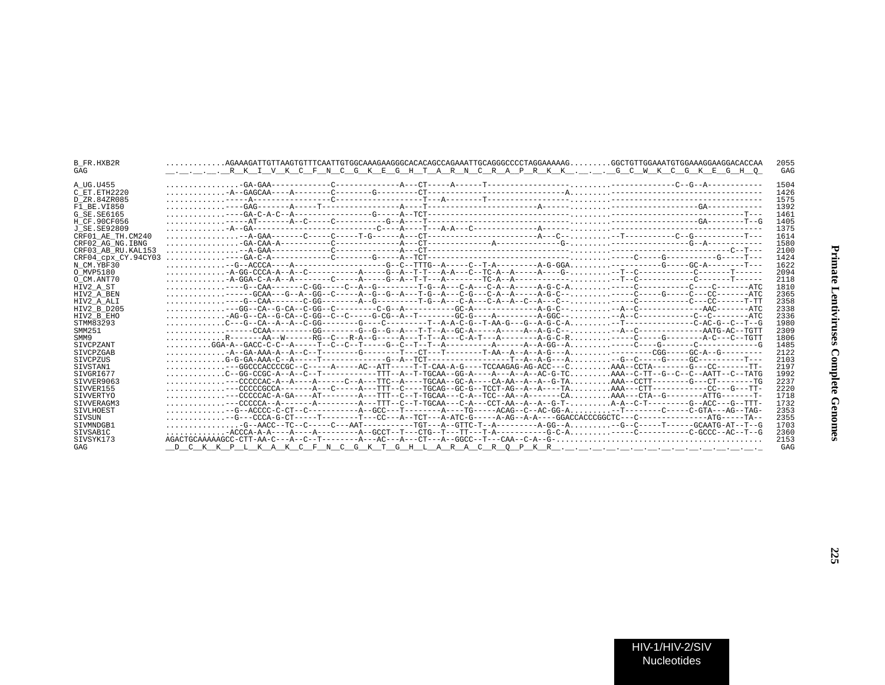| B FR.HXB2R<br>GAG   | $\ldots \ldots \ldots$ .AGAAAGATTGTTAAGTGTTTCAATTGTGGCAAAGAAGGGCACACAGCCAGAAATTGCAGGGCCCCTAGGAAAAAGGGCTGTTGGAAATGTGGAAAGGAAGGACACAA                                                                                                                                                                                                                                                                                                  |
|---------------------|--------------------------------------------------------------------------------------------------------------------------------------------------------------------------------------------------------------------------------------------------------------------------------------------------------------------------------------------------------------------------------------------------------------------------------------|
|                     |                                                                                                                                                                                                                                                                                                                                                                                                                                      |
| A UG.U455           |                                                                                                                                                                                                                                                                                                                                                                                                                                      |
| C ET.ETH2220        | $\ldots \ldots \ldots -A-GBGCAA---A---A-----C----G---CT---A---A$                                                                                                                                                                                                                                                                                                                                                                     |
| D ZR.84ZR085        |                                                                                                                                                                                                                                                                                                                                                                                                                                      |
| F1 BE.VI850         |                                                                                                                                                                                                                                                                                                                                                                                                                                      |
| G SE.SE6165         |                                                                                                                                                                                                                                                                                                                                                                                                                                      |
| H CF.90CF056        |                                                                                                                                                                                                                                                                                                                                                                                                                                      |
| J SE.SE92809        |                                                                                                                                                                                                                                                                                                                                                                                                                                      |
| CRF01 AE TH.CM240   |                                                                                                                                                                                                                                                                                                                                                                                                                                      |
| CRF02 AG NG.IBNG    |                                                                                                                                                                                                                                                                                                                                                                                                                                      |
| CRF03 AB RU.KAL153  |                                                                                                                                                                                                                                                                                                                                                                                                                                      |
| CRF04 cpx CY.94CY03 |                                                                                                                                                                                                                                                                                                                                                                                                                                      |
| N CM.YBF30          |                                                                                                                                                                                                                                                                                                                                                                                                                                      |
| O MVP5180           |                                                                                                                                                                                                                                                                                                                                                                                                                                      |
| O CM.ANT70          | $1.111.12 - 2.434 - 2.444 - 2.444 - 2.444 - 2.444 - 2.444 - 2.444 - 2.444 - 2.444 - 2.444 - 2.444 - 2.444 - 2.444 - 2.444 - 2.444 - 2.444 - 2.444 - 2.444 - 2.444 - 2.444 - 2.444 - 2.444 - 2.444 - 2.444 - 2.444 - 2.444 - 2.444 - 2.444 - 2.444 - 2.444 - $                                                                                                                                                                        |
| HIV2 A ST           |                                                                                                                                                                                                                                                                                                                                                                                                                                      |
| HIV2 A BEN          | -----GCAA---G--A--GG--C-----A--G--A---T-G--A---C-G---C-A--A-----A-G-C-------C-----G----C---CC-------ATC                                                                                                                                                                                                                                                                                                                              |
| HIV2 A ALI          |                                                                                                                                                                                                                                                                                                                                                                                                                                      |
| HIV2 B D205         | $\ldots \ldots \ldots \ldots - -GG--CA-G-CA-C-GG--C---C-G-C-G-A-----C-G-A-----CCA-----------A-G-C--.\ldots \ldots \ldots -A--C-------C-A-------AAC----AAC---ATC-0.$                                                                                                                                                                                                                                                                  |
| HIV2 B EHO          |                                                                                                                                                                                                                                                                                                                                                                                                                                      |
| STMM83293           |                                                                                                                                                                                                                                                                                                                                                                                                                                      |
| SMM251              | $\ldots \ldots \ldots \ldots -----CCAA------GG------G--G--G--A--T--T--A-GC-A-----A--A--G-C--\ldots \ldots \ldots \ldots --A-C-----A-AG--A-AG--CTT$                                                                                                                                                                                                                                                                                   |
| SMM9                | $\ldots \ldots \ldots$ . R-------AA--W------RG--C---R-A--G-----A---T-T--A---C-A-T---A--------A-G-C-R-----C-----G----------A-C---C--TGTT                                                                                                                                                                                                                                                                                              |
| SIVCPZANT           |                                                                                                                                                                                                                                                                                                                                                                                                                                      |
| SIVCPZGAB           |                                                                                                                                                                                                                                                                                                                                                                                                                                      |
| <b>STVCPZUS</b>     | $\ldots \ldots \ldots G-G-GA-AAA-C-A---T---T---C-G-A--TCT------T---T-A-G---A. \ldots \ldots \ldots -G--C---G---G---C---T---C$                                                                                                                                                                                                                                                                                                        |
| SIVSTAN1            | $\ldots \ldots \ldots \ldots ---GGCCCACCCCGC--C---A---A---A-C--ATT---T-T-CAA-A-G---TCCAAGAG-AG-AC---C\ldots \ldots \ldots \ldots$ AAA--CCTA-------G---CC-------TT-                                                                                                                                                                                                                                                                   |
| SIVGRI677           | $\ldots \ldots \ldots$ . C--GG-CCGC-A--A--C--T----------TTT--A--T-TGCAA--GG-A----A--A--AC-G-TCAAA--C-TT--G--C--AATT--C--TATG                                                                                                                                                                                                                                                                                                         |
| SIVVER9063          | $\ldots \ldots \ldots \ldots -- \texttt{CCCCCAC-A--A----A-----C--A---TTC--A----TGCAA--GC-A---CA-AA--A--A--G-TA.}\ldots\ldots\ldots\ldots\ldots\ldots --\texttt{G---C}-\texttt{C---C}-\texttt{C---C}-\texttt{C---C}-\texttt{C---C}-\texttt{C---C}-\texttt{C---C}-\texttt{C---C}-\texttt{C---C}-\texttt{C---C}-\texttt{C---C}-\texttt{C---C}-\texttt{C---C}-\texttt{C---C}-\texttt{C---C}-\texttt{C---C}-\texttt{C---C}-\texttt{C---C$ |
| SIVVER155           | $\ldots \ldots \ldots \ldots -- \texttt{CCCCCGCCA-------A---C----A---TTT--C---TGCAG--GC-G--TCCT-AG--A----AA \ldots \ldots \texttt{AAA---CTT----------CC--G---G---TT-}$                                                                                                                                                                                                                                                               |
| SIVVERTYO           |                                                                                                                                                                                                                                                                                                                                                                                                                                      |
| SIVVERAGM3          |                                                                                                                                                                                                                                                                                                                                                                                                                                      |
| SIVLHOEST           |                                                                                                                                                                                                                                                                                                                                                                                                                                      |
| SIVSUN              |                                                                                                                                                                                                                                                                                                                                                                                                                                      |
| STVMNDGB1           |                                                                                                                                                                                                                                                                                                                                                                                                                                      |
| SIVSAB1C            |                                                                                                                                                                                                                                                                                                                                                                                                                                      |
| SIVSYK173           |                                                                                                                                                                                                                                                                                                                                                                                                                                      |
| GAG                 |                                                                                                                                                                                                                                                                                                                                                                                                                                      |
|                     |                                                                                                                                                                                                                                                                                                                                                                                                                                      |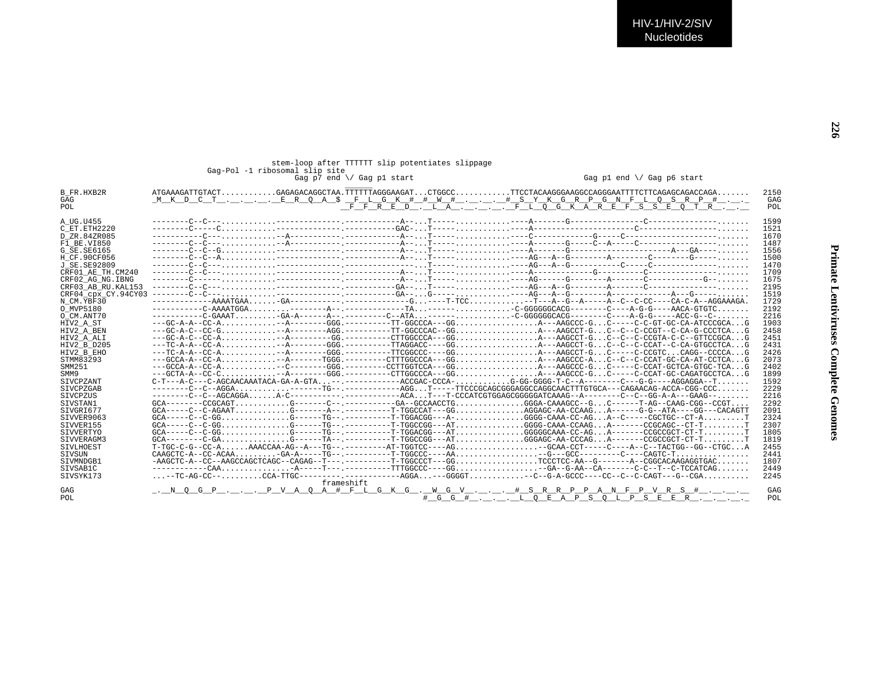## stem-loop after TTTTT slip potentiates slippage<br>Gag-Pol -1 ribosomal slip site<br>Gag p1 end \/ Gag p7 end \/ Gag p1 start

| B FR.HXB2R               |                                                                                                                                  | 2150 |
|--------------------------|----------------------------------------------------------------------------------------------------------------------------------|------|
| GAG                      |                                                                                                                                  | GAG  |
| POL                      | <u>FFRED.LAFLOGKAREFSSEQTR</u>                                                                                                   | POL  |
|                          |                                                                                                                                  |      |
| A UG.U455                |                                                                                                                                  | 1599 |
| C ET. ETH2220            |                                                                                                                                  | 1521 |
| D ZR.84ZR085             |                                                                                                                                  | 1670 |
| F1 BE.VI850              |                                                                                                                                  | 1487 |
| G SE. SE6165             |                                                                                                                                  | 1556 |
| H CF.90CF056             |                                                                                                                                  | 1500 |
| J SE.SE92809             |                                                                                                                                  | 1470 |
| CRF01 AE TH.CM240        |                                                                                                                                  | 1709 |
| CRF02 AG NG. IBNG        |                                                                                                                                  | 1675 |
| CRF03 AB RU. KAL153      |                                                                                                                                  | 2195 |
| CRF04 cpx CY.94CY03      |                                                                                                                                  | 1519 |
| N CM.YBF30               |                                                                                                                                  | 1729 |
| O MVP5180                |                                                                                                                                  | 2192 |
| O CM.ANT70               | ----------C-GAAAT-GA-A------A--.-------C--ATA------CC-GGGGGCACACG--------A-G-G--G--C-ACC-G--C-                                   | 2216 |
| HIV2 A ST                | --GC-A-A--CC-A--A-------GGG.---------TT-GGCCCA---GGA---AAGCCC-GC-----C-C-GT-GC-CA-ATCCCGCAG                                      | 1903 |
| HIV2 A BEN               | --GC-A-C--CC-G-A-------AGG.--------TT-GGCCCAC--GGA---AAGCCT-GC--C--C-CCGT--C-CA-G-CCCTCAG                                        | 2458 |
| HIV2 A ALI               | --GC-A-C--CC-A--A--------GG.--------CTTGGCCCA---GGA---AAGCCT-GC--C--C-CCGTA-C-C--GTTCCGCAG                                       | 2451 |
| HIV2 B D205              | ---TC-A-A--CC-A--A-------GGG.---------TTAGGACC----GGA---AAGCCT-GC--C--C-CCAT--C-CA-GTGCCTCAG                                     | 2431 |
| HIV2 B EHO               |                                                                                                                                  | 2426 |
| STMM83293                | --GCCA-A--CC-A-A------TGGG.-------CTTTGGCCCA--GGA---AAGCCC-AC--C--C-CCAT-GC-CA-AT-CCTCAG                                         | 2073 |
| SMM251                   | --GCCA-A--CC-A-C-------GGG.--------CCTTGGTCCA---GGA---AAGCCC-GC-----C-CCAT-GCTCA-GTGC-TCAG                                       | 2402 |
|                          | ---GCTA-A--CC-C--A-------GGG.--------CTTGGCCCA---GGA---AAGCCC-GC-----C-CCAT-GC-CAGATGCCTCAG                                      | 1899 |
| SMM9<br><b>STVCPZANT</b> | $C-T--A-C---C-AGCAACAAATACA-GA-GA-GA, \ldots, --, -----ACCGAC-CCCA- \ldots, G-GG-GGG-G-TC--A---C---C---G-G---AGGAGGA--T \ldots,$ | 1592 |
|                          | -------C--C--AGGA------TG--.--------AGGT-----TTCCCGCAGCGGGAGGCCAACTTTGTGCA---CAGAACAG-ACCA-CGG-CCC                               |      |
| SIVCPZGAB                |                                                                                                                                  | 2229 |
| SIVCPZUS                 |                                                                                                                                  | 2216 |
| SIVSTAN1                 | $GCA------CCGCAGT$ G------C---------GA--GCCAACCTGGGGA-CAAAGCC--GC-------T-AG--CAAG-CGG--CCGT                                     | 2292 |
| STVGRT677                |                                                                                                                                  | 2091 |
| SIVVER9063               | GCA-----C--C-GGG------TG--.---------TT-TGGACGG---A-GGGG-CAAA-CC-AGA--C-----CGCTGC--CT-AT                                         | 2324 |
| SIVVER155                |                                                                                                                                  | 2307 |
| SIVVERTYO                | GCA-----C--C-GGG------TG--.---------TT-TGGACGG---ATGGGGCAAA-CC-AGA--------CCGCCGCT-CT-TT                                         | 1805 |
| SIVVERAGM3               |                                                                                                                                  | 1819 |
| STVLHOEST                | $T-TCC-C-C-C-A$ AAACCAA-AG--A---TG-- .--------AT-TGGTCC----AGGAA-CCT----AC------C--TACTGG--GG--CTGCA                             | 2455 |
| SIVSUN                   |                                                                                                                                  | 2441 |
| SIVMNDGB1                | $-AAGCTC-A-CC-AAGCCAGCTCAGC-CAGAG-CTCAGC-1$ -----------T-TGGCCCT---GGTCCCTCC-AA--G-------A--CGGCACAAGAGGTGAC                     | 1807 |
| SIVSAB1C                 |                                                                                                                                  | 2449 |
| STVSYK173                | $\ldots$ --TC-AG-CC-- $\ldots\ldots\ldots$ CCA-TTGC--------- ----------AGGA---GGGGT-CC--G-A-GCCC----CC--C-C-CAGT---G--CGA        | 2245 |
|                          | frameshift                                                                                                                       |      |
| GAG                      | <u>. NOGP. PVAOA #FLGKG. WGV. #SRRPPANFPVRS #.</u>                                                                               | GAG  |
| POL.                     | # G G # L O E A P S O L P S E E R                                                                                                | POL  |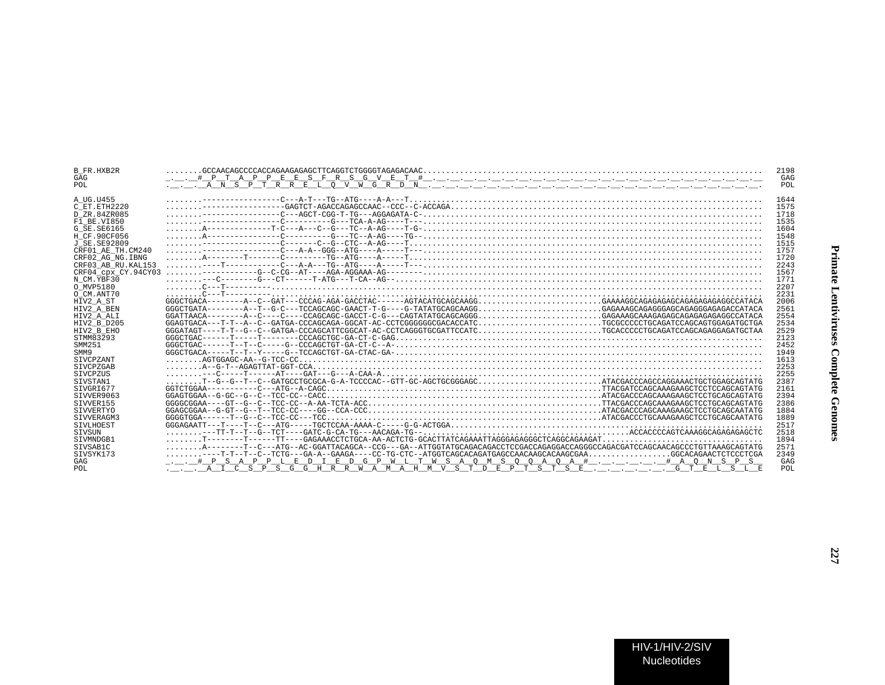| B FR.HXB2R          |                                                                                                                                                                                                                                                                                                                                                                                                                                                                                                                                            | 2198 |
|---------------------|--------------------------------------------------------------------------------------------------------------------------------------------------------------------------------------------------------------------------------------------------------------------------------------------------------------------------------------------------------------------------------------------------------------------------------------------------------------------------------------------------------------------------------------------|------|
| GAG                 |                                                                                                                                                                                                                                                                                                                                                                                                                                                                                                                                            | GAG  |
| POL                 |                                                                                                                                                                                                                                                                                                                                                                                                                                                                                                                                            | POL  |
|                     |                                                                                                                                                                                                                                                                                                                                                                                                                                                                                                                                            |      |
| A UG.U455           |                                                                                                                                                                                                                                                                                                                                                                                                                                                                                                                                            | 1644 |
| C ET.ETH2220        |                                                                                                                                                                                                                                                                                                                                                                                                                                                                                                                                            | 1575 |
| D ZR.84ZR085        |                                                                                                                                                                                                                                                                                                                                                                                                                                                                                                                                            | 1718 |
| F1 BE.VI850         |                                                                                                                                                                                                                                                                                                                                                                                                                                                                                                                                            | 1535 |
| G SE. SE6165        |                                                                                                                                                                                                                                                                                                                                                                                                                                                                                                                                            | 1604 |
| H CF.90CF056        |                                                                                                                                                                                                                                                                                                                                                                                                                                                                                                                                            | 1548 |
| J SE. SE92809       |                                                                                                                                                                                                                                                                                                                                                                                                                                                                                                                                            | 1515 |
| CRF01 AE TH.CM240   |                                                                                                                                                                                                                                                                                                                                                                                                                                                                                                                                            | 1757 |
| CRF02 AG NG. IBNG   |                                                                                                                                                                                                                                                                                                                                                                                                                                                                                                                                            | 1720 |
| CRF03 AB RU. KAL153 |                                                                                                                                                                                                                                                                                                                                                                                                                                                                                                                                            | 2243 |
| CRF04 CDX CY.94CY03 |                                                                                                                                                                                                                                                                                                                                                                                                                                                                                                                                            | 1567 |
| N CM. YBF30         | $\begin{minipage}{0.99\textwidth} \begin{minipage}{0.99\textwidth} \centering \begin{minipage}{0.99\textwidth} \centering \end{minipage} \begin{minipage}{0.99\textwidth} \centering \begin{minipage}{0.99\textwidth} \centering \end{minipage} \begin{minipage}{0.99\textwidth} \centering \end{minipage} \begin{minipage}{0.99\textwidth} \centering \begin{minipage}{0.99\textwidth} \centering \end{minipage} \begin{minipage}{0.99\textwidth} \centering \end{minipage} \begin{minipage}{0.99\textwidth} \centering \end{minipage} \$ | 1771 |
| O MVP5180           |                                                                                                                                                                                                                                                                                                                                                                                                                                                                                                                                            | 2207 |
| O CM.ANT70          |                                                                                                                                                                                                                                                                                                                                                                                                                                                                                                                                            | 2231 |
| HIV2 A ST           |                                                                                                                                                                                                                                                                                                                                                                                                                                                                                                                                            | 2006 |
| HIV2 A BEN          | GGGCTGATA--------A--T--G-C---TCCAGCAGC-GAACT-T-G----G-TATATGCAGCAAGGGAGAAAGCAGAGGGAGCAGAGGGAGAGACCATACA                                                                                                                                                                                                                                                                                                                                                                                                                                    | 2561 |
| HIV2 A ALI          |                                                                                                                                                                                                                                                                                                                                                                                                                                                                                                                                            | 2554 |
| HIV2 B D205         |                                                                                                                                                                                                                                                                                                                                                                                                                                                                                                                                            | 2534 |
| HIV2 B EHO          |                                                                                                                                                                                                                                                                                                                                                                                                                                                                                                                                            | 2529 |
| STMM83293           |                                                                                                                                                                                                                                                                                                                                                                                                                                                                                                                                            | 2123 |
| SMM251              |                                                                                                                                                                                                                                                                                                                                                                                                                                                                                                                                            | 2452 |
| SMM9                |                                                                                                                                                                                                                                                                                                                                                                                                                                                                                                                                            | 1949 |
| SIVCPZANT           |                                                                                                                                                                                                                                                                                                                                                                                                                                                                                                                                            | 1613 |
| <b>STVCPZGAB</b>    |                                                                                                                                                                                                                                                                                                                                                                                                                                                                                                                                            | 2253 |
| SIVCPZUS            |                                                                                                                                                                                                                                                                                                                                                                                                                                                                                                                                            | 2255 |
| SIVSTAN1            | $\ldots \ldots$ T--G--G--T--C--GATGCCTGCGCA-G-A-TCCCCAC--GTT-GC-AGCTGCGGGAGCATACGACCCAGCCAGGAAACTGCTGGAGCAGTATG                                                                                                                                                                                                                                                                                                                                                                                                                            | 2387 |
| SIVGRI677           |                                                                                                                                                                                                                                                                                                                                                                                                                                                                                                                                            | 2161 |
| SIVVER9063          |                                                                                                                                                                                                                                                                                                                                                                                                                                                                                                                                            | 2394 |
| SIVVER155           | $GGGGCGBA---GT---GT---C---TCCC---A-AA-TCTA-ACC, , , , , , , , , , , , , , , , TACGACCCAGCAAAGAAGAAGCTCCTGCAGCAGTATG$                                                                                                                                                                                                                                                                                                                                                                                                                       | 2386 |
| SIVVERTYO           |                                                                                                                                                                                                                                                                                                                                                                                                                                                                                                                                            | 1884 |
| SIVVERAGM3          |                                                                                                                                                                                                                                                                                                                                                                                                                                                                                                                                            | 1889 |
| SIVLHOEST           |                                                                                                                                                                                                                                                                                                                                                                                                                                                                                                                                            | 2517 |
| SIVSUN              |                                                                                                                                                                                                                                                                                                                                                                                                                                                                                                                                            | 2518 |
| SIVMNDGB1           |                                                                                                                                                                                                                                                                                                                                                                                                                                                                                                                                            | 1894 |
| SIVSAB1C            | $\ldots \ldots \ldots \ldots \vdots$                                                                                                                                                                                                                                                                                                                                                                                                                                                                                                       | 2571 |
| SIVSYK173           | $\ldots \ldots \ldots \ldots \ldots$ T-T--T--C--TCTG---GA-A--GAAGA----CC-TG-CTC--ATGGTCAGCACAGATGAGCCAACAAGCGAA $\ldots \ldots \ldots \ldots \ldots \ldots$ GGCACAGAACTCTCCCTCGA                                                                                                                                                                                                                                                                                                                                                           | 2349 |
| GAG                 |                                                                                                                                                                                                                                                                                                                                                                                                                                                                                                                                            | GAG  |
| POL                 | . <u> A I C S P S G G H R R W A M A H M V S T D E P T S T S E  G T E L S L E</u>                                                                                                                                                                                                                                                                                                                                                                                                                                                           | POL  |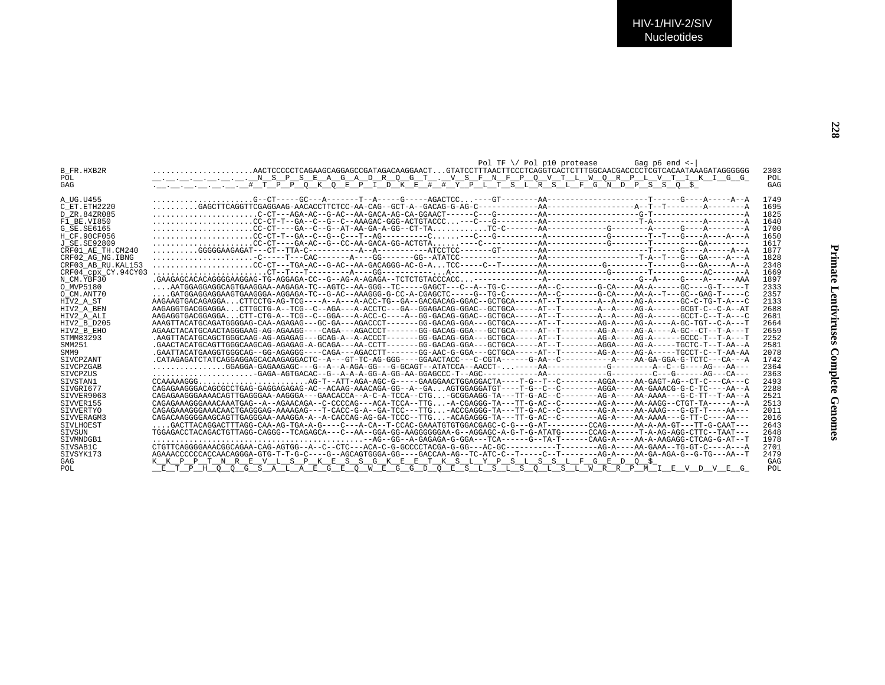|                     | Pol TF $\setminus$ Pol p10 protease<br>Gag $p6$ end $\leq$ -                                                                                                |      |
|---------------------|-------------------------------------------------------------------------------------------------------------------------------------------------------------|------|
| <b>B FR.HXB2R</b>   | $\ldots \ldots \ldots \ldots \ldots$ . AACTCCCCCTCAGAAGCAGGAGCCGATAGACAAGGAACT. $\ldots$ GTATCCTTTAACTTCCCTCAGGTCACTCTTTGGCAACGACCCCTCGTCACAATAAAGATAGGGGGG | 2303 |
| POL                 |                                                                                                                                                             | POL  |
| GAG                 | .__.__.__.__._. # T P P Q K Q E P I D K E # # Y P L T S L R S L F G N D P S S O \$                                                                          | GAG  |
|                     |                                                                                                                                                             |      |
| A UG.U455           |                                                                                                                                                             | 1749 |
| C ET. ETH2220       |                                                                                                                                                             | 1695 |
| D ZR.84ZR085        |                                                                                                                                                             | 1825 |
| F1 BE.VI850         |                                                                                                                                                             | 1640 |
| G SE.SE6165         |                                                                                                                                                             | 1700 |
| H CF.90CF056        |                                                                                                                                                             | 1650 |
| J SE. SE92809       |                                                                                                                                                             | 1617 |
| CRF01 AE TH.CM240   |                                                                                                                                                             | 1877 |
| CRF02 AG NG. IBNG   |                                                                                                                                                             | 1828 |
| CRF03 AB RU. KAL153 |                                                                                                                                                             | 2348 |
| CRF04 CDX CY.94CY03 |                                                                                                                                                             | 1669 |
| N CM.YBF30          |                                                                                                                                                             | 1897 |
| O MVP5180           | AATGGAGGAGGCAGTGAAGGAA-AAGAGA-TC--AGTC--AA-GGG--TC----GAGCT---C--A--TG-C-------AA--C-------G-CA----AA-A------GC----G-T-----T                                | 2333 |
| O CM.ANT70          | GATGGAGGAGGAAGTGAAGGGA-AGGAGA-TC--G-AC--AAAGGG-G-CC-A-CGAGCTC----G--TG-C-------AA-C------G-CA----AA-A--T---GC--GAG-T-----C                                  | 2357 |
| HIV2 A ST           |                                                                                                                                                             | 2133 |
| HIV2 A BEN          | AAGAGGTGACGGAGGACTTGCTG-A--TCG--C--AGA---A-ACCTC---GA--GGAGACAG-GGAC--GCTGCA-----AT--T--------A--A----AG-A-----GCGT-C--C-A--AT                              | 2688 |
| HIV2 A ALI          | AAGAGGTGACGGAGGA CTT-CTG-A--TCG--C--GGA---A-ACC-C----A--GG-GACAG-GGAC--GCTGCA-----AT--T------AT---A--A--A--AG-GA-G-AC------AG----                           | 2681 |
| HIV2 B D205         | AAAGTTACATGCAGATGGGGAG-CAA-AGAGAG---GC-GA---AGACCCT-------GG-GACAG-GGA---GCTGCA-----AT-------AG-A----AG-A----AG-A----A----AGC-TGT------                     | 2664 |
| HIV2 B EHO          | AGAACTACATGCAACTAGGGAAG-AG-AGAAGG----CAGA---AGACCCT------GG-GACAG-GGA---GCTGCA-----AT--T-------AG-A----AG-A----A-GC--CT--T-A---T                            | 2659 |
| STMM83293           | .AAGTTACATGCAGGCAGCAGGAAG-AG-AGAGAG---GCAG-A--A-ACCCT-----GG-GACAG-GGA---GCTGCA-----AT--T------AG-A----AG-A----AG-A-----GCCCT-T--T-A---T                    | 2252 |
| SMM251              | .GAACTACATGCAGTTGGGCAAGCAG-AGAGAG-A-GCAGA---AA-CCTT------GG-GACAG-GGA---GCTGCA-----AT--T-------AGGA----AG-A-----TGCTC-T--T-AA--A                            | 2581 |
| SMM9                | .GAATTACATGAAGGTGGGCAG--GG-AGAGGG----CAGA---AGACCTT------GG-AAC-G-GGA---GCTGCA-----AT--T-------AG-A----AG-A----TGCCT-C--T-AA-AA                             | 2078 |
| <b>STVCPZANT</b>    |                                                                                                                                                             | 1742 |
| SIVCPZGAB           | GGAGGA-GAGAAGAGC---G--A--A-AGA-GG---G-CCAGT--ATATCCA--AACCT------AA-----------G------------A--C--G----AG---AA---                                            | 2364 |
| SIVCPZUS            |                                                                                                                                                             | 2363 |
| SIVSTAN1            | CCAAAAAGGGAG-T--ATT-AGA-AGC-G----GAAGGAACTGGAGGACTA----T-G--T--C-------AGGA----AA-GAGT-AG--CT-C---CA---C                                                    | 2493 |
| SIVGRI677           | CAGAGAAGGGACAGCGCCTGAG-GAGGAGAGAG-AC--ACAAG-AAACAGA-GG--A--GAAGTGGAGGATGT----T-G--C--C-------AGGA----AA-GAAACG-G-C-TC----AA--A                              | 2288 |
| STVVER9063          | CAGAGAAGGGAAAACAGTTGAGGGAA-AAGGGA---GAACACCA--A-C-A-TCCA--CTG-GCGGAAGG-TA---TT-G-AC--C-------AG-A---AA-AAAA---G-C-TT--T-AA--AA---                           | 2521 |
| STVVER155           | CAGAGAAAGGGAAACAAATGAG--A--AGAACAGA--C-CCCCAG---ACA-TCCA--TTG-A-CGAGGG-TA---TT-G-AC--C-------AG-A----AA-AAGG--CTGT-TA----A--A--A--                          | 2513 |
| SIVVERTYO           | CAGAGAAAGGGAAACAACTGAGGGAG-AAAAGAG---T-CACC-G-A--GA-TCC---TTG-ACCGAGGG-TA---TT-G-AC--C-------AG-A----AA-AAAG---G-GT-T----AA--                               | 2011 |
| SIVVERAGM3          | CAGACAAGGGGAAGCAGTTGAGGGAA-AAAGGA-A--A-CACCAG-AG-GA-TCCC--TTG-ACAGAGGG-TA---TT-G-AC--C--------AG-A----AA-AAAA---G-TT-C----AA---                             | 2016 |
| <b>STVLHOEST</b>    | GACTTACAGGACTTTAGG-CAA-AG-TGA-A-G----C---A-CA--T-CCAC-GAAATGTGTGGACGAGC-C-G---G-AT--------CCAG------AA-A-AA-GT---TT-G-CAAT---                               | 2643 |
| SIVSUN              | TGGAGACCTACAGACTGTTAGG-CAGGG--TCAGAGCA---C--AA--GGA-GG-AAGGGGGGAA-G--AGGAGC-A-G-T-G-ATATG------CCAG-A-----T-A-AG-AGG-CTTC--TAAT---                          | 2648 |
| SIVMNDGB1           |                                                                                                                                                             | 1978 |
| SIVSAB1C            | CTGTTCAGGGGAAACGGCAGAA-CAG-AGTGG--A--C--CTC---ACA-C-G-GCCCCTACGA-G-GG---AC-GC---------T------AG-A----AA-GAAA--TG-GT-C----A--A                               | 2701 |
| SIVSYK173           | AGAAACCCCCCACCAACAGGGA-GTG-T-T-G-C----G--AGCAGTGGGA-GG----GACCAA-AG--TC-ATC-C--T-----C--T------AG-A-----AA-GA-AGA-G--G-TG---AA--T                           | 2479 |
| GAG                 | <u>K K P P T N R E V L S P K E S S G K E E T K S L Y P S L S S L F G E D Q \$</u>                                                                           | GAG  |
| POL                 | P H O O G S A L A E G E O W E G G D O E S L S L S O L S L W R R P M I E V D V E G                                                                           | POL  |
|                     |                                                                                                                                                             |      |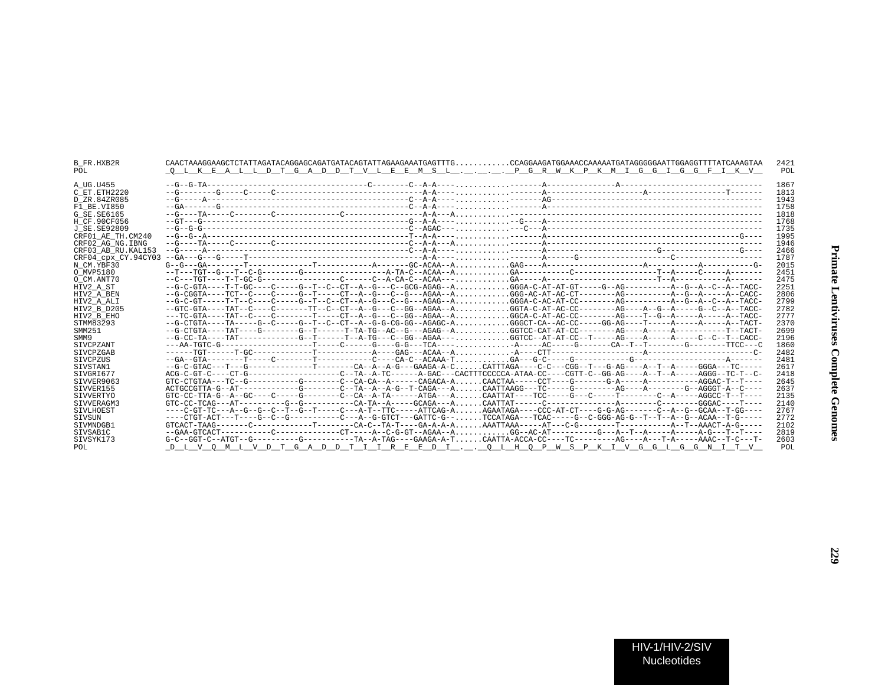| B FR.HXB2R          |                                                                                                                                  | 2421 |
|---------------------|----------------------------------------------------------------------------------------------------------------------------------|------|
| POL.                | <u>Q L K E A L L D T G A D D T V L E E M S L . _ . _ . _ . _ P G R W K P K M I G G I G G F I K V </u>                            | POL  |
| A UG.U455           |                                                                                                                                  | 1867 |
| C ET.ETH2220        |                                                                                                                                  | 1813 |
| D ZR.84ZR085        |                                                                                                                                  | 1943 |
| F1 BE.VI850         |                                                                                                                                  | 1758 |
| G SE.SE6165         |                                                                                                                                  | 1818 |
| H CF.90CF056        |                                                                                                                                  | 1768 |
| J SE.SE92809        |                                                                                                                                  | 1735 |
| CRF01 AE TH.CM240   |                                                                                                                                  | 1995 |
| CRF02 AG NG.IBNG    |                                                                                                                                  | 1946 |
| CRF03 AB RU.KAL153  |                                                                                                                                  | 2466 |
| CRF04 cpx CY.94CY03 |                                                                                                                                  | 1787 |
| N CM.YBF30          |                                                                                                                                  | 2015 |
| O MVP5180           |                                                                                                                                  | 2451 |
| O CM.ANT70          |                                                                                                                                  | 2475 |
| HIV2 A ST           | --G-C-GTA----T-T-GC----C-----G--T--C--CT--A--G---C---CCG-AGAG--AGGGA-C-AT-AT-GT-----G--AG-----------A--G--A--C--A--TACC-         | 2251 |
| HIV2 A BEN          | --G-CGGTA----TCT--C----C-----G--T-----CT--A--G--C--C---AGAA--AGGG-AC-AT-AC-CT---------AG--------A--G--A-----A-CACC-              | 2806 |
| HIV2 A ALI          | --G-C-GT-----T-T--C----C-----G--T--C----C----A--G---C---C---AGAG--AGGGA-C-AC-AT-CC---------AG---------A--G--A--C--A--TACC-       | 2799 |
| HIV2 B D205         | --GTC-GTA----TAT--C-----C------TT--C--CT--A--G---C--GG--AGAA--AGGTA-C-AT-AC-CC---------AG----A--G--A-----G--C--A--TACC-          | 2782 |
| HIV2 B EHO          |                                                                                                                                  | 2777 |
| STMM83293           |                                                                                                                                  | 2370 |
| SMM251              | --G-CTGTA----TAT----G--------G--T------T-TA-TG--AC--G---AGAG--AGGTCC-CAT-AT-CC---------AG----A-----A--------T--TACT-             | 2699 |
| SMM9                | --G-CC-TA----TAT-------------G--T------T--A-TG---C--GG--AGAA---GGTCC--AT-AT-CC--T-----AG----A----A----C--C--T--CACC-             | 2196 |
| SIVCPZANT           | ---AA-TGTC-G--------------------T----C------G----G-G---TCA-----A----AC-----G------CA--T--T-------G-------TTCC---C                | 1860 |
| SIVCPZGAB           |                                                                                                                                  | 2482 |
| SIVCPZUS            |                                                                                                                                  | 2481 |
| SIVSTAN1            | --G-C-GTAC---T---G-------------T------CA--A--A-G---GAAGA-A-CCATTTAGA----C-C---CGG--T---G-AG----A--T--A----GGGA---TC-----         | 2617 |
| SIVGRI677           | ACG-C-GT-C----CT-G-----------------C--TA--A-TC-----A-GAC---CACTTTCCCCCA-ATAA-CC----CGTT-C--GG-AG----A--T--A-----AGGG--TC-T--C-   | 2418 |
| SIVVER9063          |                                                                                                                                  | 2645 |
| SIVVER155           | ACTGCCGTTA-G--AT-----------G------C--TA--A--A-G--T-CAGA---ACAATTAAGG---TC------G--------AG----A-G----G-AGGGT-A-C---              | 2637 |
| SIVVERTYO           | $GTC-CC-TTA-GA-GC---GC---C---C---C---C--CA-A-TA---A-CTGA---A$ CAATTAT----TCC------G----T-------C--A-----AGGCC-T--T---            | 2135 |
| STVVERAGM3          |                                                                                                                                  | 2140 |
| SIVLHOEST           | ----C-GT-TC---A--G--G--C--T--G--T-----C---A-T--TTC-----ATTCAG-A<br>AGAATAGA----CCC-AT-CT----G-G-AG-------C--A--G--GCAA--T-GG---- | 2767 |
| SIVSUN              | . . TCCATAGA---TCAC-----G--C-GGG-AG-G--T--T--A--G--ACAA--T-G-----                                                                | 2772 |
| SIVMNDGB1           | $GTCACT-TAAG------C------------T------CA-C---TA-T---GA-A-T---GA-A-A.$                                                            | 2102 |
| SIVSAB1C            | --GAA-GTCACT-----------C-----------CT-----A--C-G-GT--AGAA--AGG--AC-AT--------G----A--T--A------A-G---T--T--                      | 2819 |
| SIVSYK173           |                                                                                                                                  | 2603 |
| POL                 | D L V O M L V D T G A D D T I I R E E D I O L H O P W S P K I V G G L G G N I T V                                                | POL  |
|                     |                                                                                                                                  |      |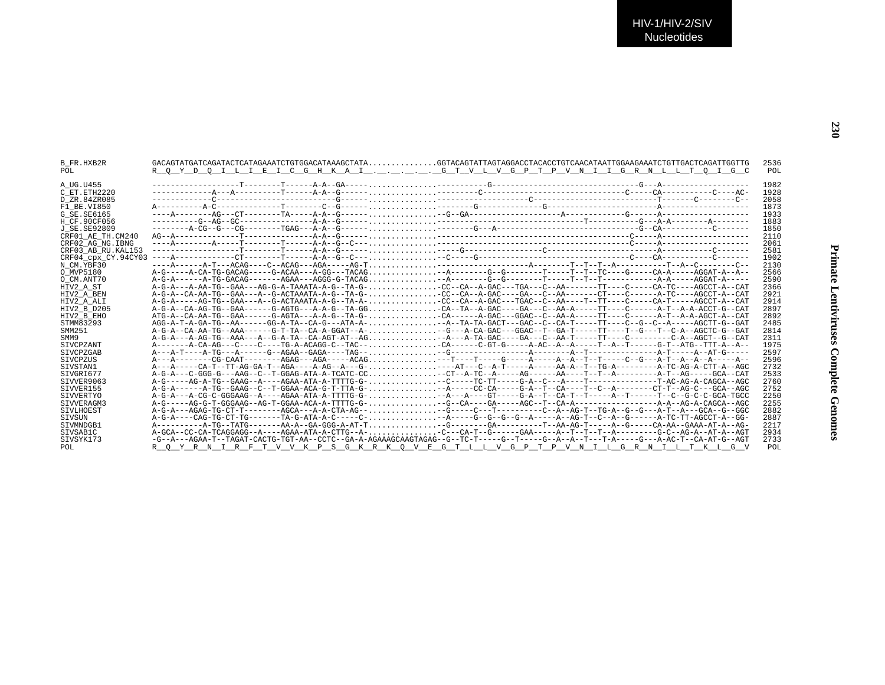|  | Primate Lendizizuses Complete Generations |
|--|-------------------------------------------|
|  |                                           |
|  |                                           |

| B FR.HXB2R          | $GACAGTATGATCAGATACTCATAGAAATCTGTGGACATAAAAGCTATA. GGTACAGTATTAGTAGGACCTACACCTGTCAACATAATTGGAAATCTGTTGACTCAGATTGGTTGGTTG$       | 2536 |  |
|---------------------|---------------------------------------------------------------------------------------------------------------------------------|------|--|
| POL                 | <u>R Q Y D Q I L I E I C G H K A I G T V L V G P T P V N I I G R N L L T Q I G C</u>                                            | POL  |  |
|                     |                                                                                                                                 |      |  |
| A UG.U455           |                                                                                                                                 | 1982 |  |
| C ET.ETH2220        |                                                                                                                                 | 1928 |  |
| D ZR.84ZR085        |                                                                                                                                 | 2058 |  |
| F1 BE.VI850         |                                                                                                                                 | 1873 |  |
| G SE.SE6165         |                                                                                                                                 | 1933 |  |
| H CF.90CF056        |                                                                                                                                 | 1883 |  |
| J SE.SE92809        |                                                                                                                                 | 1850 |  |
| CRF01 AE TH.CM240   |                                                                                                                                 | 2110 |  |
| CRF02 AG NG.IBNG    |                                                                                                                                 | 2061 |  |
| CRF03 AB RU.KAL153  |                                                                                                                                 | 2581 |  |
| CRF04 cpx CY.94CY03 |                                                                                                                                 | 1902 |  |
| N CM.YBF30          |                                                                                                                                 | 2130 |  |
| O MVP5180           |                                                                                                                                 | 2566 |  |
| O CM.ANT70          |                                                                                                                                 | 2590 |  |
| HIV2 A ST           |                                                                                                                                 | 2366 |  |
| HIV2 A BEN          | A-G-A--CA-AA-TG--GAA---A--G-ACTAAATA-A-G--TA-G-CC--CA--A-GAC----GA---C--AA-------CT-----A-TC----AGCCT-A--CAT                    | 2921 |  |
| HIV2 A ALI          | A-G-A-----AG-TG--GAA---A--G-ACTAAATA-A-G--TA-A-CC--CA--A-GAC---TGAC--C--AA----T--TT----C-----CA-T-----AGCCT-A--CAT              | 2914 |  |
| HIV2 B D205         |                                                                                                                                 | 2897 |  |
| HIV2 B EHO          |                                                                                                                                 | 2892 |  |
| STMM83293           | AGG-A-T-A-GA-TG--AA------GG-A-TA--CA-G---ATA-A--A--TA-GACT---GAC--C--CA-T-----TT----C--G--C--A-----AGCTT-G--GAT                 | 2485 |  |
| SMM251              | A-G-A-CA-AA-TG--AAA------G-T-TA--CA-A-GGAT--A--G---A-CA-GAC---GGAC--T--GA-T-----TT----T--G---T--C-A--AGCTC-G--GAT               | 2814 |  |
| SMM9                | A-G-A---A-AG-TG--AAA---A--G-A-TA--CA-AGT-AT--AG-A---A-GAC----GA---C--AA-T-----TT----C------C-A--AGCT--G-CAT                     | 2311 |  |
| SIVCPZANT           |                                                                                                                                 | 1975 |  |
| SIVCPZGAB           |                                                                                                                                 | 2597 |  |
| STVCPZUS            |                                                                                                                                 | 2596 |  |
| STVSTAN1            |                                                                                                                                 | 2732 |  |
| SIVGRI677           |                                                                                                                                 | 2533 |  |
| SIVVER9063          |                                                                                                                                 | 2760 |  |
| STVVER155           | A-G-A-------A-TG--GAAG--C--T-GGAA-ACA-G-T-TTA-G- --A-----CC-CA----G-A--T--CA---T--C--A-------CT-T--AG-C---GCA--AGC              | 2752 |  |
| SIVVERTYO           |                                                                                                                                 | 2250 |  |
| SIVVERAGM3          |                                                                                                                                 | 2255 |  |
| SIVLHOEST           |                                                                                                                                 | 2882 |  |
| SIVSUN              | A-G-A----CAG-TG-CT-TG-------TA-G-ATA-A-C-----C---A----G--G--G--A-----A--AG-T--C--A--G------A-TC-TT-AGCCT-A--GG-                 | 2887 |  |
| SIVMNDGB1           |                                                                                                                                 | 2217 |  |
| SIVSAB1C            | A-GCA--CC-CA-TCAGGAGG--A----AGAA-ATA-A-CTTG--A-C--CA-T--G-----GAA-----A--T--T--A--------G-C--AG-A--AT-A--AGT                    | 2934 |  |
| SIVSYK173           | -G--A---AGAA-T--TAGAT-CACTG-TGT-AA--CCTC--GA-A-AGAAAGCAAGTAGAG--G--TC-T----G--T-----G--A--A--T---T-A----G--A-AC-T--CA-AT-G--AGT | 2733 |  |
| POL                 | R O Y R N I R F T V V K P S G K R K O V E G T L L V G P T P V N I L G R N I L T K L G V                                         | POL  |  |
|                     |                                                                                                                                 |      |  |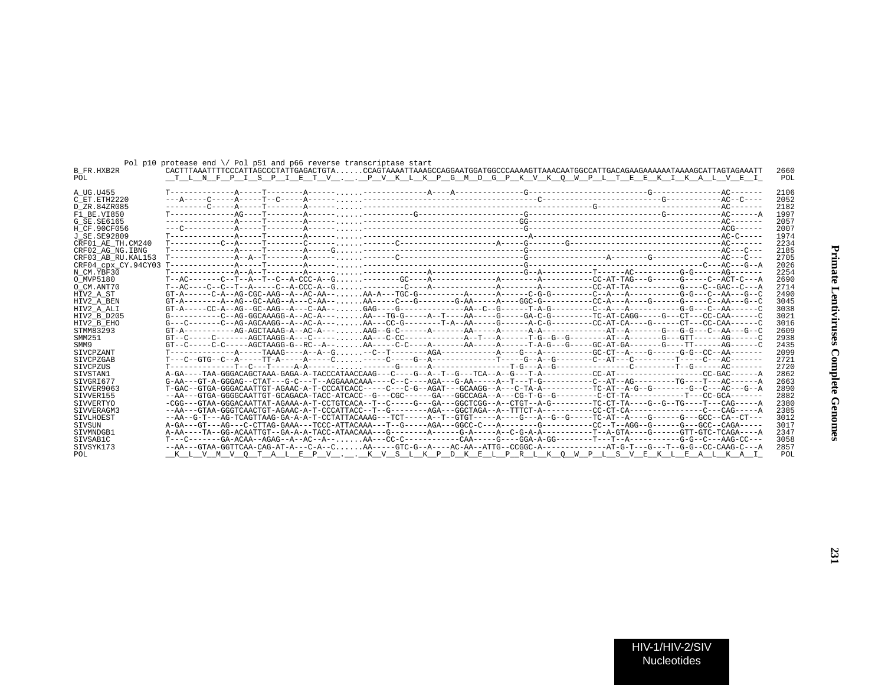|                    | Pol p10 protease end $\setminus$ Pol p51 and p66 reverse transcriptase start                                                            |  |      |
|--------------------|-----------------------------------------------------------------------------------------------------------------------------------------|--|------|
| B FR.HXB2R         | CACTTTAAATTTTCCCATTAGCCCTATTGAGACTGTACCAGTAAAATTAAAGCCAGGAATGGATGGCCCAAAAGTTAAACAATGGCCATTGACAGAAGAAAAAATAAAAGCATTAGTAGAAATT            |  | 2660 |
| POL                | <u>TLNFPISPIETVPVKLKPGMDGPKVKOWPL</u> TEEKIKALVEI                                                                                       |  | POL  |
|                    |                                                                                                                                         |  |      |
| A UG.U455          |                                                                                                                                         |  | 2106 |
| C ET ETH2220       |                                                                                                                                         |  | 2052 |
| D ZR.84ZR085       |                                                                                                                                         |  | 2182 |
| F1 BE.VI850        |                                                                                                                                         |  | 1997 |
| G SE.SE6165        |                                                                                                                                         |  | 2057 |
| H CF.90CF056       |                                                                                                                                         |  | 2007 |
| J SE.SE92809       |                                                                                                                                         |  | 1974 |
| CRF01 AE TH.CM240  |                                                                                                                                         |  | 2234 |
| CRF02 AG NG.IBNG   |                                                                                                                                         |  | 2185 |
| CRF03 AB RU.KAL153 |                                                                                                                                         |  | 2705 |
|                    |                                                                                                                                         |  | 2026 |
| N CM.YBF30         |                                                                                                                                         |  | 2254 |
| O MVP5180          |                                                                                                                                         |  | 2690 |
| O CM.ANT70         |                                                                                                                                         |  | 2714 |
| HIV2 A ST          |                                                                                                                                         |  | 2490 |
| HIV2 A BEN         |                                                                                                                                         |  | 3045 |
| HIV2 A ALI         |                                                                                                                                         |  | 3038 |
| HIV2 B D205        | $G$ ----------C--AG-GGCAAAGG-A--AC-A---AA---TG-G-----A--T---AA-----G-----GA-C-G--------TC-AT-CAGG-----G---CT---CC-CAA------C            |  | 3021 |
| HIV2 B EHO         | G---C-------C--AG-AGCAAGG--A--AC-A---AA---CC-G--------T-A--AA-----G------A-C-G--------CC-AT-CA----G------CT---CC-CAA------C             |  | 3016 |
| STMM83293          |                                                                                                                                         |  | 2609 |
| SMM251             |                                                                                                                                         |  | 2938 |
| SMM9               | $GT-c---C-C----AGCTAAGG-G--RC--A-- AA---C-C---A----CA---A----A---T-A-G---G---G---GCAT-GA----G---G---T---C---T---A-G---T---A$            |  | 2435 |
| SIVCPZANT          |                                                                                                                                         |  | 2099 |
| SIVCPZGAB          |                                                                                                                                         |  | 2721 |
| SIVCPZUS           |                                                                                                                                         |  | 2720 |
| SIVSTAN1           |                                                                                                                                         |  | 2862 |
| SIVGRI677          |                                                                                                                                         |  | 2663 |
| SIVVER9063         | T-GAC--GTGA-GGGACAATTGT-AGAAC-A-T-CCCATCACC-----C---C-G--AGAT---GCAAGG--A---C-TA-A---------TC-AT--A-G--G-------G--C---AC---G--AC---G--A |  | 2890 |
| SIVVER155          | --AA---GTGA-GGGGCAATTGT-GCAGACA-TACC-ATCACC--G---CGC------GA---GGCCAGA--A---CG-T-G--G--------C-CT-TA---------T---CC-GCA-------          |  | 2882 |
| SIVVERTYO          | -CGG---GTAA-GGGACAATTAT-AGAAA-A-T-CCTGTCACA--T--C-----G---GA---GGCTCGG--A--CTGT--A-G--------TC-CT-TA----G--G--TG---T---CAG-----A        |  | 2380 |
| SIVVERAGM3         |                                                                                                                                         |  | 2385 |
| SIVLHOEST          | --AA--G-T---AG-TCAGTTAAG-GA-A-A-T-CCTATTACAAAG---TCT-----A--T-GTGT-----A---G---A--G--G----TC-AT--A----G-----G--CCC--CA--CT---           |  | 3012 |
| SIVSUN             |                                                                                                                                         |  | 3017 |
| STVMNDGB1          |                                                                                                                                         |  | 2347 |
| SIVSAB1C           |                                                                                                                                         |  | 3058 |
| SIVSYK173          |                                                                                                                                         |  | 2857 |
| POL                | <u>KLVMVOTALEPVKVSLKPDKELPRLKOWPL</u> SVEKLEALKAI                                                                                       |  | POL  |
|                    |                                                                                                                                         |  |      |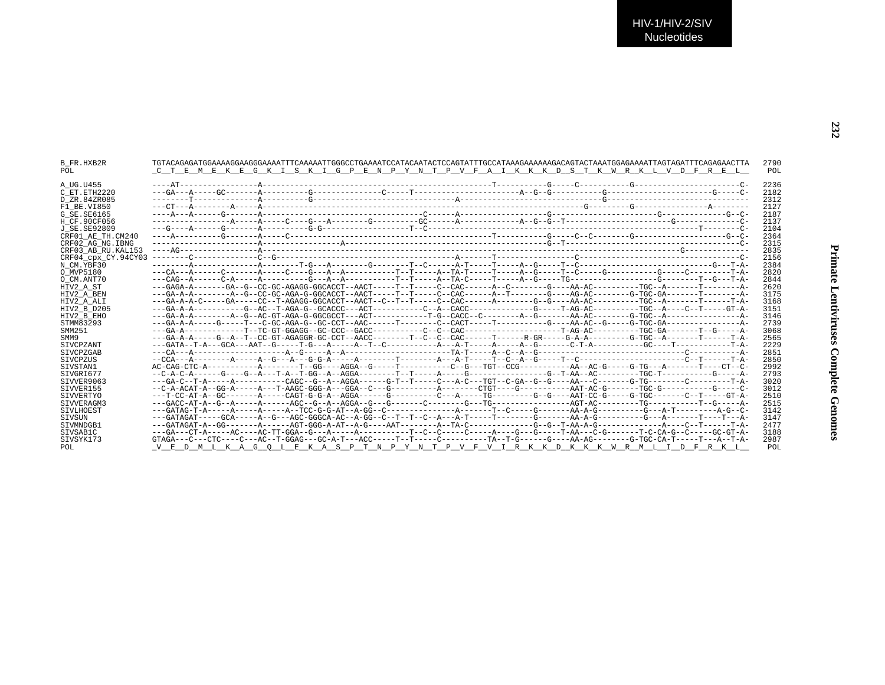| <b>B FR.HXB2R</b><br>POL. | C T E M E K E G K I S K I G P E N P Y N T P V F A I K K K D S T K W R K L V D F R E L                                               | 2790<br>POL |
|---------------------------|-------------------------------------------------------------------------------------------------------------------------------------|-------------|
|                           |                                                                                                                                     |             |
| A UG.U455                 |                                                                                                                                     | 2236        |
| C ET.ETH2220              |                                                                                                                                     | 2182        |
| D ZR.84ZR085              |                                                                                                                                     | 2312        |
| F1 BE.VI850               |                                                                                                                                     | 2127        |
| G SE.SE6165               |                                                                                                                                     | 2187        |
| H CF.90CF056              |                                                                                                                                     | 2137        |
| J SE.SE92809              |                                                                                                                                     | 2104        |
| CRF01 AE TH.CM240         |                                                                                                                                     | 2364        |
| CRF02 AG NG. IBNG         |                                                                                                                                     | 2315        |
| CRF03 AB RU. KAL153       |                                                                                                                                     | 2835        |
| CRF04 cpx CY.94CY03       |                                                                                                                                     | 2156        |
| N CM.YBF30                |                                                                                                                                     | 2384        |
| O MVP5180                 |                                                                                                                                     | 2820        |
| O CM.ANT70                |                                                                                                                                     | 2844        |
| HIV2 A ST                 |                                                                                                                                     | 2620        |
| HIV2 A BEN                | ---GA-A-A---------A--GC-GC-AGA-G-GGCACCT--AACT-----T---T---C--CAC------A--T-------G----AG-AC-------G-TGC-GA-------T------A-         | 3175        |
| HIV2 A ALI                |                                                                                                                                     | 3168        |
| HIV2 B D205               |                                                                                                                                     | 3151        |
| HIV2 B EHO                |                                                                                                                                     | 3146        |
| STMM83293                 |                                                                                                                                     | 2739        |
| SMM251                    |                                                                                                                                     | 3068        |
| SMM9                      |                                                                                                                                     | 2565        |
| SIVCPZANT                 |                                                                                                                                     | 2229        |
| SIVCPZGAB                 |                                                                                                                                     | 2851        |
| <b>STVCPZUS</b>           |                                                                                                                                     | 2850        |
| SIVSTAN1                  |                                                                                                                                     | 2992        |
| SIVGRI677                 |                                                                                                                                     | 2793        |
| SIVVER9063                | ---GA-C--T-A-----A---------CAGC--G--A--AGGA------G-T--T----C---A-C---TGT--C-GA--G--G---AA--C------G-TG-------C------C------TA-      | 3020        |
| SIVVER155                 |                                                                                                                                     | 3012        |
| <b>SIVVERTYO</b>          |                                                                                                                                     | 2510        |
| STVVERAGM3                |                                                                                                                                     | 2515        |
| <b>STVLHOEST</b>          |                                                                                                                                     | 3142        |
| SIVSUN                    | ---GATAGAT-----GCA-----A--G---AGC-GGGCA-AC--A-GG--C--T--T--C--A---A-T-----T------G----AA-A-G-------G-----G---A-----T----T----T---A- | 3147        |
|                           |                                                                                                                                     | 2477        |
| SIVMNDGB1                 | ---GA---CT-A-----AC----AC-TT-GGA--G---A-----A--------T--C--C----A-----A----G----T-AA---C-G------T-C-CA-G--C-----GC-GT-A-            | 3188        |
| SIVSAB1C                  |                                                                                                                                     |             |
| SIVSYK173                 |                                                                                                                                     | 2987        |
| POL                       | V E D M L K A G O L E K A S P T N P Y N T P V F V I R K K D K K K W R M L I D F R K L                                               | POL         |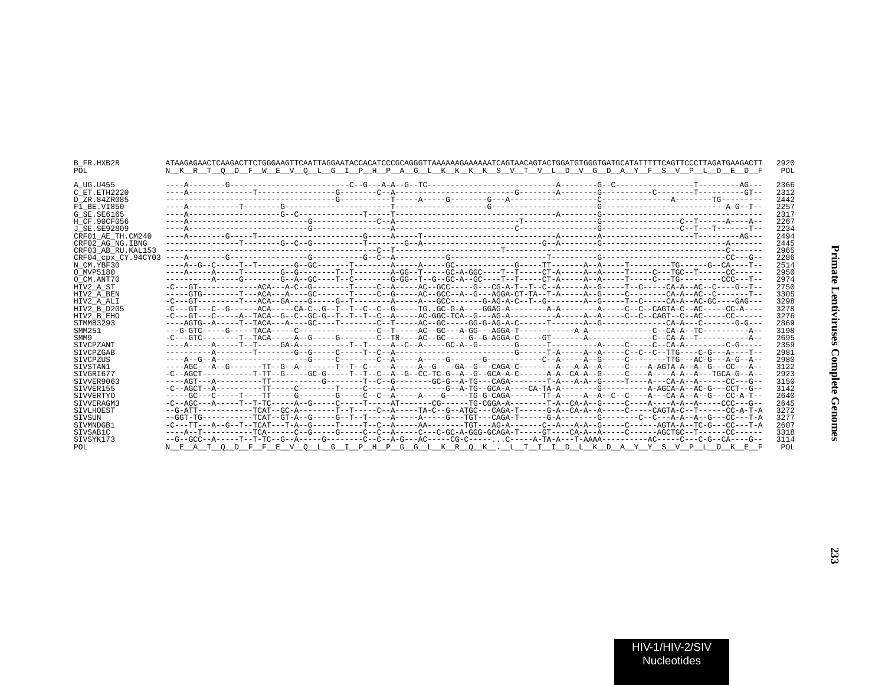| B FR.HXB2R<br>POL   | ATAAGAGAACTCAAGACTTCTGGGAAGTTCAATTAGGAATACCACATCCCGCAGGGTTAAAAAAGAAAAATCAGTAACAGTACTGGATGCGGTGATGCATATTTTTCAGTTCCCTTAGATGAAGACTT<br>N K R T O D F W E V O L G I P H P A G L K K K K S V T V L D V G D A Y F S V P L D E D F | 2920<br>POL |
|---------------------|-----------------------------------------------------------------------------------------------------------------------------------------------------------------------------------------------------------------------------|-------------|
| A UG.U455           |                                                                                                                                                                                                                             | 2366        |
| C ET. ETH2220       |                                                                                                                                                                                                                             | 2312        |
| D ZR.84ZR085        |                                                                                                                                                                                                                             | 2442        |
| F1 BE.VI850         |                                                                                                                                                                                                                             | 2257        |
| G SE. SE6165        |                                                                                                                                                                                                                             | 2317        |
| H CF.90CF056        |                                                                                                                                                                                                                             | 2267        |
| J SE. SE92809       |                                                                                                                                                                                                                             | 2234        |
| CRF01 AE TH.CM240   |                                                                                                                                                                                                                             | 2494        |
| CRF02 AG NG. IBNG   |                                                                                                                                                                                                                             | 2445        |
| CRF03 AB RU. KAL153 |                                                                                                                                                                                                                             | 2965        |
| CRF04 CDX CY.94CY03 |                                                                                                                                                                                                                             | 2286        |
| N CM.YBF30          |                                                                                                                                                                                                                             | 2514        |
| O MVP5180           | ----A-----A-----T--------G--G--------T--T-------A-GG--T-----GC-A-GGC----T------CT-A----A--A----T-----C---TGC--T-----CC------                                                                                                | 2950        |
| O CM.ANT70          | ----------A----G-------G-A-GC----T--C-------G-GG--T--G-GC-A-GC----T--T-----CT-A----A--A----T----C---TG--------CCC---T--                                                                                                     | 2974        |
| HIV2 A ST           | -C---GT------------ACA---A-C--G---------T-----C--A-----AC--GCC-----G---CG-A-T--T--C--A-----A--G--------CA-A--AC--C----G--T--                                                                                                | 2750        |
| HIV2 A BEN          | -----GTG--------T---ACA---A----GC---------C--G-----AC--GCC--A--G--AGGA-CT-TA--T-A-----A--G-----C-------CA-A--AC--C------T--                                                                                                 | 3305        |
| HIV2 A ALI          | -C---GT---------T---ACA--GA----G-----G--T--------A---G-CC-------G-AG-A-C--T--G--------A--G------CA-A--AC-GC----GAG--                                                                                                        | 3298        |
| HIV2 B D205         | -C---GT---C--G------ACA-----CA-C-.G--T--T--C--C--G-----TGGC-G-A----GGAG-A---------A-A-------A-----C--C-GAGTA-C--AC-----CC-A----                                                                                             | 3278        |
| HIV2 B EHO          |                                                                                                                                                                                                                             | 3276        |
| STMM83293           |                                                                                                                                                                                                                             | 2869        |
| SMM251              |                                                                                                                                                                                                                             | 3198        |
| SMM9                |                                                                                                                                                                                                                             | 2695        |
| <b>STVCPZANT</b>    |                                                                                                                                                                                                                             | 2359        |
| SIVCPZGAB           |                                                                                                                                                                                                                             | 2981        |
| SIVCPZUS            |                                                                                                                                                                                                                             | 2980        |
| SIVSTAN1            |                                                                                                                                                                                                                             | 3122        |
| STVGRT677           | -C--AGCT----------T-TT--G-----GC-G-----T--T--C--A--G--CC-TC-G--A--G--GCA-A-C------A-A--GA-A-G-----C----A----A-A--A---TGCA-G--A--                                                                                            | 2923        |
| SIVVER9063          |                                                                                                                                                                                                                             | 3150        |
| SIVVER155           |                                                                                                                                                                                                                             | 3142        |
| SIVVERTYO           | -----GC---C-----T-----T-----G-------G-----C--A-----A---G-----TG-G-CAGA-------TT-A----A--A--C--C----A--A--G---GC-A-T--                                                                                                       | 2640        |
| SIVVERAGM3          |                                                                                                                                                                                                                             | 2645        |
| SIVLHOEST           | --G-ATT-----------TCAT--GC-A--------T--T-----C--A-----TA-C--G--ATGC---CAGA-T------G-A--CA-A--A-----C-----CAGTA-C--T------CC-A-T-A                                                                                           | 3272        |
| SIVSUN              | --GGT-TG-----------TCAT--GT-A--G------G--T--T-----A-----A----G---TGT---CAGA-T------G-A-------G-------C--C---A-A--A--G---CC---T-A                                                                                            | 3277        |
| STVMNDGB1           | -C---TT---A--G--T--TCAT---T-A--G------T-----T--C--A-----AA-------TGT---AG-A-------C--A--A--G----C------AGTA-A--TC-G---CC---T-A                                                                                              | 2607        |
| SIVSAB1C            | ----A--T------------TCA------C--G------G-----C--C--A-----C--C-GC-A-GGG-GCAGA-T-----GT----CA-A--A-----C------AGCTGC--T------CC------                                                                                         | 3318        |
| SIVSYK173           |                                                                                                                                                                                                                             | 3114        |
| POL                 | N E A T O D F F E V O L G I P H P G G L K R O K . L T I I D L K D A Y Y S V P L D K E F                                                                                                                                     | POL         |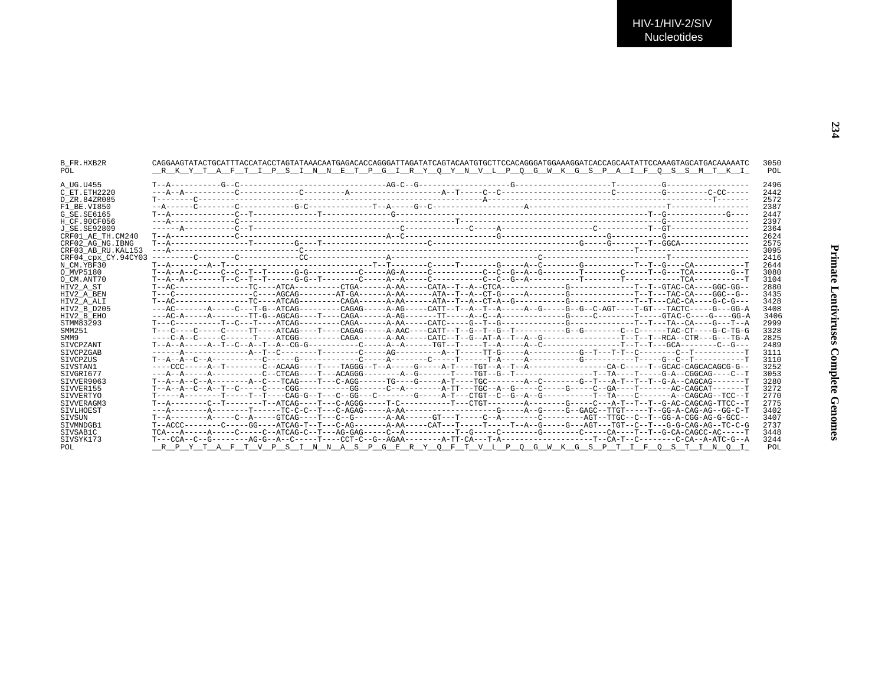| B FR.HXB2R<br>POL            |  | CAGGAAGTATACTGCATTTACCATACCTAGTATAACAATGAGACACCAGGGATTAGATATCAGTACAATGTGCTTCCACAGGGATGGAAAGGATCACCAACAATATTCCAAAGTAGCATGACAAAATC<br>RKYTAFTIP SIN NETP GIRY OYN VLP OG WKGSPAIF OSSMTKI | 3050<br>POL  |
|------------------------------|--|-----------------------------------------------------------------------------------------------------------------------------------------------------------------------------------------|--------------|
| A UG.U455                    |  |                                                                                                                                                                                         | 2496         |
| C ET.ETH2220<br>D ZR.84ZR085 |  |                                                                                                                                                                                         | 2442<br>2572 |
| F1 BE.VI850                  |  |                                                                                                                                                                                         | 2387         |
| G SE. SE6165                 |  |                                                                                                                                                                                         | 2447         |
| H CF.90CF056                 |  |                                                                                                                                                                                         | 2397         |
| J SE.SE92809                 |  |                                                                                                                                                                                         | 2364         |
| CRF01 AE TH.CM240            |  |                                                                                                                                                                                         | 2624         |
| CRF02 AG NG. IBNG            |  |                                                                                                                                                                                         | 2575         |
| CRF03 AB RU. KAL153          |  |                                                                                                                                                                                         | 3095         |
|                              |  |                                                                                                                                                                                         | 2416         |
| N CM.YBF30                   |  |                                                                                                                                                                                         | 2644         |
| O MVP5180                    |  | T--A--A--C-----C--C--T--T------G-G---------C-----AG-A-----C-------C--C--C--G--A--G------T-----C----T--G--TCA-------G-TCA                                                                | 3080         |
| O CM.ANT70                   |  |                                                                                                                                                                                         | 3104         |
| HIV2 A ST                    |  |                                                                                                                                                                                         | 2880         |
| HIV2 A BEN                   |  | T---C---------------C---AGCAG--------AT-GA------ATA--T--A--CT-G------A------G---------T--T--TAC-CA----GGC--G--                                                                          | 3435         |
| HIV2_A_ALI                   |  |                                                                                                                                                                                         | 3428         |
| HIV2 B D205                  |  |                                                                                                                                                                                         | 3408         |
| HIV2 B EHO<br>STMM83293      |  |                                                                                                                                                                                         | 3406<br>2999 |
| SMM251                       |  | T---C----C-----C-----TT----ATCAG----T----CAGAG-----A-AAC----CATT--T--G--T--C--T---------G--G-------C--C------TAC-CT----G-C-TG-G                                                         | 3328         |
| SMM9                         |  |                                                                                                                                                                                         | 2825         |
| SIVCPZANT                    |  |                                                                                                                                                                                         | 2489         |
| SIVCPZGAB                    |  |                                                                                                                                                                                         | 3111         |
| SIVCPZUS                     |  |                                                                                                                                                                                         | 3110         |
| STVSTAN1                     |  |                                                                                                                                                                                         | 3252         |
| SIVGRI677                    |  |                                                                                                                                                                                         | 3053         |
| SIVVER9063                   |  | T--A--A--C--A--------A--C---TCAG----T---C-AGG------TG----A-T----TGC--------A--C-------G--T---A-T--T--T--G-A-CAGCAG-------T                                                              | 3280         |
| STVVER155                    |  |                                                                                                                                                                                         | 3272         |
| <b>SIVVERTYO</b>             |  | T-----A---------T----T---CAG-G--T---C--GG---C--------G----A-T---CTGT--C--G--A--G---------T--TA----C-------A-CAGCAG--TCC--T                                                              | 2770         |
| SIVVERAGM3                   |  |                                                                                                                                                                                         | 2775         |
| SIVLHOEST                    |  |                                                                                                                                                                                         | 3402         |
| SIVSUN                       |  |                                                                                                                                                                                         | 3407         |
| SIVMNDGB1                    |  |                                                                                                                                                                                         | 2737         |
| SIVSAB1C                     |  |                                                                                                                                                                                         | 3448         |
| SIVSYK173                    |  |                                                                                                                                                                                         | 3244         |
| POL                          |  | RPYTAFTVPSINNASPGERY OFTVLPOGWKGSPTIFOSTINOI                                                                                                                                            | POL          |
|                              |  |                                                                                                                                                                                         |              |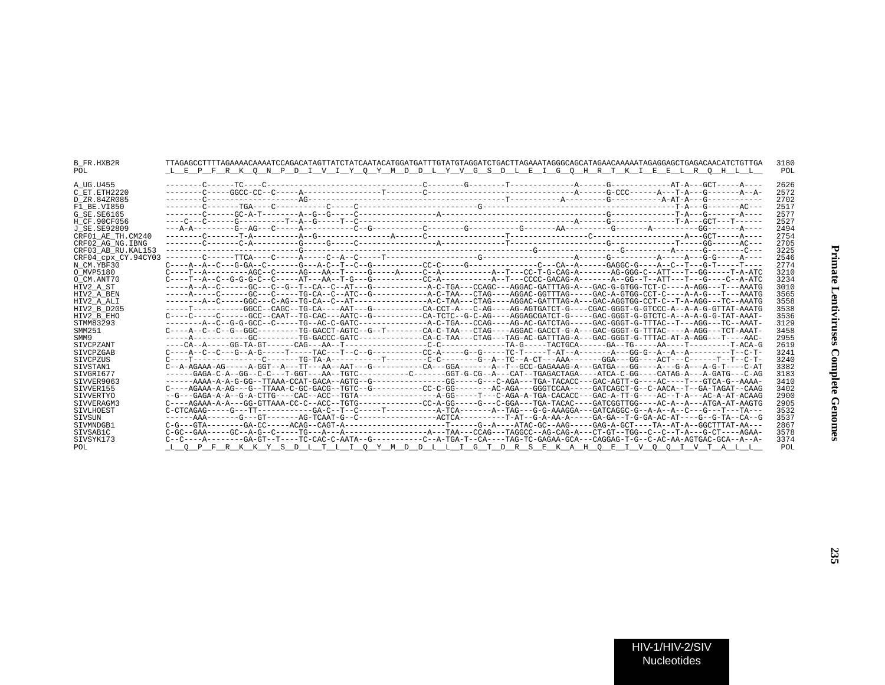| <b>B FR.HXB2R</b>   |                                                                                                                                                                                                                                                                                                                                                                                                                    | 3180 |
|---------------------|--------------------------------------------------------------------------------------------------------------------------------------------------------------------------------------------------------------------------------------------------------------------------------------------------------------------------------------------------------------------------------------------------------------------|------|
| POL                 | L E P F R K O N P D I V I Y O Y M D D L Y V G S D L E I G O H R T K I E E L R O H L L                                                                                                                                                                                                                                                                                                                              | POL  |
|                     |                                                                                                                                                                                                                                                                                                                                                                                                                    |      |
| A UG.U455           |                                                                                                                                                                                                                                                                                                                                                                                                                    | 2626 |
| C ET.ETH2220        |                                                                                                                                                                                                                                                                                                                                                                                                                    | 2572 |
| D ZR.84ZR085        |                                                                                                                                                                                                                                                                                                                                                                                                                    | 2702 |
| F1 BE.VI850         |                                                                                                                                                                                                                                                                                                                                                                                                                    | 2517 |
| G SE. SE6165        |                                                                                                                                                                                                                                                                                                                                                                                                                    | 2577 |
| H CF.90CF056        |                                                                                                                                                                                                                                                                                                                                                                                                                    | 2527 |
| J SE. SE92809       |                                                                                                                                                                                                                                                                                                                                                                                                                    | 2494 |
| CRF01 AE TH.CM240   |                                                                                                                                                                                                                                                                                                                                                                                                                    | 2754 |
| CRF02 AG NG. IBNG   |                                                                                                                                                                                                                                                                                                                                                                                                                    | 2705 |
| CRF03 AB RU. KAL153 |                                                                                                                                                                                                                                                                                                                                                                                                                    | 3225 |
| CRF04 cpx CY.94CY03 |                                                                                                                                                                                                                                                                                                                                                                                                                    | 2546 |
| N CM.YBF30          |                                                                                                                                                                                                                                                                                                                                                                                                                    | 2774 |
| O MVP5180           |                                                                                                                                                                                                                                                                                                                                                                                                                    | 3210 |
| O CM.ANT70          |                                                                                                                                                                                                                                                                                                                                                                                                                    | 3234 |
| HIV2 A ST           |                                                                                                                                                                                                                                                                                                                                                                                                                    | 3010 |
| HIV2 A BEN          |                                                                                                                                                                                                                                                                                                                                                                                                                    | 3565 |
| HIV2 A ALI          |                                                                                                                                                                                                                                                                                                                                                                                                                    | 3558 |
| HIV2 B D205         |                                                                                                                                                                                                                                                                                                                                                                                                                    | 3538 |
| HIV2 B EHO          | C----C-----C-----GCC--CAAT--TG-CAC---AATC--G---------CG-TCTC--G-C-AG----AGGAGCGATCT-G-----GAC-GGGT-G-GTCTC-A--A-A-G-G-TAT-AAAT-                                                                                                                                                                                                                                                                                    | 3536 |
| STMM83293           |                                                                                                                                                                                                                                                                                                                                                                                                                    | 3129 |
| SMM251              | C----A--C--G--GGC---------TG-GACCT-AGTC--G--T-------CA-C-TAA---CTAG----AGGAC-GACCT-G-A---GAC-GGGT-G-TTTAC----A-AGG---TCT-AAAT-                                                                                                                                                                                                                                                                                     | 3458 |
| SMM9                |                                                                                                                                                                                                                                                                                                                                                                                                                    | 2955 |
| SIVCPZANT           |                                                                                                                                                                                                                                                                                                                                                                                                                    | 2619 |
| SIVCPZGAB           |                                                                                                                                                                                                                                                                                                                                                                                                                    | 3241 |
| <b>STVCPZUS</b>     |                                                                                                                                                                                                                                                                                                                                                                                                                    | 3240 |
| SIVSTAN1            | $C--A-AGAAA-AG----A-GGT--A---TT---AA--AAT---G---G---CA---GGA-----A--T--GCC-GAGAAAG-A---GATGA---GG---A---G--A---A-G-T---A-G-T---C-AT$                                                                                                                                                                                                                                                                               | 3382 |
| SIVGRI677           | ------GAGA-C-A--GG--C-C---T-GGT---AA--TGTC---------C------GGT-G-CG--A---CAT--TGAGACTAGA----ATCA-C-GG----CATAG-A---A-GATG---C-AG                                                                                                                                                                                                                                                                                    | 3183 |
| STVVER9063          |                                                                                                                                                                                                                                                                                                                                                                                                                    | 3410 |
| SIVVER155           | C----AGAAA-A-AG---G--TTAAA-C-GC-GACG--TGTC--G---------CC-C-GG-------AC-AGA---GGGTCCAA-----GATCAGCT-G--C-AACA--T--GA-TAGAT--CAAG                                                                                                                                                                                                                                                                                    | 3402 |
| SIVVERTYO           |                                                                                                                                                                                                                                                                                                                                                                                                                    | 2900 |
| SIVVERAGM3          | $C----AGAAA-A---GG-GTTAAA-CC---ACC--TGTG----TGTG------------CC-A-GG-------G----GGA---TACAC----GATCGGTTGG----AC-A--A---ATGAA-AT-AAGTG$                                                                                                                                                                                                                                                                              | 2905 |
| SIVLHOEST           |                                                                                                                                                                                                                                                                                                                                                                                                                    | 3532 |
| SIVSUN              |                                                                                                                                                                                                                                                                                                                                                                                                                    | 3537 |
| STVMNDGB1           |                                                                                                                                                                                                                                                                                                                                                                                                                    | 2867 |
| SIVSAB1C            |                                                                                                                                                                                                                                                                                                                                                                                                                    | 3578 |
| SIVSYK173           | $C--C---A---A---GA-GT--T---TC-CAC-C-AATA--G---A---C-A-TGA-T-CA---TAG-TC-GAGAA-GCA---CAGGAG-T-G--C-A-A-AGTGAC-GCA--A--AGTGA-CCA-A-AGTGA-CT-A-A-CTGA-CCA-A-A-CTGA-C-A-A-A-CTGA-C-A-A-CTAA-A-CTGA-C-A-A-CTAA-C-A-A-A-CTGA-C-A-A-A-CTGA-C-A-A-CTAA-C-A-A-CTAA-C-A-A-CTAA-C-A-A-CTAA-C-A-A-CTAA-C-A-A-CTAA-C-A-A-CTAA-C-A-A-CTAA-C-A-A-CTAA-C-A-A-CTAA-C-A-A-CTAA-C-A-A-CTAA-C-A-A-CTAA-C-A-A-CTAA-C-A-A-CTAA-C-A-A-CT$ | 3374 |
| POL                 | L O P F R K K Y S D L T L I O Y M D D L L I G T D R S E K A H O E I V O O I V T A L L                                                                                                                                                                                                                                                                                                                              | POL  |
|                     |                                                                                                                                                                                                                                                                                                                                                                                                                    |      |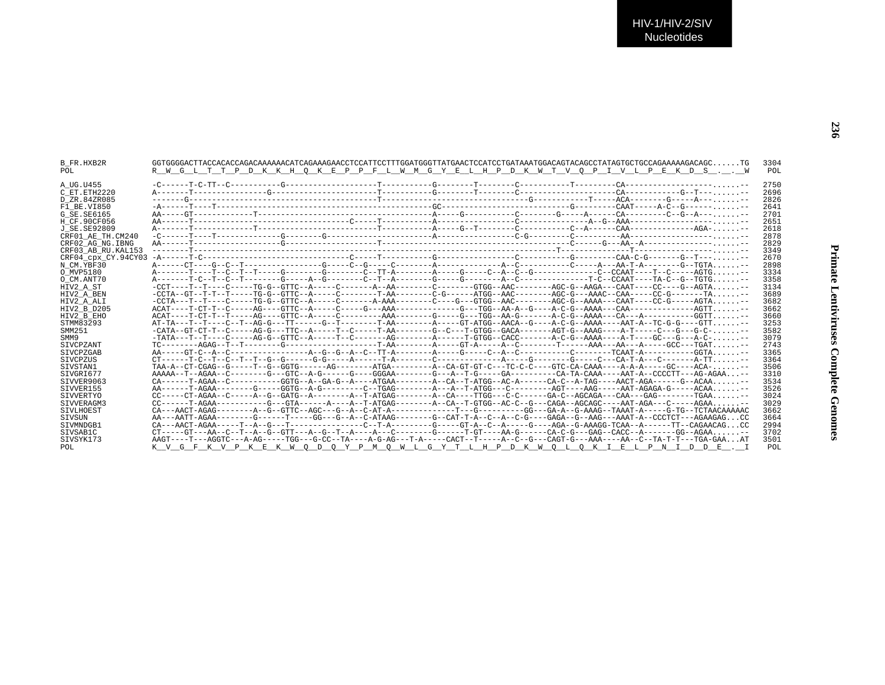| B FR.HXB2R<br>POL   | $GGTGGGAGCTTACCACACACAGACAAAAAACATCAGAAAGAAACCTCCATTCCTTTGGATGGGTTATGACTCCCTGATCCTGATAAATGGAAGCTACAGTACAGCCTATAGTGGCTGTCAGAAAAAGACAGC. TG$<br>R W G L T T P D K K H O K E P P F L W M G Y E L H P D K W T V O P I V L P E K D S W |  | 3304<br>POL |
|---------------------|-----------------------------------------------------------------------------------------------------------------------------------------------------------------------------------------------------------------------------------|--|-------------|
| A UG.U455           |                                                                                                                                                                                                                                   |  | 2750        |
| C ET.ETH2220        |                                                                                                                                                                                                                                   |  | 2696        |
| D ZR.84ZR085        |                                                                                                                                                                                                                                   |  | 2826        |
| F1 BE.VI850         |                                                                                                                                                                                                                                   |  | 2641        |
| G SE.SE6165         |                                                                                                                                                                                                                                   |  | 2701        |
| H CF.90CF056        |                                                                                                                                                                                                                                   |  | 2651        |
| J SE. SE92809       |                                                                                                                                                                                                                                   |  | 2618        |
| CRF01 AE TH.CM240   |                                                                                                                                                                                                                                   |  | 2878        |
| CRF02 AG NG. IBNG   |                                                                                                                                                                                                                                   |  | 2829        |
| CRF03 AB RU. KAL153 |                                                                                                                                                                                                                                   |  | 3349        |
| CRF04 CDX CY.94CY03 |                                                                                                                                                                                                                                   |  | 2670        |
| N CM.YBF30          |                                                                                                                                                                                                                                   |  | 2898        |
| O MVP5180           |                                                                                                                                                                                                                                   |  | 3334        |
| O CM.ANT70          | A-------T-C--T-C--T--------G-----A--G-------C--T--A-------G------G------A--C------A--C------T-C--CCAAT----TA-C--G--TGTG--                                                                                                         |  | 3358        |
| HIV2 A ST           |                                                                                                                                                                                                                                   |  | 3134        |
| HIV2 A BEN          | -CCTA--GT--T--T----TG-G--GTTC--A-----C-------T-AA------CG------ATGG--AAC-------AGC-G---AAAC--CAA-----CC-G------TA                                                                                                                 |  | 3689        |
| HIV2 A ALI          | -CCTA---T--T---C----TG-G--GTTC--A-----C-------A-AAA-------C----G---GTGG--AAC--------AGC-G--AAAA---CAAT---CC-G-----AGTA                                                                                                            |  | 3682        |
| HIV2 B D205         |                                                                                                                                                                                                                                   |  | 3662        |
| HIV2 B EHO          |                                                                                                                                                                                                                                   |  | 3660        |
| STMM83293           | AT-TA---T--T---C--T--AG-G---TT------G--T-------T-AA------AA-----G-C-GT-ATGG--AACA--G----A-C-G--AAAA----AAT-A--TC-G-G---GTT--                                                                                                      |  | 3253        |
| SMM251              | -CATA--GT-CT-T--C-----AG-G---TTC--A-----T--C-----T-AA-------G--C---T-GTGG--GACA------AGT-G--AAAG----A-T-----C---G-C-C---                                                                                                          |  | 3582        |
| SMM9                | -TATA---T---T----C----AG-G--GTTC--A-----T--C-------AG-------A-----T-GTGG--CACC-------A-C-G--AAAA----A-T----GC---G---A-C-,,,,,,                                                                                                    |  | 3079        |
| <b>STVCPZANT</b>    | $TC------AGAG---T---T---G------T------T-AA-----T---A---GT--A---T---A--C------T---A-AA---AA---AA---AA---A---A---GCC---TGAT---T---A---G=0.$                                                                                         |  | 2743        |
| <b>STVCPZGAB</b>    |                                                                                                                                                                                                                                   |  | 3365        |
| SIVCPZUS            |                                                                                                                                                                                                                                   |  | 3364        |
| SIVSTAN1            |                                                                                                                                                                                                                                   |  | 3506        |
| SIVGRI677           |                                                                                                                                                                                                                                   |  | 3310        |
| SIVVER9063          |                                                                                                                                                                                                                                   |  | 3534        |
| STVVER155           |                                                                                                                                                                                                                                   |  | 3526        |
| SIVVERTYO           |                                                                                                                                                                                                                                   |  | 3024        |
| STVVERAGM3          |                                                                                                                                                                                                                                   |  | 3029        |
| <b>STVLHOEST</b>    |                                                                                                                                                                                                                                   |  | 3662        |
| SIVSUN              |                                                                                                                                                                                                                                   |  | 3664        |
| STVMNDGB1           |                                                                                                                                                                                                                                   |  | 2994        |
| SIVSAB1C            |                                                                                                                                                                                                                                   |  | 3702        |
| SIVSYK173           | AAGT----T---AGGTC---A-AG-----TGG---G-CC--TA----A-G-AG---T-A-----CACT--T----A--C-G--G--CAGT-G---AAA----AA--C--TA-T-T---TGA-GAAAT                                                                                                   |  | 3501        |
| POL                 | K V G F K V P K E K W O D O Y P M O W L G Y T L H P D K W O L O K I E L P N I D D E . I                                                                                                                                           |  | POL         |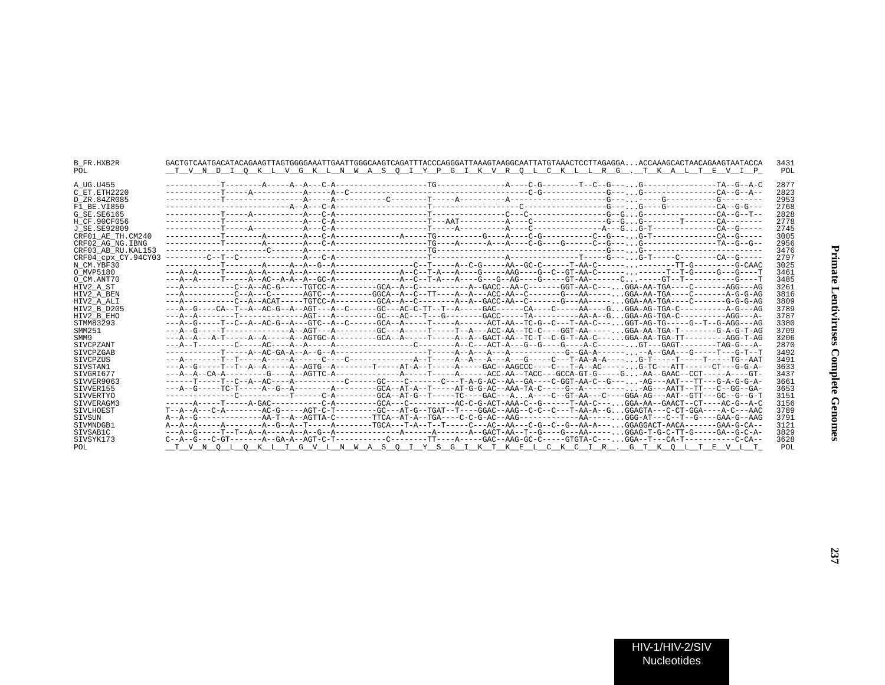| B FR.HXB2R<br>POL   | GACTGTCAATGACATACAGAAGTTAGTGGGGAAATTGAATTGGCCAAGTCAGATTTACCCAGGGATTAAAGTAAGGCAATTATGTAAACTCCTTAGAGGAACCAAAGCACTAACAGAAGTAATACCA<br>T V N D I O K L V G K L N W A S O I Y P G I K V R O L C K L L R G . T K A L T E V I P | 3431<br>POL |
|---------------------|--------------------------------------------------------------------------------------------------------------------------------------------------------------------------------------------------------------------------|-------------|
| A UG.U455           |                                                                                                                                                                                                                          | 2877        |
| C ET. ETH2220       |                                                                                                                                                                                                                          | 2823        |
| D ZR.84ZR085        |                                                                                                                                                                                                                          | 2953        |
| F1 BE.VI850         |                                                                                                                                                                                                                          | 2768        |
| G SE. SE6165        |                                                                                                                                                                                                                          | 2828        |
| H CF.90CF056        |                                                                                                                                                                                                                          | 2778        |
| J SE. SE92809       |                                                                                                                                                                                                                          | 2745        |
| CRF01 AE TH. CM240  |                                                                                                                                                                                                                          | 3005        |
| CRF02_AG_NG.IBNG    |                                                                                                                                                                                                                          | 2956        |
| CRF03 AB RU. KAL153 |                                                                                                                                                                                                                          | 3476        |
| CRF04 cpx CY.94CY03 |                                                                                                                                                                                                                          | 2797        |
| N CM.YBF30          |                                                                                                                                                                                                                          | 3025        |
| O MVP5180           |                                                                                                                                                                                                                          | 3461        |
| O CM.ANT70          |                                                                                                                                                                                                                          | 3485        |
| HIV2_A_ST           |                                                                                                                                                                                                                          | 3261        |
| HIV2 A BEN          | --A--------C--A-----AGTC--A-------GGCA--A--C--TT---A--A--A--C-AA--C------GC-AA--C------G--AA-----C--AA-TGA-AA-TGA----C-------A-G-G-AG                                                                                    | 3816        |
| HIV2 A ALI          | ---A----------C--A--ACAT-----TGTCC-A---------GCA--A--C-------A--GACC-AA--C-------G---AA-----. .GGA-AA-TGA----C-------G-G-G-AG                                                                                            | 3809        |
| HIV2 B D205         | ---A--G----CA--T--A--AC-G--A--AGT---A--C------GC---AC-C-TT--T--A------GAC------CA----C-----AA----GGGA-AG-TGA-C------------A-G---AG                                                                                       | 3789        |
| HIV2 B EHO          |                                                                                                                                                                                                                          | 3787        |
| STMM83293           |                                                                                                                                                                                                                          | 3380        |
| SMM251              |                                                                                                                                                                                                                          | 3709        |
| SMM9                | ---A--A--A-T-----A--A----A--AGTGC-A--------GCA--A-----T----A--A--GACT-AA--TC-T--C-G-T-AA-C---GGA-AA-TGA-TT---------AGG-T-AG                                                                                              | 3206        |
| SIVCPZANT           |                                                                                                                                                                                                                          | 2870        |
| SIVCPZGAB           |                                                                                                                                                                                                                          | 3492        |
| <b>STVCPZUS</b>     |                                                                                                                                                                                                                          | 3491        |
| SIVSTAN1            |                                                                                                                                                                                                                          | 3633        |
| SIVGRI677           |                                                                                                                                                                                                                          | 3437        |
| STVVER9063          |                                                                                                                                                                                                                          | 3661        |
| SIVVER155           | ---A--G-----TC-T-----A--G--A--------A-------GCA--AT-A--T-----AT-G-G-AC--AAA-TA-C-----G--A--------- -AG---AATT--TT---C--GG--GA-                                                                                           | 3653        |
| <b>SIVVERTYO</b>    |                                                                                                                                                                                                                          | 3151        |
| SIVVERAGM3          |                                                                                                                                                                                                                          | 3156        |
| SIVLHOEST           | T--A--A---C-A--------AC-G-----AGT-C-T--------GC---AT-G--TGAT--T----GGAC--AAG--C-C--C--T-AA-A--GGGAGTA---C-CT-GGA----A-C----AAC                                                                                           | 3789        |
| <b>STVSUN</b>       |                                                                                                                                                                                                                          | 3791        |
| SIVMNDGB1           | A--A--A-----A------A-G-A-T----A------TGCA---T-A--T----C---AC--AA---C-G--C--AA-A---,GGAGGACT-AACA-------GAA-G-CA--                                                                                                        | 3121        |
| SIVSAB1C            |                                                                                                                                                                                                                          | 3829        |
| SIVSYK173           |                                                                                                                                                                                                                          | 3628        |
| POL                 | T V N O L O K L I G V L N W A S O I Y S G I K T K E L C K C I R . G T K O L T E V L T                                                                                                                                    | POL         |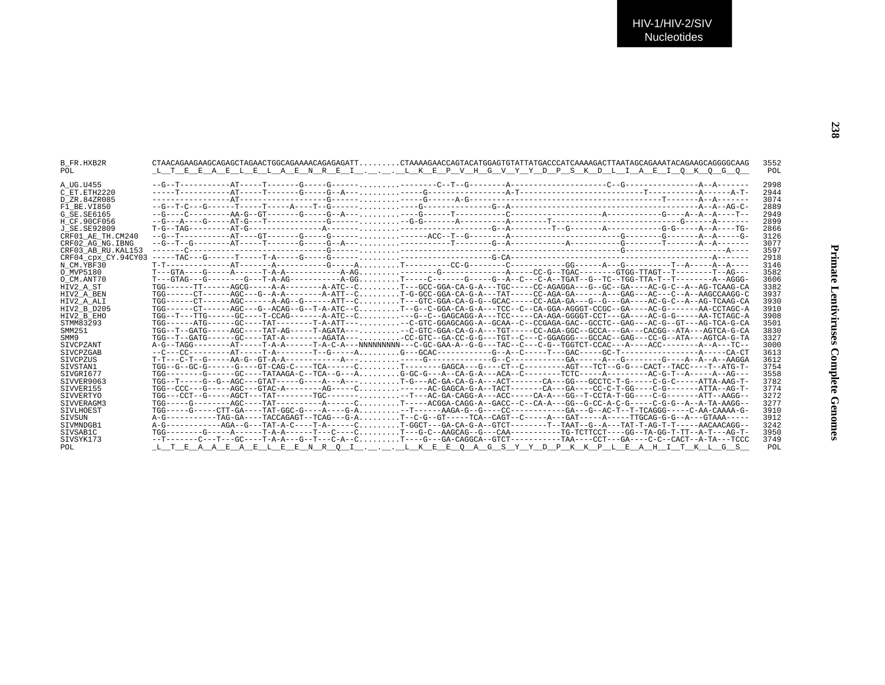| B FR.HXB2R<br>POL   | CTAACAGAAGAAGCAGAGCTAGAAACGGCAGAAAAACAGAGAGATTCTAAAAGAACCAGTACTATGGAGTCTATGACCCATCAAAAGACTTAATAGCAGAAATACAGAGGGGGAAGGGGCAAG<br>L T E E A E L E L A E N R E I L K E P V H G V Y Y D P S K D L I A E I O K O G O | 3552<br>POL |
|---------------------|----------------------------------------------------------------------------------------------------------------------------------------------------------------------------------------------------------------|-------------|
| A UG.U455           |                                                                                                                                                                                                                | 2998        |
| C ET. ETH2220       |                                                                                                                                                                                                                | 2944        |
| D ZR.84ZR085        |                                                                                                                                                                                                                | 3074        |
| F1 BE.VI850         |                                                                                                                                                                                                                | 2889        |
| G SE.SE6165         |                                                                                                                                                                                                                | 2949        |
| H CF.90CF056        |                                                                                                                                                                                                                | 2899        |
| J SE. SE92809       |                                                                                                                                                                                                                | 2866        |
| CRF01 AE TH.CM240   |                                                                                                                                                                                                                | 3126        |
| CRF02 AG NG. IBNG   |                                                                                                                                                                                                                | 3077        |
| CRF03 AB RU. KAL153 |                                                                                                                                                                                                                | 3597        |
| CRF04 cpx CY.94CY03 |                                                                                                                                                                                                                | 2918        |
| N CM.YBF30          |                                                                                                                                                                                                                | 3146        |
| O MVP5180           |                                                                                                                                                                                                                | 3582        |
| O CM.ANT70          |                                                                                                                                                                                                                | 3606        |
| HIV2 A ST           | TGG------TT------AGCG-----A-A---------A-ATC--CT---GCC-GGA-CA-G-A---TGC----CC-AGAGGA---G--GC--GA----AC-G-C--A--AG-TCAAG-CA                                                                                      | 3382        |
| HIV2 A BEN          | TGG------CT------AGC---G--A-A--------A-ATT--CT-G-GCC-GGA-CA-G-A---TAT-----CC-AGA-GA------A---GAG---AC---C--A--AAGCCAAGG-C                                                                                      | 3937        |
| HIV2 A ALI          | TGG------CT------AGC------A-AG--G------ATT--CT--GTC-GGA-CA-G-G--GCAC-----CC-AGA-GA---G--G---GA----AC-G-C--A--AG-TCAAG-CA                                                                                       | 3930        |
| HIV2 B D205         | TGG------CT-----AGC---G--ACAG--G--T-A-ATC--CT--G--C-GGA-CA-G-A---TCC--C--CA-GGA-AGGGT-CCGC--GA----AC-G-------AA-CCTAGC-A                                                                                       | 3910        |
| HIV2 B EHO          | TGG--T---TTG------GC----T-CCAG--------A-ATC--C---G--C--GAGCAGG-A---TCC------CA-AGA-GGGGT-CCT---GA----AC-G-G-G-----AA-TCTAGC-A                                                                                  | 3908        |
| STMM83293           | TGG------ATG------GC----TAT--------T-A-ATT---,,,,,,,,-C-GTC-GGAGCAGG-A--GCAA--C--CCGAGA-GAC--GCCTC--GAG---AC-G--GT---AG-TCA-G-CA                                                                               | 3501        |
| SMM251              | TGG--T--GATG-----AGC----TAT-AG-----T-AGATA----C-GTC-GGA-CA-G-A---TGT----CC-AGA-GGC--GCCA---GA---CACGG--ATA---AGTCA-G-CA                                                                                        | 3830        |
| SMM9                | TGG--T--GATG------GC----TAT-A--------AGATA----CC-GTC--GA-CC-G-G---TGT--C---C-GGAGGG---GCCAC--GAG---CC-G--ATA---AGTCA-G-TA                                                                                      | 3327        |
| SIVCPZANT           |                                                                                                                                                                                                                | 3000        |
| SIVCPZGAB           |                                                                                                                                                                                                                | 3613        |
| <b>STVCPZUS</b>     |                                                                                                                                                                                                                | 3612        |
| SIVSTAN1            | TGG--G--GC-G------GT---GT-CAG-C----TCA------CT------GAGCA---G----CT--C------AGT---TCT--G-G---CACT--TACC----T--ATG-T-                                                                                           | 3754        |
| SIVGRI677           |                                                                                                                                                                                                                | 3558        |
| STVVER9063          | TGG--T-----G--G--AGC---GTAT-----G----A---A---- T-G---AC-GA-CA-G-A---ACT------CA---GG---GCCTC-T-G----C-G-C-----ATTA-AAG-T-                                                                                      | 3782        |
| SIVVER155           | TGG--CCC---G-----AGC---GTAC-A--------AG-----C------AC-GAGCA-G-A--TACT-------CA---GA----CC-C-T-GG----C-G------ATTA--AG-T-                                                                                       | 3774        |
| SIVVERTYO           | TGG---CCT--G-----AGCT---TAT-------TGC---------T---AC-GA-CAGG-A---ACC-----CA-A---GG--T-CCTA-T-GG----C-G------ATT--AAGG--                                                                                        | 3272        |
| SIVVERAGM3          | TGG-----G-------AGC----TAT---------A-----CT----ACGGA-CAGG-A--GACC--C--CA-A---GG--G-CC-A-C-G-----C-G-G--A--A-TA-AAGG--                                                                                          | 3277        |
| <b>STVLHOEST</b>    | TGG-----G----CTT-GA----TAT-GGC-G----A----G-A --T-----AQGA-G--G-----CC---------GA--AC-T--T-TCAGGG-----C-AA-CAAAA-G-                                                                                             | 3910        |
| SIVSUN              |                                                                                                                                                                                                                | 3912        |
| SIVMNDGB1           | A-G------------AGA--G---TAT-A-C----T-A------CT-GGCT---GA-CA-G-A--GTCT--------TAT-TG--A---TAT-T-AG-T-T-----AACAACAGG--                                                                                          | 3242        |
| SIVSAB1C            | TGG--------G-----A------T-A-A------T---C----CT---G-C--AAGCAG--G---CAA----------TG-TCTTCCT---GG--TA-GG-T-TT--A-T---AG-T-                                                                                        | 3950        |
| SIVSYK173           | --T-------C---T---GC----T-A-A---G--T---C-A--CT---G---GA-CAGGCA--GTCT----------TAA----CCT--GA----C-C--CACT--A-TA---TCCC                                                                                         | 3749        |
| POL                 | L T E A A E A E L E E N R O I L K E E O A G S Y Y D P K K P L E A H I T K L G S                                                                                                                                | POL         |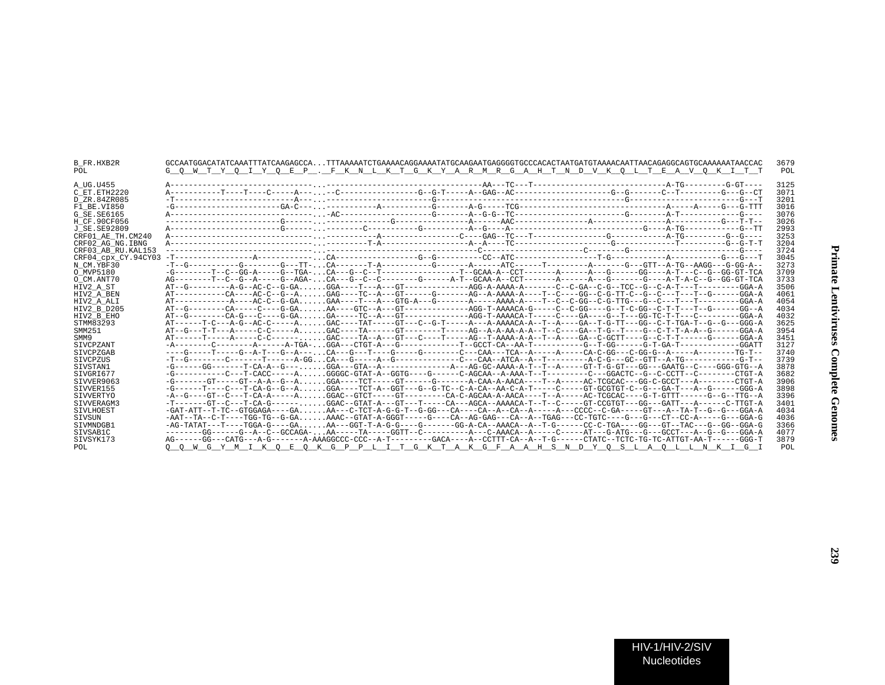| B FR.HXB2R<br>POL.  | GCCAATGGACATATCAAATTTATCAAGAGCCATTTAAAAATCTGAAAACAGGAAAATATGCAAGAATGAGGGTGCCCACACTAATGATGTAAAACAATTAACAGAGGCAGTGCAAAAAATAACCAC<br>G O W T Y O I Y O E P . F K N L K T G K Y A R M R G A H T N D V K O L T E A V O K I T T | 3679<br>POL |
|---------------------|---------------------------------------------------------------------------------------------------------------------------------------------------------------------------------------------------------------------------|-------------|
| A UG.U455           |                                                                                                                                                                                                                           | 3125        |
| C ET.ETH2220        |                                                                                                                                                                                                                           | 3071        |
| D_ZR.84ZR085        |                                                                                                                                                                                                                           | 3201        |
| F1 BE VI850         |                                                                                                                                                                                                                           | 3016        |
| G SE.SE6165         |                                                                                                                                                                                                                           | 3076        |
| H CF.90CF056        |                                                                                                                                                                                                                           | 3026        |
| J SE.SE92809        |                                                                                                                                                                                                                           | 2993        |
| CRF01 AE TH.CM240   |                                                                                                                                                                                                                           | 3253        |
| CRF02 AG NG. IBNG   |                                                                                                                                                                                                                           | 3204        |
| CRF03 AB RU. KAL153 |                                                                                                                                                                                                                           | 3724        |
| CRF04_cpx_CY.94CY03 |                                                                                                                                                                                                                           | 3045        |
| N CM.YBF30          |                                                                                                                                                                                                                           | 3273        |
| O MVP5180           | -G--------T--C--GG-A-----G--TGA-CA---C--T---------------T--GCAA-A--CCT------A-----A---G-----GG----A-T--C--G--GG-GT-TCA                                                                                                    | 3709        |
| O CM.ANT70          | AG--------T--C--G--A-----G--AGA-CA---G--C--C--------G------A-T--GCAA-A--CCT--------A----G------G----A-T-A-C--G--GG-GT-TCA                                                                                                 | 3733        |
| HIV2 A ST           |                                                                                                                                                                                                                           | 3506        |
| HIV2 A BEN          |                                                                                                                                                                                                                           | 4061        |
| HIV2 A ALI          |                                                                                                                                                                                                                           | 4054        |
| HIV2 B D205         | AT--G--------CA-----C----G-GAAA----GTC--A---GT--------------AGG-T-AAAACA-G-----C--G-G---G--T-C-GG--C-T-T---T--G------GG--A                                                                                                | 4034        |
| HIV2 B EHO          | AT--G---------CA-G---C----G-GAGA-----TC--A---GT-------------AGG-T-AAAACA-T-----C----GA----GG-TC-T-T---C---------GGA-A                                                                                                     | 4032        |
| STMM83293           | AT------T-C---A-G--AC-C-----AGAC----TAT-----GT---C--G-T----A-AAAACA-A--T--A---GA--T-G-TT---GG-C-T-TGA-T--G--G--GGG-A                                                                                                      | 3625        |
| SMM251              |                                                                                                                                                                                                                           | 3954        |
| SMM9                | AT------T-----A----C-C------GAC----TA--A----C----TA---AG--T-AAAA-A-A--T--A---GA--C-GCTT----G--C-T-T-----GGA-A                                                                                                             | 3451        |
| SIVCPZANT           |                                                                                                                                                                                                                           | 3127        |
| SIVCPZGAB           | ---G----T----G--A-T---G--A---CA---G---T----G------C---CAA---TCA-A-----A-----CA-C-GG---C-GG-G--A-----A-------TG-T-                                                                                                         | 3740        |
| SIVCPZUS            |                                                                                                                                                                                                                           | 3739        |
| SIVSTAN1            |                                                                                                                                                                                                                           | 3878        |
| SIVGRI677           | -G----------C---T-CACC-----AGGGGC-GTAT-A--GGTG----G-----C-AGCAA--A-AAA-T--T--------C--GGACTC--G--C-CCTT--C-------CTGT-A                                                                                                   | 3682        |
| STVVER9063          | -G-------GT-----GT--A-A--G--AGGA----TCT------GT-----------A-CAA-A-AACA----T--A-----AC-TCGCAC---GG-C-GCCT---A-------CTGT-A                                                                                                 | 3906        |
| STVVER155           |                                                                                                                                                                                                                           | 3898        |
| SIVVERTYO           | -A--G----GT--C---T-CA-A-----AGGAC--GTCT-----GT-------CA-C-AGCAA-A-AACA----T--A-----AC-TCGCAC----G-T-GTTT------G--GT-TG--A                                                                                                 | 3396        |
| STVVERAGM3          | -T-------GT--C---T-CA-G------GGAC--GTAT-A---GT---T-----CA---AGCA--AAAACA-T--T--C-----GT-CCGTGT---GG---GATT---A------C-TTGT-A                                                                                              | 3401        |
| SIVLHOEST           |                                                                                                                                                                                                                           | 4034        |
| SIVSUN              | -AAT--TA--C-T----TGG-TG--G-GAAAAC--GTAT-A-GGGT-----G----CA--AG-GAG---CA--A--TGAG---CC-TGTC----G---G---CT--CC-A-----G---GGA-G                                                                                              | 4036        |
| STVMNDGB1           |                                                                                                                                                                                                                           | 3366        |
| SIVSAB1C            | --------GG------G--A--C--GCCAGA-AA-----TA-----GGTT--C----------A----C-AAACA--A-----C----ATG---G-ATG---G---GCCT---A--G--GGA-A                                                                                              | 4077        |
| SIVSYK173           | AG------GG---CATG---A-G-------A-GAAGGCCC-CCC--A-T--------GACA----A-CCTTT-CA--A--T-G------CTATC--TCTC-TG-TC-ATTGT-AA-T-----GGG-T                                                                                           | 3879        |
| POL                 | O O W G Y M I K O E O <u>K G P P L I T G K T A K G F A A H S N D Y O S L A O L L N K I G I</u>                                                                                                                            | POL         |
|                     |                                                                                                                                                                                                                           |             |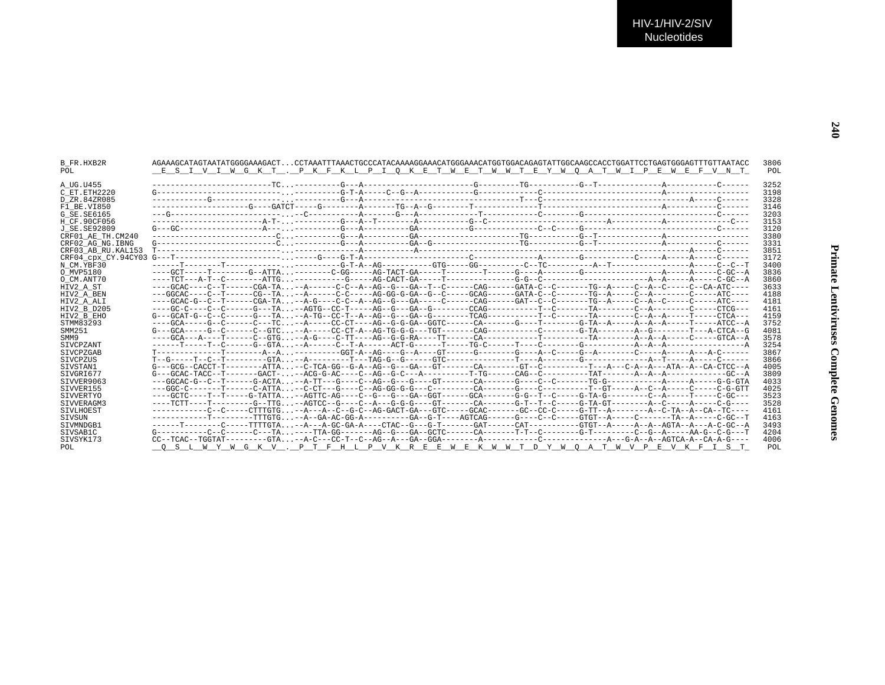| B FR.HXB2R          | AGAAAGCATAGTAATATAGGGGAAAGACTCCTAAATTTAAACTGCCCATACAAAAGGAAACATGGGAAACATGGTGGACAGAGTATTGGCAAGCCACCTGGATTCCTGAGTGGGAGTTTGTTAATACC                                                                                                                                                                                                                                                                                                                                                             |  |  |  | 3806 |
|---------------------|----------------------------------------------------------------------------------------------------------------------------------------------------------------------------------------------------------------------------------------------------------------------------------------------------------------------------------------------------------------------------------------------------------------------------------------------------------------------------------------------|--|--|--|------|
| POL                 | E S I V I W G K T . P K F K L P I O K E T W E T W W T E Y W O A T W I P E W E F V N T                                                                                                                                                                                                                                                                                                                                                                                                        |  |  |  | POL  |
| A UG.U455           |                                                                                                                                                                                                                                                                                                                                                                                                                                                                                              |  |  |  | 3252 |
| C ET.ETH2220        |                                                                                                                                                                                                                                                                                                                                                                                                                                                                                              |  |  |  | 3198 |
| D ZR.84ZR085        |                                                                                                                                                                                                                                                                                                                                                                                                                                                                                              |  |  |  | 3328 |
| F1 BE.VI850         |                                                                                                                                                                                                                                                                                                                                                                                                                                                                                              |  |  |  | 3146 |
| G SE. SE6165        |                                                                                                                                                                                                                                                                                                                                                                                                                                                                                              |  |  |  | 3203 |
| H CF.90CF056        |                                                                                                                                                                                                                                                                                                                                                                                                                                                                                              |  |  |  | 3153 |
| J SE.SE92809        |                                                                                                                                                                                                                                                                                                                                                                                                                                                                                              |  |  |  | 3120 |
| CRF01 AE TH.CM240   |                                                                                                                                                                                                                                                                                                                                                                                                                                                                                              |  |  |  | 3380 |
| CRF02 AG NG. IBNG   |                                                                                                                                                                                                                                                                                                                                                                                                                                                                                              |  |  |  | 3331 |
| CRF03 AB RU. KAL153 |                                                                                                                                                                                                                                                                                                                                                                                                                                                                                              |  |  |  | 3851 |
|                     |                                                                                                                                                                                                                                                                                                                                                                                                                                                                                              |  |  |  | 3172 |
| N CM.YBF30          |                                                                                                                                                                                                                                                                                                                                                                                                                                                                                              |  |  |  | 3400 |
| O MVP5180           |                                                                                                                                                                                                                                                                                                                                                                                                                                                                                              |  |  |  | 3836 |
| O CM.ANT70          |                                                                                                                                                                                                                                                                                                                                                                                                                                                                                              |  |  |  | 3860 |
| HIV2 A ST           | ----GCAC----C--T------CGA-TA--A------C-C--A--AG--G---GA--T--CA------CAG------GATA-C--C------TG--A-----C--A--C---C--CA-ATC----                                                                                                                                                                                                                                                                                                                                                                |  |  |  | 3633 |
| HIV2 A BEN          | ---GGCAC----C--T------CG--TA--A------C-C-----AG-GG-G-GA--G--C-----GCAG------GATA-C--C-------TG--A-----C--A-------C-----ATC----                                                                                                                                                                                                                                                                                                                                                               |  |  |  | 4188 |
| HIV2 A ALI          |                                                                                                                                                                                                                                                                                                                                                                                                                                                                                              |  |  |  | 4181 |
| HIV2 B D205         |                                                                                                                                                                                                                                                                                                                                                                                                                                                                                              |  |  |  | 4161 |
| HIV2 B EHO          |                                                                                                                                                                                                                                                                                                                                                                                                                                                                                              |  |  |  | 4159 |
| STMM83293           |                                                                                                                                                                                                                                                                                                                                                                                                                                                                                              |  |  |  | 3752 |
| SMM251              | G---GCA-----G--C-----C--GTC--A-----CC-CT-A--AG-TG-G-G---TGT------CAG---------C------G-TA-------A-G--C-----T---ACTCA-G                                                                                                                                                                                                                                                                                                                                                                        |  |  |  | 4081 |
| SMM9                |                                                                                                                                                                                                                                                                                                                                                                                                                                                                                              |  |  |  | 3578 |
| SIVCPZANT           |                                                                                                                                                                                                                                                                                                                                                                                                                                                                                              |  |  |  | 3254 |
| SIVCPZGAB           | T-------------T-------A--A--------GGT-A--AG----G--A------GT-------G----A--C-----G--A------C-----A-----A----A-C------                                                                                                                                                                                                                                                                                                                                                                         |  |  |  | 3867 |
| <b>STVCPZUS</b>     |                                                                                                                                                                                                                                                                                                                                                                                                                                                                                              |  |  |  | 3866 |
| SIVSTAN1            | G---GCG--CACCT-T--------ATTA--C-TCA-GG--G-A--AG--G---GA---GT-------CA--------GT--C-------T---A--A--A--A--ATA--A--CA-CTCC--A                                                                                                                                                                                                                                                                                                                                                                  |  |  |  | 4005 |
| SIVGRI677           |                                                                                                                                                                                                                                                                                                                                                                                                                                                                                              |  |  |  | 3809 |
| SIVVER9063          | ---GGCAC-G--C--T------G-ACTA--A-TT---G----C--AG--G---GT------CA------CA-----C--C------TG-G--------A------A-----G-G-GTA                                                                                                                                                                                                                                                                                                                                                                       |  |  |  | 4033 |
| SIVVER155           | --GGC-C-------T-----C-ATTA-CCCT---G----C-AG-GG-G-G---C-------CA------G-----C------T--GT----A--C--A----C-G-GTT                                                                                                                                                                                                                                                                                                                                                                                |  |  |  | 4025 |
| SIVVERTYO           | ----GCTC----T-----G-TATTA--AGTTC-AG----C--G---GA--GGT------GAA-------G-C---------C------C-T--C-------C--A-----T----C-GC---                                                                                                                                                                                                                                                                                                                                                                   |  |  |  | 3523 |
| SIVVERAGM3          | ----TCTT----T--------G--TTG--AGTCC--G----C--A---G-G-G-----GT-------CA------G-T--T--C-----G-TA-GT--------A--C-----A-----C-G----                                                                                                                                                                                                                                                                                                                                                               |  |  |  | 3528 |
| SIVLHOEST           | -----------C--C----CTTGTG--A---A--C--G-C--AG-GACT-GA---GTC-----GCAC-------GC--CC-C-----G-TT--A--------A--C-TA--A--CA--TC----                                                                                                                                                                                                                                                                                                                                                                 |  |  |  | 4161 |
| <b>STVSUN</b>       |                                                                                                                                                                                                                                                                                                                                                                                                                                                                                              |  |  |  | 4163 |
| STVMNDGB1           |                                                                                                                                                                                                                                                                                                                                                                                                                                                                                              |  |  |  | 3493 |
| SIVSAB1C            | $G \texttt{-----} C \texttt{---} C \texttt{---} C \texttt{---} C \texttt{---} C \texttt{---} T \texttt{---} C \texttt{---} C \texttt{---} C \texttt{---} C \texttt{---} C \texttt{---} C \texttt{---} C \texttt{---} C \texttt{---} C \texttt{---} C \texttt{---} C \texttt{---} C \texttt{---} C \texttt{---} C \texttt{---} C \texttt{---} C \texttt{---} C \texttt{---} C \texttt{---} C \texttt{---} C \texttt{---} C \texttt{---} C \texttt{---} C \texttt{---} C \texttt{---} C \text$ |  |  |  | 4204 |
| SIVSYK173           |                                                                                                                                                                                                                                                                                                                                                                                                                                                                                              |  |  |  | 4006 |
| POL                 | O S L W Y W G K V . P T F H L P V K R E E W E K W W T D Y W O A T W V P E V K F I S T                                                                                                                                                                                                                                                                                                                                                                                                        |  |  |  | POL  |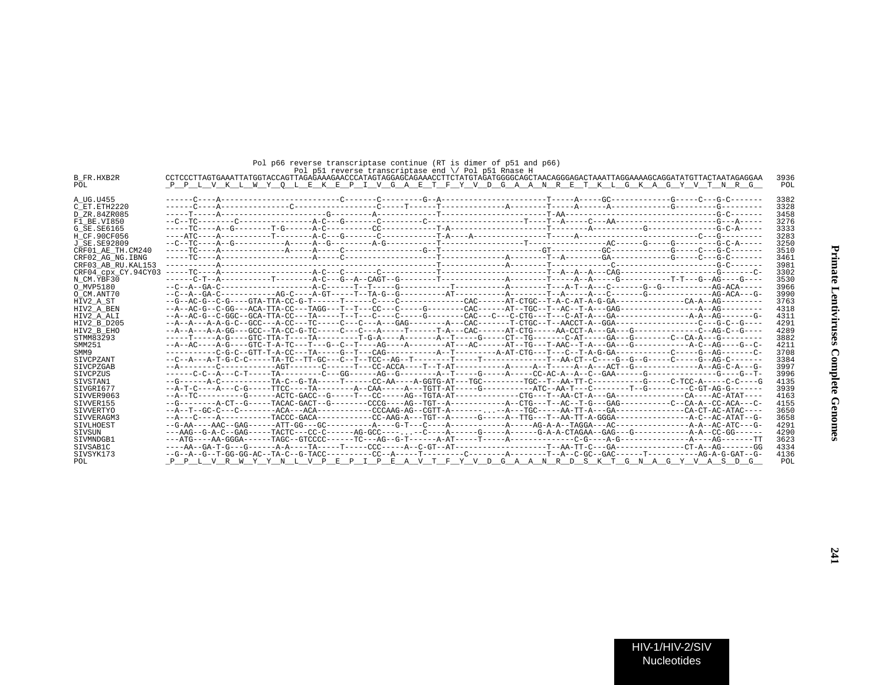|                     | Pol p51 reverse transcriptase end $\setminus$ Pol p51 Rnase H                                                                         |      |
|---------------------|---------------------------------------------------------------------------------------------------------------------------------------|------|
| <b>B FR.HXB2R</b>   | CCTCCCTTAGTGAAATTATGGTACCAGTTAGAGAAAGAACCCATAGTAGGAGAAAACCTTCTATGTAGATGGGGCAGCTAACAGGGAGATTAAGGAAAAGCAGGATATGTTACTAATAGGAAA           | 3936 |
| POL                 | P P L V K L W Y O L E K E P I V G A E T F Y V D G A A N R E T K L G K A G Y V T N R G                                                 | POL  |
| A UG.U455           |                                                                                                                                       | 3382 |
| C ET. ETH2220       |                                                                                                                                       | 3328 |
| D ZR.84ZR085        |                                                                                                                                       | 3458 |
| F1 BE.VI850         |                                                                                                                                       | 3276 |
| G SE. SE6165        |                                                                                                                                       | 3333 |
| H CF.90CF056        |                                                                                                                                       | 3283 |
| J SE. SE92809       |                                                                                                                                       | 3250 |
| CRF01 AE TH.CM240   |                                                                                                                                       | 3510 |
| CRF02 AG NG. IBNG   |                                                                                                                                       | 3461 |
| CRF03 AB RU. KAL153 |                                                                                                                                       | 3981 |
| CRF04 CDX CY.94CY03 |                                                                                                                                       | 3302 |
| N CM.YBF30          |                                                                                                                                       | 3530 |
| O MVP5180           |                                                                                                                                       | 3966 |
| O CM.ANT70          |                                                                                                                                       | 3990 |
| HIV2 A ST           |                                                                                                                                       | 3763 |
| HIV2 A BEN          |                                                                                                                                       | 4318 |
| HIV2 A ALI          |                                                                                                                                       | 4311 |
| HIV2 B D205         |                                                                                                                                       | 4291 |
| HIV2 B EHO          |                                                                                                                                       | 4289 |
| STMM83293           |                                                                                                                                       | 3882 |
| SMM251              |                                                                                                                                       | 4211 |
| SMM9                |                                                                                                                                       | 3708 |
| SIVCPZANT           | --C--A---A-T-G-C-C-----TA-TC--TT-GC---C--T--TCC--AG--T--------T-----T--------T-----T--AA-CT--C---G--G--G--G-----C-----C---AG-C------- | 3384 |
| SIVCPZGAB           |                                                                                                                                       | 3997 |
| SIVCPZUS            |                                                                                                                                       | 3996 |
| STVSTAN1            |                                                                                                                                       | 4135 |
| SIVGRI677           |                                                                                                                                       | 3939 |
| SIVVER9063          |                                                                                                                                       | 4163 |
| SIVVER155           |                                                                                                                                       | 4155 |
| <b>STVVERTYO</b>    |                                                                                                                                       | 3650 |
| SIVVERAGM3          |                                                                                                                                       | 3658 |
| <b>STVLHOEST</b>    |                                                                                                                                       | 4291 |
| SIVSUN              |                                                                                                                                       | 4290 |
| SIVMNDGB1           |                                                                                                                                       | 3623 |
| STVSAB1C            |                                                                                                                                       | 4334 |
| SIVSYK173           |                                                                                                                                       | 4136 |
| POL                 | P P L V R W Y Y N L V <u>P E P I P E A V T F Y V D G A A N R D S K T G N A G Y V A S D G</u>                                          | POL  |

Pol p66 reverse transcriptase continue (RT is dimer of p51 and p66)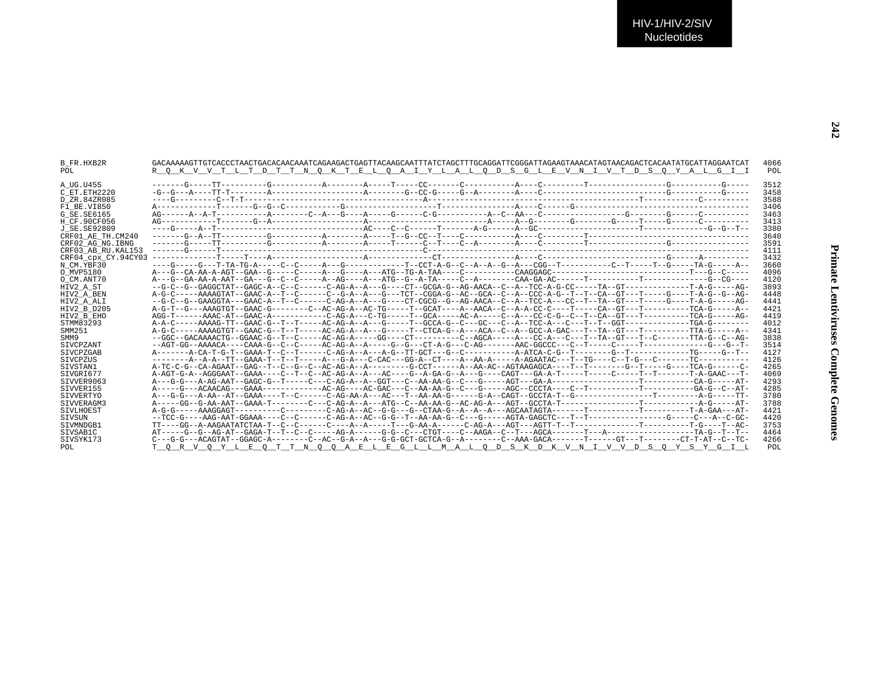| <b>B FR.HXB2R</b><br>POL.                  | GACAAAAAGTTGTCACCCTAACTGACAACAACAATCAGAAGGCTGAGTTACAAGCAATTTATCTAGCTTTGCAGGATTCGGGATTAGAAGTAAACATAGTAACAGACTCACAATATGCATTAGGAATCACA<br>R O K V V T L T D T T N O K T E L O A I Y L A L O D S G L E V N I V T D S O Y A L G I I | 4066<br>POL          |
|--------------------------------------------|--------------------------------------------------------------------------------------------------------------------------------------------------------------------------------------------------------------------------------|----------------------|
| A UG.U455<br>C ET. ETH2220<br>D ZR.84ZR085 |                                                                                                                                                                                                                                | 3512<br>3458<br>3588 |
| F1 BE.VI850                                |                                                                                                                                                                                                                                | 3406                 |
| G SE.SE6165                                |                                                                                                                                                                                                                                | 3463                 |
| H CF.90CF056                               |                                                                                                                                                                                                                                | 3413                 |
| J SE.SE92809                               |                                                                                                                                                                                                                                | 3380                 |
| CRF01 AE TH.CM240                          |                                                                                                                                                                                                                                | 3640                 |
| CRF02 AG NG. IBNG                          |                                                                                                                                                                                                                                | 3591                 |
| CRF03 AB RU. KAL153                        |                                                                                                                                                                                                                                | 4111                 |
| CRF04 cpx CY.94CY03                        |                                                                                                                                                                                                                                | 3432                 |
| N CM.YBF30                                 |                                                                                                                                                                                                                                | 3660                 |
| O MVP5180                                  |                                                                                                                                                                                                                                | 4096                 |
| O CM.ANT70                                 |                                                                                                                                                                                                                                | 4120                 |
| HIV2 A ST                                  |                                                                                                                                                                                                                                | 3893                 |
| HIV2 A BEN                                 |                                                                                                                                                                                                                                | 4448                 |
| HIV2_A_ALI                                 |                                                                                                                                                                                                                                | 4441                 |
| HIV2 B D205                                |                                                                                                                                                                                                                                | 4421                 |
| HIV2 B EHO                                 |                                                                                                                                                                                                                                | 4419                 |
| STMM83293                                  |                                                                                                                                                                                                                                | 4012                 |
| SMM251                                     | A-G-C-----AAAAGTGT--GAAC-G--T--T----AC-AG-A--A--G-----T--CTCA-G--A---ACA--C--A--GCC-A-GAC---T--TA--GT---T--------TTA-G-----A--                                                                                                 | 4341                 |
| SMM9                                       | --GGC--GACAAAACTG--GGAAC-G--T--C-----AC-AG-A-----GG----CT---------C--AGCA-----A--CC-A---C---T--TA--GT---T--C------TTA-G--C--AG-                                                                                                | 3838                 |
| SIVCPZANT                                  |                                                                                                                                                                                                                                | 3514                 |
| <b>STVCPZGAB</b>                           |                                                                                                                                                                                                                                | 4127                 |
| <b>STVCPZUS</b>                            |                                                                                                                                                                                                                                | 4126                 |
| SIVSTAN1                                   |                                                                                                                                                                                                                                | 4265                 |
| STVGRT677                                  |                                                                                                                                                                                                                                | 4069                 |
| SIVVER9063                                 |                                                                                                                                                                                                                                | 4293                 |
| STVVER155                                  |                                                                                                                                                                                                                                | 4285                 |
| <b>STVVERTYO</b>                           |                                                                                                                                                                                                                                | 3780                 |
| STVVERAGM3                                 |                                                                                                                                                                                                                                | 3788                 |
| SIVLHOEST                                  |                                                                                                                                                                                                                                | 4421                 |
| SIVSUN                                     |                                                                                                                                                                                                                                | 4420                 |
| SIVMNDGB1                                  |                                                                                                                                                                                                                                | 3753                 |
| STVSAB1C                                   |                                                                                                                                                                                                                                | 4464                 |
| SIVSYK173                                  | C---G-G---ACAGTAT--GGAGC-A-------C--AC--G-A--A---G-G-GCT-GCTCA-G--A-------C--AAA-GACA-------T------GT---T------CT-T-AT--C--TC-                                                                                                 | 4266                 |
| POL                                        | T O R V O Y L E O T T N O O A E L E G L L M A L O D S K D K V N I V V D S O Y S Y G I L                                                                                                                                        | POL                  |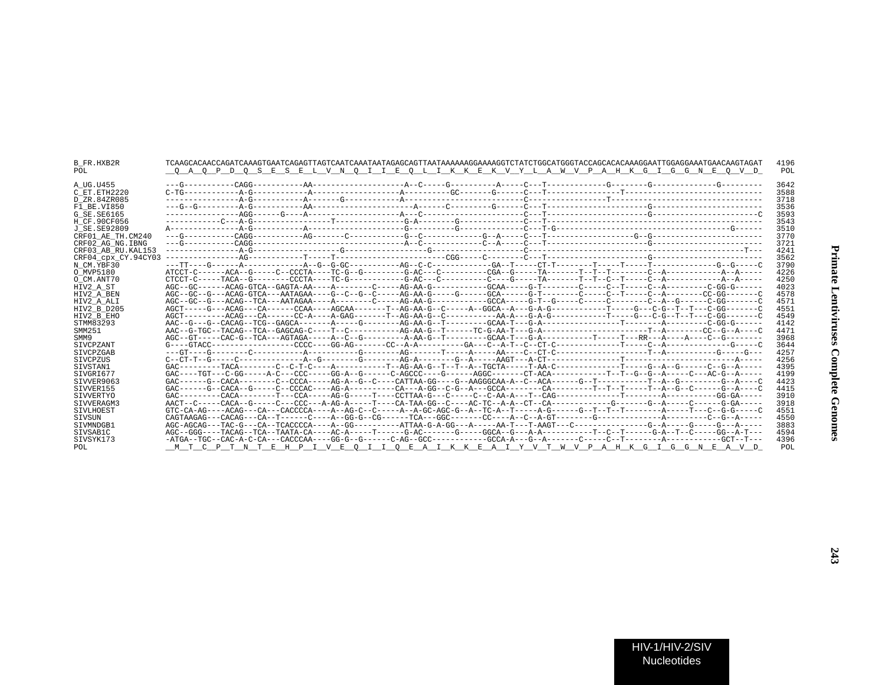| 3642<br>A UG.U455<br>3588<br>C ET.ETH2220<br>3718<br>D ZR.84ZR085<br>3536<br>F1 BE.VI850<br>3593<br>G SE.SE6165<br>3543<br>H CF.90CF056<br>3510<br>J SE. SE92809<br>3770<br>CRF01 AE TH.CM240<br>3721<br>CRF02 AG NG. IBNG<br>4241<br>CRF03 AB RU.KAL153<br>3562<br>CRF04 cpx CY.94CY03<br>3790<br>N CM.YBF30 |
|---------------------------------------------------------------------------------------------------------------------------------------------------------------------------------------------------------------------------------------------------------------------------------------------------------------|
|                                                                                                                                                                                                                                                                                                               |
|                                                                                                                                                                                                                                                                                                               |
|                                                                                                                                                                                                                                                                                                               |
|                                                                                                                                                                                                                                                                                                               |
|                                                                                                                                                                                                                                                                                                               |
|                                                                                                                                                                                                                                                                                                               |
|                                                                                                                                                                                                                                                                                                               |
|                                                                                                                                                                                                                                                                                                               |
|                                                                                                                                                                                                                                                                                                               |
|                                                                                                                                                                                                                                                                                                               |
|                                                                                                                                                                                                                                                                                                               |
|                                                                                                                                                                                                                                                                                                               |
| 4226<br>O MVP5180                                                                                                                                                                                                                                                                                             |
| 4250<br>O CM.ANT70                                                                                                                                                                                                                                                                                            |
| AGC--GC------ACAG-GTCA--GAGTA-AA-----A-------C-----AG-AA-G--------GCAA-----GT-------C--T-----C--A------C-GG-G------<br>4023<br>HIV2 A ST                                                                                                                                                                      |
| AGC--GC--G---ACAG-GTCA---AATAGAA----C--C--C--C----AG-AA-G-----G------GCA------C-T-----C--T----C--T----C--A------C--A------CC-GC------C<br>4578<br>HIV2 A BEN                                                                                                                                                  |
| 4571<br>HIV2 A ALI                                                                                                                                                                                                                                                                                            |
| 4551<br>HIV2 B D205                                                                                                                                                                                                                                                                                           |
| 4549<br>HIV2 B EHO                                                                                                                                                                                                                                                                                            |
| 4142<br>STMM83293                                                                                                                                                                                                                                                                                             |
| SMM251<br>4471                                                                                                                                                                                                                                                                                                |
| 3968<br>SMM9                                                                                                                                                                                                                                                                                                  |
| 3644<br><b>SIVCPZANT</b>                                                                                                                                                                                                                                                                                      |
| 4257<br>SIVCPZGAB                                                                                                                                                                                                                                                                                             |
| 4256<br><b>STVCPZUS</b>                                                                                                                                                                                                                                                                                       |
| 4395<br>SIVSTAN1                                                                                                                                                                                                                                                                                              |
| SIVGRI677<br>4199                                                                                                                                                                                                                                                                                             |
| STVVER9063<br>4423                                                                                                                                                                                                                                                                                            |
| STVVER155<br>4415                                                                                                                                                                                                                                                                                             |
| 3910<br>SIVVERTYO                                                                                                                                                                                                                                                                                             |
| AACT--C-----CACA--G-----C---CCC---A-AG-A------T---CA-TAA-GG--C----AC-TC--A-A--CT--CA---------G--------G--A-----C------G-GA-----<br>3918<br>SIVVERAGM3                                                                                                                                                         |
| 4551<br>SIVLHOEST                                                                                                                                                                                                                                                                                             |
| 4550<br>SIVSUN                                                                                                                                                                                                                                                                                                |
| 3883<br>STVMNDGB1                                                                                                                                                                                                                                                                                             |
| SIVSAB1C<br>4594                                                                                                                                                                                                                                                                                              |
| 4396<br>STVSYK173                                                                                                                                                                                                                                                                                             |
| C P T N T E H P I V E O I I O E A I K K E A I Y V T W V P A H K G I G G N E A V D<br><b>POT</b><br>POL.                                                                                                                                                                                                       |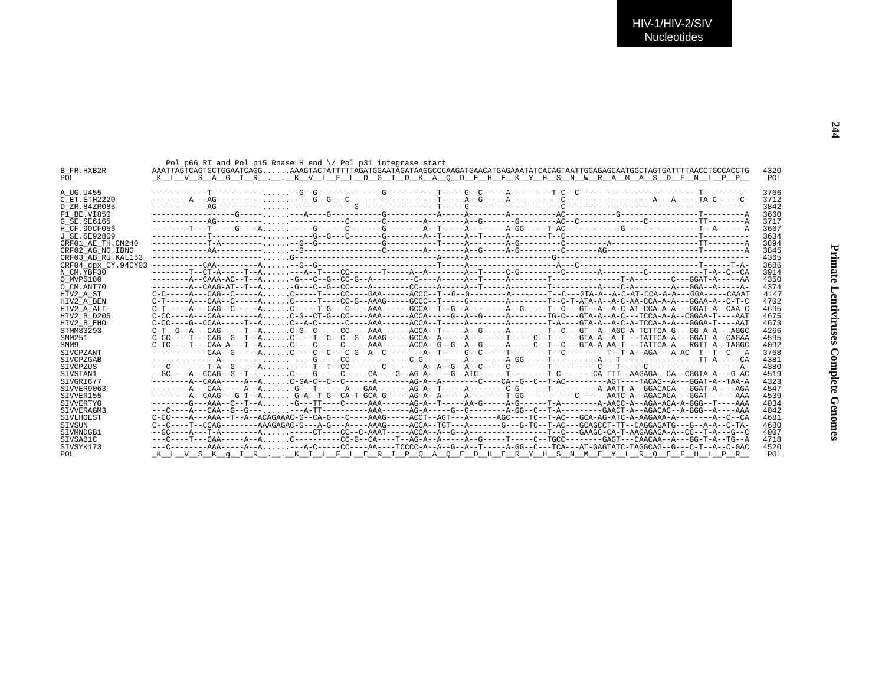| <b>B FR.HXB2R</b><br>POL. | Pol p66 RT and Pol p15 Rnase H end $\setminus$ Pol p31 integrase start<br>AAATTAGTGCAATGAAGATGAAGATGAAGATGAAGATGAAGATGAAGATGAAGATAAGATGAAAATATCACAGTAATTGGAGAGCAATGGCTAGTGTATTTTAACCTGCCACCTG<br>K L V S A G I R K V L F L D G I D K A O D E H E K Y H S N W R A M A S D F N L P P | 4320<br>POL |
|---------------------------|------------------------------------------------------------------------------------------------------------------------------------------------------------------------------------------------------------------------------------------------------------------------------------|-------------|
| A UG.U455                 |                                                                                                                                                                                                                                                                                    | 3766        |
| C ET.ETH2220              |                                                                                                                                                                                                                                                                                    | 3712        |
| D ZR.84ZR085              |                                                                                                                                                                                                                                                                                    | 3842        |
| F1 BE.VI850               |                                                                                                                                                                                                                                                                                    | 3660        |
| G SE. SE6165              |                                                                                                                                                                                                                                                                                    | 3717        |
| H CF.90CF056              |                                                                                                                                                                                                                                                                                    | 3667        |
| J SE. SE92809             |                                                                                                                                                                                                                                                                                    | 3634        |
| CRF01 AE TH.CM240         |                                                                                                                                                                                                                                                                                    | 3894        |
| CRF02 AG NG. IBNG         |                                                                                                                                                                                                                                                                                    | 3845        |
| CRF03 AB RU. KAL153       |                                                                                                                                                                                                                                                                                    | 4365        |
| CRF04 CDX CY.94CY03       |                                                                                                                                                                                                                                                                                    | 3686        |
| N CM.YBF30                |                                                                                                                                                                                                                                                                                    | 3914        |
| O MVP5180                 |                                                                                                                                                                                                                                                                                    | 4350        |
| O CM.ANT70                |                                                                                                                                                                                                                                                                                    | 4374        |
| HIV2 A ST                 | $C-C---A---CAG--C---A$ $C----T---CC---GAA---ACCC--T-G--G---A---A---A---T-C---GTA-A--ACCA-A-A---GGA---GGA---CAAAT$                                                                                                                                                                  | 4147        |
| HIV2 A BEN                | $C-T---A---CAA--C---A$ $C---T---CC-G--AAAG---GCC--T---G---A---A---A---T-C-T-ATA-A--AC-AA-CCA-A-A---GGAA-A--C-T-C$                                                                                                                                                                  | 4702        |
| HIV2 A ALI                | $C-T---A---CAG--C---A$ $C---T-G---C---AAA---GCCA---T-G---A---A---G---T--C---T--C---GT-A-AC-AT-CCA-A-A---GGAT-A--CAA-C-A$                                                                                                                                                           | 4695        |
| HIV2 B D205               | $C-CC---A---CAA------AC-G--CT-G--CC---AAA----CCA---G---A-C---A---C---C---GT-A--G---GTA-A--A-C---TCA-A-A-C---GGAA--CGGAA---AAT$                                                                                                                                                     | 4675        |
| HIV2 B EHO                | $C-CC---G-CCAA---T-A$ $C-A-C---A-A---C---AAA---ACCA---A---A---A---A---T-A---T-A---GTA-A--ACCA-A-A---GGGA-A---GGGA-T---AAT$                                                                                                                                                         | 4673        |
| STMM83293                 | C-T--G--A---CAG-----T--A C-G--C-----CC----AAA------ACCA--T-----A--G-----A------T--C---GT--A--AGC-A-TCTTCA-G---GG-A-A---AGC-                                                                                                                                                        | 4266        |
| SMM251                    |                                                                                                                                                                                                                                                                                    | 4595        |
| SMM9                      | $C-TC---T---CAA-A---T-A$ $C---C---C---C---AAA---ACCA--G---G---A---C---A---C---T---C---GTA-A-AA-T---TATTCA-A---RGTT-A---RGTT-A---TAGC$                                                                                                                                              | 4092        |
| SIVCPZANT                 |                                                                                                                                                                                                                                                                                    | 3768        |
| SIVCPZGAB                 |                                                                                                                                                                                                                                                                                    | 4381        |
| SIVCPZUS                  |                                                                                                                                                                                                                                                                                    | 4380        |
| SIVSTAN1                  | --GC----A--CCAG--G--T---C----G-----C-----CA----G--AG-A-----G--ATC------T-------T-C------CA-TTT--AAGAGA--CA--CGGTA-A---G-AC-AC-                                                                                                                                                     | 4519        |
| STVGRT677                 |                                                                                                                                                                                                                                                                                    | 4323        |
| STVVER9063                |                                                                                                                                                                                                                                                                                    | 4547        |
| SIVVER155                 |                                                                                                                                                                                                                                                                                    | 4539        |
| SIVVERTYO                 | -------G---AAA--C--T--A -G---TT----C-----AAA------AG-A--T----AA-G-----A-G-----T-A------A-AACC-A--AGA-ACA-A-GGG--T----AAA                                                                                                                                                           | 4034        |
| SIVVERAGM3                |                                                                                                                                                                                                                                                                                    | 4042        |
| SIVLHOEST                 | $C-CC---A---AAA---T---ACAGAAAC-G---CA-G---C---AAAG---ACCT---ACCT---AG---A----ACC---TC---T-AC---GCA-AG-ATC-A-AGAAA-A------A-C---A-C-A-AC-$                                                                                                                                          | 4681        |
| <b>STVSUN</b>             | C--C----T--CCAG--------AAAGAGAC-G---A-G---A-G----AAAG-----ACCA--TGT---A------GC---G-TC--T-AC---GCAGCCT-TT--CAGGAGATG---G--A-A--C-TA-                                                                                                                                               | 4680        |
| SIVMNDGB1                 |                                                                                                                                                                                                                                                                                    | 4007        |
| SIVSAB1C                  | ---C----T---CAA-----A--AC---------CC-G--CA----T--AG-A--A-----A--G-----T----C--TGCC--------GAGT---CAACAA--A--GG-T-A--TG--A                                                                                                                                                          | 4718        |
| SIVSYK173                 |                                                                                                                                                                                                                                                                                    | 4520        |
| POL.                      | K L V S K q I R K I L F L E R I P O A O E D H E R Y H S N M E Y L R O E F H L P R                                                                                                                                                                                                  | POL         |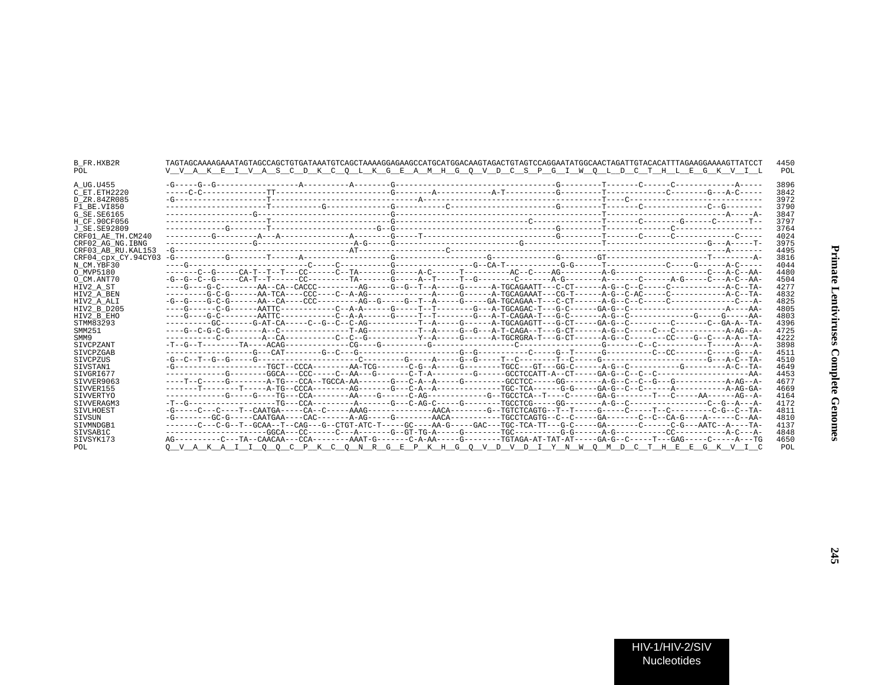| B FR.HXB2R<br>POL         | V V A K E I V A S C D K C O L K G E A M H G O V D C S P G I W O L D C T H L E G K V I L                                          |  |  |  |  |  | 4450<br>POL  |
|---------------------------|----------------------------------------------------------------------------------------------------------------------------------|--|--|--|--|--|--------------|
| A UG.U455<br>C ET.ETH2220 |                                                                                                                                  |  |  |  |  |  | 3896<br>3842 |
| D ZR.84ZR085              |                                                                                                                                  |  |  |  |  |  | 3972         |
| F1 BE.VI850               |                                                                                                                                  |  |  |  |  |  | 3790         |
| G SE.SE6165               |                                                                                                                                  |  |  |  |  |  | 3847         |
| H CF.90CF056              |                                                                                                                                  |  |  |  |  |  | 3797         |
| J SE.SE92809              |                                                                                                                                  |  |  |  |  |  | 3764         |
| CRF01 AE TH.CM240         |                                                                                                                                  |  |  |  |  |  | 4024         |
| CRF02 AG NG. IBNG         |                                                                                                                                  |  |  |  |  |  | 3975         |
| CRF03 AB RU. KAL153       |                                                                                                                                  |  |  |  |  |  | 4495         |
| CRF04 cpx CY.94CY03       |                                                                                                                                  |  |  |  |  |  | 3816         |
| N CM.YBF30                |                                                                                                                                  |  |  |  |  |  | 4044         |
| O MVP5180                 |                                                                                                                                  |  |  |  |  |  | 4480         |
| O CM.ANT70                |                                                                                                                                  |  |  |  |  |  | 4504         |
| HIV2 A ST                 |                                                                                                                                  |  |  |  |  |  | 4277         |
| HIV2_A_BEN                |                                                                                                                                  |  |  |  |  |  | 4832         |
| HIV2 A ALI<br>HIV2 B D205 |                                                                                                                                  |  |  |  |  |  | 4825<br>4805 |
| HIV2 B EHO                |                                                                                                                                  |  |  |  |  |  | 4803         |
| STMM83293                 |                                                                                                                                  |  |  |  |  |  | 4396         |
| SMM251                    |                                                                                                                                  |  |  |  |  |  | 4725         |
| SMM9                      |                                                                                                                                  |  |  |  |  |  | 4222         |
| SIVCPZANT                 |                                                                                                                                  |  |  |  |  |  | 3898         |
| SIVCPZGAB                 |                                                                                                                                  |  |  |  |  |  | 4511         |
| SIVCPZUS                  |                                                                                                                                  |  |  |  |  |  | 4510         |
| SIVSTAN1                  |                                                                                                                                  |  |  |  |  |  | 4649         |
| SIVGRI677                 |                                                                                                                                  |  |  |  |  |  | 4453         |
| STVVER9063                |                                                                                                                                  |  |  |  |  |  | 4677         |
| SIVVER155                 |                                                                                                                                  |  |  |  |  |  | 4669         |
| SIVVERTYO                 |                                                                                                                                  |  |  |  |  |  | 4164         |
| STVVERAGM3                |                                                                                                                                  |  |  |  |  |  | 4172         |
| SIVLHOEST                 |                                                                                                                                  |  |  |  |  |  | 4811         |
| SIVSUN                    |                                                                                                                                  |  |  |  |  |  | 4810         |
| SIVMNDGB1                 | -------C---C-G--T--GCAA--T--CAG---G--CTGT-ATC-T----GC----AA-G-----GAC---TGC-TCA-TT---G-C-----GA------C------C-G---AATC--A----TA- |  |  |  |  |  | 4137         |
| SIVSAB1C                  |                                                                                                                                  |  |  |  |  |  | 4848         |
| SIVSYK173                 | AG----------C---TA-CAACAA---CCA--------AAAT-G-------C-A-AA-----G-------TGTAGA-AT-TAT-AT----GA-G--C-----T---GAG-----C-----A---TG  |  |  |  |  |  | 4650         |
| POL                       | O V A K A I I O O C P K C O N R G E P K H G O V D V D I Y N W O M D C T H E E G K V I C                                          |  |  |  |  |  | POL          |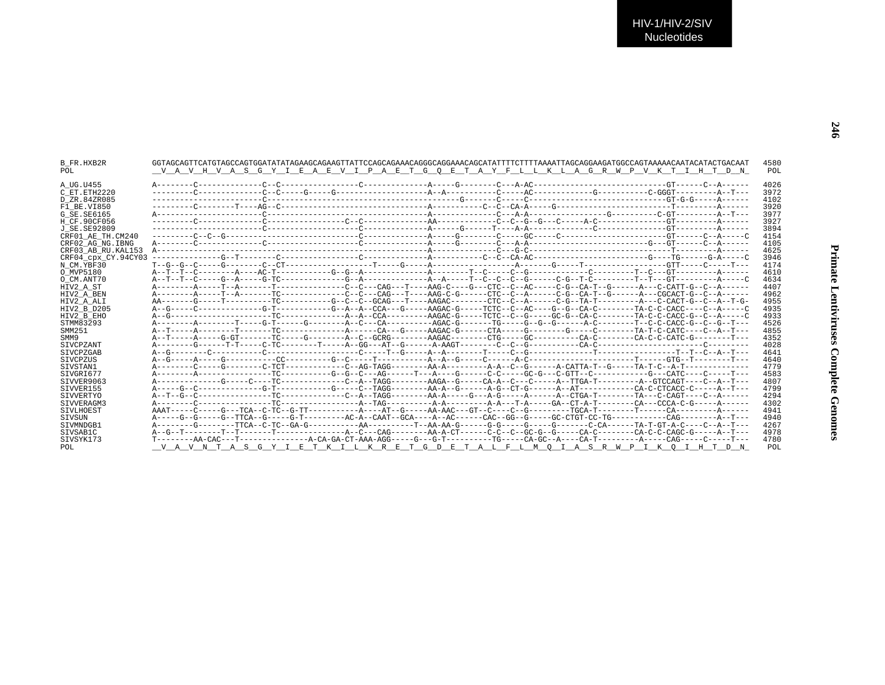| B FR.HXB2R<br>POL   |  | VAVHVASGYIEAEVIPAETGOETAYFLLKLAGRWPVKTIHTDN                                                                                    |  |  |  | 4580<br>POL |
|---------------------|--|--------------------------------------------------------------------------------------------------------------------------------|--|--|--|-------------|
| A UG.U455           |  |                                                                                                                                |  |  |  | 4026        |
| C ET. ETH2220       |  |                                                                                                                                |  |  |  | 3972        |
| D ZR.84ZR085        |  |                                                                                                                                |  |  |  | 4102        |
| F1 BE.VI850         |  |                                                                                                                                |  |  |  | 3920        |
| G SE.SE6165         |  |                                                                                                                                |  |  |  | 3977        |
| H CF.90CF056        |  |                                                                                                                                |  |  |  | 3927        |
| J SE. SE92809       |  |                                                                                                                                |  |  |  | 3894        |
| CRF01 AE TH.CM240   |  |                                                                                                                                |  |  |  | 4154        |
| CRF02 AG NG. IBNG   |  |                                                                                                                                |  |  |  | 4105        |
| CRF03 AB RU. KAL153 |  |                                                                                                                                |  |  |  | 4625        |
| CRF04 CDX CY.94CY03 |  |                                                                                                                                |  |  |  | 3946        |
| N CM.YBF30          |  |                                                                                                                                |  |  |  | 4174        |
| O MVP5180           |  |                                                                                                                                |  |  |  | 4610        |
| O CM.ANT70          |  |                                                                                                                                |  |  |  | 4634        |
| HIV2 A ST           |  |                                                                                                                                |  |  |  | 4407        |
| HIV2 A BEN          |  |                                                                                                                                |  |  |  | 4962        |
| HIV2 A ALI          |  | AA-------G-----T---------TC---------G--C--C--GCAG---T----AAGAC--------CTC--C--A------C-G--TA-T---------A--C-CACT-G--C--A--T-G- |  |  |  | 4955        |
| HIV2_B_D205         |  | A--G-----C-------------G-T----------G-A--A--CCA---G-----AAGAC-G-----TCTC--C--AC----G--CA-C---------TA-C-C-CACC----C-A-----C    |  |  |  | 4935        |
| HIV2 B EHO          |  |                                                                                                                                |  |  |  | 4933        |
| STMM83293           |  |                                                                                                                                |  |  |  | 4526        |
| SMM251              |  |                                                                                                                                |  |  |  | 4855        |
| SMM9                |  | A--T-----A-----G-GT--------TC-----G--------A--C--GCRG--------AAGAC--------CTG---------CA-C--------CA-C-C-CATC-G-------T---     |  |  |  | 4352        |
| SIVCPZANT           |  |                                                                                                                                |  |  |  | 4028        |
| SIVCPZGAB           |  |                                                                                                                                |  |  |  | 4641        |
| SIVCPZUS            |  |                                                                                                                                |  |  |  | 4640        |
| STVSTAN1            |  |                                                                                                                                |  |  |  | 4779        |
| STVGRI677           |  |                                                                                                                                |  |  |  | 4583        |
| STVVER9063          |  | A-----------G----C----TC------------C--A--TAGG--------AAGA--G-----CA-A--C------A--TTGA-T------A--GTCCAGT----C--A--T--          |  |  |  | 4807        |
| SIVVER155           |  |                                                                                                                                |  |  |  | 4799        |
| SIVVERTYO           |  |                                                                                                                                |  |  |  | 4294        |
| STVVERAGM3          |  |                                                                                                                                |  |  |  | 4302        |
| SIVLHOEST           |  |                                                                                                                                |  |  |  | 4941        |
| SIVSUN              |  |                                                                                                                                |  |  |  | 4940        |
| STVMNDGB1           |  |                                                                                                                                |  |  |  | 4267        |
| SIVSAB1C            |  |                                                                                                                                |  |  |  | 4978        |
| SIVSYK173           |  |                                                                                                                                |  |  |  | 4780        |
| POL                 |  | V A V N T A S G Y I E T K I L K R E T G D E T A L F L M O I A S R W P I K O I H T D N                                          |  |  |  | POL         |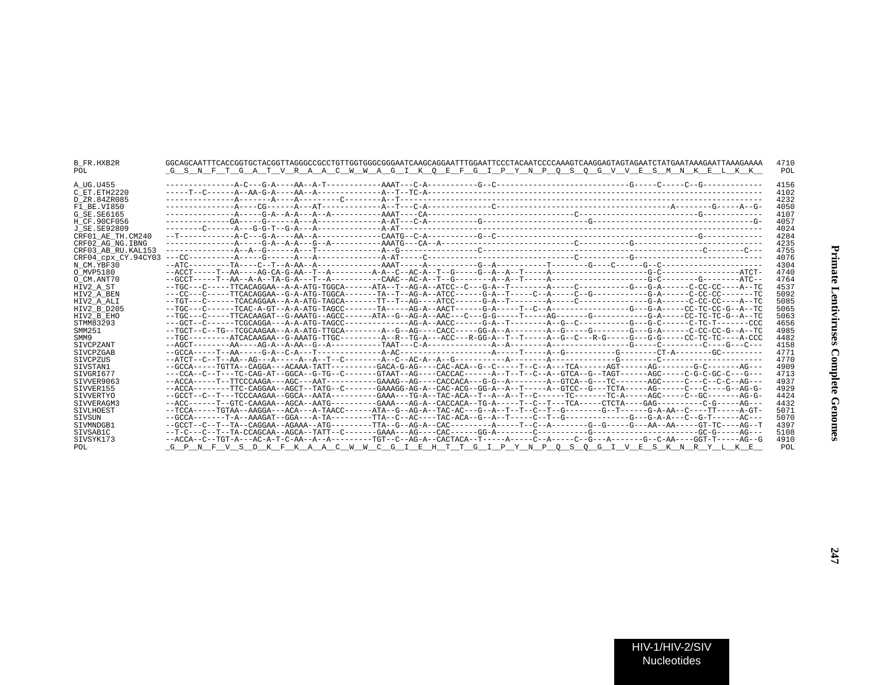| B FR.HXB2R<br>POL.                         | GGCAGCAATTTCACCGGTGCTACGGTTAGGGCCGCCTGTTGGTGGGCGGGAATCAAGCAGGAATTTGGAATTCCCTACAATCCCCAAAGTCAAGGAGTAGTAGAATCTATGAATAAAGAATTAAAGAAAA<br>G S N F T G A T V R A A C W W A G I K O E F G I P Y N P O S O G V V E S M N K E L K K | 4710<br>POL          |
|--------------------------------------------|-----------------------------------------------------------------------------------------------------------------------------------------------------------------------------------------------------------------------------|----------------------|
| A UG.U455<br>C ET. ETH2220<br>D ZR.84ZR085 |                                                                                                                                                                                                                             | 4156<br>4102<br>4232 |
| F1 BE.VI850                                |                                                                                                                                                                                                                             | 4050                 |
| G SE.SE6165                                |                                                                                                                                                                                                                             | 4107                 |
| H CF.90CF056                               |                                                                                                                                                                                                                             | 4057                 |
| J SE.SE92809                               |                                                                                                                                                                                                                             | 4024                 |
| CRF01 AE TH.CM240                          |                                                                                                                                                                                                                             | 4284                 |
| CRF02 AG NG. IBNG                          |                                                                                                                                                                                                                             | 4235                 |
| CRF03 AB RU.KAL153                         |                                                                                                                                                                                                                             | 4755                 |
| CRF04 CDX CY.94CY03                        |                                                                                                                                                                                                                             | 4076                 |
| N CM.YBF30                                 |                                                                                                                                                                                                                             | 4304                 |
| O MVP5180                                  |                                                                                                                                                                                                                             | 4740                 |
| O CM.ANT70                                 |                                                                                                                                                                                                                             | 4764                 |
| HIV2 A ST                                  | --TGC---C-----TTCACAGGAA--A-A-ATG-TGGCA------ATA--T--AG-A--ATCC--C---G-A--T-------A-----C--------G---G-A-----C-CC-CC----A--TC                                                                                               | 4537                 |
| HIV2 A BEN                                 |                                                                                                                                                                                                                             | 5092                 |
| HIV2 A ALI                                 |                                                                                                                                                                                                                             | 5085                 |
| HIV2 B D205                                |                                                                                                                                                                                                                             | 5065                 |
| HIV2 B EHO                                 | --TGC---C-----TTCACAAGAT--G-AAATG--AGCC------ATA--G--AG-A--AAC---C---G-G------T----AG--------G--------G-A-----CC-TC-TC-G--A--TC                                                                                             | 5063                 |
| STMM83293                                  |                                                                                                                                                                                                                             | 4656                 |
| SMM251                                     |                                                                                                                                                                                                                             | 4985                 |
| SMM9                                       | --TGC--------ATCACAAGAA--G-AAATG-TTGC---------A--R--TG-A---ACC---R-GG-A--T--T----A--G--C---R-G----G---G---C-C-TC-TC-TC----A-CCC                                                                                             | 4482                 |
| SIVCPZANT                                  |                                                                                                                                                                                                                             | 4158                 |
| SIVCPZGAB                                  |                                                                                                                                                                                                                             | 4771                 |
| <b>STVCPZUS</b>                            |                                                                                                                                                                                                                             | 4770                 |
| SIVSTAN1                                   | --GCCA-----TGTTA--CAGGA---ACAAA-TATT---------GACA-G-AG----CAC-ACA--G--C-----T--C-A---TCA------AGT-------AG-------G-C-------AG---                                                                                            | 4909                 |
| SIVGRI677                                  | ---CCA--C--T---TC-CAG-AT--GGCA--G-TG--C-------GTAAT--AG----CACCAC------A--T--T--C--A--GTCA--G--TAGT------AGC----C-G-C-GC-C---G---                                                                                           | 4713                 |
| STVVER9063                                 |                                                                                                                                                                                                                             | 4937                 |
| SIVVER155                                  | --ACCA-------TTC-CAGGAA--AGCT--TATG--C------GAAAGG-AG-A--CAC-ACG--GG-A--A--T-----A--GTCC--G---TCTA-----AG-----C---C---G--AG-G-                                                                                              | 4929                 |
| SIVVERTYO                                  |                                                                                                                                                                                                                             | 4424                 |
| STVVERAGM3                                 | --ACC------T--GTC-CAAGAA--AGCA--AATG---------GAAA---AG-A--CACCACA--TG-A-----T--C-T---TCA-----CTCTA-----GAG--------C-G-----AG---                                                                                             | 4432                 |
| SIVLHOEST                                  | --TCCA-----TGTAA--AAGGA---ACA---A-TAACC------ATA--G--AG-A--TAC-AC---G--A--T--T--C--T--G------G--T------G-A-AA--C----TT-----A-GT-                                                                                            | 5071                 |
| SIVSUN                                     |                                                                                                                                                                                                                             | 5070                 |
| STVMNDGB1                                  |                                                                                                                                                                                                                             | 4397                 |
| SIVSAB1C                                   |                                                                                                                                                                                                                             | 5108                 |
| SIVSYK173                                  | --ACCA--C--TGT-A---AC-A-T-C-AA--A--A--------TGT--C--AG-A--CACTACA--T-----A-----C--A-----C--G---A------G--C-AA----GGT-T-----AG--G                                                                                            | 4910                 |
| POL                                        | G P N F V S D K F K A A C W W C G I E H T T G I P Y N P O S O G I V E S K N R Y L K E                                                                                                                                       | POL                  |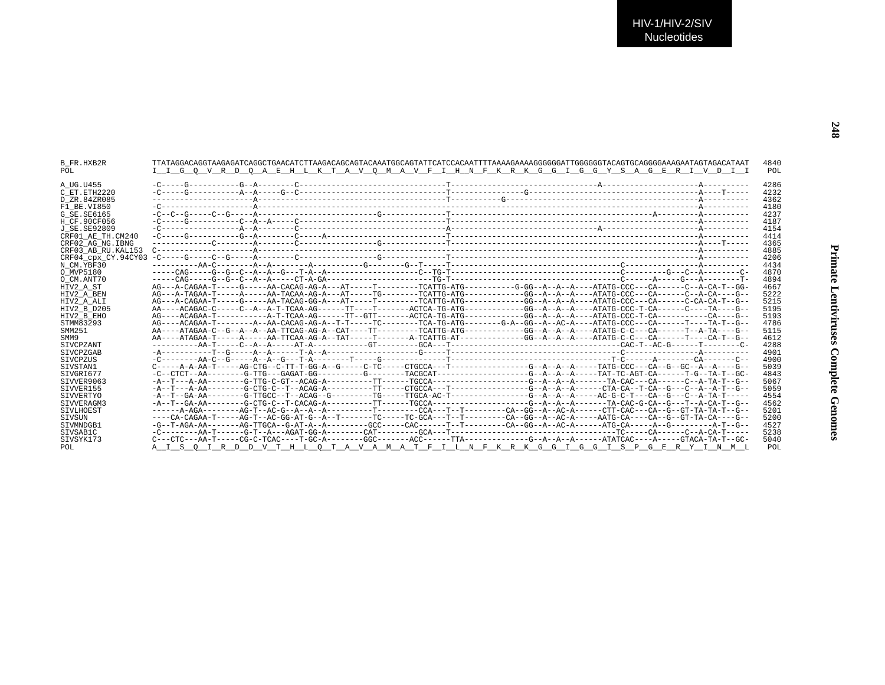| B FR.HXB2R         | TTATAGGACAGGTAAGAGATCAGGCTGAACATCTTAAGACAGCAGTACAAATGGCAGTATTCATCACAAATTTTAAAAGAAAAGGGGGATTGGGGGGTACAGTGCAGGGAAAGAATAGTAGACATAAT                                                                                                                                                                                                                                                                         |  |  |  | 4840       |
|--------------------|----------------------------------------------------------------------------------------------------------------------------------------------------------------------------------------------------------------------------------------------------------------------------------------------------------------------------------------------------------------------------------------------------------|--|--|--|------------|
| POL                | I I G O V R D O A E H L K T A V O M A V F I H N F K R K G G I G G Y S A G E R I V D I I                                                                                                                                                                                                                                                                                                                  |  |  |  | POL        |
| A UG.U455          |                                                                                                                                                                                                                                                                                                                                                                                                          |  |  |  | 4286       |
| C ET ETH2220       |                                                                                                                                                                                                                                                                                                                                                                                                          |  |  |  | 4232       |
| D ZR.84ZR085       |                                                                                                                                                                                                                                                                                                                                                                                                          |  |  |  | 4362       |
| F1 BE.VI850        |                                                                                                                                                                                                                                                                                                                                                                                                          |  |  |  | 4180       |
| G SE.SE6165        |                                                                                                                                                                                                                                                                                                                                                                                                          |  |  |  | 4237       |
| H CF.90CF056       |                                                                                                                                                                                                                                                                                                                                                                                                          |  |  |  | 4187       |
| J SE.SE92809       |                                                                                                                                                                                                                                                                                                                                                                                                          |  |  |  | 4154       |
| CRF01 AE TH.CM240  |                                                                                                                                                                                                                                                                                                                                                                                                          |  |  |  | 4414       |
| CRF02 AG NG.IBNG   |                                                                                                                                                                                                                                                                                                                                                                                                          |  |  |  | 4365       |
| CRF03 AB RU.KAL153 |                                                                                                                                                                                                                                                                                                                                                                                                          |  |  |  | 4885       |
|                    |                                                                                                                                                                                                                                                                                                                                                                                                          |  |  |  | 4206       |
| N CM.YBF30         |                                                                                                                                                                                                                                                                                                                                                                                                          |  |  |  | 4434       |
| O MVP5180          |                                                                                                                                                                                                                                                                                                                                                                                                          |  |  |  | 4870       |
| O CM.ANT70         |                                                                                                                                                                                                                                                                                                                                                                                                          |  |  |  | 4894       |
| HIV2 A ST          |                                                                                                                                                                                                                                                                                                                                                                                                          |  |  |  | 4667       |
| HIV2 A BEN         |                                                                                                                                                                                                                                                                                                                                                                                                          |  |  |  | 5222       |
| HIV2 A ALI         |                                                                                                                                                                                                                                                                                                                                                                                                          |  |  |  | 5215       |
| HIV2 B D205        |                                                                                                                                                                                                                                                                                                                                                                                                          |  |  |  | 5195       |
| HIV2 B EHO         |                                                                                                                                                                                                                                                                                                                                                                                                          |  |  |  | 5193       |
| STMM83293          |                                                                                                                                                                                                                                                                                                                                                                                                          |  |  |  | 4786       |
| SMM251             | ----ATAGAA-C--G--A--A--TCAG-AG-A--CAT----TT---------TCATTG-ATG---------GG--A--A--A---ATATG-C-C---CA------T--A-                                                                                                                                                                                                                                                                                           |  |  |  | 5115       |
| SMM9               | AA----ATAGAA-T-----AA-TTCAA-AG-A--TAT-----T------A-TCATTG-AT---------GG--A--A--A--A--ATATG-C-C---CA-----TA---GA-                                                                                                                                                                                                                                                                                         |  |  |  | 4612       |
| SIVCPZANT          |                                                                                                                                                                                                                                                                                                                                                                                                          |  |  |  | 4288       |
| <b>STVCPZGAB</b>   |                                                                                                                                                                                                                                                                                                                                                                                                          |  |  |  | 4901       |
| STVCPZUS           |                                                                                                                                                                                                                                                                                                                                                                                                          |  |  |  | 4900       |
| SIVSTAN1           |                                                                                                                                                                                                                                                                                                                                                                                                          |  |  |  | 5039       |
| STVGRI677          |                                                                                                                                                                                                                                                                                                                                                                                                          |  |  |  | 4843       |
| SIVVER9063         |                                                                                                                                                                                                                                                                                                                                                                                                          |  |  |  | 5067       |
| SIVVER155          |                                                                                                                                                                                                                                                                                                                                                                                                          |  |  |  | 5059       |
| SIVVERTYO          |                                                                                                                                                                                                                                                                                                                                                                                                          |  |  |  | 4554       |
| SIVVERAGM3         |                                                                                                                                                                                                                                                                                                                                                                                                          |  |  |  | 4562       |
| SIVLHOEST          |                                                                                                                                                                                                                                                                                                                                                                                                          |  |  |  | 5201       |
| SIVSUN             | ----CA-CAGAA-T-----AG-T--AC-GG-AT-G--A--T-------TC-----TC-GCA---T-------CA--GG--A--AC-A----AATG-CA----CA--G--GT-TA-CA----G--                                                                                                                                                                                                                                                                             |  |  |  | 5200       |
| SIVMNDGB1          |                                                                                                                                                                                                                                                                                                                                                                                                          |  |  |  | 4527       |
| SIVSAB1C           |                                                                                                                                                                                                                                                                                                                                                                                                          |  |  |  | 5238       |
| SIVSYK173          | $C---CTC---AA-T---CG-C-TCAC---T-GC-A----CGC------ACC---TTA------C---G--A--A--A---A-TATCAC---A---GTACAC---A---G-TACC---A-CTACAC---A---G-TACC---A-CTACAC---A---G-TACC---A---G-TACC---A---A-CTACC---A-CTACC---A---A-CTACC---A-CTACC---A-CTACC---A-CTACC---A-CTACC---A-CTACC---A-CTACC---A-CTACC---A-CTACC---A-CTACC---A-CTACC---A-CTACC---A-CTACC---A-CTACC---A-CTACC---A-CTACC---A-CTACC---A-CTACC---A-CT$ |  |  |  | 5040       |
| POL                | A I S O I R D D V T H L O T A V A M A T F I L N F K R K G G I G G I S P G E R Y I N M L                                                                                                                                                                                                                                                                                                                  |  |  |  | <b>POT</b> |
|                    |                                                                                                                                                                                                                                                                                                                                                                                                          |  |  |  |            |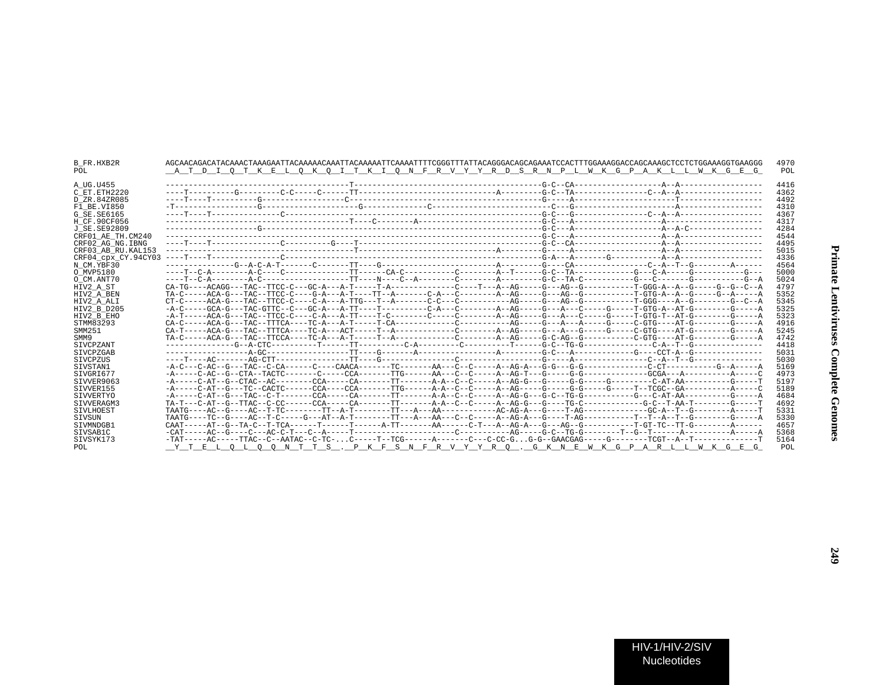| B FR.HXB2R<br>POL   | A T D I O T K E L O K O I T K I O N F R V Y Y R D S R N P L W K G P A K L L W K G E G                                                  |  | 4970<br>POL |
|---------------------|----------------------------------------------------------------------------------------------------------------------------------------|--|-------------|
| A UG.U455           |                                                                                                                                        |  | 4416        |
| C ET. ETH2220       |                                                                                                                                        |  | 4362        |
| D ZR.84ZR085        |                                                                                                                                        |  | 4492        |
| F1 BE.VI850         |                                                                                                                                        |  | 4310        |
| G SE.SE6165         |                                                                                                                                        |  | 4367        |
| H CF.90CF056        |                                                                                                                                        |  | 4317        |
| J SE.SE92809        |                                                                                                                                        |  | 4284        |
| CRF01 AE TH.CM240   |                                                                                                                                        |  | 4544        |
| CRF02 AG NG. IBNG   |                                                                                                                                        |  | 4495        |
| CRF03 AB RU. KAL153 |                                                                                                                                        |  | 5015        |
| CRF04 cpx CY.94CY03 |                                                                                                                                        |  | 4336        |
| N CM.YBF30          |                                                                                                                                        |  | 4564        |
| O MVP5180           |                                                                                                                                        |  | 5000        |
| O CM.ANT70          |                                                                                                                                        |  | 5024        |
| HIV2 A ST           |                                                                                                                                        |  | 4797        |
| HIV2 A BEN          |                                                                                                                                        |  | 5352        |
| HIV2 A ALI          |                                                                                                                                        |  | 5345        |
| HIV2 B D205         |                                                                                                                                        |  | 5325        |
| HIV2 B EHO          | -A-T-----ACA-G---TAC--TTCC-C----C-A---A-TT----T-C-------C-----C------A--AG-----G---A---C----G----T-GTG-T--AT-G------G-------C--------- |  | 5323        |
| STMM83293           |                                                                                                                                        |  | 4916        |
| SMM251              |                                                                                                                                        |  | 5245        |
| SMM9                |                                                                                                                                        |  | 4742        |
| SIVCPZANT           |                                                                                                                                        |  | 4418        |
| SIVCPZGAB           |                                                                                                                                        |  | 5031        |
| <b>STVCPZUS</b>     |                                                                                                                                        |  | 5030        |
| SIVSTAN1            |                                                                                                                                        |  | 5169        |
| SIVGRI677           |                                                                                                                                        |  | 4973        |
| STVVER9063          | -A-----C-AT--G--CTAC--AC--------CCA------CA------TT------A-A--C--C---A--AG-G---G-----G-G------G------C-AT-AA--------G------G------     |  | 5197        |
| SIVVER155           | -A-----C-AT--G---TC--CACTC------CCA------CCA------TTG------A-A--C--C-----A-AG-----G-----G----G----T--TCGC--GA---------A-----C          |  | 5189        |
| SIVVERTYO           |                                                                                                                                        |  | 4684        |
| STVVERAGM3          | TA-T---C-AT--G--TTAC--C-CC------CCA------CA------TT-------A-A--C--C-----A--AG-G---G-----TG-C---------G-C--T-AA-T-------G------T        |  | 4692        |
| SIVLHOEST           |                                                                                                                                        |  | 5331        |
| SIVSUN              |                                                                                                                                        |  | 5330        |
| STVMNDGB1           | CAAT-----AT--G--TA-C--T-TCA------T------T-----A-TT------AA------C-T---AG-A---G---AG--G---------T-GT-TC--TT-G-------A------             |  | 4657        |
| SIVSAB1C            |                                                                                                                                        |  | 5368        |
| STVSYK173           |                                                                                                                                        |  | 5164        |
| POL.                | Y T E L O L O O N T T S . P K F S N F R V Y Y R O . G K N E W K G P A R L L W K G E G                                                  |  | POL         |
|                     |                                                                                                                                        |  |             |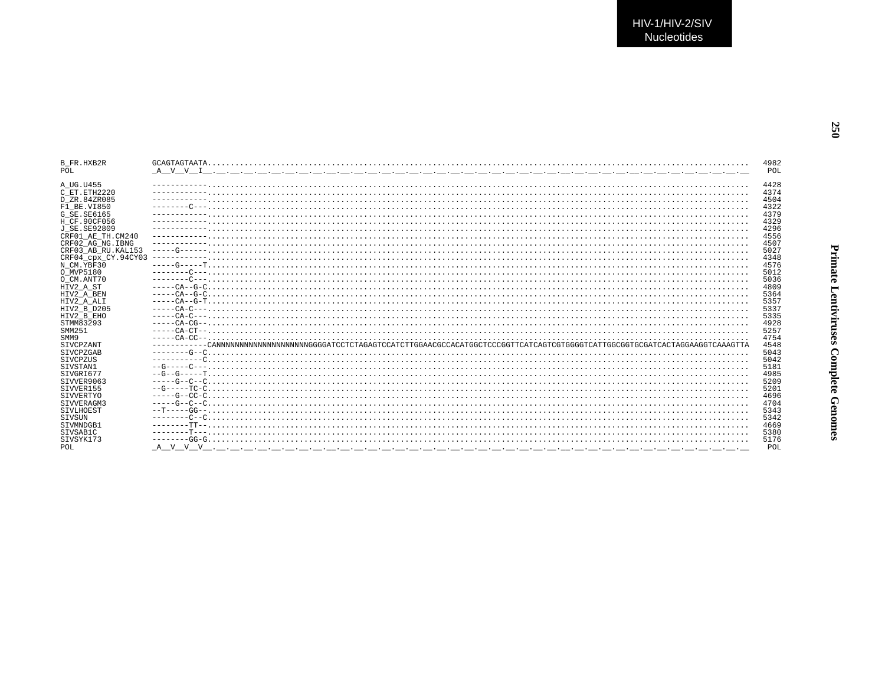| <b>B FR.HXB2R</b>   | 4982 |
|---------------------|------|
| POL                 | POL  |
|                     |      |
| A UG.U455           | 4428 |
| C ET. ETH2220       | 4374 |
| D ZR.84ZR085        | 4504 |
| F1 BE.VI850         | 4322 |
| G SE. SE6165        | 4379 |
| H CF.90CF056        | 4329 |
| J SE. SE92809       | 4296 |
| CRF01 AE TH.CM240   | 4556 |
| CRF02 AG NG. IBNG   | 4507 |
| CRF03 AB RU. KAL153 | 5027 |
| CRF04 cpx CY.94CY03 | 4348 |
| N CM.YBF30          | 4576 |
| O MVP5180           | 5012 |
| O CM.ANT70          | 5036 |
| HIV2 A ST           | 4809 |
| HIV2 A BEN          | 5364 |
| HIV2 A ALI          | 5357 |
| HIV2 B D205         | 5337 |
| HIV2 B EHO          | 5335 |
| STMM83293           | 4928 |
| SMM251              | 5257 |
| SMM9                | 4754 |
| SIVCPZANT           | 4548 |
| SIVCPZGAB           | 5043 |
| SIVCPZUS            | 5042 |
| SIVSTAN1            | 5181 |
| STVGRT677           | 4985 |
| SIVVER9063          | 5209 |
| STVVER155           | 5201 |
| <b>SIVVERTYO</b>    | 4696 |
| STVVERAGM3          | 4704 |
| SIVLHOEST           | 5343 |
| SIVSUN              | 5342 |
| STVMNDGB1           | 4669 |
| STVSAB1C            | 5380 |
| STVSYK173           | 5176 |
| POL                 | POL  |
|                     |      |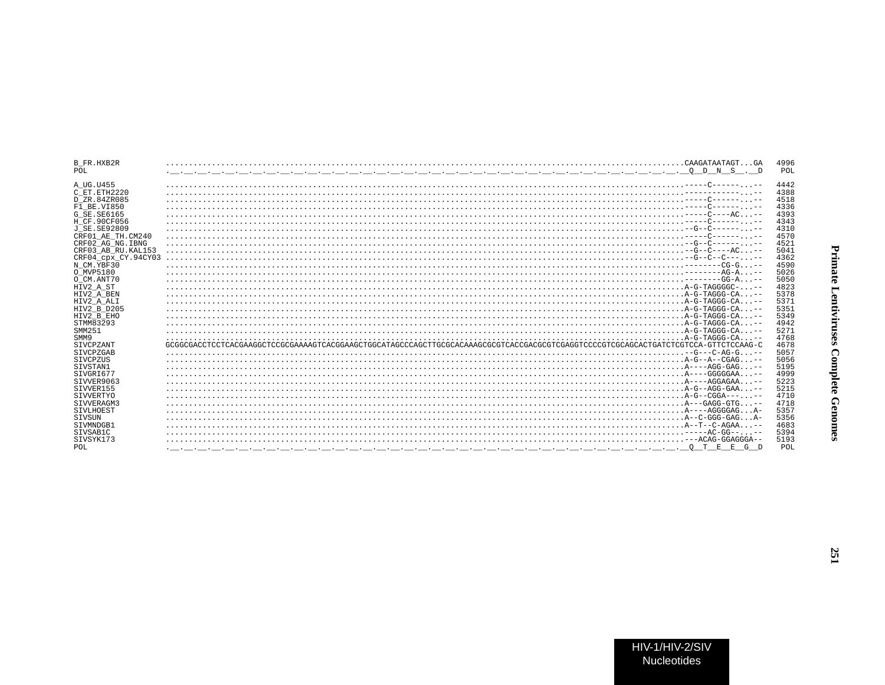| B FR.HXB2R<br>POL   |                                                                                                                                   | 4996<br>POI |
|---------------------|-----------------------------------------------------------------------------------------------------------------------------------|-------------|
|                     |                                                                                                                                   |             |
| A UG.U455           |                                                                                                                                   | 4442        |
| C ET. ETH2220       |                                                                                                                                   | 4388        |
| D ZR.84ZR085        |                                                                                                                                   | 4518        |
| F1 BE.VI850         |                                                                                                                                   | 4336        |
| G SE. SE6165        |                                                                                                                                   | 4393        |
| H CF.90CF056        |                                                                                                                                   | 4343        |
| J SE.SE92809        |                                                                                                                                   | 4310        |
| CRF01_AE_TH.CM240   |                                                                                                                                   | 4570        |
| CRF02 AG NG. IBNG   |                                                                                                                                   | 4521        |
| CRF03 AB RU. KAL153 |                                                                                                                                   | 5041        |
| CRF04 cpx CY.94CY03 |                                                                                                                                   | 4362        |
| N CM.YBF30          |                                                                                                                                   | 4590        |
| O MVP5180           |                                                                                                                                   | 5026        |
| O CM.ANT70          |                                                                                                                                   | 5050        |
| HIV2 A ST           |                                                                                                                                   | 4823        |
| HIV2 A BEN          |                                                                                                                                   | 5378        |
| HIV2 A ALI          |                                                                                                                                   | 5371        |
| HIV2 B D205         |                                                                                                                                   | 5351        |
| HIV2 B EHO          |                                                                                                                                   | 5349        |
| STMM83293           |                                                                                                                                   | 4941        |
| SMM251              |                                                                                                                                   | 5271        |
| SMM9                |                                                                                                                                   | 4768        |
| SIVCPZANT           |                                                                                                                                   | 4678        |
| SIVCPZGAB           |                                                                                                                                   | 5057        |
| SIVCPZUS            |                                                                                                                                   | 5056        |
| SIVSTAN1            |                                                                                                                                   | 5195        |
| SIVGRI677           |                                                                                                                                   | 4999        |
| SIVVER9063          |                                                                                                                                   | 5223        |
| SIVVER155           |                                                                                                                                   | 5215        |
| SIVVERTYO           |                                                                                                                                   | 4710        |
| STVVERAGM3          |                                                                                                                                   | 4718        |
| SIVLHOEST           |                                                                                                                                   | 5357        |
| SIVSUN              |                                                                                                                                   | 5356        |
| SIVMNDGB1           |                                                                                                                                   | 4683        |
| STVSAB1C            |                                                                                                                                   | 5394        |
| SIVSYK173           |                                                                                                                                   | 5193        |
| POL                 | O T E E G D<br><u>. In the second contract of the second contract of the second contract of the second contract of the second</u> | POI         |
|                     |                                                                                                                                   |             |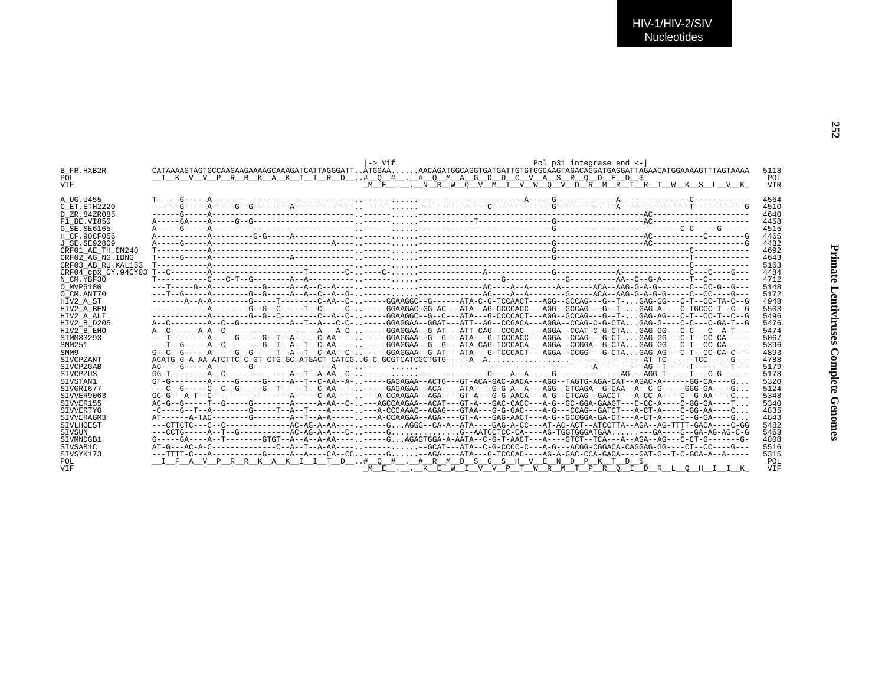| <b>B FR.HXB2R</b>   | $\rightarrow$ Vif<br>CATAAAAGTAGTGCCAAGAAAAAAGCAAAGATCATTAGGGATTÀTGGAAAACAGATGGCAGGTGATGATGTGTGCAAGTAGACAGGATGAGGATTAGAACATGGAAAACGTTTAGTAAAA         | Pol p31 integrase end <-<br>5118                           |
|---------------------|-------------------------------------------------------------------------------------------------------------------------------------------------------|------------------------------------------------------------|
| POL                 | I K V V P R R K A K I I R D # O # . # O M A G D D C V A S R O D E D \$                                                                                | POL                                                        |
| <b>VTF</b>          |                                                                                                                                                       | ME. . NRW O V M I V W O V D R M R I R T W K S L V K<br>VIR |
| A UG.U455           |                                                                                                                                                       | 4564                                                       |
| C ET. ETH2220       |                                                                                                                                                       | 4510                                                       |
| D ZR.84ZR085        |                                                                                                                                                       | 4640                                                       |
| F1 BE.VI850         |                                                                                                                                                       | 4458                                                       |
| G SE. SE6165        |                                                                                                                                                       | 4515                                                       |
| H CF.90CF056        |                                                                                                                                                       | 4465                                                       |
| J SE. SE92809       |                                                                                                                                                       | 4432                                                       |
| CRF01 AE TH.CM240   |                                                                                                                                                       | 4692                                                       |
| CRF02 AG NG. IBNG   |                                                                                                                                                       | 4643                                                       |
| CRF03 AB RU. KAL153 |                                                                                                                                                       | 5163                                                       |
|                     |                                                                                                                                                       | 4484                                                       |
| N CM.YBF30          |                                                                                                                                                       | 4712                                                       |
| O MVP5180           |                                                                                                                                                       | 5148                                                       |
| O CM.ANT70          |                                                                                                                                                       | 5172                                                       |
| HIV2 A ST           |                                                                                                                                                       | 4948                                                       |
| HIV2 A BEN          | ------------A-------G--G--C-----T--C-----C-----GGAAGAC-GG-AC---ATA--AG-CCCCACC---AGG--GCCAG---G--T-GAG-A----C-TGCCC-T--C--G                           | 5503                                                       |
| HIV2 A ALI          | ------------A-------G--G--C-------C--A--C-----GGAAGGC--G--C--ATA---G-CCCCACT---AGG--GCCAG---G--T-GAG-AG---C-T--CC-T--C--G                             | 5496                                                       |
| HIV2 B D205         |                                                                                                                                                       | 5476                                                       |
| HIV2 B EHO          |                                                                                                                                                       | 5474                                                       |
| STMM83293           | ---T--------A-----G-----G--T--A-----C-AA--------GGAGGAA--G--G--ATA---G-TCCCACC---AGGA--CCAG---G-CT-GAG-GG---C-T--CC-CA-----                           | 5067                                                       |
| SMM251              | ---T--G-----A--C-------G--T--A--T--C-AA---- . -----GGAGGAA--G--G--ATA-CAG-TCCCACA---AGGA--CCGGA--G-CTAGAG-GG---C-T--CC-CA-----                        | 5396                                                       |
| SMM9                |                                                                                                                                                       | 4893                                                       |
| <b>STVCPZANT</b>    | ACATG-G-A-AA-ATCTTC-C-GT-CTG-GC-ATGACT-CATCGG-C-GCGTCATCGCTGTG-----A--A---------AT-TC-----TCC-----G--                                                 | 4788                                                       |
| SIVCPZGAB           |                                                                                                                                                       | 5179                                                       |
| SIVCPZUS            |                                                                                                                                                       | 5178                                                       |
| STVSTAN1            |                                                                                                                                                       | 5320                                                       |
| SIVGRI677           | ---C--G-----C--C--G-----G--T----T--C-AA--------GAGAGAA--ACA----ATA---G-G-A--A---AGG--GTCAGA--G-CAA--A--C-G-----GGG-GA----G                            | 5124                                                       |
| STVVER9063          | $GC-G--A-T--C------------A---C-AA---C-AA---A-CCAAGAA--AGA---GT-A---G-T-AACA---A-G--CTCAG--GACCT---A-CC-A---C--G-A---C--A---C-A---C--G-A---C--A---C-.$ | 5348                                                       |
| SIVVER155           | AC-G--C-----T--G-----G-------A------A-AA--C----AGCCAAGAA--ACAT---GT-A---GAC-CACC---A-G--GC-GGA-GAAGT---C-CC-A----C-GG-GA----T                         | 5340                                                       |
| SIVVERTYO           | -C----G--T--A-------G-----T--A--T---A-----,---A-CCCAAAC--AGAG---GTAA---G-GAC----A-G---CCAG--GATCT---A-CT-A----C-GG-AA----C.                           | 4835                                                       |
| SIVVERAGM3          |                                                                                                                                                       | 4843                                                       |
| SIVLHOEST           |                                                                                                                                                       | 5482                                                       |
| <b>STVSUN</b>       |                                                                                                                                                       | 5463                                                       |
| STVMNDGB1           |                                                                                                                                                       | 4808                                                       |
| SIVSAB1C            | AT-G---AC-A-C------------C--A--T--A-AA----, .------, -GCAT---ATA--C-G-CCCC-C---A-G---ACGG-CGGACA-CAGGAG-GG----CT--CC----G---                          | 5516                                                       |
| SIVSYK173           | ---TTTT-C--A---------G----A--A----CA--CC-----G-AGA---ATA---G-TCCCAC----AG-A-GAC-CCA-GACA----GAT-G--T-C-GCA-A--A-----                                  | 5315                                                       |
| POL                 | I F A V P R R K A K I I T D # O # . # R M D S G S H V E N D P K T D \$                                                                                | POL                                                        |
| <b>VIF</b>          |                                                                                                                                                       | ME. . KEWIVVPTWRMTPROIDRLOHIIK<br><b>VTF</b>               |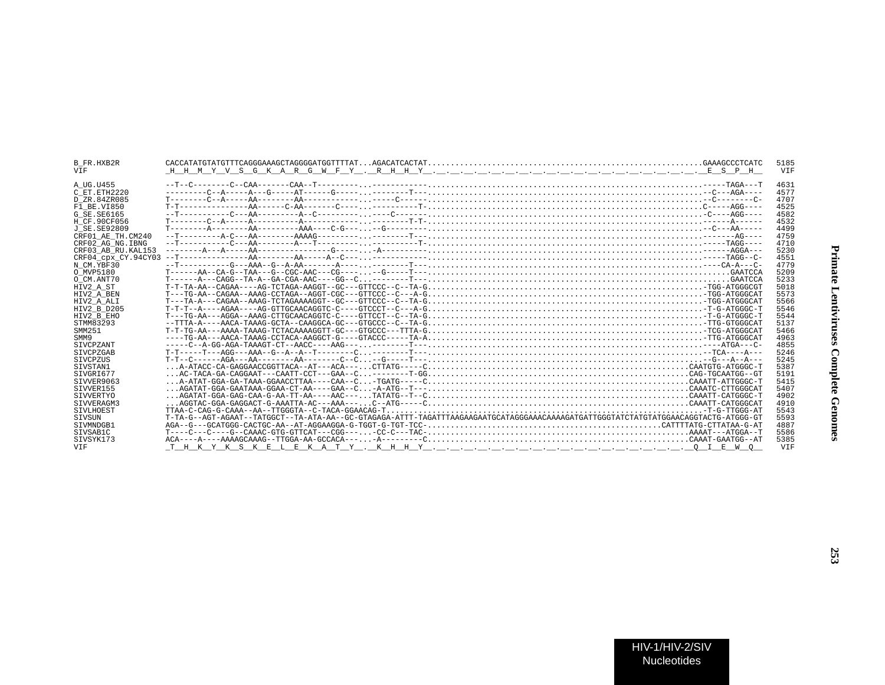| Primate Lentiviruses Complete Genom |
|-------------------------------------|
| 253                                 |

B\_FR.HXB2R CACCATATGTATGTTTCAGGGAAAGCTAGGGGATGGTTTTAT...AGACATCACTAT............................................................GAAAGCCCTCATC 5185

 $\overline{H-H-M}$  y v s  $\overline{G}$  k  $\overline{A}$  r  $\overline{G}$  w  $\overline{F}$  y  $\ldots$  r  $\overline{H}$   $\overline{H}$  y  $\ldots$   $\ldots$   $\ldots$   $\ldots$   $\ldots$   $\ldots$   $\ldots$   $\ldots$   $\ldots$   $\ldots$   $\ldots$   $\ldots$   $\ldots$   $\overline{E}$  s  $\overline{P}$   $\overline{H}$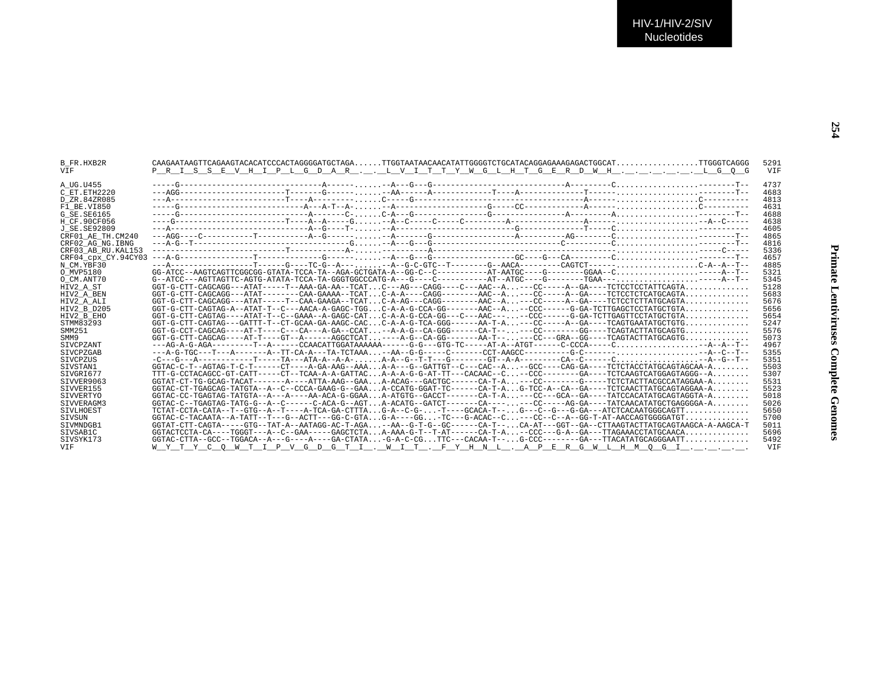| B FR.HXB2R<br><b>VTF</b> | P R I S S E V H I P L G D A R L V I T T Y W G L H T G E R D W H L G O G                                                         | 5291<br><b>VTF</b> |
|--------------------------|---------------------------------------------------------------------------------------------------------------------------------|--------------------|
| A UG.U455                |                                                                                                                                 | 4737               |
| C ET. ETH2220            |                                                                                                                                 | 4683               |
| D ZR.84ZR085             |                                                                                                                                 | 4813               |
| F1 BE.VI850              |                                                                                                                                 | 4631               |
| G SE.SE6165              |                                                                                                                                 | 4688               |
| H CF.90CF056             |                                                                                                                                 | 4638               |
| J SE.SE92809             |                                                                                                                                 | 4605               |
| CRF01 AE TH.CM240        |                                                                                                                                 | 4865               |
| CRF02 AG NG. IBNG        |                                                                                                                                 | 4816               |
| CRF03 AB RU. KAL153      |                                                                                                                                 | 5336               |
| CRF04 cpx CY.94CY03      |                                                                                                                                 | 4657               |
| N CM.YBF30               |                                                                                                                                 | 4885               |
| O MVP5180                |                                                                                                                                 | 5321               |
| O CM.ANT70               | $G--ATCC---AGTTAGTTTC-AGTG-ATG+ATA-TCCA-TA-GGGTGGCCCATG-A---G---C----------AT--ATGCC---G-------TGAA---$                         | 5345               |
| HIV2 A ST                |                                                                                                                                 | 5128               |
| HIV2 A BEN               |                                                                                                                                 | 5683               |
| HIV2 A ALI               |                                                                                                                                 | 5676               |
| HIV2 B D205              | $GGT-G-CTT-CAGTAG-A--ATAT-T--C---AACA-A-GAGC-TGGC-A-A-G-CCA-GG------AAC-A--CCC------G-GA-TCTTGAGCTCCTATGCTGTA$                  | 5656               |
| HIV2 B EHO               |                                                                                                                                 | 5654               |
| STMM83293                |                                                                                                                                 | 5247               |
| SMM251                   |                                                                                                                                 | 5576               |
| SMM9                     | $GGT-G-CTT-CAGCAGC---AT-T---GT---G-T---A-GGCTCAT$ ----A-G--CA-GG-------AA-T-----CC---GRA--GG----TCAGTACTTATGCAGTG               | 5073               |
| SIVCPZANT                | ---AG-A-G-AGA----------T--A------CCAACATTGGATAAAAAA------G-G---GTG-TC-----AT-A--ATGT------C-CCCA-----C--A--A--T--               | 4967               |
| SIVCPZGAB                |                                                                                                                                 | 5355               |
| <b>STVCPZUS</b>          |                                                                                                                                 | 5351               |
| SIVSTAN1                 | $GGTAC-C-T--AGTAG-T-C-T------CT---A-GA-AAG--AAA. A-A---G--GATTGT--C---CAC--A. --GCC---CAG-GA---TCTCTACCTACCTATGCAGTAGCAA-A.$    | 5503               |
| SIVGRI677                | TTT-G-CCTACAGCC-GT-CATT-----CT--TCAA-A-A-GATTACA-A-A-G-G-AT-TT---CACAAC--C--CCC--------GA----TCTCAAGTCATGGAGTAGGG--A            | 5307               |
| SIVVER9063               | $GGTAT-CT-TG-GCAG-TACAT------A---ATTA-AAG--GAA. A-ACAG---GACTGC-----CA-T-A. ---CC-------G----TCTCTACTACGCCATAGGAA-A.$           | 5531               |
| STVVER155                | GGTAC-CT-TGAGCAG-TATGTA--A--C--CCCA-GAAG-G--GAA A-CCATG-GGAT-TC-----CA-T-A G-TCC-A--CA--GA----TCTCAACTTATGCAGTAGGAA-A           | 5523               |
| SIVVERTYO                | $GGTAC-CC-TGAGTAG-TATGTA--A---A---AA-ACA-G-GGAA$ $A-ATGTG--GACCT---C-A-T-A$ $---CC---GCA--GA---TATCCACATATGCAGTAGGTA-A$         | 5018               |
| STVVERAGM3               | $GGTAC-C--TGAGTAG-TATG-G--A-C---C--C-ACA-G--AGT, A-ACATG--GATCT---C-A---C-A---C.---C-C---A--AC-G-GA---TATCAACATATGCTGAGGGGA-A.$ | 5026               |
| <b>STVLHOEST</b>         |                                                                                                                                 | 5650               |
| SIVSUN                   | $GGTAC-C-TACAATA-A-TATT--T---G-ACTT---GGC-CTAG-A---GG-TC---G-ACAC-C---CC---C---A-GG-T-TT-AACCAGTGGGGATTT$                       | 5700               |
| SIVMNDGB1                | GGTAT-CTT-CAGTA-----GTG--TAT-A--AATAGG-AC-T-AGA-AA--G-T-G--GC------CA-T--CA-AT---GGT--GA-CTTAAGTACTTATGCAGTAAGCA-A-AAGCA-T      | 5011               |
| SIVSAB1C                 | $GGTACTCCTA-CA---TGGGT---A---CAA---CAAGCTCTAA-AAAG-T---T-AT---CA-T-A---CCC---G-A---GA---T-AA-CCTT-AC---A-.$                     | 5696               |
| SIVSYK173                | $GGTAC-CTTA--GCC--TGGACA--A---G---A---GA--CTATA--G-A-C-CGTTC---CACAA-T---G-CCC------GA---TTACATATGCAGGGAATT$                    | 5492               |
| <b>VTF</b>               | WYTYCOWTIPV <u>GDGTI.WIT.FYHNL.APERGWLHMOGI</u> .                                                                               | <b>VTF</b>         |
|                          |                                                                                                                                 |                    |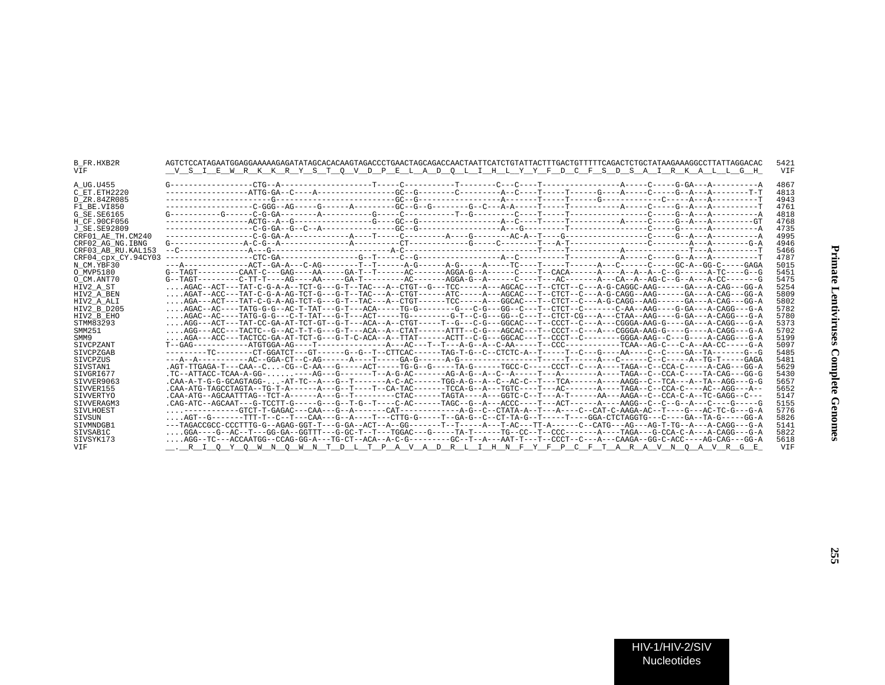| B FR.HXB2R<br>VIF   | AGTCTCCATAGAATGGAGGAAAAAGAGATATAGCACACAAGTAGACCCTGAACTAGCAGACCAACTAATTCATCTGTATTACTTTGACTGTTTTTCAGACTCTGCTATAAGAAAGGCCTTATTAGGACAC<br>V S I E W R K K R Y S T O V D P E L A D O L I H L Y Y F D C F S D S A I R K A L L G H | 5421<br>VIF |
|---------------------|-----------------------------------------------------------------------------------------------------------------------------------------------------------------------------------------------------------------------------|-------------|
| A UG.U455           |                                                                                                                                                                                                                             | 4867        |
| C ET.ETH2220        |                                                                                                                                                                                                                             | 4813        |
| D ZR.84ZR085        |                                                                                                                                                                                                                             | 4943        |
| F1 BE.VI850         |                                                                                                                                                                                                                             | 4761        |
| G SE.SE6165         |                                                                                                                                                                                                                             | 4818        |
| H CF.90CF056        |                                                                                                                                                                                                                             | 4768        |
| J SE.SE92809        |                                                                                                                                                                                                                             | 4735        |
| CRF01 AE TH.CM240   |                                                                                                                                                                                                                             | 4995        |
| CRF02 AG NG.IBNG    |                                                                                                                                                                                                                             | 4946        |
| CRF03 AB RU.KAL153  |                                                                                                                                                                                                                             | 5466        |
| CRF04 cpx CY.94CY03 |                                                                                                                                                                                                                             | 4787        |
| N CM.YBF30          | ---A------------ACT--GA-A---C-AG--------T--T-----A-G------A-G------A----TC----T-------A----C-----C----CGC-A--GG-C----GGA                                                                                                    | 5015        |
| O MVP5180           | G--TAGT--------CAAT-C---GAG----AA------GA-T---T------AC------AGGA-G--A------C---T--CACA------A--A--A--A--C--G------A-TC----G-G-C--                                                                                          | 5451        |
| O CM.ANT70          |                                                                                                                                                                                                                             | 5475        |
| HIV2 A ST           | AGAC--ACT---TAT-C-G-A-A--TCT-G---G-T--TAC---A--CTGT--G---TCC-----A---AGCAC---T--CTCT--C---A-G-CAGGC-AAG------GA---A-CAG---GG-A                                                                                              | 5254        |
| HIV2 A BEN          | AGAT--ACC---TAT-C-G-A-AG-TCT-G---G-T--TAC---A--CTGT------ATC-----AC--AGCAC---T--CTCT--C---A-G-CAGG--AAG------GA---A-CAG---GG-A                                                                                              | 5809        |
| HIV2 A ALI          | AGA---ACT---TAT-C-G-A-AG-TCT-G---G-T--TAC---A--CTGT------TCC-----A--GGCAC---T--CTCT--C---A-G-CAGG--AAG------GA---A-CAG---A-CAG---GG-A                                                                                       | 5802        |
| HIV2 B D205         | AGAC--AC----TATG-G-G--AC-T-TAT---G-T---ACA-----TG-G-------G---C-G---GG--C---T--CTCT--C-------C-AA--AAG----G-GA---A-CAGG---G-A                                                                                               | 5782        |
| HIV2 B EHO          | AGAC--AC----TATG-G-G---C-T-TAT---G-T---ACT-----TG------G-T--C-G---GG--CG---T--CTCT-CG---A---CTAA--AAG----G-GA---A-CAGG---G-A                                                                                                | 5780        |
| STMM83293           | $\ldots$ AGG---ACT---TAT-CC-GA-AT-TCT-GT--G-T---ACA--A--CTGT-----T--G---CGC--GGCAC---T--CCCT--C---A---CGGGA-AAG-G----GA---A-CAGG---G-A                                                                                      | 5373        |
| SMM251              |                                                                                                                                                                                                                             | 5702        |
| SMM9                | AGA---ACC---TACTCC-GA-AT-TCT-G---G-T-C-ACA--A--TTAT------ACTT--C-G---GGCAC---T--CCCT--C-------GGGA-AAG--C---G---A-CAGG---G-A                                                                                                | 5199        |
| SIVCPZANT           |                                                                                                                                                                                                                             | 5097        |
| SIVCPZGAB           |                                                                                                                                                                                                                             | 5485        |
| SIVCPZUS            |                                                                                                                                                                                                                             | 5481        |
| STVSTAN1            | .AGT-TTGAGA-T---CAA--C-CG--C-AA---G----ACT-----TG-G--G-----TA-G-----TGCC-C-----CCCT--C--A----TAGA--C--CCA-C----A-CAG---GG-A                                                                                                 | 5629        |
| SIVGRI677           |                                                                                                                                                                                                                             | 5430        |
| SIVVER9063          | .CAA-A-T-G-G-GCAGTAGG- -AT-TC--A---G--T-------A-C-AC-----TGG-A-G--A--C--AC-C--T---TCA-----AGG----AAGG--C--TCA---A-CA--TA--AGG---G-G                                                                                         | 5657        |
| SIVVER155           |                                                                                                                                                                                                                             | 5652        |
| SIVVERTYO           |                                                                                                                                                                                                                             | 5147        |
| SIVVERAGM3          |                                                                                                                                                                                                                             | 5155        |
| SIVLHOEST           |                                                                                                                                                                                                                             | 5776        |
| SIVSUN              |                                                                                                                                                                                                                             | 5826        |
| STVMNDGB1           |                                                                                                                                                                                                                             | 5141        |
| SIVSAB1C            | $\ldots$ .ggA----G--AC--T---GG-GA--GGTTT---G-GC-T--T---TGGAC---G-----TA-T------TG--CC--T--CCC-------A---TAGA---G-CCA-C-A---A-CAGG---G-A                                                                                     | 5822        |
| SIVSYK173           | AGG--TC---ACCAATGG--CCAG-GG-A---TG-CT--ACA--A-C-G--------GC--T--A---AAT-T---T--CCCT--C---A---CAAGA--GG-C-ACC----AG-CAG---GG-A                                                                                               | 5618        |
| VIF                 | <u> R I Q Y Q W N Q W N T D L T P A V A D R L I H N F Y F P C F T A R A V N Q A V R G E</u>                                                                                                                                 | <b>VTF</b>  |
|                     |                                                                                                                                                                                                                             |             |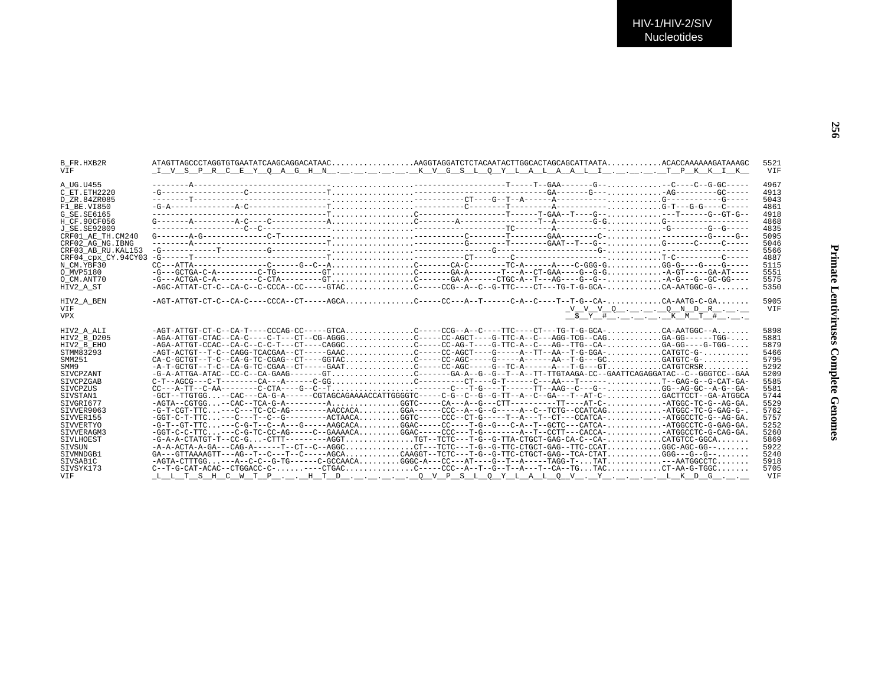| B FR.HXB2R          |                                                                                                                                   |                                                                                              | 5521       |
|---------------------|-----------------------------------------------------------------------------------------------------------------------------------|----------------------------------------------------------------------------------------------|------------|
| <b>VTF</b>          | I V S P R C E Y O A G H N K V G S L O Y L A L A A L I T P K K I K                                                                 |                                                                                              | VIF        |
|                     |                                                                                                                                   |                                                                                              | 4967       |
| A UG.U455           |                                                                                                                                   |                                                                                              | 4913       |
| C ET.ETH2220        |                                                                                                                                   |                                                                                              |            |
| D ZR.84ZR085        |                                                                                                                                   |                                                                                              | 5043       |
| F1 BE.VI850         |                                                                                                                                   |                                                                                              | 4861       |
| G SE SE6165         |                                                                                                                                   |                                                                                              | 4918       |
| H CF.90CF056        |                                                                                                                                   |                                                                                              | 4868       |
| J SE.SE92809        |                                                                                                                                   |                                                                                              | 4835       |
| CRF01 AE TH.CM240   |                                                                                                                                   |                                                                                              | 5095       |
| CRF02 AG NG. IBNG   |                                                                                                                                   |                                                                                              | 5046       |
| CRF03 AB RU. KAL153 |                                                                                                                                   |                                                                                              | 5566       |
| CRF04 cpx CY.94CY03 |                                                                                                                                   |                                                                                              | 4887       |
| N CM.YBF30          |                                                                                                                                   |                                                                                              | 5115       |
| O MVP5180           | $-G=-GCTGA-C-A------C-TG------G-T$                                                                                                |                                                                                              | 5551       |
| O CM.ANT70          |                                                                                                                                   |                                                                                              | 5575       |
| HIV2 A ST           | -AGC-ATTAT-CT-C--CA-C--C-CCCA--CC-----GTACC-----CCG--A--C--G-TTC----CT---CT--G-GCA-CA-AATGGC-G-                                   |                                                                                              | 5350       |
| HIV2_A_BEN          | $-AGT-ATTGT-CT-C-CA-C---CCCA-CT----AGCA$ C----CC---A--T------C-A-C---T--T-G--CA-CA-AATG-C-GA                                      |                                                                                              | 5905       |
| VIF                 |                                                                                                                                   |                                                                                              | VIF        |
| <b>VPX</b>          |                                                                                                                                   | $V$ $V$ $V$ $Q$ $\ldots$ $Q$ $N$ $D$ $R$ $\ldots$<br>$S_Y$ $Y$ $#$ $$ $X$ $K$ $M$ $T$ $#$ $$ |            |
|                     |                                                                                                                                   |                                                                                              |            |
| HIV2 A ALI          |                                                                                                                                   |                                                                                              | 5898       |
| HIV2 B D205         | $-AGA-ATTGT-CTAC--CA-C---C-T---CT---CT--CG-AGGG. ---CC-AGCT---G-TTC-A--C---AGG-TCG--CAG. GA-GG---TGG-$                            |                                                                                              | 5881       |
| HIV2 B EHO          |                                                                                                                                   |                                                                                              | 5879       |
| STMM83293           |                                                                                                                                   |                                                                                              | 5466       |
| SMM251              | CA-C-GCTGT--T-C--CA-G-TC-CGAG--CT----GGTACC----CC-AGC-----G-----A-----AA--T-G---GCGATGTC-G-                                       |                                                                                              | 5795       |
| SMM9                | -A-T-GCTGT--T-C--CA-G-TC-CGAA--CT-----GAATC----CC-AGC----G--TC-A------A---T-G---GTCATGTCRSR                                       |                                                                                              | 5292       |
| SIVCPZANT           | -G-A-ATTGA-ATAC--CC-C--CA-GAAG-------GTC------GA-A--G--G--T--A--TT-TTGTAAGA-CC--GAATTCAGAGGATAC--C--GGGTCC--GAA                   |                                                                                              | 5209       |
| SIVCPZGAB           |                                                                                                                                   |                                                                                              | 5585       |
| SIVCPZUS            |                                                                                                                                   |                                                                                              | 5581       |
| SIVSTAN1            | -GCT--TTGTGG--CAC---CA-G-A------CGTAGCAGAAAACCATTGGGGTC-----C-G--C--G--G-TT--A--C--GA---T--AT-C-GACTTCCT--GA-ATGGCA               |                                                                                              | 5744       |
| SIVGRI677           | -AGTA--CGTGG--CAC--TCA-G-A---------AGGTC----CA---A--G---CTT-----------TT----AT-C-ATGGC-TC-G--AG-GA.                               |                                                                                              | 5529       |
| SIVVER9063          | -G-T-CGT-TTC---C---TC-CC-AG--------AACCACAGGA------CCC--A--G--G-----A--C--TCTG--CCATCAGATGGC-TC-G-GAG-G-.                         |                                                                                              | 5762       |
| SIVVER155           | $-GGT-C-T-TC---C---T-C--G-------ACTAACAGGTC----CCC-CT-G----T-A---T--CT---CCT-CCATCA---ATGGCCTC-G--AG-GA.$                         |                                                                                              | 5757       |
| SIVVERTYO           | -G-T--GT-TTC---C-G-T--C--A---G-----AAGCACAGGAC-----CC----T-G--C-A--T--GCTC---CATCA-ATGGCCTC-G-GAG-GA.                             |                                                                                              | 5252       |
| SIVVERAGM3          | $-GGT-C-TTC---C-G-TC-CC-AG-----C-GAAAACAGAC----CCC---T-G-----A---A--T--CCTT---CACCA---ATGGCCTC-G-CAG-GA.$                         |                                                                                              | 5260       |
| SIVLHOEST           | $-G-A-A-CTATGT-T-CC-G - CTTT----ACGT. \n \n \n \nTGT-TCTC--T-C-C-TTA-CTGCT-GAG-CA-C-C-CA- \n \n \nCTGTCC-GGCA. \n \n$             |                                                                                              | 5869       |
| SIVSUN              |                                                                                                                                   |                                                                                              | 5922       |
| SIVMNDGB1           | $GA---GTTAAAAGTT---AG---T---C---T---CAGCA$ ,,,,,,,,,,,,CAAGGT--TCTC---T-G--G-TTC-CTGCT-GAG--TCA-CTAT,,,,,,,,,,,,GGG--G--G--,,,,,, |                                                                                              | 5240       |
| SIVSAB1C            | $-AGTA-CTTTGG---A--C-C--G-TG---G-TG---C-GCCAACAGGGC-A---CC---AT---G-T-A---TAGG-T-TAT---AATGGCCTC$                                 |                                                                                              | 5918       |
| STVSYK173           | $C--T-G-CAT-ACAC--CTGGACC-C----CTGACC----CCC-A--T--G--T-A---T-CA--TGTACC-T-A-A--G-TGGC$                                           |                                                                                              | 5705       |
| VIF                 | L L T S H C W T P H T D O V P S L O Y L A L O V . Y L K D G                                                                       |                                                                                              | <b>VTF</b> |
|                     |                                                                                                                                   |                                                                                              |            |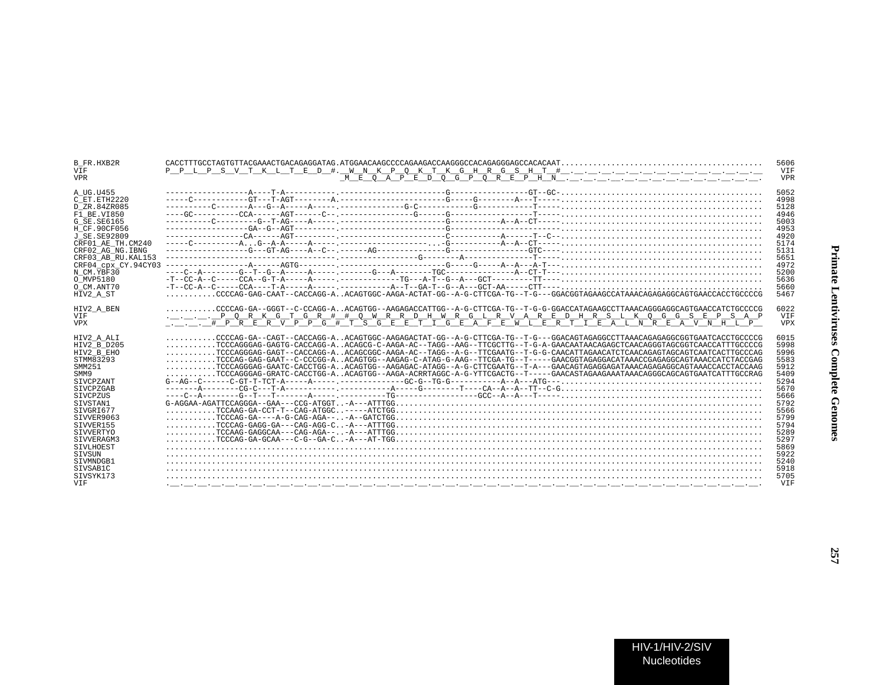| <b>B FR.HXB2R</b>          |                                                                                                                      | 5606         |
|----------------------------|----------------------------------------------------------------------------------------------------------------------|--------------|
| <b>VTF</b>                 |                                                                                                                      | <b>VTF</b>   |
| <b>VPR</b>                 |                                                                                                                      | <b>VPR</b>   |
| A UG.U455                  |                                                                                                                      | 5052         |
| C ET ETH2220               |                                                                                                                      | 4998         |
| D ZR.84ZR085               |                                                                                                                      | 5128         |
| F1 BE.VI850                |                                                                                                                      | 4946         |
| G SE. SE6165               |                                                                                                                      | 5003         |
| H CF.90CF056               |                                                                                                                      | 4953         |
| J SE. SE92809              |                                                                                                                      | 4920         |
| CRF01 AE TH.CM240          |                                                                                                                      | 5174         |
|                            |                                                                                                                      |              |
| CRF02 AG NG. IBNG          |                                                                                                                      | 5131         |
| CRF03 AB RU.KAL153         |                                                                                                                      | 5651         |
| CRF04 cpx CY.94CY03        |                                                                                                                      | 4972         |
| N CM.YBF30                 |                                                                                                                      | 5200         |
| O MVP5180                  |                                                                                                                      | 5636         |
| O CM.ANT70                 |                                                                                                                      | 5660         |
| HIV2 A ST                  |                                                                                                                      | 5467         |
| HIV2_A_BEN                 |                                                                                                                      | 6022         |
| VIF                        | .__._._. PORK G T G R # # O W R R D H W R G L R V A R E D H R S L K O G G S E P S A P                                | <b>VTF</b>   |
| <b>VPX</b>                 | TTTPRERVPPG # TSGEETIGEAFEWLERTIEALNREAVNHLP                                                                         | <b>VPX</b>   |
|                            |                                                                                                                      |              |
| HIV2 A ALI                 | CCCCAG-GA--CAGT--CACCAGG-AACAGTGGC-AAGAGACTAT-GG--A-G-CTTCGA-TG--T-G---GGACAGTAGAGGCCTTAAACAGAGAGGCGGTGAATCACCTGCCCG | 6015         |
| HIV2 B D205                |                                                                                                                      | 5998         |
| HIV2 B EHO                 | TCCCAGGGAG-GAGT--CACCAGG-AACAGCGGC-AAGA-AC--TAGG--A-G--TTCGAATG--T-G-G-CAACATTAGAACATCTCAACAGTAGCAGTCAATCACTTGCCCAG  | 5996         |
| STMM83293                  | TCCCAG-GAG-GAAT--C-CCCGG-AACAGTGG--AAGAG-C-ATAG-G-AAG--TTCGA-TG--T----GAACGGTAGAGGACATAAACCGAGAGGCAGTAAACCATCTACCGAG | 5583         |
| SMM251                     | TCCCAGGGAG-GAATC-CACCTGG-AACAGTGG--AAGAGAC-ATAGG--A-G-CTTCGAATG--T-A---GAACAGTAGAGGAGATAAACAGAGGGAGTAAACCACCTACCAAG  | 5912         |
| SMM9                       | TCCCAGGGAG-GRATC-CACCTGG-AACAGTGG--AAGA-ACRRTAGGC-A-G-YTTCGACTG--T----GAACASTAGAAGAAATAAACAGGGCAGCAGTGAATCATTTGCCRAG | 5409         |
| SIVCPZANT                  | $G-AG--C-----C-GT-T-TCT-A---A---A---------G-C-G-TG-G---TG-----A---A---ATG---$                                        | 5294         |
| <b>STVCPZGAB</b>           |                                                                                                                      | 5670         |
| SIVCPZUS                   |                                                                                                                      | 5666         |
| SIVSTAN1                   |                                                                                                                      | 5792         |
|                            |                                                                                                                      | 5566         |
| STVGRT677                  |                                                                                                                      |              |
| STVVER9063                 |                                                                                                                      | 5799         |
| STVVER155                  |                                                                                                                      | 5794         |
| SIVVERTYO                  |                                                                                                                      | 5289         |
| STVVERAGM3                 |                                                                                                                      | 5297         |
| SIVLHOEST<br><b>STVSUN</b> |                                                                                                                      | 5869<br>5922 |
| SIVMNDGB1                  |                                                                                                                      | 5240         |
|                            |                                                                                                                      | 5918         |
| SIVSAB1C                   |                                                                                                                      |              |
| SIVSYK173                  |                                                                                                                      | 5705         |
| <b>VTF</b>                 |                                                                                                                      | <b>VTF</b>   |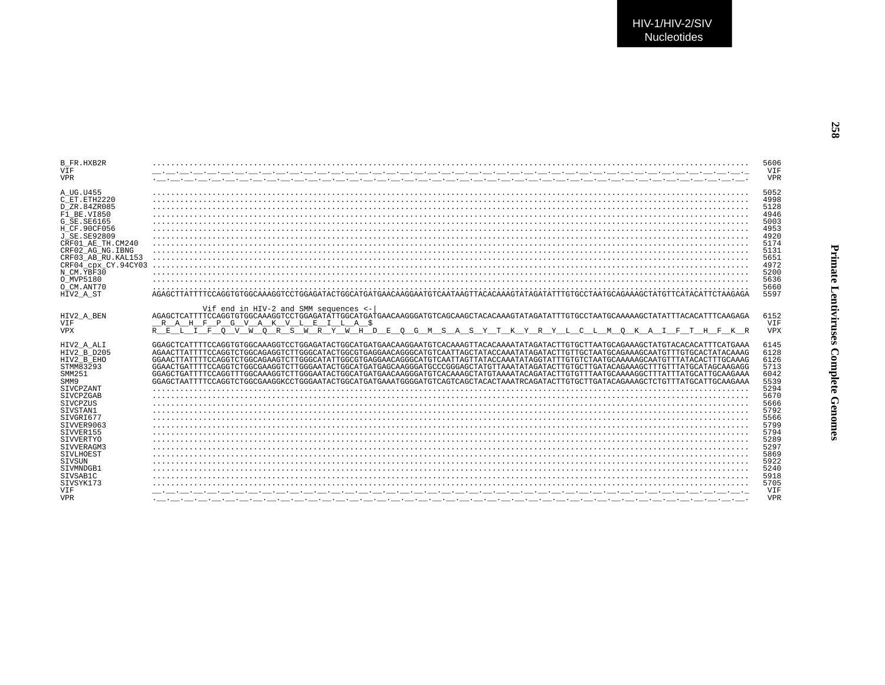| B FR.HXB2R               |                                                                                                                                                                                                               | 5606              |
|--------------------------|---------------------------------------------------------------------------------------------------------------------------------------------------------------------------------------------------------------|-------------------|
|                          |                                                                                                                                                                                                               |                   |
| VIF                      |                                                                                                                                                                                                               | VIF               |
| <b>VPR</b>               |                                                                                                                                                                                                               | <b>VPR</b>        |
|                          |                                                                                                                                                                                                               |                   |
| A UG.U455                |                                                                                                                                                                                                               | 5052              |
|                          |                                                                                                                                                                                                               |                   |
| C ET. ETH2220            |                                                                                                                                                                                                               | 4998              |
| D ZR.84ZR085             |                                                                                                                                                                                                               | 5128              |
|                          |                                                                                                                                                                                                               |                   |
| $F1$ BE.VI850            |                                                                                                                                                                                                               | 4946              |
| G SE. SE6165             |                                                                                                                                                                                                               | 5003              |
| H CF.90CF056             |                                                                                                                                                                                                               | 4953              |
|                          |                                                                                                                                                                                                               |                   |
| <b>J SE. SE92809</b>     |                                                                                                                                                                                                               | 4920              |
| CRF01 AE TH.CM240        |                                                                                                                                                                                                               | 5174              |
|                          |                                                                                                                                                                                                               |                   |
| CRF02 AG NG. IBNG        |                                                                                                                                                                                                               | 5131              |
| CRF03 AB RU. KAL153      |                                                                                                                                                                                                               | 5651              |
| CRF04_cpx_CY.94CY03      |                                                                                                                                                                                                               | 4972              |
|                          |                                                                                                                                                                                                               |                   |
| N CM.YBF30               |                                                                                                                                                                                                               | 5200              |
| O MVP5180                |                                                                                                                                                                                                               | 5636              |
| O CM.ANT70               |                                                                                                                                                                                                               | 5660              |
|                          |                                                                                                                                                                                                               |                   |
| HIV2 A ST                |                                                                                                                                                                                                               | 5597              |
| HIV2 A BEN<br>VIF        | Vif end in HIV-2 and SMM sequences <-<br>RAHFPGVAKVLEILA\$                                                                                                                                                    | 6152<br>VIF       |
| <b>VPX</b>               | $R$ $R$ $L$ $T$ $R$ $O$ $V$ $W$ $O$ $R$<br>$S$ $\overline{W}$ $\overline{R}$ $\overline{Y}$ $\overline{W}$ $\overline{H}$ $D$<br>A S Y T K Y R Y L C L M O K A<br>E<br>$O$ G<br>$M$ S<br>T F<br>T.<br>H F K R | <b>VPX</b>        |
|                          |                                                                                                                                                                                                               |                   |
|                          |                                                                                                                                                                                                               |                   |
|                          |                                                                                                                                                                                                               |                   |
| HIV2 A ALI               | GGAGCTCATTTTCCAGGTGTGGCAAAGGTCCTGGAGATACTGGCATGATGAACAAGGAATGTCACAAAGTTACACAAAATATAGATACTTGTGCTTAATGCAGAAAGCTATGTACACACATTTCATGAAA                                                                            | 6145              |
| HIV2 B D205              | AGAACTTATTTTCCAGGTCTGGCAGAGGTCTTGGCATACTGGCGTGAGGAACAGGGCATGTCAATTAGCTATACCAAATATAGATACTTGTTGCTAATGCAGAAAGCAATGTTTGTGCACTATACAAAG                                                                             | 6128              |
|                          |                                                                                                                                                                                                               |                   |
| HIV2 B EHO               | GGAACTTATTTTCCAGGTCTGGCAGAAGTCTTGGGCATATTGGCGTGAGGAACAGGGCATGTCAATTAGTTATACCAAATATAGGTATTTGTGTCTAATGCAAAAAGCAATGTTTATACACTTTGCAAAG                                                                            | 6126              |
| STMM83293                | GGAACTGATTTTCCAGGTCTGGCGAAGGTCTTGGGAATACTGGCATGATGAGGAAGGGATGCCCGGGAGCTATGTTAAATATAGATACTTGTGCTTGATACAGAAAGCTTTGTTATGCATAGCAAGAGG                                                                             | 5713              |
| SMM251                   |                                                                                                                                                                                                               | 6042              |
|                          |                                                                                                                                                                                                               |                   |
| SMM9                     | GGAGCTAATTTTCCAGGTCTGGCGAAGGKCCTGGGAATACTGGCAATGAAAGGGAATGTCAGGTAAGCTAAAGCTAAATRCAGATACTTGGTAAAGAAAGCTCTGTTTATGCAAGAAAGG                                                                                      | 5539              |
| SIVCPZANT                |                                                                                                                                                                                                               | 5294              |
| SIVCPZGAB                |                                                                                                                                                                                                               | 5670              |
|                          |                                                                                                                                                                                                               |                   |
| SIVCPZUS                 |                                                                                                                                                                                                               | 5666              |
| STVSTAN1                 |                                                                                                                                                                                                               | 5792              |
| SIVGRI677                |                                                                                                                                                                                                               | 5566              |
|                          |                                                                                                                                                                                                               |                   |
| STVVER9063               |                                                                                                                                                                                                               | 5799              |
| SIVVER155                |                                                                                                                                                                                                               | 5794              |
| SIVVERTYO                |                                                                                                                                                                                                               | 5289              |
|                          |                                                                                                                                                                                                               |                   |
| SIVVERAGM3               |                                                                                                                                                                                                               | 5297              |
| <b>STVLHOEST</b>         |                                                                                                                                                                                                               | 5869              |
| <b>STVSUN</b>            |                                                                                                                                                                                                               | 5922              |
| SIVMNDGB1                |                                                                                                                                                                                                               | 5240              |
|                          |                                                                                                                                                                                                               |                   |
| SIVSAB1C                 |                                                                                                                                                                                                               | 5918              |
| SIVSYK173                |                                                                                                                                                                                                               | 5705              |
| <b>VTF</b><br><b>VPR</b> | كالمستحيظ والمستحي والمستحي والمستحي والمستحي والمستحي والمستحي والمستحي والمستحي والمستحي والمستحي والمستحي والمستحي                                                                                         | VIF<br><b>VDR</b> |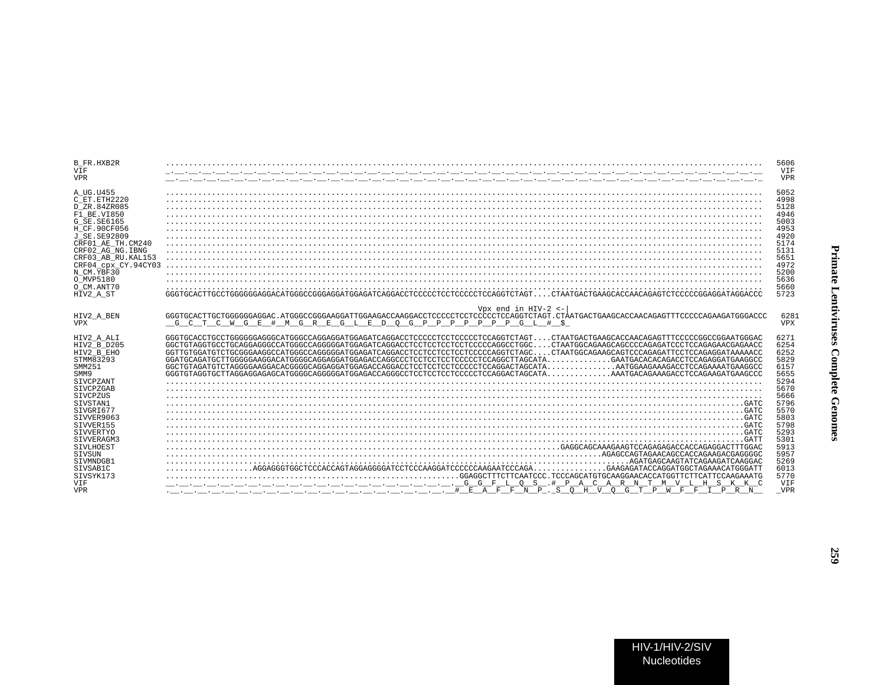| <b>B FR.HXB2R</b><br><b>VTF</b><br><b>VPR</b>                                                                                                                                                                                                                                 | in a comparable compared to the compared of the compared of the compared of the compared of the compared of th<br>والمستحق والمستحي والمستحي والمستحي والمستحي والمستحي والمستحي والمستحي والمستحي والمستحي والمستحي والمستحي والمستحي                                                                                                                                                                                                                                                                                                                                                                                                                                                                                                                                                                                                                                                                                                                                                                                                   | 5606<br>VIF<br><b>VPR</b>                                                                                                                                           |
|-------------------------------------------------------------------------------------------------------------------------------------------------------------------------------------------------------------------------------------------------------------------------------|------------------------------------------------------------------------------------------------------------------------------------------------------------------------------------------------------------------------------------------------------------------------------------------------------------------------------------------------------------------------------------------------------------------------------------------------------------------------------------------------------------------------------------------------------------------------------------------------------------------------------------------------------------------------------------------------------------------------------------------------------------------------------------------------------------------------------------------------------------------------------------------------------------------------------------------------------------------------------------------------------------------------------------------|---------------------------------------------------------------------------------------------------------------------------------------------------------------------|
| A UG.U455<br>C ET.ETH2220<br>D ZR.84ZR085<br>F1 BE.VI850<br>$G$ SE. SE6165<br>H CF.90CF056<br>J SE. SE92809<br>CRF01 AE TH.CM240<br>CRF02 AG NG. IBNG<br>CRF03 AB RU. KAL153<br>CRF04 CDX CY.94CY03<br>N CM.YBF30<br>O MVP5180<br>O CM.ANT70<br>HIV2 A ST                     | COASPRAGED DESCRIPTION DESCRIPTION AND ARRESTMENT CONTRACT CONTRACT CONTRACT CONTRACT CONTRACT CONTRACT CONTRACT CONTRACT CONTRACT CONTRACT CONTRACT CONTRACT CONTRACT CONTRACT CONTRACT CONTRACT CONTRACT CONTRACT CONTRACT C                                                                                                                                                                                                                                                                                                                                                                                                                                                                                                                                                                                                                                                                                                                                                                                                           | 5052<br>4998<br>5128<br>4946<br>5003<br>4953<br>4920<br>5174<br>5131<br>5651<br>4972<br>5200<br>5636<br>5660<br>5723                                                |
| HIV2 A BEN<br><b>VPX</b>                                                                                                                                                                                                                                                      | Vpx end in HIV-2 $\leftarrow$<br>$G \upharpoonright P \upharpoonright P \upharpoonright P \upharpoonright P \upharpoonright G \upharpoonright H \upharpoonright S$<br>G<br># M G R R G L E D<br>$\cap$<br>E.                                                                                                                                                                                                                                                                                                                                                                                                                                                                                                                                                                                                                                                                                                                                                                                                                             | 6281<br><b>VPX</b>                                                                                                                                                  |
| HIV2 A ALI<br>HIV2 B D205<br>HIV2 B EHO<br>STMM83293<br>SMM251<br>SMM9<br>SIVCPZANT<br>SIVCPZGAB<br>SIVCPZUS<br>SIVSTAN1<br>SIVGRI677<br>SIVVER9063<br>SIVVER155<br><b>STVVERTYO</b><br>STVVERAGM3<br>SIVLHOEST<br>SIVSUN<br>SIVMNDGB1<br>STVSAB1C<br>STVSYK173<br><b>VTF</b> | GGGTGCACCTGCCTGGGGGGGAGGCATGGGCCAGGAGGATGGAGATCAGGACCTCCCCCTCCTCCCCCTCCAGGTCTAGTCTAATGACTGAAGCACCAACAGAGTTTCCCCCGGCCGGAATGGGAC<br>GGCTGTAGGTGCCTGCAGGAGGGCCATGGGCCAGGGGATGGAGATCAGGACCTCCTCCTCCTCCTCCCAGGCCTGGCCTAATGGCAGAAGCAGCCCCAGAGATCCCTCCAGAGAACGAGAACCAGAACCAGAGAACC<br>GAATGACACACAGACCTCCAGAGGATGAAGGCC<br>AGATGAGCAAGTATCAGAAGATCAAGGAC<br>. AGGAGGGTGGCTCCCACCAGTAGGAGGGATCCTCCCAAGGATCCCCCAAGAATCCCCAA<br>.GAAGAGATACCAGGATGGCTAGAAACATGGGATT<br>GFLOS .# PACARN<br>M V T, H S K<br>the contract of the contract of the contract of the contract of the contract of the contract of the contract of<br>$\frac{1}{1-\frac{1}{1-\frac{1}{1-\frac{1}{1-\frac{1}{1-\frac{1}{1-\frac{1}{1-\frac{1}{1-\frac{1}{1-\frac{1}{1-\frac{1}{1-\frac{1}{1-\frac{1}{1-\frac{1}{1-\frac{1}{1-\frac{1}{1-\frac{1}{1-\frac{1}{1-\frac{1}{1-\frac{1}{1-\frac{1}{1-\frac{1}{1-\frac{1}{1-\frac{1}{1-\frac{1}{1-\frac{1}{1-\frac{1}{1-\frac{1}{1-\frac{1}{1-\frac{1}{1-\frac{1}{1-\frac{1}{1-\frac{1}{1-\frac{1}{1-\frac{1}{1-\frac{1}{1-\frac{1$ | 6271<br>6254<br>6252<br>5829<br>6157<br>5655<br>5294<br>5670<br>5666<br>5796<br>5570<br>5803<br>5798<br>5293<br>5301<br>5913<br>5957<br>5269<br>6013<br>5770<br>VIF |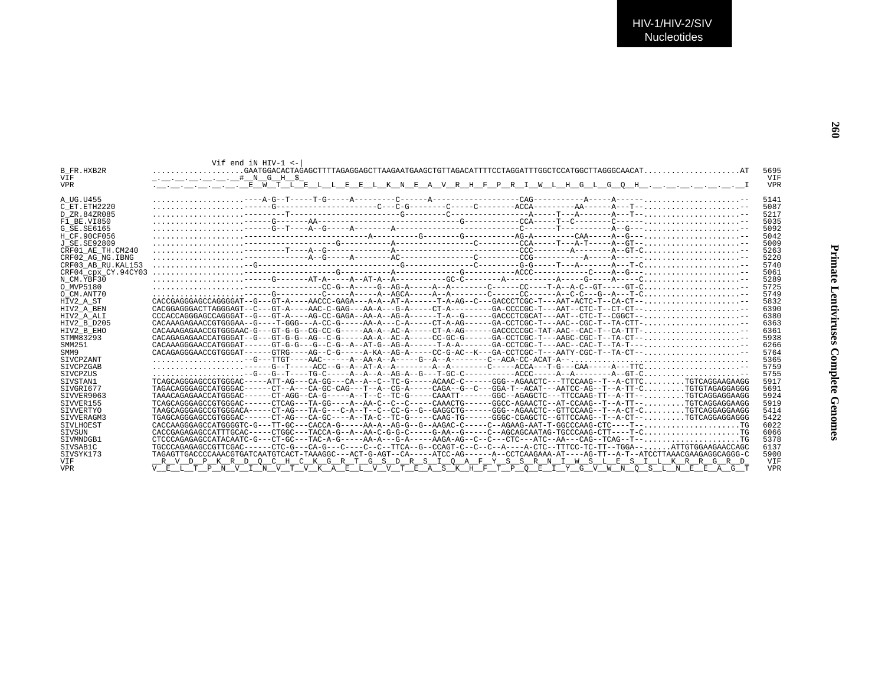| B FR.HXB2R<br><b>VTF</b> | Vif end in HTV-1 $\lt$ -<br>$\ldots$ $\ldots$ $\ldots$ $\ldots$ $\ldots$ $\ldots$ $\stackrel{+}{\ldots}$ $\stackrel{N}{\ldots}$ G $\ldots$ H $\stackrel{S}{\ldots}$                 | 5695<br><b>VTF</b> |
|--------------------------|-------------------------------------------------------------------------------------------------------------------------------------------------------------------------------------|--------------------|
| <b>VPR</b>               | .__.__.__.__.__. E W T L E L L E E L K N E A V R H F P R I W L H G L G Q H . _ . _ . _ . _ . _ . _ . _ I                                                                            | <b>VPR</b>         |
|                          |                                                                                                                                                                                     |                    |
| A UG.U455                |                                                                                                                                                                                     | 5141               |
| C ET. ETH2220            |                                                                                                                                                                                     | 5087               |
| D ZR.84ZR085             |                                                                                                                                                                                     | 5217               |
| F1 BE.VI850              |                                                                                                                                                                                     | 5035               |
| G SE. SE6165             |                                                                                                                                                                                     | 5092               |
| H CF.90CF056             |                                                                                                                                                                                     | 5042               |
| J SE.SE92809             |                                                                                                                                                                                     | 5009               |
| CRF01 AE TH.CM240        | $\ldots\ldots\ldots\ldots\ldots\ldots\ldots\vdots$                                                                                                                                  | 5263               |
| CRF02 AG NG. IBNG        |                                                                                                                                                                                     | 5220               |
| CRF03 AB RU. KAL153      |                                                                                                                                                                                     | 5740               |
| CRF04 CDX CY.94CY03      |                                                                                                                                                                                     | 5061               |
| N CM.YBF30               |                                                                                                                                                                                     | 5289               |
| O MVP5180                |                                                                                                                                                                                     | 5725               |
| O CM.ANT70               | $\ldots \ldots \ldots \ldots \ldots \ldots$                                                                                                                                         | 5749               |
| HIV2 A ST                | $CACCGAGGGAGACCGAGGGGAT--G=--GT-A---AACCC-GAGA---A-A---AT-A----T-A-AG---C---GACCCTCGC-T---AAT-ACTC-T---C-A-CT--C.$                                                                  | 5832               |
| HIV2 A BEN               | $CACGGAGGGACTTAGGGAGT--C---GT-A---AAC-C-GAG---AA-A---G-A----CT-A------GA-CCCCGC-T---AAT--CTC-T--CT-CT--$                                                                            | 6390               |
| HIV2 A ALI               | $CCACACAGGGAGCCAGGGAT--G---GT-A----AG-CC-GAGA--AA-A---AG-A----T-A-G-----GACCCTCGCAT---AAT--CTC-T--CGGCT---$                                                                         | 6380               |
| HIV2 B D205              | CACAAAGAGAACCGTGGGAA--G----T-GGG---A-CC-G----AA-A---C-A-----CT-A-AG------GA-CCTCGC-T---AAC--CGC-T--TA-CTT-,,,,,,,,,,,,,,,,,,,                                                       | 6363               |
| HIV2 B EHO               | $CACAAAGAGAACCGTTGGGAAC-G---GTC-G-G---G-G-C-G---C-G---A-A-A-AC-A---C-T-A-AG---GACCCCCCGC-TAT-AAC---CAC-T-CAC-TTC-A-TTT-$                                                            | 6361               |
| STMM83293                | $CACAGAGAGGAGACCATGGGAT--G--G-T-G-G--AG--C--A-A--AC-A---CC-GC-G------GA-CCTCGC-T---AAGC-CGC-T--TA-GC-T--A-CT--$                                                                     | 5938               |
| SMM251                   | $CACAAAGGGAACCATGGGAT----GT-G-G---G---G--R--AT-G---AT-G---AG-A-----T-A-A------GA-CCTCGC-T---AAC--CAC--T---T-A--T---, , , , , , , , , , , , -$                                       | 6266               |
| SMM9                     | $CACAGAGGGBACCGTGGGAT----GTRG---AG--C-G----A-KA--AG-A----CC-G-AC--K---GA-CCTCGC-T---AATY-CGC-T---TA-CT---A-CTC---A.$                                                                | 5764               |
| <b>STVCPZANT</b>         | $\ldots \ldots \ldots \ldots \ldots -G--TTGT---AAC---A-AA-A-AA-A--A---G-A--A---C--AC-ACA-CC-ACA-CC-ACAT-A--- \ldots \ldots \ldots \ldots \ldots \ldots \ldots \ldots \ldots \ldots$ | 5365               |
| <b>STVCPZGAB</b>         | $\ldots \ldots \ldots \ldots \ldots$ $\ldots \ldots$ $\ldots$ $\ldots \ldots$ $\vdots$                                                                                              | 5759               |
| SIVCPZUS                 |                                                                                                                                                                                     | 5755               |
| SIVSTAN1                 | TCAGCAGGGAGCCGTGGGAC-----ATT-AG---CA-GG---CA--A--C--TC-G-----ACAAC-C------GGG--AGAACTC---TTCCAAG--T--A-CTTCTGTCAGGAAGAAGG                                                           | 5917               |
| STVGRT677                | TAGACAGGGAGCCATGGGAC------CT--A---CA-GC-CAG---T--A--CG-A-----CAGA--G--C---GGA-T--ACAT---AATCC-AG--T--A-TT-CTGTGTAGAGGAGGG                                                           | 5691               |
| SIVVER9063               | TAAACAGAGAACCATGGGAC------CT-AGG--CA-G-----A--T--C--TC-G-----CAAATT------GGC--AGAGCTC---TTCCAAG-TT--A-TT--TGTCAGGAAGGAAGG                                                           | 5924               |
| STVVER155                | TCAGCAGGGAGCCGTGGGAC------CTCAG---TA-GG----A--AA-C--C--C-----CAAACTG------GGCC-AGAACTC--AT-CCAAG--T--A-TT--,,,,,,,,,TGTCAGGAAGGAAGG                                                 | 5919               |
| SIVVERTYO                | TAAGCAGGGAGCCGTGGGACA-----CT-AG---TA-G---C-A--T--C--CC-G--G--GAGGCTG------GGG--AGAACTC--GTTCCAAG--T--A-CT-CTGTCAGGAGGAAGG                                                           | 5414               |
| SIVVERAGM3               | TGAGCAGGGAGCCGTGGGAC------CT-AG---CA-GC----A--TA-C--TC-G-----CAAG-TG-----GGGC-CGAGCTC--GTTCCAAG--T--A-CT--TGTCAGGAGGAGGG                                                            | 5422               |
| SIVLHOEST                | CACCAAGGGAGCCATGGGGTC-G---TT-GC---CACCA-G-----AA-A--AG-G--G--AAGAC-C-----C--AGAAG-AAT-T-GGCCCAAG-CTC----T--,,,,,,,,,,,,,,,,,,,,,                                                    | 6022               |
| SIVSUN                   | CACCGAGAGAGCCATTTGCAC-----CTGGC---TACCA-G--A--AA-C-G-G-C-----G-AA--G-----C-AGCAGCAATAG-TGCCCAAG-CTT----T-CTG                                                                        | 6066               |
| STVMNDGB1                | CTCCCAGAGAGCCATACAATC-G---CT-GC---TAC-A-G-----AA-A---G-A-----AAGA-AG--C--C--CTC---ATC--AA---CAG--TCAG--T--TG                                                                        | 5378               |
| SIVSAB1C                 |                                                                                                                                                                                     | 6137               |
| SIVSYK173                | TAGAGTTGACCCCAAACGTGATCAATGTCACT-TAAAGGC---ACT-G-AGT--CA-----ATCC-AG------A--CCTCAAGAAA-AT----AG-TT--A-T--ATCCTTAAACGAAGAGGCAGGG-C                                                  | 5900               |
| <b>VTF</b>               | R V D P K R D O C H C K G R T G S D R S I O A F Y S S R N I W S L E S I L K R R G R D                                                                                               | <b>VTF</b>         |
| <b>VPR</b>               | V E L T P N V I N V T V K A E L V V T E A S K H F T P O E I Y G V W N O S L N E E A G T                                                                                             | <b>VPR</b>         |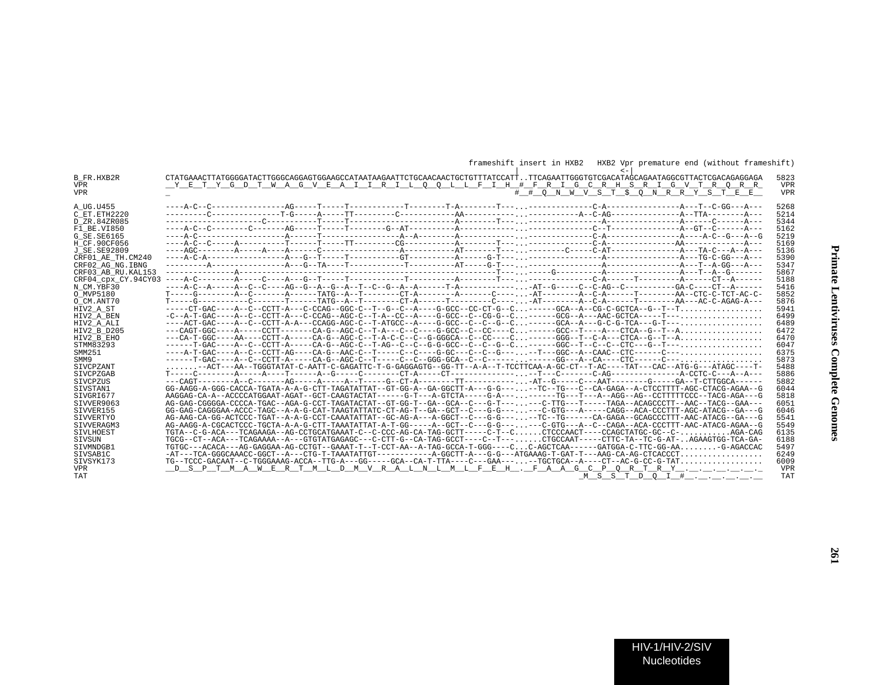| B FR.HXB2R          | CTATGAAACTTATGGGGATACTTGGGCAGGAGTGGAAGCCATAATAAGAATTCTGCAACAACTGCTGTTTATCCATTTTCAGAATTGGGTGTCGACATAGCAGAATAGGCGTTACTCGACAGAGGGGAGA                 | 5823       |
|---------------------|----------------------------------------------------------------------------------------------------------------------------------------------------|------------|
| <b>VPR</b>          | YETYGDTWAGVEAIIRILOOLLFIH #FRIGCRH SRIGVTRORR                                                                                                      | <b>VPR</b> |
| <b>VPR</b>          | # # O N W V S T \$ O N R R Y S T E E                                                                                                               | <b>VPR</b> |
|                     |                                                                                                                                                    |            |
| A UG.U455           |                                                                                                                                                    | 5268       |
| C ET. ETH2220       |                                                                                                                                                    | 5214       |
| D ZR.84ZR085        |                                                                                                                                                    | 5344       |
| F1 BE.VI850         |                                                                                                                                                    | 5162       |
| G SE. SE6165        |                                                                                                                                                    | 5219       |
| H CF.90CF056        |                                                                                                                                                    | 5169       |
| J SE. SE92809       |                                                                                                                                                    | 5136       |
| CRF01 AE TH.CM240   |                                                                                                                                                    | 5390       |
| CRF02 AG NG. IBNG   |                                                                                                                                                    | 5347       |
| CRF03 AB RU. KAL153 |                                                                                                                                                    | 5867       |
| CRF04 cpx CY.94CY03 |                                                                                                                                                    | 5188       |
| N CM.YBF30          |                                                                                                                                                    | 5416       |
| O MVP5180           |                                                                                                                                                    | 5852       |
| O CM.ANT70          | T----G----------C------T------TATG--A--T-------CT-A------T--------C----.-AT--------A--C-A----T----------AA---AC-C-AGAG-A---                        | 5876       |
| HIV2 A ST           | -----CT-GAC----A--C--CCTT-A---C-CCAG--GGC-C--T--G--C--A----G-GCC--CC-CT-G--C------GCA--A--CG-C-GCTCA--G--T--T                                      | 5941       |
| HIV2 A BEN          | -C--A-T-GAC----A--C--CCTT-A---C-CCAG--AGC-C--T-A--CC---A----G-GCC--C--CG-G--C------GCG--A---AAC-GCTCA-----T---                                     | 6499       |
| HIV2 A ALI          | ----ACT-GAC----A--C--CCTT-A-A---CCAGG-AGC-C--T-ATGCC--A----G-GCC--C--C--C--C-------GCA--A---G-C-G-TCA---G-T---                                     | 6489       |
| HIV2 B D205         | ---CAGT-GGC----A-----CCTT-------CA-G--AGC-C--T-A---C--C---G-GCC--C--CC----C------GCC--T----A---CTCA--G--T--A                                       | 6472       |
| HIV2 B EHO          | ---CA-T-GGC----AA----CCTT-A-----CA-G--AGC-C--T-A-C-C--C--G-GGGCA--C--CC----C------GGG--T--C-A---CTCA--G--T--A                                      | 6470       |
| STMM83293           |                                                                                                                                                    | 6047       |
| SMM251              |                                                                                                                                                    | 6375       |
| SMM9                |                                                                                                                                                    | 5873       |
| <b>STVCPZANT</b>    | $\ldots \ldots \ldots -$ ACT---AA--TGGGTATAT-C-AATT-C-GAGATTC-T-G-GAGGAGTG--GG-TT--A-A--T-TCCTTCAA-A-GC-CT--T-AC----TAT---CAC--ATG-G---ATAGC----T- | 5488       |
| SIVCPZGAB           |                                                                                                                                                    | 5886       |
| SIVCPZUS            |                                                                                                                                                    | 5882       |
| SIVSTAN1            | GG-AAGG-A-GGG-CACCA-TGATA-A-A-G-CTT-TAGATATTAT--GT-GG-A--GA-GGCTT-A---G-G-----TC--TG---C--CA-GAGA--A-CTCCTTTT-AGC-CTACG-AGAA--G                    | 6044       |
| SIVGRI677           | AAGGAG-CA-A--ACCCCATGGAAT-AGAT--GCT-CAAGTACTAT-----G-T---A-GTCTA-----G-A--------TG---T---A--AGG--AG--CCTTTTTCCC--TACG-AGA---G                      | 5818       |
| SIVVER9063          | AG-GAG-CGGGGA-CCCCA-TGAC--AGA-G-CCT-TAGATACTAT--GT-GG-T--GA--GCA--C---G-T------C-TTG---T----TAGA--ACAGCCCTT--AAC--TACG--GAA---                     | 6051       |
| SIVVER155           | GG-GAG-CAGGGAA-ACCC-TAGC--A-A-G-CAT-TAAGTATTATC-CT-AG-T--GA--GCT--C---G-G------C-GTG---A-----CAGG--ACA-CCCTTT-AGC-ATACG--GA---G                    | 6046       |
| SIVVERTYO           | AG-AAG-CA-GG-ACTCCC-TGAT--A-A-G-CCT-CAAATATTAT--GC-AG-A---A-GGCT--C---G-G----TC--TG-----CA-GAGA--GCAGCCCTTT-AAC-ATACG--GA---G                      | 5541       |
|                     |                                                                                                                                                    | 5549       |
| STVVERAGM3          | TGTA--C-G-ACA---TCAGAAGA--AG-CCTGCATGAAAT-C--C-CCC-AG-CA-TAG-GCTT----C-T--CCTCCCAACT----CCAGCTATGC-GC--C-AGA-CAG                                   | 6135       |
| SIVLHOEST           | TGCG--CT--ACA---TCAGAAAA--A---GTGTATGAGAGC---C-CTT-G--CA-TAG-GCCT----C--T---CTGCCAAT----CTTC-TA--TC-G-AT-AGAAGTGG-TCA-GA-                          |            |
| SIVSUN              |                                                                                                                                                    | 6188       |
| SIVMNDGB1           | TGTGC---ACACA---AG-GAGGAA-AG-CCTGT--GAAAT-T--T-CCT-AA--A-TAG-GCCA-T-GGG----CC-AGCTCAA------GATGGA-C-TTC-GG-AAG-AGACCAC                             | 5497       |
| SIVSAB1C            | $-AT---TCA-GGGCAAACC-GGCT--A---CTG-T-TAAATATTGT------A-GGCTT-A---G-G---ATGAAAG-T-GAT-T---AAG-CA-AG-CTCACCCT$                                       | 6249       |
| SIVSYK173           |                                                                                                                                                    | 6009       |
| <b>VPR</b>          | D S P T M A W <u>E R T M L D M V R A L N L M L F E H . F A A G C P Q R T R Y</u>                                                                   | <b>VPR</b> |
| TAT                 | M S S T D O I #<br>the company of the company of the company                                                                                       | <b>TAT</b> |

## frameshift insert in HXB2 HXB2 Vpr premature end (without frameshift)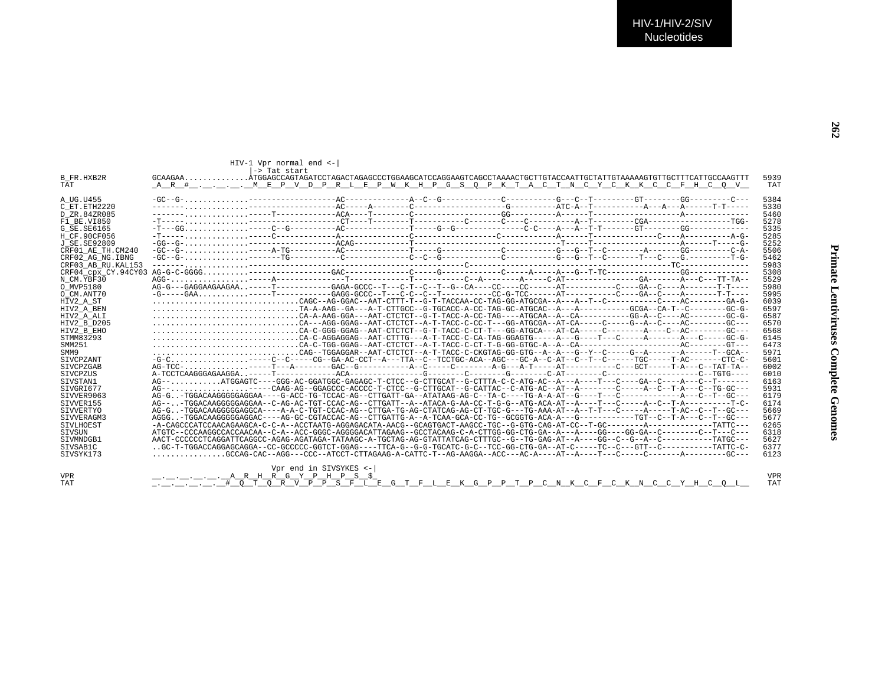| $Q$ $V$ $=$                                | TAT          |  |
|--------------------------------------------|--------------|--|
| $---C---$                                  | 5384         |  |
| $-T------$ 5330                            |              |  |
|                                            | 5460         |  |
|                                            | 5278         |  |
| -------<br>---TGG-<br>-------              | 5335         |  |
|                                            |              |  |
| $---A-G-$ 5285<br>$---G-$ 5252             |              |  |
|                                            | 5506         |  |
| ---C-A-<br>---T-G-<br>--------<br>-------- | 5462         |  |
|                                            | 5983         |  |
|                                            | 5308         |  |
| $TT-TA--$ 5529                             |              |  |
| $T-T--- 5980$                              |              |  |
| $T-T---$                                   | 5995         |  |
| $--GA-G-$                                  |              |  |
|                                            | 6039         |  |
| $- - GC - G - 6597$                        |              |  |
| $- - GC - G - 6587$                        |              |  |
| $--GC--- 6570$                             |              |  |
| $- - GC - - -$                             | 6568         |  |
| $--GC-G-$                                  | 6145         |  |
| $--GT---$                                  | 6473         |  |
| $--GCA--$                                  | 5971         |  |
| $-CTC-C-5601$                              |              |  |
| AT-TA-- 6002                               |              |  |
| $GTG--- 6010$                              |              |  |
| --------                                   | 6163         |  |
| $G-GC---$ 5931                             |              |  |
| $--GC--- 6179$                             |              |  |
| $---T-C- 6174$                             |              |  |
| $--GC---$ 5669                             |              |  |
| $--GC---$ 5677                             |              |  |
| $ATTC---$                                  | 6265         |  |
| $\sim$ $\sim$ $\sim$                       | $\sim$ 2.2.0 |  |

| TAT<br>AR# MEP V D P R L E P W K H P G S O P K T A C T N C Y C K K C C F H C O V<br>$-GC-G-1$<br>A UG.U455<br>C ET ETH2220<br>D ZR.84ZR085<br>F1 BE.VI850<br>H CF.90CF056<br>J SE.SE92809<br>CRF02 AG NG. IBNG<br>CRF03 AB RU. KAL153<br>CAGC--AG-GGAC--AAT-CTTT-T--G-T-TACCAA-CC-TAG-GG-ATGCGA--A---A--T--C-------C-----AC--------GA-G-<br>TA-A-AAG--GA---A-T-CTTGCC--G-TGCACC-A-CC-TAG-GC-ATGCAC--A---A---------GCGA--CA-T--C--------GC-G-<br>CAG--TGGAGGAR--AAT-CTCTCT--A-T-TACC-C-CKGTAG-GG-GTG--A--A--G--Y--C-----G--A--------A------T--GCA-<br>-G-C----C--C-----CG--GA-AC-CCT--A---TTA--C--TCCTGC-ACA--AGC---GC-A--C-AT--C--T--C------TGC------T-AC------CTC-C-<br>AG-GTGGACAAGGGGGAGCCA----A-A-C-TGT-CCAC-AG--CTTGA-TG-AG-CTATCAG-AG-CT-TGC-G---TG-AAA-AT--A--T-T---C-----A----T-AC--C--T-GC---<br>AGGGTGGACAAGGGGGAGGAC----AG-GC-CGTACCAC-AG--CTTGATTG-A--A-TCAA-GCA-CC-TG--GCGGTG-ACA-A---G---------TGT--C--T-A---C--T--GC---<br>-A-CAGCCCATCCAACAGAAGCA-C-C-A--ACCTAATG-AGGAGACATA-AACG--GCAGTGACT-AAGCC-TGC--G-GTG-CAG-AT-CC--T-GC-------A---------TATTC---<br>SIVLHOEST<br>ATGTC--CCCAAGGCCACCAACAA--C-A--ACC-GGGC-AGGGGACATTAGAAG--GCCTACAAG-C-A-CTTGG-GG-CTG-GA--A---A----GG----GG-GA--C-------C--T---C--<br>SIVSUN<br>AACT-CCCCCCTCAGGATTCAGGCC-AGAG-AGATAGA-TATAAGC-A-TGCTAG-AG-GTATTATCAG-CTTTGC--G--TG-GAG-AT--A----GG--C--G--A--C--------TATGC---<br>SIVMNDGB1<br>.GC-T-TGGACCAGGAGCAGAGA--CC-GCCCC-GGTCT-GGAG----TTCA-G--G-G-TGCATC-G--TCC-GG-CTG-GA--AT-C-----TC--C---GTT--C-------TATTC-C-<br>STVSAB1C<br>$\ldots \ldots \ldots \ldots$ GCCAG-CAC--AGG---CCC--ATCCT-CTTAGAAG-A-CATTC-T--AG-AAGGA--ACC---AC-A----AT--A----T---C-----C-------A-------GC---<br>STVSYK173<br>Vpr end in SIVSYKES <-<br>$\ldots$ $\ldots$ $\ldots$ $\ldots$ $\ldots$ $A$ R H R G Y P H P S \$ |                   | -> Tat start |  |  |  |      |
|------------------------------------------------------------------------------------------------------------------------------------------------------------------------------------------------------------------------------------------------------------------------------------------------------------------------------------------------------------------------------------------------------------------------------------------------------------------------------------------------------------------------------------------------------------------------------------------------------------------------------------------------------------------------------------------------------------------------------------------------------------------------------------------------------------------------------------------------------------------------------------------------------------------------------------------------------------------------------------------------------------------------------------------------------------------------------------------------------------------------------------------------------------------------------------------------------------------------------------------------------------------------------------------------------------------------------------------------------------------------------------------------------------------------------------------------------------------------------------------------------------------------------------------------------------------------------------------------------------------------------------------------------------------------------------------------------------------------------------------------------------------------------------------------|-------------------|--------------|--|--|--|------|
| TAT<br>5384<br>5330<br>5460<br>5278<br>5335<br>5285<br>5252<br>5506<br>5462<br>5983<br>5308<br>5529<br>5980<br>5995<br>6039<br>6597<br>6587<br>6570<br>6568<br>6145<br>6473<br>5971<br>5601<br>6002<br>6010<br>6163<br>5931<br>6179<br>6174<br>5669<br>5677<br>6265<br>6318<br>5627<br>6377<br>6123<br><b>VPR</b><br><b>TAT</b>                                                                                                                                                                                                                                                                                                                                                                                                                                                                                                                                                                                                                                                                                                                                                                                                                                                                                                                                                                                                                                                                                                                                                                                                                                                                                                                                                                                                                                                                | B FR.HXB2R        |              |  |  |  | 5939 |
|                                                                                                                                                                                                                                                                                                                                                                                                                                                                                                                                                                                                                                                                                                                                                                                                                                                                                                                                                                                                                                                                                                                                                                                                                                                                                                                                                                                                                                                                                                                                                                                                                                                                                                                                                                                                |                   |              |  |  |  |      |
|                                                                                                                                                                                                                                                                                                                                                                                                                                                                                                                                                                                                                                                                                                                                                                                                                                                                                                                                                                                                                                                                                                                                                                                                                                                                                                                                                                                                                                                                                                                                                                                                                                                                                                                                                                                                |                   |              |  |  |  |      |
|                                                                                                                                                                                                                                                                                                                                                                                                                                                                                                                                                                                                                                                                                                                                                                                                                                                                                                                                                                                                                                                                                                                                                                                                                                                                                                                                                                                                                                                                                                                                                                                                                                                                                                                                                                                                |                   |              |  |  |  |      |
|                                                                                                                                                                                                                                                                                                                                                                                                                                                                                                                                                                                                                                                                                                                                                                                                                                                                                                                                                                                                                                                                                                                                                                                                                                                                                                                                                                                                                                                                                                                                                                                                                                                                                                                                                                                                |                   |              |  |  |  |      |
|                                                                                                                                                                                                                                                                                                                                                                                                                                                                                                                                                                                                                                                                                                                                                                                                                                                                                                                                                                                                                                                                                                                                                                                                                                                                                                                                                                                                                                                                                                                                                                                                                                                                                                                                                                                                |                   |              |  |  |  |      |
|                                                                                                                                                                                                                                                                                                                                                                                                                                                                                                                                                                                                                                                                                                                                                                                                                                                                                                                                                                                                                                                                                                                                                                                                                                                                                                                                                                                                                                                                                                                                                                                                                                                                                                                                                                                                |                   |              |  |  |  |      |
|                                                                                                                                                                                                                                                                                                                                                                                                                                                                                                                                                                                                                                                                                                                                                                                                                                                                                                                                                                                                                                                                                                                                                                                                                                                                                                                                                                                                                                                                                                                                                                                                                                                                                                                                                                                                | G SE.SE6165       |              |  |  |  |      |
|                                                                                                                                                                                                                                                                                                                                                                                                                                                                                                                                                                                                                                                                                                                                                                                                                                                                                                                                                                                                                                                                                                                                                                                                                                                                                                                                                                                                                                                                                                                                                                                                                                                                                                                                                                                                |                   |              |  |  |  |      |
|                                                                                                                                                                                                                                                                                                                                                                                                                                                                                                                                                                                                                                                                                                                                                                                                                                                                                                                                                                                                                                                                                                                                                                                                                                                                                                                                                                                                                                                                                                                                                                                                                                                                                                                                                                                                |                   |              |  |  |  |      |
|                                                                                                                                                                                                                                                                                                                                                                                                                                                                                                                                                                                                                                                                                                                                                                                                                                                                                                                                                                                                                                                                                                                                                                                                                                                                                                                                                                                                                                                                                                                                                                                                                                                                                                                                                                                                | CRF01 AE TH.CM240 |              |  |  |  |      |
|                                                                                                                                                                                                                                                                                                                                                                                                                                                                                                                                                                                                                                                                                                                                                                                                                                                                                                                                                                                                                                                                                                                                                                                                                                                                                                                                                                                                                                                                                                                                                                                                                                                                                                                                                                                                |                   |              |  |  |  |      |
|                                                                                                                                                                                                                                                                                                                                                                                                                                                                                                                                                                                                                                                                                                                                                                                                                                                                                                                                                                                                                                                                                                                                                                                                                                                                                                                                                                                                                                                                                                                                                                                                                                                                                                                                                                                                |                   |              |  |  |  |      |
|                                                                                                                                                                                                                                                                                                                                                                                                                                                                                                                                                                                                                                                                                                                                                                                                                                                                                                                                                                                                                                                                                                                                                                                                                                                                                                                                                                                                                                                                                                                                                                                                                                                                                                                                                                                                |                   |              |  |  |  |      |
|                                                                                                                                                                                                                                                                                                                                                                                                                                                                                                                                                                                                                                                                                                                                                                                                                                                                                                                                                                                                                                                                                                                                                                                                                                                                                                                                                                                                                                                                                                                                                                                                                                                                                                                                                                                                | N CM.YBF30        |              |  |  |  |      |
|                                                                                                                                                                                                                                                                                                                                                                                                                                                                                                                                                                                                                                                                                                                                                                                                                                                                                                                                                                                                                                                                                                                                                                                                                                                                                                                                                                                                                                                                                                                                                                                                                                                                                                                                                                                                | O MVP5180         |              |  |  |  |      |
|                                                                                                                                                                                                                                                                                                                                                                                                                                                                                                                                                                                                                                                                                                                                                                                                                                                                                                                                                                                                                                                                                                                                                                                                                                                                                                                                                                                                                                                                                                                                                                                                                                                                                                                                                                                                | O CM.ANT70        |              |  |  |  |      |
|                                                                                                                                                                                                                                                                                                                                                                                                                                                                                                                                                                                                                                                                                                                                                                                                                                                                                                                                                                                                                                                                                                                                                                                                                                                                                                                                                                                                                                                                                                                                                                                                                                                                                                                                                                                                | HIV2 A ST         |              |  |  |  |      |
|                                                                                                                                                                                                                                                                                                                                                                                                                                                                                                                                                                                                                                                                                                                                                                                                                                                                                                                                                                                                                                                                                                                                                                                                                                                                                                                                                                                                                                                                                                                                                                                                                                                                                                                                                                                                | HIV2 A BEN        |              |  |  |  |      |
|                                                                                                                                                                                                                                                                                                                                                                                                                                                                                                                                                                                                                                                                                                                                                                                                                                                                                                                                                                                                                                                                                                                                                                                                                                                                                                                                                                                                                                                                                                                                                                                                                                                                                                                                                                                                | HIV2 A ALI        |              |  |  |  |      |
|                                                                                                                                                                                                                                                                                                                                                                                                                                                                                                                                                                                                                                                                                                                                                                                                                                                                                                                                                                                                                                                                                                                                                                                                                                                                                                                                                                                                                                                                                                                                                                                                                                                                                                                                                                                                | HIV2 B D205       |              |  |  |  |      |
|                                                                                                                                                                                                                                                                                                                                                                                                                                                                                                                                                                                                                                                                                                                                                                                                                                                                                                                                                                                                                                                                                                                                                                                                                                                                                                                                                                                                                                                                                                                                                                                                                                                                                                                                                                                                | HIV2 B EHO        |              |  |  |  |      |
|                                                                                                                                                                                                                                                                                                                                                                                                                                                                                                                                                                                                                                                                                                                                                                                                                                                                                                                                                                                                                                                                                                                                                                                                                                                                                                                                                                                                                                                                                                                                                                                                                                                                                                                                                                                                | STMM83293         |              |  |  |  |      |
|                                                                                                                                                                                                                                                                                                                                                                                                                                                                                                                                                                                                                                                                                                                                                                                                                                                                                                                                                                                                                                                                                                                                                                                                                                                                                                                                                                                                                                                                                                                                                                                                                                                                                                                                                                                                | SMM251            |              |  |  |  |      |
|                                                                                                                                                                                                                                                                                                                                                                                                                                                                                                                                                                                                                                                                                                                                                                                                                                                                                                                                                                                                                                                                                                                                                                                                                                                                                                                                                                                                                                                                                                                                                                                                                                                                                                                                                                                                | SMM9              |              |  |  |  |      |
|                                                                                                                                                                                                                                                                                                                                                                                                                                                                                                                                                                                                                                                                                                                                                                                                                                                                                                                                                                                                                                                                                                                                                                                                                                                                                                                                                                                                                                                                                                                                                                                                                                                                                                                                                                                                | SIVCPZANT         |              |  |  |  |      |
|                                                                                                                                                                                                                                                                                                                                                                                                                                                                                                                                                                                                                                                                                                                                                                                                                                                                                                                                                                                                                                                                                                                                                                                                                                                                                                                                                                                                                                                                                                                                                                                                                                                                                                                                                                                                | SIVCPZGAB         |              |  |  |  |      |
|                                                                                                                                                                                                                                                                                                                                                                                                                                                                                                                                                                                                                                                                                                                                                                                                                                                                                                                                                                                                                                                                                                                                                                                                                                                                                                                                                                                                                                                                                                                                                                                                                                                                                                                                                                                                | SIVCPZUS          |              |  |  |  |      |
|                                                                                                                                                                                                                                                                                                                                                                                                                                                                                                                                                                                                                                                                                                                                                                                                                                                                                                                                                                                                                                                                                                                                                                                                                                                                                                                                                                                                                                                                                                                                                                                                                                                                                                                                                                                                | STVSTAN1          |              |  |  |  |      |
|                                                                                                                                                                                                                                                                                                                                                                                                                                                                                                                                                                                                                                                                                                                                                                                                                                                                                                                                                                                                                                                                                                                                                                                                                                                                                                                                                                                                                                                                                                                                                                                                                                                                                                                                                                                                | STVGRT677         |              |  |  |  |      |
|                                                                                                                                                                                                                                                                                                                                                                                                                                                                                                                                                                                                                                                                                                                                                                                                                                                                                                                                                                                                                                                                                                                                                                                                                                                                                                                                                                                                                                                                                                                                                                                                                                                                                                                                                                                                | SIVVER9063        |              |  |  |  |      |
|                                                                                                                                                                                                                                                                                                                                                                                                                                                                                                                                                                                                                                                                                                                                                                                                                                                                                                                                                                                                                                                                                                                                                                                                                                                                                                                                                                                                                                                                                                                                                                                                                                                                                                                                                                                                | SIVVER155         |              |  |  |  |      |
|                                                                                                                                                                                                                                                                                                                                                                                                                                                                                                                                                                                                                                                                                                                                                                                                                                                                                                                                                                                                                                                                                                                                                                                                                                                                                                                                                                                                                                                                                                                                                                                                                                                                                                                                                                                                | SIVVERTYO         |              |  |  |  |      |
|                                                                                                                                                                                                                                                                                                                                                                                                                                                                                                                                                                                                                                                                                                                                                                                                                                                                                                                                                                                                                                                                                                                                                                                                                                                                                                                                                                                                                                                                                                                                                                                                                                                                                                                                                                                                | STVVERAGM3        |              |  |  |  |      |
|                                                                                                                                                                                                                                                                                                                                                                                                                                                                                                                                                                                                                                                                                                                                                                                                                                                                                                                                                                                                                                                                                                                                                                                                                                                                                                                                                                                                                                                                                                                                                                                                                                                                                                                                                                                                |                   |              |  |  |  |      |
|                                                                                                                                                                                                                                                                                                                                                                                                                                                                                                                                                                                                                                                                                                                                                                                                                                                                                                                                                                                                                                                                                                                                                                                                                                                                                                                                                                                                                                                                                                                                                                                                                                                                                                                                                                                                |                   |              |  |  |  |      |
|                                                                                                                                                                                                                                                                                                                                                                                                                                                                                                                                                                                                                                                                                                                                                                                                                                                                                                                                                                                                                                                                                                                                                                                                                                                                                                                                                                                                                                                                                                                                                                                                                                                                                                                                                                                                |                   |              |  |  |  |      |
|                                                                                                                                                                                                                                                                                                                                                                                                                                                                                                                                                                                                                                                                                                                                                                                                                                                                                                                                                                                                                                                                                                                                                                                                                                                                                                                                                                                                                                                                                                                                                                                                                                                                                                                                                                                                |                   |              |  |  |  |      |
|                                                                                                                                                                                                                                                                                                                                                                                                                                                                                                                                                                                                                                                                                                                                                                                                                                                                                                                                                                                                                                                                                                                                                                                                                                                                                                                                                                                                                                                                                                                                                                                                                                                                                                                                                                                                |                   |              |  |  |  |      |
|                                                                                                                                                                                                                                                                                                                                                                                                                                                                                                                                                                                                                                                                                                                                                                                                                                                                                                                                                                                                                                                                                                                                                                                                                                                                                                                                                                                                                                                                                                                                                                                                                                                                                                                                                                                                |                   |              |  |  |  |      |
|                                                                                                                                                                                                                                                                                                                                                                                                                                                                                                                                                                                                                                                                                                                                                                                                                                                                                                                                                                                                                                                                                                                                                                                                                                                                                                                                                                                                                                                                                                                                                                                                                                                                                                                                                                                                |                   |              |  |  |  |      |
|                                                                                                                                                                                                                                                                                                                                                                                                                                                                                                                                                                                                                                                                                                                                                                                                                                                                                                                                                                                                                                                                                                                                                                                                                                                                                                                                                                                                                                                                                                                                                                                                                                                                                                                                                                                                | VPR.              |              |  |  |  |      |
|                                                                                                                                                                                                                                                                                                                                                                                                                                                                                                                                                                                                                                                                                                                                                                                                                                                                                                                                                                                                                                                                                                                                                                                                                                                                                                                                                                                                                                                                                                                                                                                                                                                                                                                                                                                                | TAT               |              |  |  |  |      |

HIV-1 Vpr normal end  $\leftarrow$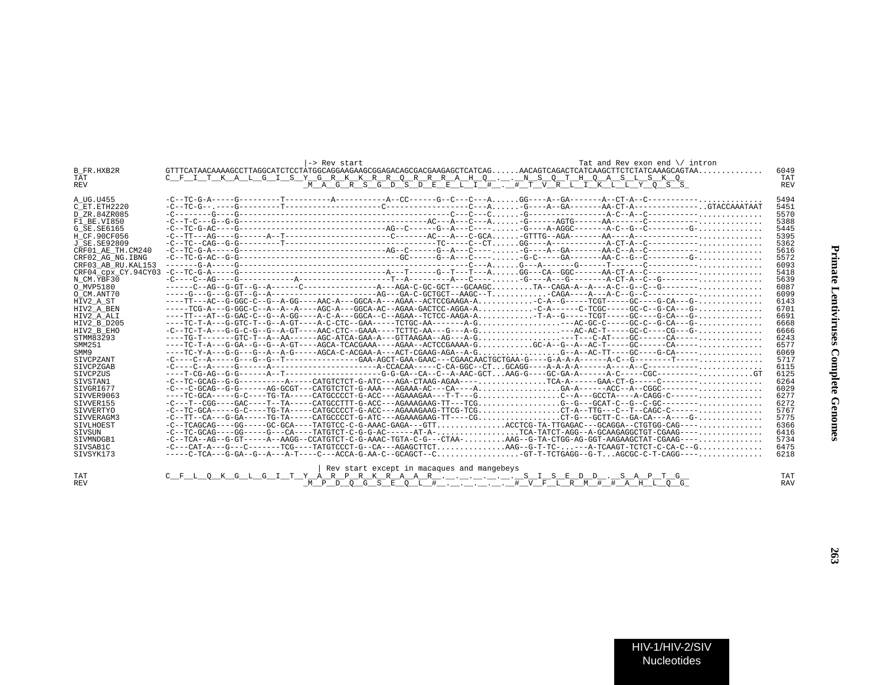| <b>B FR.HXB2R</b><br>TAT<br><b>REV</b> | Tat and Rev exon end \/ intron<br>-> Rev start<br>C F I T K A L G I S Y G R K K R R O R R R A H O N S O T H O A S L S K O<br>MAGRSGDSDEELI# .#TVRLIKLLYOSS                                         | 6049<br>TAT<br><b>REV</b> |
|----------------------------------------|----------------------------------------------------------------------------------------------------------------------------------------------------------------------------------------------------|---------------------------|
| A UG.U455                              |                                                                                                                                                                                                    | 5494                      |
| C ET.ETH2220                           |                                                                                                                                                                                                    | 5451                      |
| D ZR.84ZR085                           |                                                                                                                                                                                                    | 5570                      |
| F1 BE.VI850                            |                                                                                                                                                                                                    | 5388                      |
| G SE. SE6165                           | $-C = TC - G - A$                                                                                                                                                                                  | 5445                      |
| H CF.90CF056                           |                                                                                                                                                                                                    | 5395                      |
| J SE.SE92809                           |                                                                                                                                                                                                    | 5362                      |
| CRF01 AE TH.CM240                      | $-C = TC - G - A - 1$                                                                                                                                                                              | 5616                      |
| CRF02 AG NG. IBNG                      | $-C = TC - G - AC - G - C - C - C - C$                                                                                                                                                             | 5572                      |
| CRF03 AB RU. KAL153                    |                                                                                                                                                                                                    | 6093                      |
| CRF04 CDX CY.94CY03                    | $-C--TC-G-0---G---C------------------A---T---G---T---T---AGG---CA-GGC----AA-CT-A--C---------$                                                                                                      | 5418                      |
| N CM.YBF30                             |                                                                                                                                                                                                    | 5639                      |
| O MVP5180                              |                                                                                                                                                                                                    | 6087                      |
| O CM.ANT70                             |                                                                                                                                                                                                    | 6099                      |
| HIV2 A ST                              | ----TT---AC--G-GGC-C--G--A-GG----AAC-A---GGCA-A---AGAA--ACTCCGAAGA-AC-A--G-----TCGT-----GC----G-CA---G-                                                                                            | 6143                      |
| HIV2 A BEN                             | -----TCG-A---G-GGC-C--A--A--A----AGC-A---GGCA-AC--AGAA-GACTCC-AGGA-AC-A-----C-TCGC-----GC-C--G-CA---G-                                                                                             | 6701                      |
| HIV2 A ALI                             | ----TT---AT--G-GAC-C--G--A-GG----A-C-A---GGCA--C--AGAA--TCTCC-AAGA-AT-A--G-----TCGT-----GC----G-CA---G-                                                                                            | 6691                      |
| HIV2 B D205                            |                                                                                                                                                                                                    | 6668                      |
| HIV2 B EHO                             |                                                                                                                                                                                                    | 6666                      |
| STMM83293                              |                                                                                                                                                                                                    | 6243                      |
| SMM251                                 | ----TC-T-A---G-GA--G--G--A-GT----AGCA-TCACGAAA----AGAA--ACTCCGAAAA-GGC-A--G--A--AC-T-----GC------CA-----                                                                                           | 6577                      |
| SMM9                                   | ----TC-Y-A---G-G---G--A--A-G-----AGCA-C-ACGAA-A---ACT-CGAAG-AGA--A-GG--A--AC-TT----GC----G-CA-----                                                                                                 | 6069                      |
| <b>SIVCPZANT</b>                       |                                                                                                                                                                                                    | 5717                      |
| SIVCPZGAB                              |                                                                                                                                                                                                    | 6115<br>6125              |
| SIVCPZUS<br>SIVSTAN1                   | $-C--TC-GCAG--G---------P----CATGTCTCT-G-ATC---AGAC-CTAAG-AGAA---$                                                                                                                                 | 6264                      |
| STVGRT677                              | $-C---C-GCAG---G-----AG-GCGT---CATGTCTCT-G-AAA---AGAAA-AC---CA---A$                                                                                                                                | 6029                      |
| SIVVER9063                             | ----TC-GCA-----G-C----TG-TA-----CATGCCCCT-G-ACC---AGAAAGAA---T-T---GC--A---GCCTA----A-CAGG-C------                                                                                                 | 6277                      |
| SIVVER155                              | $-C--T--CGG---GAC---T--TA---CATGCCTTT-G-ACC---AGAAGAAG---T---TCGG--G---GCAT-C--G--C-GC---G--C-G---A-G.$                                                                                            | 6272                      |
| SIVVERTYO                              |                                                                                                                                                                                                    | 5767                      |
| STVVERAGM3                             |                                                                                                                                                                                                    | 5775                      |
| SIVLHOEST                              |                                                                                                                                                                                                    | 6366                      |
| SIVSUN                                 | $-C--TC-GCAG---GG---G---CA---TATGTCT-C-G-G-AC----AT-A-$                                                                                                                                            | 6416                      |
| STVMNDGB1                              |                                                                                                                                                                                                    | 5734                      |
| SIVSAB1C                               |                                                                                                                                                                                                    | 6475                      |
| SIVSYK173                              | -----C-TCA---G-GA--G--A---A-T----C---ACCA-G-AA-C--GCAGCT--CGT-T-TCTGAGG--G-TAGCGC-C-T-CAGG----                                                                                                     | 6218                      |
|                                        | Rev start except in macaques and mangebeys<br>$\sigma$ $\tau$ $\sigma$ $\eta$ $\eta$ $\eta$ $\sigma$ $\eta$ $\sigma$ $\sigma$ $\sigma$<br>$\alpha$ provoter provision provision professor $\alpha$ |                           |

|     | Rev start<br>c except in macaques and mangebeys |            |
|-----|-------------------------------------------------|------------|
| TAT | ARPRKRAAR                                       | TAT        |
| REV | # V F I, R M<br>H<br>.                          | <b>RAV</b> |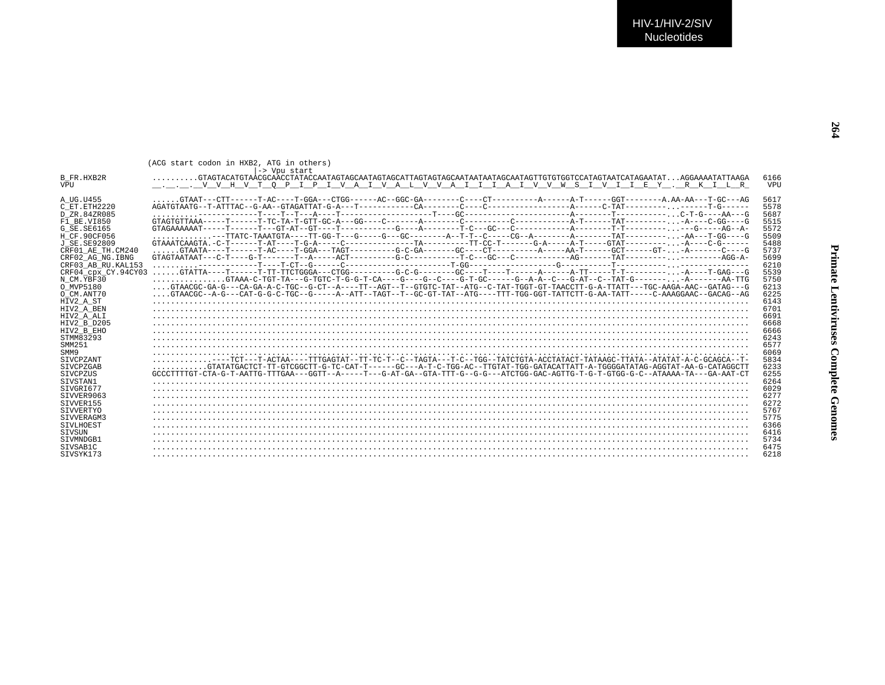|                     | (ACG start codon in HXB2, ATG in others)<br>-> Vpu start                                                                                            |            |
|---------------------|-----------------------------------------------------------------------------------------------------------------------------------------------------|------------|
| B FR.HXB2R          | $\ldots \ldots \ldots$ CTAGTACATGTAACGCAACCTATACCAATAGTAGCAATAGTAGCATTAGTAGCAATAATAATAGCAATAGTTGTGTGGTCCATAGTAATCATAGAATAT $\ldots$ AGGAAAATATTAAGA | 6166       |
| <b>VPU</b>          |                                                                                                                                                     | <b>VPU</b> |
|                     |                                                                                                                                                     |            |
| A UG.U455           |                                                                                                                                                     | 5617       |
| C ET.ETH2220        |                                                                                                                                                     | 5578       |
| D ZR.84ZR085        |                                                                                                                                                     | 5687       |
| F1 BE.VI850         |                                                                                                                                                     | 5515       |
| G SE. SE6165        |                                                                                                                                                     | 5572       |
| H CF.90CF056        | --TTATC-TAAATGTA----TT-GG-T---G----G---GC-------A--T-T--C-----CG--A--------A-------TAT----------AA---T-GG----G                                      | 5509       |
| J SE. SE92809       |                                                                                                                                                     | 5488       |
| CRF01 AE TH.CM240   |                                                                                                                                                     | 5737       |
| CRF02 AG NG. IBNG   |                                                                                                                                                     | 5699       |
| CRF03 AB RU. KAL153 |                                                                                                                                                     | 6210       |
| CRF04 CDX CY.94CY03 |                                                                                                                                                     | 5539       |
| N CM.YBF30          |                                                                                                                                                     | 5750       |
| O MVP5180           | GTAACGC-GA-G---CA-GA-A-C-TGC--G-CT--A----TT--AGT--T--GTGTC-TAT--ATG--C-TAT-TGGT-GT-TAACCTT-G-A-TTATT---TGC-AAGA-AAC--GATAG---G                      | 6213       |
| O CM.ANT70          | GTAACGC--A-G---CAT-G-C-C-TGC--G-----A--ATT--TAGT--T--GC-GT-TAT--ATG---TTT-TGG-GGT-TATTCTT-G-AA-TATT----C-AAAGGAAC--GACAG--AG                        | 6225       |
| HIV2 A ST           |                                                                                                                                                     | 6143       |
| HIV2 A BEN          |                                                                                                                                                     | 6701       |
| HIV2 A ALI          |                                                                                                                                                     | 6691       |
| HIV2 B D205         |                                                                                                                                                     | 6668       |
| HIV2 B EHO          |                                                                                                                                                     | 6666       |
| STMM83293           |                                                                                                                                                     | 6243       |
| SMM251              |                                                                                                                                                     | 6577       |
| SMM9                |                                                                                                                                                     | 6069       |
| SIVCPZANT           |                                                                                                                                                     | 5834       |
| <b>STVCPZGAB</b>    | $\ldots \ldots \ldots$ .GTATATGACTCT-TT-GTCGGCTT-G-TC-CAT-T------GC---A-T-C-TGG-AC--TTGTAT-TGG-GATACATTATT-A-TGGGGATATAG-AGGTAT-AA-G-CATAGGCTT      | 6233       |
| SIVCPZUS            | GCCCTTTTGT-CTA-G-T-AATTG-TTTGAA---GGTT--A-----T---G-AT-GA--GTA-TTT-G--G-G---ATCTGG-GAC-AGTTG-T-G-T-GTGG-G-C--ATAAAA-TA---GA-AAT-CT                  | 6255       |
| STVSTAN1            |                                                                                                                                                     | 6264       |
| STVGRT677           |                                                                                                                                                     | 6029       |
| SIVVER9063          |                                                                                                                                                     | 6277       |
| SIVVER155           |                                                                                                                                                     | 6272       |
| SIVVERTYO           |                                                                                                                                                     | 5767       |
| STVVERAGM3          |                                                                                                                                                     | 5775       |
| SIVLHOEST           |                                                                                                                                                     | 6366       |
| STVSUN              |                                                                                                                                                     | 6416       |
| STVMNDGB1           |                                                                                                                                                     | 5734       |
| STVSAB1C            |                                                                                                                                                     | 6475       |
| STVSYK173           |                                                                                                                                                     | 6218       |
|                     |                                                                                                                                                     |            |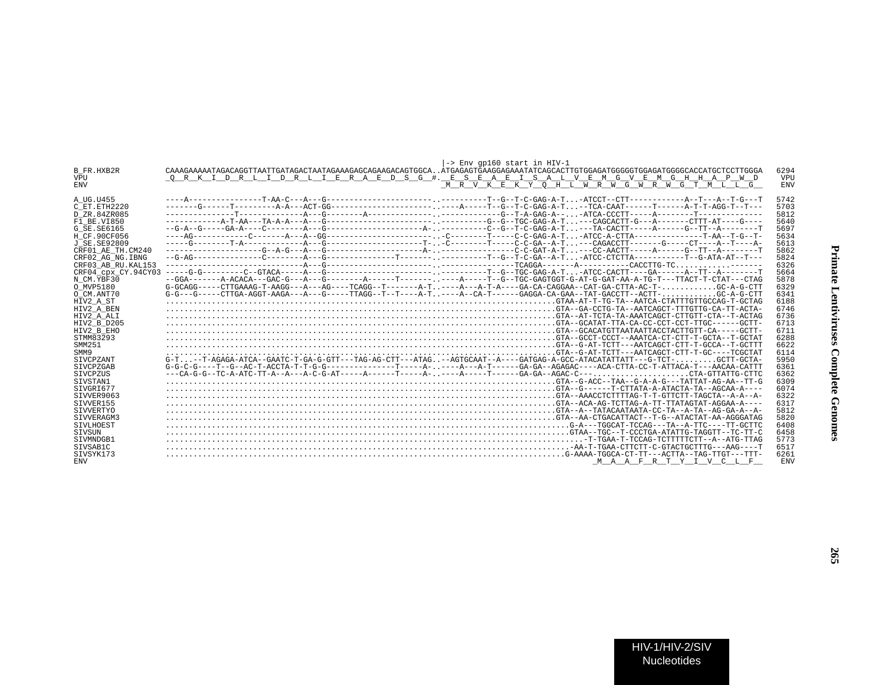|                     | $\left  \rightarrow \right $ Env qp160 start in HIV-1                                                                                  |            |
|---------------------|----------------------------------------------------------------------------------------------------------------------------------------|------------|
| B FR.HXB2R          | CAAAGAAAAATAGACAGGTTAATTGATAGACTAATAGAAAGAGCAGAAGACAGTGGCAATGAGAGTGAAGGAGAAATATCAGCACTTGTGGAGATGGGGGTGGAGATGGGGCACCATGCTCCTTGGA        | 6294       |
| <b>VPU</b>          | ORKIDRLIDRLIERAEDSG #. ESEAEISALVEMGVEMGHHAPWD                                                                                         | VPU        |
| <b>ENV</b>          | M R V K E K Y O H L W R W G W R W G T M L L G                                                                                          | <b>ENV</b> |
|                     |                                                                                                                                        |            |
| A UG.U455           |                                                                                                                                        | 5742       |
| C ET. ETH 2220      |                                                                                                                                        | 5703       |
| D ZR.84ZR085        |                                                                                                                                        | 5812       |
| F1 BE.VI850         |                                                                                                                                        | 5640       |
| G SE.SE6165         |                                                                                                                                        | 5697       |
| H CF.90CF056        |                                                                                                                                        | 5634       |
| J SE.SE92809        |                                                                                                                                        | 5613       |
| CRF01 AE TH.CM240   |                                                                                                                                        | 5862       |
| CRF02 AG NG.IBNG    |                                                                                                                                        | 5824       |
| CRF03 AB RU.KAL153  |                                                                                                                                        | 6326       |
| CRF04 cpx CY.94CY03 |                                                                                                                                        | 5664       |
| N CM.YBF30          |                                                                                                                                        | 5878       |
| O MVP5180           | $G-GCAGG----CTTGAAAG-T-AGG---A-G----AGG---TCAGG---T-----A-T---A---A-T-A----GA-CA-CAGGAA--CAT-GA-CTTA-AC-T-GCA-GG-A-CTT-AC-T-$          | 6329       |
| O CM.ANT70          | $G-G---G---CTTGA-AGGT-AAGA---A---G---TTAGG---T---T---A-T.---A--CA-T----GAGGA-CA-GAA--TAT-GACCTT--ACTCT-.$                              | 6341       |
| HIV2_A_ST           |                                                                                                                                        | 6188       |
| HIV2 A BEN          |                                                                                                                                        | 6746       |
| HIV2 A ALI          |                                                                                                                                        | 6736       |
| HIV2 B D205         |                                                                                                                                        | 6713       |
| HIV2 B EHO          |                                                                                                                                        | 6711       |
| STMM83293           |                                                                                                                                        | 6288       |
| SMM251              |                                                                                                                                        | 6622       |
| SMM9                |                                                                                                                                        | 6114       |
| SIVCPZANT           | $G-T$ ,,,,-T-AGAGA-ATCA--GAATC-T-GA-G-GTT---TAG-AG-CTT---ATAG,,,--AGTGCAAT--A----GATGAG-A-GCC-ATACATATTATT---G-TCT-,,,,,,,,,GCTT-GCTA- | 5950       |
| STVCPZGAB           |                                                                                                                                        | 6361       |
| SIVCPZUS            |                                                                                                                                        | 6362       |
| STVSTAN1            |                                                                                                                                        | 6309       |
| SIVGRI677           |                                                                                                                                        | 6074       |
| SIVVER9063          |                                                                                                                                        | 6322       |
| SIVVER155           |                                                                                                                                        | 6317       |
| SIVVERTYO           |                                                                                                                                        | 5812       |
| SIVVERAGM3          |                                                                                                                                        | 5820       |
| STVLHOEST           |                                                                                                                                        | 6408       |
| SIVSUN              |                                                                                                                                        | 6458       |
| STVMNDGB1           |                                                                                                                                        | 5773       |
| STVSAB1C            |                                                                                                                                        | 6517       |
| STVSYK173           |                                                                                                                                        | 6261       |
| <b>ENV</b>          | MAAFRTYIVCLF                                                                                                                           | <b>ENV</b> |
|                     |                                                                                                                                        |            |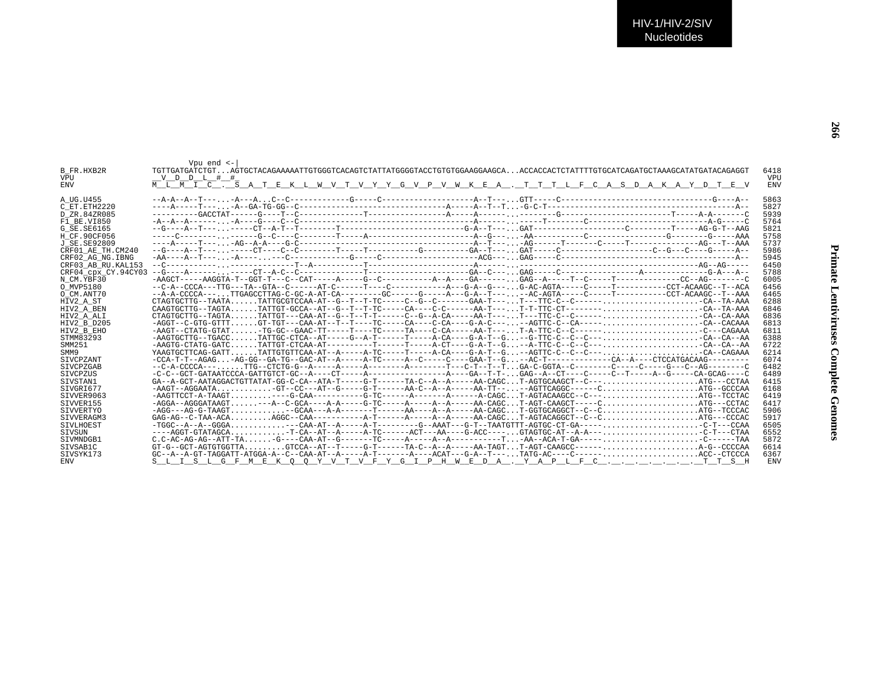|                     | Vpu $end$ $\leftarrow$                                                                                              |            |
|---------------------|---------------------------------------------------------------------------------------------------------------------|------------|
| B FR.HXB2R          |                                                                                                                     | 6418       |
| <b>VPU</b>          | V D D L # #                                                                                                         | <b>VPU</b> |
| <b>ENV</b>          | M L M I C . S A T E K L W V T V Y Y G V P V W K E A . T T T L F C A S D A K A Y D T E V                             | <b>ENV</b> |
| A UG.U455           |                                                                                                                     | 5863       |
| C ET ETH2220        |                                                                                                                     | 5827       |
| D ZR.84ZR085        |                                                                                                                     | 5939       |
| F1 BE.VI850         |                                                                                                                     | 5764       |
|                     |                                                                                                                     | 5821       |
| G SE. SE6165        |                                                                                                                     | 5758       |
| H CF.90CF056        |                                                                                                                     | 5737       |
| J SE. SE92809       |                                                                                                                     |            |
| CRF01 AE TH.CM240   |                                                                                                                     | 5986       |
| CRF02 AG NG. IBNG   |                                                                                                                     | 5945       |
| CRF03 AB RU. KAL153 |                                                                                                                     | 6450       |
| CRF04 CDX CY.94CY03 |                                                                                                                     | 5788       |
| N CM.YBF30          |                                                                                                                     | 6005       |
| O MVP5180           |                                                                                                                     | 6456       |
| O CM.ANT70          | --A-A-CCCCA---TTGAGCCTTAG-C-GC-A-AT-CA--------GC------G----A---G-A--T----AC-AGTA-----C----T------CCT-ACAAGC--T--AAA | 6465       |
| HIV2 A ST           |                                                                                                                     | 6288       |
| HIV2 A BEN          |                                                                                                                     | 6846       |
| HIV2 A ALI          | $CTAGTGCTTG - TAGTA, , TATTGT --- CAA-AT--G--T-T-T--T--C--G--G--G--A-CA---A-A-T---, T---TTC-C---C---L-$             | 6836       |
| HIV2 B D205         | $-AGGT--C-GTG-GTTTGT-TGT---CAA-AT--T---T----C--C---C-A---C-A-C---A-C---A-CTTC-C---C-A---C-A---A-.1299$              | 6813       |
| HIV2 B EHO          |                                                                                                                     | 6811       |
| STMM83293           | $-AAGTGCTTG - TGACCTATTGC - CTCA - AT----G - A-T---T---A - CA---G - A-T--G--G-TTC-C---C---C---CA - CA---CA - AA$    | 6388       |
| SMM251              | $-AAGTG-CTATG-GATCTATTGT-CTCAA-AT------T-----T-----T---A-CT---G-A-T--G--A-TTC-C---C---C---CA--CA--CA--AA-$          | 6722       |
| SMM9                | YAAGTGCTTCAG-GATTTATTGTGTTCAA-AT--A-----A-TC-----T-----A-CA----G-A-T--G-AGTTC-C--C--C---CA--CAGAAA                  | 6214       |
| <b>STVCPZANT</b>    |                                                                                                                     | 6074       |
| <b>STVCPZGAB</b>    |                                                                                                                     | 6482       |
| <b>STVCPZUS</b>     |                                                                                                                     | 6489       |
| SIVSTAN1            | $GA$ --A-GCT-AATAGGACTGTTATAT-GG-C-CA--ATA-T-----G-T-----TA-C--A--A----AA-CAGCT-AGTGCAAGCT--C---ATG---CCTAA         | 6415       |
| STVGRT677           | $-AAGT--AGGAATA$ $GT--CC---AT--G----G-T----AA-C--A---AA-TT---AA-TT---AA-TT---AGTTCAGGC-----CATG--GCCCAA$            | 6168       |
| SIVVER9063          |                                                                                                                     | 6419       |
| STVVER155           |                                                                                                                     | 6417       |
| SIVVERTYO           | $-AGG---AG-G-TAAGT$ -GCAA---A-A-------T-----AA----A----AA-CAGCT-GGTGCAGGCT--C--CTG--TCCCAC                          | 5906       |
| SIVVERAGM3          |                                                                                                                     | 5917       |
| STVLHOEST           |                                                                                                                     | 6505       |
| STVSUN              | ----AGGT-GTATAGCA-T-CA--AT--A-----A-TC-----ACT---AA----G-ACC----GTAGTGC-AT--A-A---C-T---CTAA                        | 6552       |
| STVMNDGB1           |                                                                                                                     | 5872       |
| SIVSAB1C            |                                                                                                                     | 6614       |
| SIVSYK173           |                                                                                                                     | 6367       |
| <b>ENV</b>          | S L I S L G F M <u>E K Q Q Y V T V F Y G I P H W E D A . Y A P L F C T T S H</u>                                    | <b>ENV</b> |
|                     |                                                                                                                     |            |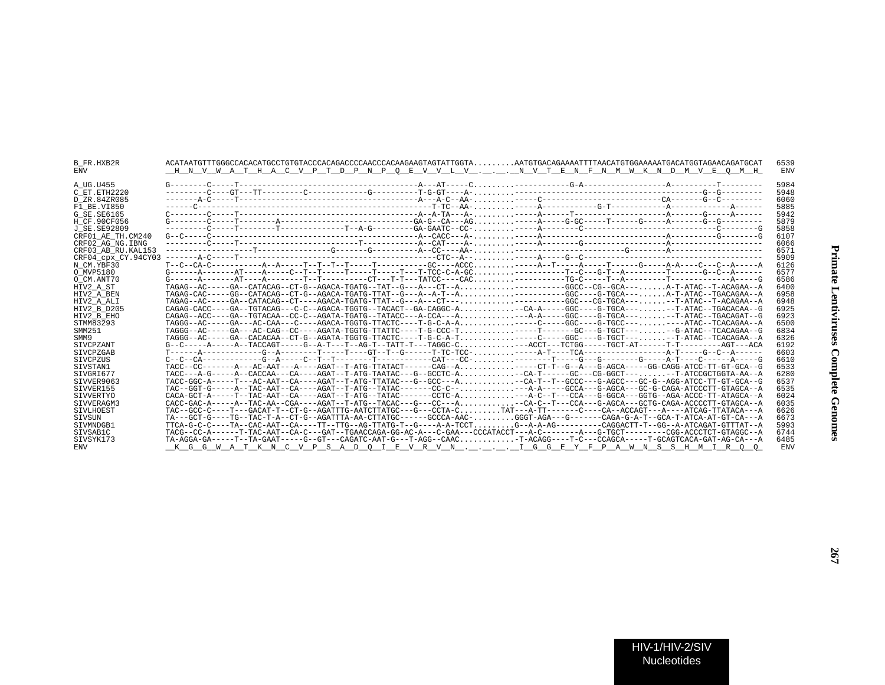| B FR.HXB2R<br><b>ENV</b> | ACATAATGTTTGGGCCACACATGCCTGTGTACCCACAGACCCCAACCCACAAGAAGTAGTATTGGTAAATGTGACAGAAAATTTTAACATGTGGAAAAATGACATGGTAGAACAGATGCAT<br>H N V W A T H A C V P T D P N P O E V V L V N V T E N F N M W K N D M V E O M H |  | 6539<br><b>ENV</b> |
|--------------------------|--------------------------------------------------------------------------------------------------------------------------------------------------------------------------------------------------------------|--|--------------------|
| A UG.U455                |                                                                                                                                                                                                              |  | 5984               |
| C ET. ETH2220            |                                                                                                                                                                                                              |  | 5948               |
| D ZR.84ZR085             |                                                                                                                                                                                                              |  | 6060               |
| F1 BE.VI850              |                                                                                                                                                                                                              |  | 5885               |
| G SE.SE6165              |                                                                                                                                                                                                              |  | 5942               |
| H CF.90CF056             |                                                                                                                                                                                                              |  | 5879               |
| J SE.SE92809             |                                                                                                                                                                                                              |  | 5858               |
| CRF01 AE TH.CM240        |                                                                                                                                                                                                              |  | 6107               |
| CRF02 AG NG. IBNG        |                                                                                                                                                                                                              |  | 6066               |
| CRF03 AB RU. KAL153      |                                                                                                                                                                                                              |  | 6571               |
| CRF04 cpx CY.94CY03      |                                                                                                                                                                                                              |  | 5909               |
| N CM.YBF30               |                                                                                                                                                                                                              |  | 6126               |
| O MVP5180                |                                                                                                                                                                                                              |  | 6577               |
| O CM.ANT70               |                                                                                                                                                                                                              |  | 6586               |
| HIV2 A ST                | TAGAG--AC-----GA--CATACAG--CT-G--AGACA-TGATG--TAT--G---A---CT--A--------GGCC--CG--GCA---A-T-ATAC--T-ACAGAA--A                                                                                                |  | 6400               |
| HIV2 A BEN               | TAGAG-CAC-----GG--CATACAG--CT-G--AGACA-TGATG-TTAT--G---A--A-T--A-------GGC----G-TGCA---A-T-ATAC--TGACAGAA--A                                                                                                 |  | 6958               |
| HIV2 A ALI               | TAGAG--AC-----GA--CATACAG--CT----AGACA-TGATG-TTAT--G---A---CT-----------GGC---CG-TGCA-----T-ATAC--T-ACAGAA--A                                                                                                |  | 6948               |
| HIV2 B D205              | CAGAG-CACC----GA--TGTACAG---C-C--AGACA-TGGTG--TACACT--GA-CAGGC-A-CA-A----GGC----G-TGCA-----T-ATAC--TGACACAA--G                                                                                               |  | 6925               |
| HIV2 B EHO               | $CAGAG--ACC---GA---TGTACAA--CC--A-GATA-TGATG---TATACC---A-CCA---A$ --A-A----GGC---G-TGCA-----T-ATAC--TGACAGAT--G                                                                                             |  | 6923               |
| STMM83293                | TAGGG--AC-----GA---AC-CAA---C----AGACA-TGGTG-TTACTC----T-G-C-A-A----C----GGC----G-TGCC-------ATAC--TCACAGAA--A                                                                                               |  | 6500               |
| SMM251                   | TAGGG--AC-----GA---AC-CAG--CC----AGATA-TGGTG-TTATTC----T-G-CCC-T----T------GC---G-TGCT----G-ATAC--TCACAGAA--G                                                                                                |  | 6834               |
| SMM9                     | TAGGG--AC-----GA--CACACAA--CT-G--AGATA-TGGTG-TTACTC----T-G-C-A-T----C----GGC----G-TGCT----TATAC--TCACAGAA--A                                                                                                 |  | 6326               |
| SIVCPZANT                | G--C-----A-----A--TACCAGT-----G--A-T---T--AG-T--TATT-T---TAGGC-C---ACCT---TCTGG-----TGCT-AT------T-T--------AGT---ACA                                                                                        |  | 6192               |
| SIVCPZGAB                |                                                                                                                                                                                                              |  | 6603               |
| SIVCPZUS                 |                                                                                                                                                                                                              |  | 6610               |
| STVSTAN1                 | TACC--CC-------A---AC-AAT---A----AGAT--T-ATG-TTATACT------CAG--A----CT-T--G--A---G-AGCA-----GG-CAGG-ATCC-TT-GT-GCA--G                                                                                        |  | 6533               |
| SIVGRI677                | TACC---A-G-----A--CACCAA---CA----AGAT--T-ATG-TAATAC---G--GCCTC-A-CA-T-----GC---CG-GGCT----T-ATCCGCTGGTA-AA--A                                                                                                |  | 6280               |
| SIVVER9063               | TACC-GGC-A-----T---AC-AAT--CA----AGAT--T-ATG-TTATAC---G--GCC---A-CA-T--T--GCCC---G-AGCC---GC-G--AGG-ATCC-TT-GT-GCA--G                                                                                        |  | 6537               |
| STVVER155                | TAC--GGT-G-----A--TAC-AAT--CA----AGAT--T-ATG--TATAC-------CC-C-----A-A----GCCA---G-AGCA---GC-G-CAGA-ATCCCTT-GTAGCA--A                                                                                        |  | 6535               |
| SIVVERTYO                | $CACA-GCT-A---T-T-TAC-AAT--CA---AGAT-T-ATG-TATAC---T-CTC-A$ ---A-C--T--CCA---G-GGCA---GGTG--AGA-ACCC-TT-ATAGCA--A                                                                                            |  | 6024               |
| STVVERAGM3               | CACC-GAC-A-----A--TAC-AA--CGA----AGAT--T-ATG--TACAC---G---CC---A-CA-C--T---CCA---G-AGCA---GCTG-CAGA-ACCCCTT-GTAGCA--A                                                                                        |  | 6035               |
| <b>STVLHOEST</b>         | TAC--GCC-C----T---GACAT-T--CT-G--AGATTTG-AATCTTATGC---G---CCTA-CTAT---A-TT------CA--ACCAGT---A----ATCAG-TTATACA---A                                                                                          |  | 6626               |
| SIVSUN                   | TA---GCT-G----TG--TAC-T-A--CT-G--AGATTTA-AA-CTTATGC------GCCCA-AAC-GGGT-AGA---G-------CAGA-G-A-T--GCA-T-ATCA-AT-GT-CA---A                                                                                    |  | 6673               |
| STVMNDGB1                | TTCA-G-C-C----TA--CAC-AAT--CA----TT--TTG--AG-TTATG-T--G----A-A-TCCTG--A-A-G---------CAGGACTT-T--GG--A-ATCAGAT-GTTTAT--A                                                                                      |  | 5993               |
| SIVSAB1C                 | TACG--CC-A------T-TAC-AAT--CA-C---GAT--TGAACCAGA-GG-AC-A---C-GAA---CCCATACCT---A-C---------A---G-TGCT---------CGG-ACCCTCT-GTAGGC--A                                                                          |  | 6744               |
| SIVSYK173                | TA-AGGA-GA-----T--TA-GAAT-----G--GT---CAGATC-AAT-G---T-AGG--CAAC-T-ACAGG----T-C---CCAGCA-----T-GCAGTCACA-GAT-AG-CA---A                                                                                       |  | 6485               |
| <b>ENV</b>               | <u>KGGWATKN CVPSADOIEVRVNIGGEYFPAWNSSHMIROO</u>                                                                                                                                                              |  | <b>ENV</b>         |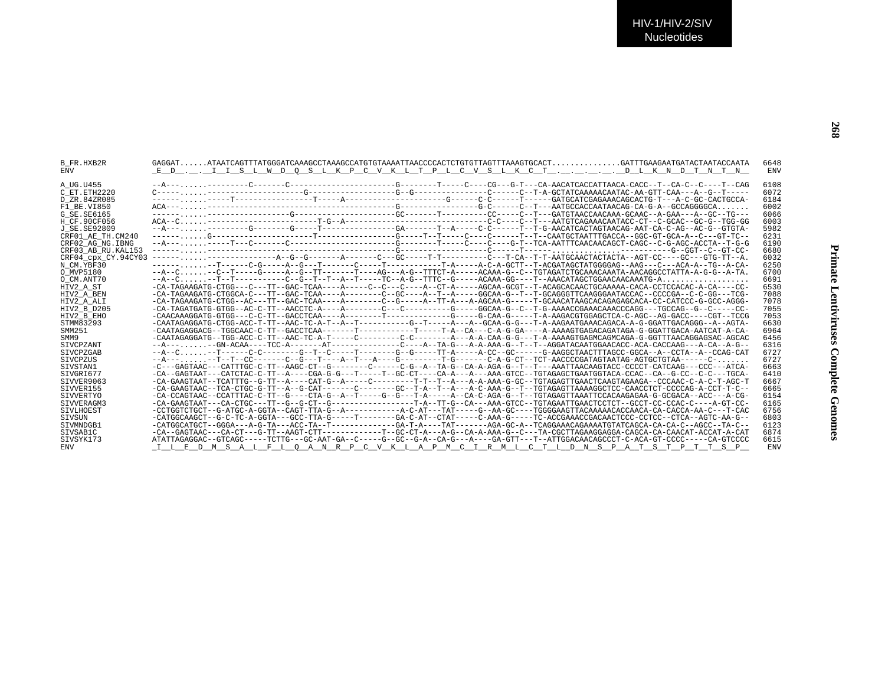|                                                                                                                                     | 6648                                                                                                                                                                                                                                                                                                                                                                                                                                                                                                                                                                                                                                                                                                                                                                                                                                                                                                                                                                                                                           |
|-------------------------------------------------------------------------------------------------------------------------------------|--------------------------------------------------------------------------------------------------------------------------------------------------------------------------------------------------------------------------------------------------------------------------------------------------------------------------------------------------------------------------------------------------------------------------------------------------------------------------------------------------------------------------------------------------------------------------------------------------------------------------------------------------------------------------------------------------------------------------------------------------------------------------------------------------------------------------------------------------------------------------------------------------------------------------------------------------------------------------------------------------------------------------------|
| ED I I S L W D O S L K P C V K L T P L C V S L K C T D L K N D T N T N                                                              | ENV                                                                                                                                                                                                                                                                                                                                                                                                                                                                                                                                                                                                                                                                                                                                                                                                                                                                                                                                                                                                                            |
|                                                                                                                                     |                                                                                                                                                                                                                                                                                                                                                                                                                                                                                                                                                                                                                                                                                                                                                                                                                                                                                                                                                                                                                                |
|                                                                                                                                     | 6108                                                                                                                                                                                                                                                                                                                                                                                                                                                                                                                                                                                                                                                                                                                                                                                                                                                                                                                                                                                                                           |
|                                                                                                                                     | 6072                                                                                                                                                                                                                                                                                                                                                                                                                                                                                                                                                                                                                                                                                                                                                                                                                                                                                                                                                                                                                           |
|                                                                                                                                     | 6184                                                                                                                                                                                                                                                                                                                                                                                                                                                                                                                                                                                                                                                                                                                                                                                                                                                                                                                                                                                                                           |
|                                                                                                                                     | 6002                                                                                                                                                                                                                                                                                                                                                                                                                                                                                                                                                                                                                                                                                                                                                                                                                                                                                                                                                                                                                           |
|                                                                                                                                     | 6066                                                                                                                                                                                                                                                                                                                                                                                                                                                                                                                                                                                                                                                                                                                                                                                                                                                                                                                                                                                                                           |
|                                                                                                                                     | 6003                                                                                                                                                                                                                                                                                                                                                                                                                                                                                                                                                                                                                                                                                                                                                                                                                                                                                                                                                                                                                           |
|                                                                                                                                     | 5982                                                                                                                                                                                                                                                                                                                                                                                                                                                                                                                                                                                                                                                                                                                                                                                                                                                                                                                                                                                                                           |
|                                                                                                                                     | 6231                                                                                                                                                                                                                                                                                                                                                                                                                                                                                                                                                                                                                                                                                                                                                                                                                                                                                                                                                                                                                           |
|                                                                                                                                     | 6190                                                                                                                                                                                                                                                                                                                                                                                                                                                                                                                                                                                                                                                                                                                                                                                                                                                                                                                                                                                                                           |
|                                                                                                                                     | 6680                                                                                                                                                                                                                                                                                                                                                                                                                                                                                                                                                                                                                                                                                                                                                                                                                                                                                                                                                                                                                           |
| CRF04 cpx CY.94CY03                                                                                                                 | 6032                                                                                                                                                                                                                                                                                                                                                                                                                                                                                                                                                                                                                                                                                                                                                                                                                                                                                                                                                                                                                           |
|                                                                                                                                     | 6250                                                                                                                                                                                                                                                                                                                                                                                                                                                                                                                                                                                                                                                                                                                                                                                                                                                                                                                                                                                                                           |
|                                                                                                                                     | 6700                                                                                                                                                                                                                                                                                                                                                                                                                                                                                                                                                                                                                                                                                                                                                                                                                                                                                                                                                                                                                           |
|                                                                                                                                     | 6691                                                                                                                                                                                                                                                                                                                                                                                                                                                                                                                                                                                                                                                                                                                                                                                                                                                                                                                                                                                                                           |
|                                                                                                                                     | 6530                                                                                                                                                                                                                                                                                                                                                                                                                                                                                                                                                                                                                                                                                                                                                                                                                                                                                                                                                                                                                           |
|                                                                                                                                     | 7088                                                                                                                                                                                                                                                                                                                                                                                                                                                                                                                                                                                                                                                                                                                                                                                                                                                                                                                                                                                                                           |
|                                                                                                                                     | 7078                                                                                                                                                                                                                                                                                                                                                                                                                                                                                                                                                                                                                                                                                                                                                                                                                                                                                                                                                                                                                           |
|                                                                                                                                     | 7055                                                                                                                                                                                                                                                                                                                                                                                                                                                                                                                                                                                                                                                                                                                                                                                                                                                                                                                                                                                                                           |
|                                                                                                                                     | 7053                                                                                                                                                                                                                                                                                                                                                                                                                                                                                                                                                                                                                                                                                                                                                                                                                                                                                                                                                                                                                           |
|                                                                                                                                     | 6630                                                                                                                                                                                                                                                                                                                                                                                                                                                                                                                                                                                                                                                                                                                                                                                                                                                                                                                                                                                                                           |
|                                                                                                                                     | 6964                                                                                                                                                                                                                                                                                                                                                                                                                                                                                                                                                                                                                                                                                                                                                                                                                                                                                                                                                                                                                           |
|                                                                                                                                     | 6456                                                                                                                                                                                                                                                                                                                                                                                                                                                                                                                                                                                                                                                                                                                                                                                                                                                                                                                                                                                                                           |
|                                                                                                                                     | 6316                                                                                                                                                                                                                                                                                                                                                                                                                                                                                                                                                                                                                                                                                                                                                                                                                                                                                                                                                                                                                           |
|                                                                                                                                     | 6727                                                                                                                                                                                                                                                                                                                                                                                                                                                                                                                                                                                                                                                                                                                                                                                                                                                                                                                                                                                                                           |
|                                                                                                                                     | 6727                                                                                                                                                                                                                                                                                                                                                                                                                                                                                                                                                                                                                                                                                                                                                                                                                                                                                                                                                                                                                           |
| -C---GAGTAAC---CATTTGC-C-TT--AAGC-CT--G-------C-----CG--A--TA-G--CA-A-AGA-G--T--T---AAATTAACAAGTACC-CCCCT-CATCAAG---CCC---ATCA-     | 6663                                                                                                                                                                                                                                                                                                                                                                                                                                                                                                                                                                                                                                                                                                                                                                                                                                                                                                                                                                                                                           |
|                                                                                                                                     | 6410                                                                                                                                                                                                                                                                                                                                                                                                                                                                                                                                                                                                                                                                                                                                                                                                                                                                                                                                                                                                                           |
|                                                                                                                                     | 6667                                                                                                                                                                                                                                                                                                                                                                                                                                                                                                                                                                                                                                                                                                                                                                                                                                                                                                                                                                                                                           |
| -CA-GAAGTAAC--TCA-CTGC-G-TT--A--G-CAT-------C-------GC--T-A--T--A---A-C-AAA-G--T--TGTAGAGTTAAAAGGCTCC-CAACCTCT-CCCCAG-A-CCT-T-C-    | 6665                                                                                                                                                                                                                                                                                                                                                                                                                                                                                                                                                                                                                                                                                                                                                                                                                                                                                                                                                                                                                           |
|                                                                                                                                     | 6154                                                                                                                                                                                                                                                                                                                                                                                                                                                                                                                                                                                                                                                                                                                                                                                                                                                                                                                                                                                                                           |
|                                                                                                                                     | 6165                                                                                                                                                                                                                                                                                                                                                                                                                                                                                                                                                                                                                                                                                                                                                                                                                                                                                                                                                                                                                           |
|                                                                                                                                     | 6756                                                                                                                                                                                                                                                                                                                                                                                                                                                                                                                                                                                                                                                                                                                                                                                                                                                                                                                                                                                                                           |
| -CATGGCAAGCT--G-C-TC-A-GGTA---GCC-TTA-G-----T------GA-C-AT--CTAT-----C-AAA-G-----TC-ACCGAAACCGACAACTCCC-CCTCC--CTCA--AGTC-AA-G--    | 6803                                                                                                                                                                                                                                                                                                                                                                                                                                                                                                                                                                                                                                                                                                                                                                                                                                                                                                                                                                                                                           |
|                                                                                                                                     | 6123                                                                                                                                                                                                                                                                                                                                                                                                                                                                                                                                                                                                                                                                                                                                                                                                                                                                                                                                                                                                                           |
|                                                                                                                                     | 6874                                                                                                                                                                                                                                                                                                                                                                                                                                                                                                                                                                                                                                                                                                                                                                                                                                                                                                                                                                                                                           |
| ATATTAGAGGAC--GTCAGC-----TCTTG---GC-AAT-GA--C-----GC--GC--G-A--CA-G---A----GA-GTT---T--ATTGGACAACAGCCCT-C-ACA-GT-CCCC-----CA-GTCCCC | 6615                                                                                                                                                                                                                                                                                                                                                                                                                                                                                                                                                                                                                                                                                                                                                                                                                                                                                                                                                                                                                           |
| I L E D M S A L F L O A N R P C V K L A P M C I R M L C T L D N S P A T S T P T T S                                                 | ENV                                                                                                                                                                                                                                                                                                                                                                                                                                                                                                                                                                                                                                                                                                                                                                                                                                                                                                                                                                                                                            |
|                                                                                                                                     | -----,,,,,--T-----C-G----A--G---T-------C----T--------T-A-----A-C-A-GCTT--T-ACGATAGCTATGGGGAG--AAG---C---ACA-A--TG--A-CA-<br>--A--C--T--T---------C--G--T--T--A--T-----TC--A-G--TTTC--G-----ACAAA-GG----T--AAACATAGCTGGAACAACAATG-A<br>-CAATAGAGGATG-CTGG-ACC-T-TT--AAC-TC-A-T--A--T--------G--T-----A--A--A-GCAA-G-G---T-A-AAGAATGAAACAGACA-A-G-GGATTGACAGGG--A--AGTA-<br>-CAATAGAGGACG--TGGCAAC-C-TT--GACCTCAA-------T--------T-----T-A--CA---C-A-G-GA----A-AAAAGTGAGACAGATAGA-G-GGATTGACA-AATCAT-A-CA-<br>--A--C-T------C-C-------G--T--C-----T-------G--G------T-A-----A-CC--GC-----G-AAGGCTAACTTTAGCC-GGCA--A--CCTA--A--CCAG-CAT<br>$-5A---T--T--CC------C--G---T---A--T---A---G-----T--G-----C--A--G--CT--CCT--ACCCCGATAGTAATAG-AGTGTTAA---C-$<br>-CA-GAAGTAAT--TCATTTG--G-TT--A----CAT-G--A-----C--------T-T--T--A---A-A-AAA-G-GC--TGTAGAGTTGAACTCAAGTAGAAGA--CCCAAC-C-A-C-T-AGC-T<br>-CA-CCAGTAAC--CCATTTAC-C-TT--G----CTA-G--A--T----G--G---T-A-----A--CA-C-AGA-G--T--TGTAGAGTTAAATTCCACAAGAGAA-G-GCGACA--ACC---A-CG- |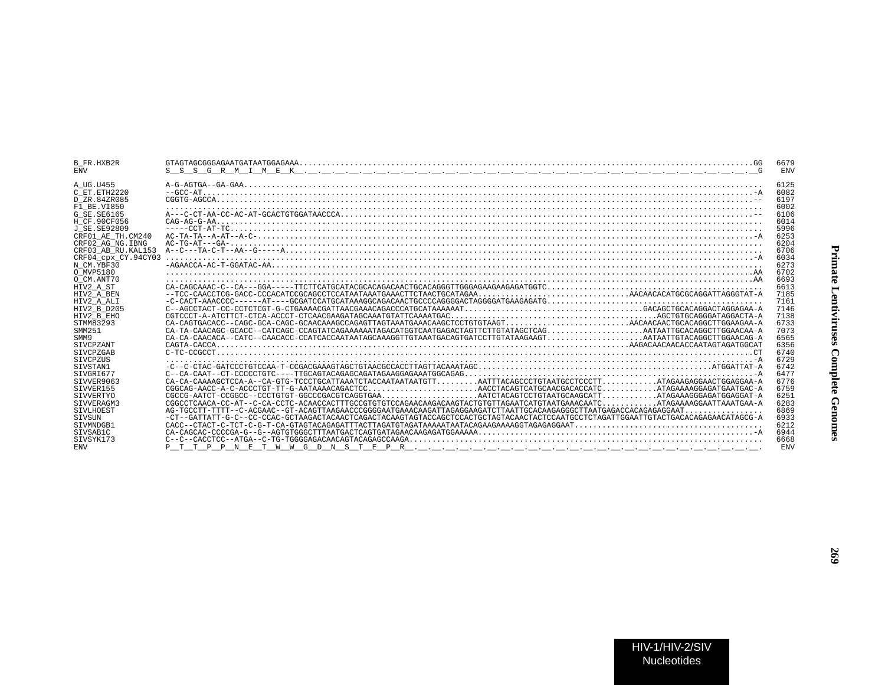| <b>B FR.HXB2R</b><br><b>ENV</b> | $S_S$                                                                                                                                                                                                                                                                                                                                             | 6679<br><b>ENV</b> |
|---------------------------------|---------------------------------------------------------------------------------------------------------------------------------------------------------------------------------------------------------------------------------------------------------------------------------------------------------------------------------------------------|--------------------|
| A UG.U455                       |                                                                                                                                                                                                                                                                                                                                                   | 6125               |
| C ET. ETH2220                   |                                                                                                                                                                                                                                                                                                                                                   | 6082               |
| D ZR.84ZR085                    |                                                                                                                                                                                                                                                                                                                                                   | 6197               |
| F1 BE.VI850                     |                                                                                                                                                                                                                                                                                                                                                   | 6002               |
| $G$ SE. SE6165                  |                                                                                                                                                                                                                                                                                                                                                   | 6106               |
| H CF.90CF056                    |                                                                                                                                                                                                                                                                                                                                                   | 6014               |
| J SE. SE92809                   |                                                                                                                                                                                                                                                                                                                                                   | 5996               |
| CRF01 AE TH.CM240               |                                                                                                                                                                                                                                                                                                                                                   | 6253               |
| CRF02 AG NG. IBNG               |                                                                                                                                                                                                                                                                                                                                                   | 6204               |
| CRF03 AB RU. KAL153             |                                                                                                                                                                                                                                                                                                                                                   | 6706               |
| CRF04 cpx CY.94CY03             |                                                                                                                                                                                                                                                                                                                                                   | 6034               |
| N CM. YBF30                     | $\verb -AGAACCA-AC-T-GGATAC-AA , \verb  , \verb  , \verb  , \verb  , \verb  , \verb  , \verb  , \verb  , \verb  , \verb  , \verb  , \verb  , \verb  , \verb  , \verb  , \verb  , \verb  , \verb  , \verb  , \verb  , \verb  , \verb  , \verb  , \verb  , \verb  , \verb  , \verb  , \verb  , \verb  , \verb  , \verb  , \verb  , \verb  , \verb $ | 6273               |
| O MVP5180                       |                                                                                                                                                                                                                                                                                                                                                   | 6702               |
| O CM.ANT70                      |                                                                                                                                                                                                                                                                                                                                                   | 6693               |
| HIV2 A ST                       |                                                                                                                                                                                                                                                                                                                                                   | 6613               |
| HIV2 A BEN                      |                                                                                                                                                                                                                                                                                                                                                   | 7185               |
| HIV2 A ALI                      |                                                                                                                                                                                                                                                                                                                                                   | 7161               |
| HIV2 B D205                     |                                                                                                                                                                                                                                                                                                                                                   | 7146               |
| HIV2 B EHO                      |                                                                                                                                                                                                                                                                                                                                                   | 7138               |
| STMM83293                       |                                                                                                                                                                                                                                                                                                                                                   | 6733               |
| SMM251                          |                                                                                                                                                                                                                                                                                                                                                   | 7073               |
| SMM9                            |                                                                                                                                                                                                                                                                                                                                                   | 6565               |
| SIVCPZANT                       | $CAGTA-CACCA$                                                                                                                                                                                                                                                                                                                                     | 6356               |
| SIVCPZGAB                       |                                                                                                                                                                                                                                                                                                                                                   | 6740               |
| SIVCPZUS                        |                                                                                                                                                                                                                                                                                                                                                   | 6729               |
| SIVSTAN1                        |                                                                                                                                                                                                                                                                                                                                                   | 6742               |
| STVGRT677                       |                                                                                                                                                                                                                                                                                                                                                   | 6477               |
| STVVER9063                      |                                                                                                                                                                                                                                                                                                                                                   | 6776               |
| STVVER155                       |                                                                                                                                                                                                                                                                                                                                                   | 6759               |
| SIVVERTYO                       |                                                                                                                                                                                                                                                                                                                                                   | 6251               |
| STVVERAGM3                      |                                                                                                                                                                                                                                                                                                                                                   | 6283               |
| SIVLHOEST                       |                                                                                                                                                                                                                                                                                                                                                   | 6869               |
| SIVSUN                          | -CT--GATTATT-G-C--CC-CCAC-GCTAAGACTACAACTCAGACTACAAGTACCAGCTCCACTGCTAGTACAACTACTCCAATGCCTCTAGAATTGGAATTGTACACAGAGAACATAGCG-A                                                                                                                                                                                                                      | 6933               |
| STVMNDGB1                       |                                                                                                                                                                                                                                                                                                                                                   | 6212               |
| STVSAB1C                        |                                                                                                                                                                                                                                                                                                                                                   | 6944               |
| SIVSYK173                       |                                                                                                                                                                                                                                                                                                                                                   | 6668               |
| <b>ENV</b>                      | D.<br>P N E                                                                                                                                                                                                                                                                                                                                       | <b>ENV</b>         |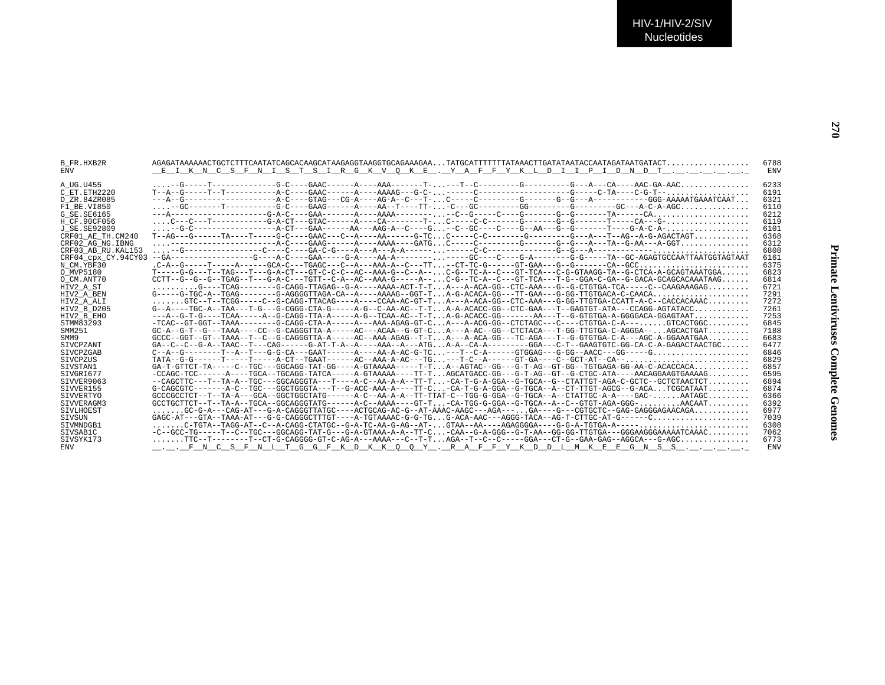B\_FR.HXB2R AGAGATAAAAAACTGCTCTTTCAATATCAGCACAAGCATAAGAGGTAAGGTGCAGAAAGAA...TATGCATTTTTTTATAAACTTGATATAATACCAATAGATAATGATACT.................. 6788

SIVVER155 G-CAGCGTC-------A-C--TGC---GGCTGGGTA---T--G-ACC-AAA-A----TT-C...-CA-T-G-A-GGA--G-TGCA--A--CT-TTGT-AGCG--G-ACA...TCGCATAAT......... 6874SIVVERTYO GCCCGCCTCT--T--TA-A---GCA--GGCTGGCTATG------A-C--AA-A-A--TT-TTAT-C--TGG-G-GGA--G-TGCA--A--CTATTGC-A-A----GAC-......AATAGC......... 6366SIVVERAGM3 GCCTGCTTCT--T--TA-A--TGCA--GGCAGGGTATG------A-C--AAAA----GT-T...-CA-TGG-G-GGA--G-TGCA--A--C--GTGT-AGA-GGG-..........AACAAT.........<br>SIVLHOEST ......GC-G-A---CAG-AT---G-A-CAGGGTTATGC----AC

SIVSUN GAGC-AT---GTA--TAAA-AT---G-G-CAGGGCTTTGT----A-TGTAAAAC-G-G-TG...G-ACA-AAC---AGGG-TACA--AG-T-CTTGC-AT-G------C..................... 7039

 $SIVSYK173 \begin{array}{c} \begin{array}{c} \begin{array}{c} \begin{array}{c} \begin{array}{c} \end{array} \end{array} & \begin{array}{c} \begin{array}{c} \end{array} & \begin{array}{c} \end{array} & \begin{array}{c} \end{array} & \begin{array}{c} \end{array} & \begin{array}{c} \end{array} & \begin{array}{c} \end{array} & \begin{array}{c} \end{array} & \begin{array}{c} \end{array} & \begin{array}{c} \end{array} & \begin{array}{c} \end{array} & \begin{array}{c} \end{array} & \begin{array}{c} \end{array} & \begin{array$ 

ENV \_\_\_\_\_\_F\_N\_C\_S\_F\_N\_L\_T\_G\_G\_F\_K\_D\_K\_K\_Q\_Q\_Y\_\_.R\_A\_F\_F\_Y\_K\_D\_D\_L\_M\_K\_E\_E\_G\_N\_S\_S\_.\_\_.\_\_.\_\_.\_\_.\_.

SIVMNDGB1 .......C-TGTA--TAGG-AT--C--A-CAGG-CTATGC--G-A-TC-AA-G-AG--AT-...GTAA--AA----AGAGGGGA----G-G-A-TGTGA-A-----........................ 6308SIVSAB1C -C--GCC-TG-----T--C--TGC---GGCAGG-TAT-G---G-A-GTAAA-A-A--TT-C...-CAA--G-A-GGG--G-T-AA--GG-GG-TTGTGA---GGGAAGGGAAAAATCAAAC......... 7062

 $\underline{\hspace{1.5em}}$  EIKNCSFNISTSIRGKVOKE. YAFFYKLDIIPIDNDT............

SIVLHOEST .......GC-G-A---CAG-AT---G-A-CAGGGTTATGC----ACTGCAG-AC-G--AT-AAAC-AAGC---AGA---...GA----G---CGTGCTC--GAG-GAGGGAGAACAGA............ 6977

| A UG.U455           |                                                                                                                                                       | 6233 |
|---------------------|-------------------------------------------------------------------------------------------------------------------------------------------------------|------|
| C ET.ETH2220        | $T-A--G---T--T---T---2--C---GARC----A---A-AAAG---G-C----C---2---2---C---C---G---C-TA---C-G-T---C-G-T---$                                              | 6191 |
| D ZR.84ZR085        | ---A--G------------------A-C----GTAG---CG-A----AG-A--C---T-C-----C-------G-------G---A---------GGG-AAAAATGAAATCAAT                                    | 6321 |
| F1 BE.VI850         |                                                                                                                                                       | 6110 |
| G SE.SE6165         | $---A---------G-A-C---GAA------A---A---AABA---------C---G---G---G---G---G---G---G---TA---TA---CA.$                                                    | 6212 |
| H CF.90CF056        | $\ldots$ .c--c---T-----------G-A-CT---GTAC------A----CA--------T- $\ldots$ C-------G-C-------G--G-------T----CA---G- $\ldots\ldots\ldots\ldots\ldots$ | 6119 |
| J SE.SE92809        |                                                                                                                                                       | 6101 |
| CRF01 AE TH.CM240   | $T-AG---G----TA---T----G-C---GARC---CA---A---A---B---G-TCC-----C-C------G-------G---A---T---AG---A-G-AGACTAGT$                                        | 6368 |
| CRF02 AG NG. IBNG   |                                                                                                                                                       | 6312 |
| CRF03 AB RU. KAL153 |                                                                                                                                                       | 6808 |
| CRF04 cpx CY.94CY03 |                                                                                                                                                       | 6161 |
| N CM.YBF30          |                                                                                                                                                       | 6375 |
| O MVP5180           | $T---G-G---T---TAG---T---G-A-CT---GTC-C-C--AC--AAA-G---C--A---C-G---TC-A--C---GT-TCA---C-G-TAAGG-TA--G-CTCA-A-GCAGTAAATGGA.$                          | 6823 |
| O CM.ANT70          | $CCTT - -G - -G - TGAG - -T - -G-A-C - -TGTT - -C-A - A-C - AAA -G - -A-A - C$                                                                        | 6814 |
| HIV2 A ST           | $\ldots\ldots\ldots$ G----TCAG-------G-CAGG-TTAGAG--G-A----AAAA-ACT-T-TA---A-ACA-GG--CTC-AAA---G--G-CTGTGA-TCA-----C--CAAGAAAGAG                      | 6721 |
| HIV2 A BEN          | $G---G-TGC-A--TGAG------G-AGGGGTTAGA-CA---A---AAAAG--GGT-TA-G-ACACA-GG---TT-GAA---G-GG-TTGTGACA-C-CAACA$                                              | 7291 |
| HIV2 A ALI          | GTC--T--TCGG-----C--G-CAGG-TTACAG----A----CCAA-AC-GT-TA---A-ACA-GG--CTC-AAA---G-GG-TTGTGA-CCATT-A-C--CACCACAAAC                                       | 7272 |
| HIV2 B D205         | $G--A---TGC-A--TAA---T-G---G--G-GGG-CTA-G---A-A-G--C-AA-AC--T-TA-A-ACACC-GG--CTC-GAA---T--GAGTGT-ATA---CCAGG-AGTATACC$                                | 7261 |
| HIV2 B EHO          | ---A--G-T-G----TCAA-----A--G-CAGG-TTA-A-----A-G--TCAA-AC--T-TA-G-ACACC-GG-------AA---T--G-GTGTGA-A-GGGGACA-GGAGTAAT                                   | 7253 |
| STMM83293           | -TCAC--GT-GGT--TAAA--------G-CAGG-CTA-A-----A--AAA-AGAG-GT-CA---A-ACG-GG--CTCTAGC---C----CTGTGA-C-A---GTCACTGGC                                       | 6845 |
| SMM251              | $GC-A--G-T-G---TAAA---CC--G-CAGGGTTTA-A---AC---ACAA--G-GT-CA---A-AC--GG--CTTACA---T-GG-TTGTAA-C-AGGGA---AGCACTGAT$                                    | 7188 |
| SMM9                | $GCCC--GGT--GTr--TAAA--T--C--G-CAGGGTTA-A---A-C--AAA-AGAG---T-T. A---A-ACA-GG---TC-AGA---T--G-GTGTGA-C-A---AGC-A-GGAARTGAA.$                          | 6683 |
| SIVCPZANT           | $GA - C - C - G - A - T$ AAC--T---CAG-------G-AT-T-A---A----AAA--A---ATGA-A--CA-A-------GGA---C-T--GAAGTGTC-GG-CA-C-A-GAGACTAACTGC                    | 6477 |
| SIVCPZGAB           |                                                                                                                                                       | 6846 |
| <b>STVCPZUS</b>     |                                                                                                                                                       | 6829 |
| SIVSTAN1            | GA-T-GTTCT-TA-----C--TGC---GGCAGG-TAT-GG----A-GTAAAAA-----T-TA--AGTAC--GG---GT-AG--GT-GG--TGTGAGA-GG-AA-C-ACACCACA                                    | 6857 |
| STVGRT677           | -CCAGC-TCC------A----TGCA--TGCAGG-TATCA-----A-GTAAAAA----TT-TAGCATGACC-GG---G-T-AG--GT--G-CTGC-ATA----AACAGGAAGTGAAAAG                                | 6595 |
| STVVER9063          | --CAGCTTC---T--TA-A--TGC---GGCAGGGTA---T----A-C--AA-A-A---TT-T-CA-T-G-A-GGA--G-TGCA--G--CTATTGT-AGA-C-GCTC--GCTCTAACTCT                               | 6894 |
| STVVER155           | $G-CAGCGTC---A-C--TGC---GGCTGGGTA---T--G-ACC-AAA-A---TT-C.-CA-T-G-A-GGA--G-TGCA--A--CT-TTGT-AGCG--G-ACA. TCGCATAAT.$                                  | 6874 |
| SIVVERTYO           | $GCCCGCCTCT---TA-A---GCA---GGCTGGCTATG---A-C---AC---AA-A-A---TT-TAT-C---TGG-G-GGA---G-TGCA---A---CTATTGC-A-A----GAC-AATAGC$                           | 6366 |
| STVVERAGM3          | $GCCTGCTTCT--T--TA-A--TGCA--GGCAGGGTATG---A-C--AAAA---GT-T--CA-TGG-G-GCA--G-TGCA--A--C--GTGT-AGA-GGG-AACAAT$                                          | 6392 |
| STULHOFST           | CO-C-A---OAC-AT---C-A-CACCOTTATCO----ACTCOAC-AD-C--AT-AAAC-AACO---ACA-------CA----CCTCOTCOAC-CAC-CACCAAAAACAA                                         | 6977 |

7039

6308

7062 6773

ENV

**Primate Lentiviruses Complete Genomes**

**Primate Lentiviruses Complete Genomes**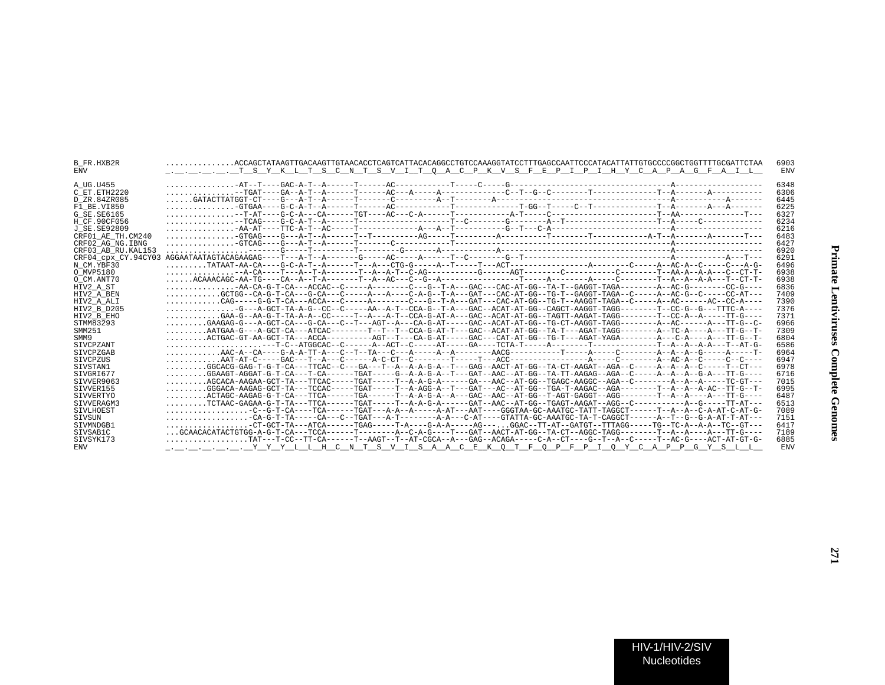| B FR.HXB2R<br><b>ENV</b> |                                                                                                                                                        | 6903<br><b>ENV</b> |
|--------------------------|--------------------------------------------------------------------------------------------------------------------------------------------------------|--------------------|
| A UG.U455                |                                                                                                                                                        | 6348               |
| C ET. ETH2220            |                                                                                                                                                        | 6306               |
| D ZR.84ZR085             |                                                                                                                                                        | 6445               |
| F1 BE.VI850              |                                                                                                                                                        | 6225               |
| G SE. SE6165             |                                                                                                                                                        | 6327               |
| H CF.90CF056             |                                                                                                                                                        | 6234               |
| J SE. SE92809            |                                                                                                                                                        | 6216               |
| CRF01 AE TH.CM240        |                                                                                                                                                        | 6483               |
| CRF02 AG NG. IBNG        |                                                                                                                                                        | 6427               |
| CRF03 AB RU. KAL153      |                                                                                                                                                        | 6920               |
| CRF04 cpx CY.94CY03      |                                                                                                                                                        | 6291               |
| N CM.YBF30               |                                                                                                                                                        | 6496               |
| O MVP5180                | -A-CA----T---A--T-A-------T--A--A-T--C-AG---------G-----AGT--------C---------C-------T--AA-A--A-A---C--CT-T-                                           | 6938               |
| O CM.ANT70               |                                                                                                                                                        | 6938               |
| HIV2 A ST                | AA-CA-G-T-CA---ACCAC--C-----A------C---G--T-A---GAC-AT-GG--TA-T-GAGGT-TAGA-------A-AC-G------CC-G---                                                   | 6836               |
| HIV2 A BEN               | GCTGG--CA-G-T-CA---G-CA---C-----A---A---C-A-G--T-A---GAT---CAC-AT-GG--TG-T--GAGGT-TAGA--C-----A--AC-G--C-----CC-AT---                                  | 7409               |
| HIV2 A ALI               |                                                                                                                                                        | 7390               |
| HIV2 B D205              | $\ldots \ldots \ldots \ldots -$ G---A-GCT-TA-A-G--CC--C-----AA--A-T--CCA-G--T-A---GAC--ACAT-AT-GG--CAGCT-AAGGT-TAGG--------T--CC-G--G---TTC-A----      | 7376               |
| HIV2 B EHO               | $\ldots \ldots \ldots$ GAA-G--AA-G-T-TA-A-A--CC-----T--A---A-T--CCA-G-AT-A---GAC--ACAT-AT-GG--TAGTT-AAGAT-TAGG--------T--CC-A--A-----TT-G----          | 7371               |
| STMM83293                | GAAGAG-G---A-GCT-CA---G-CA---C--T---AGT--A---CA-G-AT----GAC--ACAT-AT-GG--TG-CT-AAGGT-TAGG--------A--AC------A---TT-G--C-                               | 6966               |
| SMM251                   |                                                                                                                                                        | 7309               |
| SMM9                     | ACTGAC-GT-AA-GCT-TA---ACCA---------AGT--T---CA-G-AT-----GAC---CAT-AT-GG--TG-T---AGAT-YAGA--------A---C-A----A---TT-G--T-                               | 6804               |
| <b>STVCPZANT</b>         |                                                                                                                                                        | 6586               |
| SIVCPZGAB                |                                                                                                                                                        | 6964               |
| SIVCPZUS                 |                                                                                                                                                        | 6947               |
| SIVSTAN1                 | GGCACG-GAG-T-G-T-CA---TTCAC--C---GA---T-A-A-A-G-A--T---GAG--AACT-AT-GG--TA-CT-AAGAT--AGA--C-----A--A--C-----T--CT--                                    | 6978               |
| SIVGRI677                | $\ldots\ldots\ldots$ GGAAGT-AGGAT-G-T-CA------T-CA------TGAT-----G--A-A-G-A--T---GAT--AAC--AT-GG--TA-TT-AAGAG--AGA--C-----A--A--A--G-A---TT-G----      | 6716               |
| STVVER9063               | AGCACA-AAGAA-GCT-TA---TTCAC-----TGAT----T--A-A-G-A-----GA---AAC--AT-GG--TGAGC-AAGGC--AGA--C-------A--A--A-----TC-GT---                                 | 7015               |
| SIVVER155                | $\ldots \ldots \ldots$ GGGACA-AAGAG-GCT-TA---TCCAC-----TGAT-----T-A-AGG-A--T---GAT---AC--AT-GG--TGA-T-AAGAC--AGA--------T--A--A--A-AC--TT-G--T-        | 6995               |
| SIVVERTYO                |                                                                                                                                                        | 6487               |
| SIVVERAGM3               |                                                                                                                                                        | 6513               |
| SIVLHOEST                |                                                                                                                                                        | 7089               |
| SIVSUN                   | $\ldots \ldots \ldots \ldots \ldots$ . - CA-G-T-TA-----CA---C--TGAT---A-T-------A-A---C-AT----GTATTA-GC-AAATGC-TA-T-CAGGCT------A-T--G--G-A-AT-T-AT--- | 7151               |
| STVMNDGB1                | -CT-GCT-TA---ATCA------TGAG-----T-A---G-A-A-----AG---GGAC--TT-AT--GATGT--TTTAGG-----TG--TC-A-A-A-TC--GT---                                             | 6417               |
| SIVSAB1C                 |                                                                                                                                                        | 7189               |
| SIVSYK173                | TAT---T-CC--TT-CA------T--AAGT--T--AT-CGCA--A---GAG--ACAGA-----CT----G---T--A--C-----T--AC-G----ACT-AT-GT-G-                                           | 6885               |
| ENV                      |                                                                                                                                                        | ENV                |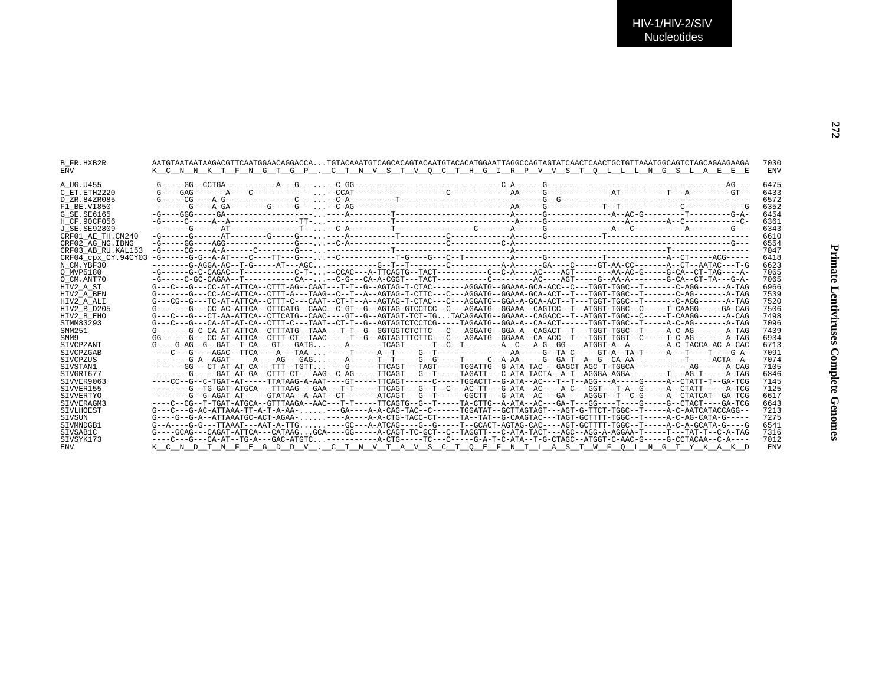| B FR.HXB2R<br>ENV   | K C N N K T F N G T G P . C T N V S T V O C T H G I R P V V S T O L L L N G S L A E E E                                                                                                                                                                                                                                                                                   | 7030<br><b>ENV</b> |
|---------------------|---------------------------------------------------------------------------------------------------------------------------------------------------------------------------------------------------------------------------------------------------------------------------------------------------------------------------------------------------------------------------|--------------------|
| A UG.U455           |                                                                                                                                                                                                                                                                                                                                                                           | 6475               |
| C ET.ETH2220        |                                                                                                                                                                                                                                                                                                                                                                           | 6433               |
| D ZR.84ZR085        |                                                                                                                                                                                                                                                                                                                                                                           | 6572               |
| F1 BE.VI850         |                                                                                                                                                                                                                                                                                                                                                                           | 6352               |
| G SE.SE6165         |                                                                                                                                                                                                                                                                                                                                                                           | 6454               |
| H CF.90CF056        |                                                                                                                                                                                                                                                                                                                                                                           | 6361               |
| J SE.SE92809        |                                                                                                                                                                                                                                                                                                                                                                           | 6343               |
| CRF01 AE TH.CM240   |                                                                                                                                                                                                                                                                                                                                                                           | 6610               |
| CRF02 AG NG.IBNG    |                                                                                                                                                                                                                                                                                                                                                                           | 6554               |
| CRF03 AB RU.KAL153  |                                                                                                                                                                                                                                                                                                                                                                           | 7047               |
| CRF04 cpx CY.94CY03 |                                                                                                                                                                                                                                                                                                                                                                           | 6418               |
| N CM.YBF30          | -------G-AGGA-AC--T-G-----AT---AGC--------G--T------C---------A-A------GA----C-----GT-AA-CC------A-CT--AATAC---T-G                                                                                                                                                                                                                                                        | 6623               |
| O MVP5180           | -G------G-C-CAGAC--T----------C-T---CCAC---A-TTCAGTG--TACT----------C--C-A---AC------AA-AC-G-----G-CA--CT-TAG----A-                                                                                                                                                                                                                                                       | 7065               |
| O CM.ANT70          | -G-----C-GC-CAGAA--T-----------CA----C-G---CA-A-CGGT---TACT----------C------AC----AGT----G-AA-A--------G-CA--CT-TA---G-A-                                                                                                                                                                                                                                                 | 7065               |
| HIV2 A ST           | $G---C---G---C---AT-ATT-ATTCA---CTTT-AG---CART---T-T--G---AGTAG-T-CTAC-----AGGATG--GGAAG-GCAAA-GCA-ACC--C---TGGT-TGGC--T-----C-AGG---A-TAGC--T-CTAGC--T-CTAGC--T-CTAGC--T-CTAGC--T-CTAGC--T-CTAGC--T-CTAGC--T-CTAGC--T-CTAGC--T-CTAGC--T-CTAGC--T-CTAGC--T-CTAGC--T-CTAGC--T-CTAGC--T-CTAGC--T-CTAGC--T-CTAGC--T-CTAGC--T-CTAGC--T-CTAGC--T-CTAG-CCAA-CCA-CTG-CCA-CTAG-C$ | 6966               |
| HIV2 A BEN          | G-------G---CC-AC-ATTCA--CTTT-A---TAAG--C--T--A--AGTAG-T-CTTC---C---AGGATG--GGAAA-GCA-ACT--T---TGGT-TGGC--T------C-AG-------A-TAG                                                                                                                                                                                                                                         | 7539               |
| HIV2 A ALI          | G---CG--G---TC-AT-ATTCA--CTTT-C---CAAT--CT-T--A--AGTAG-T-CTAC---C---AGGATG--GGA-A-GCA-ACT--T---TGGT-TGGC--T------C-AGG------A-TAG                                                                                                                                                                                                                                         | 7520               |
| HIV2 B D205         | G-------G---CC-AC-ATTCA--CTTCATG--CAAC--C-GT--G--AGTAG-GTCCTCC--C---AGAATG--GGAAA--CAGTCC--T--ATGGT-TGGC--C-----T-CAAGG-----GA-CAG                                                                                                                                                                                                                                        | 7506               |
| HIV2 B EHO          | G---C---G---CT-AA-ATTCA--CTTCATG--CAAC----GT--G--AGTAGT-TCT-TGTACAGAATG--GGAAA--CAGACC--T--ATGGT-TGGC--C-----T-CAAGG------A-CAG                                                                                                                                                                                                                                           | 7498               |
| STMM83293           |                                                                                                                                                                                                                                                                                                                                                                           | 7096               |
| SMM251              | $G------G-C-CA-AT-ATTCA--CTTTTATG--TAAA---T-T--G--GGTGGTCTCTTC---C---AGGATG--GGA-A--CAGACT---T---T-GGT-TGGC--T---A-C-AG---C-A-G--A-TAG-$                                                                                                                                                                                                                                  | 7439               |
| SMM9                |                                                                                                                                                                                                                                                                                                                                                                           | 6934               |
| SIVCPZANT           | G----G-AG--G--GAT--T-CA---GT---GATG----A-------TCAGT------T--C--T--------A--C---AG--GG----ATGGT-A--A--------A-C-TACCA-AC-A-CAC                                                                                                                                                                                                                                            | 6713               |
| SIVCPZGAB           |                                                                                                                                                                                                                                                                                                                                                                           | 7091               |
| STVCPZUS            |                                                                                                                                                                                                                                                                                                                                                                           | 7074               |
| STVSTAN1            | ------GG---CT-AT-AT-CA---TTT--TGTT----G------TTCAGT---TAGT----TGGATTG--G-ATA-TAC---GAGCT-AGC-T-TGGCA---------AG------AC-CAG                                                                                                                                                                                                                                               | 7105               |
| STVGRT677           | -------G----GAT-AT-GA--CTTT-CT---AAG--C-AG-----TTCAGT---G--T----TAGATT---C-ATA-TACTA--A-T--AGGGA-AGGA-------T---AG-T-----AGT-                                                                                                                                                                                                                                             | 6846               |
| SIVVER9063          | ----CC--G--C-TGAT-AT-----TTATAAG-A-AAT----GT-----TTCAGT-----C-----TGGACTT--G-ATA--AC---T--T--AGG---A-----G----A--CTATT-T--GA-TCG                                                                                                                                                                                                                                          | 7145               |
| SIVVER155           | -------G--TG-GAT-ATGCA---TTTAAG---GAA---T-T-----TTCAGT---G--T--C---AC-TT---G-ATA--AC----A-C---GGT---T-A--G-----A--CTATT-----A-TCG                                                                                                                                                                                                                                         | 7125               |
| SIVVERTYO           | -------G-G-AGAT-AT-----GTATAA--A-AAT--CT-------ATCAGT---G--T------GGCTT---G-ATA--AC---GA----AGGGT--T--C-G-----A--CTATCAT--GA-TCG                                                                                                                                                                                                                                          | 6617               |
| STVVERAGM3          | ----C--CC--T-TGAT-ATGCA--GTTTAAGA--AAC---T-T-----TTCAGTG--G--T-----TA-CTTG--A-ATA--AC---GA-T---GG----T----G---C-ACTA--CTACT----GA-TCG                                                                                                                                                                                                                                     | 6643               |
| SIVLHOEST           |                                                                                                                                                                                                                                                                                                                                                                           | 7213               |
| SIVSUN              |                                                                                                                                                                                                                                                                                                                                                                           | 7275               |
| STVMNDGB1           | G--A----G-G---TTAAAT---AAT-A-TTG----GC---A-ATCAG----G--G-----T--GCACT-AGTAG-CAC----AGT-GCTTTT-TGGC--T-----A-C-A-GCATA-G----G                                                                                                                                                                                                                                              | 6541               |
| SIVSAB1C            | $G----GCAG---CAGAT-ATTCA---CATAAGGCA---GG----A-CAGT-TC-GCT---C-TAGGTT---C-ATA-GT---AGC---AGG-A-GG-A-GGAA-T---T---TAT-T--C-A-TAG-$                                                                                                                                                                                                                                         | 7316               |
| SIVSYK173           | ----C---G---CA-AT--TG-A---GAC-ATGTC----------A-CTG-----TC---C-----G-A-T-C-ATA--T-G-CTAGC--ATGGT-C-AAC-G-----G-CCTACAA--C-A----                                                                                                                                                                                                                                            | 7012               |
| ENV                 | K C N D T N F E G D D V . C T N V T A V S C T O E F N T L A S T W F O L N G T Y K A K D                                                                                                                                                                                                                                                                                   | <b>ENV</b>         |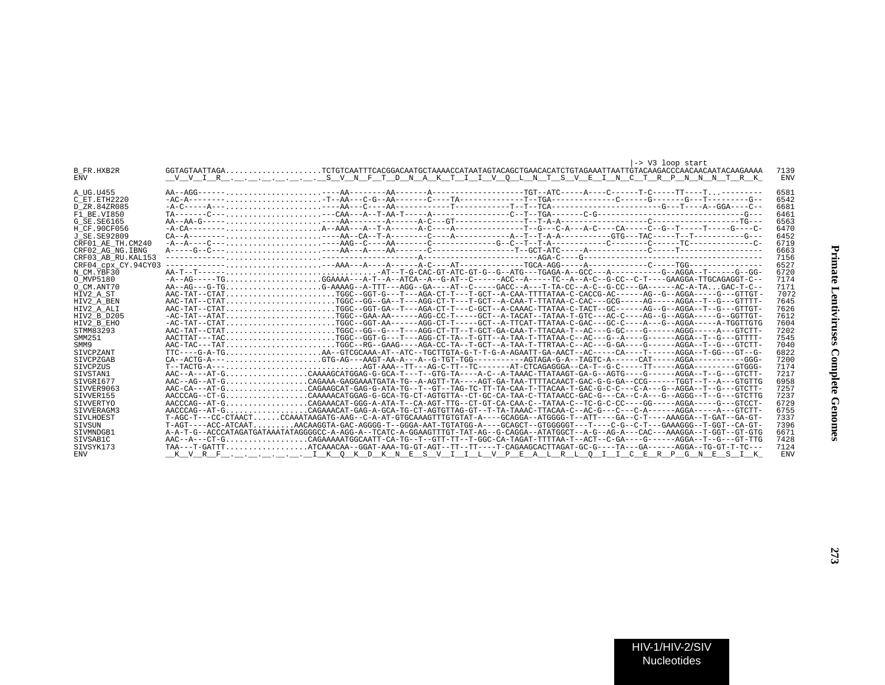|                     | -> V3 loop start                                                                                                                   |            |
|---------------------|------------------------------------------------------------------------------------------------------------------------------------|------------|
| B FR.HXB2R          |                                                                                                                                    | 7139       |
| <b>ENV</b>          |                                                                                                                                    | <b>ENV</b> |
|                     |                                                                                                                                    |            |
| A UG.U455           |                                                                                                                                    | 6581       |
| C ET. ETH2220       |                                                                                                                                    | 6542       |
| D ZR.84ZR085        |                                                                                                                                    | 6681       |
| F1 BE.VI850         |                                                                                                                                    | 6461       |
| G SE. SE6165        |                                                                                                                                    | 6563       |
| H CF.90CF056        |                                                                                                                                    | 6470       |
| J SE. SE92809       |                                                                                                                                    | 6452       |
| CRF01 AE TH.CM240   |                                                                                                                                    | 6719       |
| CRF02 AG NG. IBNG   |                                                                                                                                    | 6663       |
| CRF03 AB RU. KAL153 |                                                                                                                                    | 7156       |
| CRF04_cpx_CY.94CY03 |                                                                                                                                    | 6527       |
| N CM.YBF30          |                                                                                                                                    | 6720       |
| O MVP5180           |                                                                                                                                    | 7174       |
| O CM.ANT70          |                                                                                                                                    | 7171       |
| HIV2 A ST           |                                                                                                                                    | 7072       |
| HIV2 A BEN          | AAC-TAT--CTATTGGC--GG--GA--T---AGG-CT-T---T-GCT--A-CAA-T-TTATAA-C-CAC---GCG-----AG-----AGGA--T--G---GTTTT-                         | 7645       |
| HIV2 A ALI          | AAC-TAT--CTATTGGC--GGT-GA--T---AGA-CT-T---C-GCT--A-CAAAC-TTATAA-C-TACT--GC------AG--G--AGGA--T--G---GTTGT-                         | 7626       |
| HIV2 B D205         | -AC-TAT--ATATTGGC--GAA-AA------AGG-CC-T-----GCT--A-TACAT--TATAA-T-GTC---AC-C---AG--G--AGGA-----G-CGTTGT-                           | 7612       |
| HIV2 B EHO          | -AC-TAT--CTATTGGC--GGT-AA-----AGG-CT-T----GCT--A-TTCAT-TTATAA-C-GAC---GC-C----A--G-AGGA-----A-TGGTTGTG                             | 7604       |
| STMM83293           | AAC-TAT--CTATTGGC--GG--G---T---AGG-CT-TT---GCT-GA-CAA-T-TTACAA-T--AC---G-GC----G-----AGGG-----A---GTCTT-                           | 7202       |
| SMM251              |                                                                                                                                    | 7545       |
| SMM9                | AAC-TAC---TATTGGC--RG--GAAG----AGA-CC-TA--T-GCT--A-TAA-T-TTRTAA-C--AC---G-GA----G-----AGGA--T--G---GTCTT-                          | 7040       |
| SIVCPZANT           | TTC----G-A-TGAA--GTCGCAAA-AT--ATC--TGCTTGTA-G-T-T-G-A-AGAATT-GA-AACT--AC-----CA----T-----AGGA--T-GG---GT--G-                       | 6822       |
| SIVCPZGAB           |                                                                                                                                    | 7200       |
| SIVCPZUS            |                                                                                                                                    | 7174       |
| STVSTAN1            |                                                                                                                                    | 7217       |
| STVGRT677           | AAC--AG--AT-GCAGAAA-GAGGAAATGATA-TG--A-AGTT-TA----AGT-GA-TAA-TTTTACAACT-GAC-G-G-GA--CCG-----TGGT--T--A--GTGTUG                     | 6958       |
| SIVVER9063          | AAC-CA---AT-GCAGAAGCAT-GAG-G-ATA-TG--T--GT--TAG-TC-TT-TA-CAA-T-TACCAA-T-GAC-G-C-C---C-A---G--AGGA--T--G---GTCTT-                   | 7257       |
| SIVVER155           | AACCCAG--CT-GCAAAACATGGAG-G-GCA-TG-CT-AGTGTTA--CT-GC-CA-TAA-C-TTATAACC-GAC-G---CA--C-A---G--AGGG--T--G--GTCTTG                     | 7237       |
| SIVVERTYO           | AACCCAG--AT-GCAGAAACAT-GGG-A-ATA-T--CA-AGT-TTG--CT-CA-CAA-C--TATAA-C--TC-G-C-CC----GG-----AGGA-----G---GTCCT-                      | 6729       |
| STVVERAGM3          |                                                                                                                                    | 6755       |
| SIVLHOEST           | T-AGC-T---CC-CTAACTCCAAATAAGATG-AAG--C-A-AT-GTGCAAAGTTTGTGTAT-A----GCAGGA--ATGGGG-T--ATT----GA--C-T----AAAGGA--T-GAT--GA-GT-       | 7337       |
| SIVSUN              | T-AGT----ACC-ATCAATAACAAGGTA-GAC-AGGGG-T--GGGA-AAT-TGTATGG-A----GCAGCT--GTGGGGGT---T---C-G--C-T---GAAAGGG--T-GGT--CA-GT-           | 7396       |
| SIVMNDGB1           | A-A-T-G--ACCCATAGATGATAAATATAGGGGCC-A-AGG-A--TCATC-A-GGAAGTTTGT-TAT-AG--G-CAGGA--ATATGGCT--A-G--AG-A---CAC---AAAGGA--T-GGT--GT-GTG | 6671       |
| SIVSAB1C            | AAC--A---CT-GCAGAAAAATGGCAATT-CA-TG--T--GTT-TT--F-GGC-CA-TAGAT-TTTTAA-T--ACT--C-GA----G-----AGGA--T--G---GT-TTG                    | 7428       |
| STVSYK173           | TAA---T-GATTTATCAAACAA--GGAT-AAA-TG-GT-AGT--TT---T-CAGAAGCACTTAGAT-GC-G----TA---GA------AGGA--TG-GT-T-TC---                        | 7124       |
| <b>ENV</b>          | <u> KVRF IKOKDKNESVIILVPEALRLOIICERPGNESIK</u>                                                                                     | <b>ENV</b> |
|                     |                                                                                                                                    |            |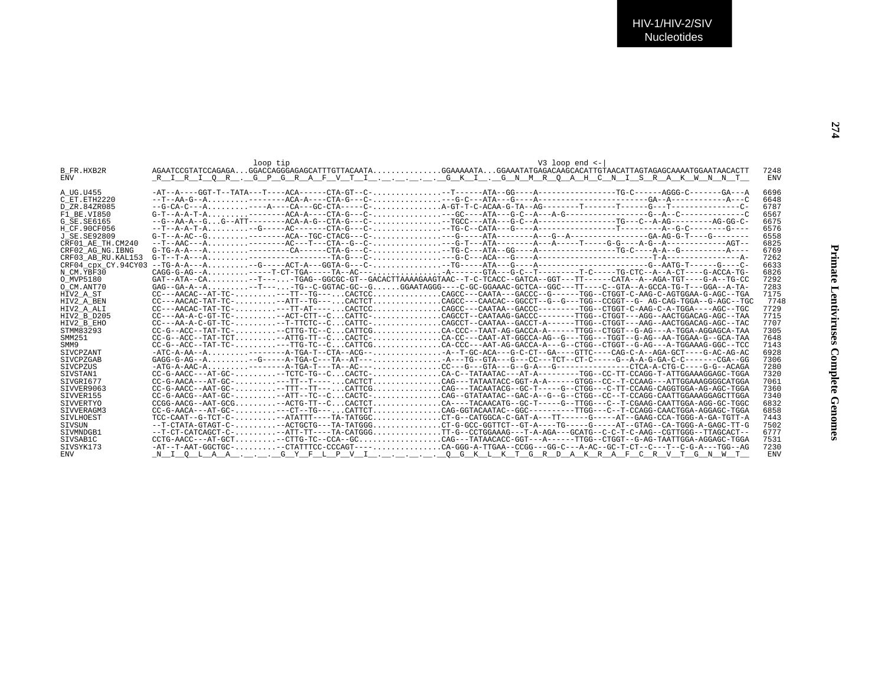| <b>B FR.HXB2R</b>   |                                                                                                                 | 7248       |
|---------------------|-----------------------------------------------------------------------------------------------------------------|------------|
| <b>ENV</b>          | RIRIOR .GPGRAFVTIGKI .GNMROAHCNISRAKWNNT                                                                        | <b>ENV</b> |
|                     |                                                                                                                 |            |
| A UG.U455           |                                                                                                                 | 6696       |
| C ET.ETH2220        |                                                                                                                 | 6648       |
| D ZR.84ZR085        |                                                                                                                 | 6787       |
| F1 BE.VI850         |                                                                                                                 | 6567       |
| G SE. SE6165        | --G--AA-A--GG--ATT--------ACA-A-G--CTA-G---C---TGCC---ATA---G-C--A---------------TG---C--A-AG---------ACG-GG-C- | 6675       |
| H CF.90CF056        |                                                                                                                 | 6576       |
| J SE. SE92809       |                                                                                                                 | 6558       |
| CRF01 AE TH.CM240   |                                                                                                                 | 6825       |
| CRF02 AG NG. IBNG   |                                                                                                                 | 6769       |
| CRF03 AB RU. KAL153 |                                                                                                                 | 7262       |
| CRF04_cpx_CY.94CY03 |                                                                                                                 | 6633       |
| N CM.YBF30          | $CAGG-G-AG--A$ -----T-CT-TGA-----TA--AC----A-------GTA---G-C--T--------T-C-----TG-CTC--A--A-CT----G-ACCA-TG-    | 6826       |
| O MVP5180           | $GAT--ATA--CA$                                                                                                  | 7292       |
| O CM.ANT70          | GAG--GA-A--A-TC--C-GGTAC-GC--GGGAATAGGG---C-GC-GGAAAC-GCTCA--GGC---TT---C--GTA--A-GCCA-TG-T---GGA--A-TA         | 7283       |
| HIV2 A ST           | CC---AACAC--AT-TC----TT--TG---CACTCCCAGCC---CAATA---GACCC--G------TGG--CTGGT-C-AAG-C-AGTGGAA-G-AGC--TGA         | 7175       |
| HIV2 A BEN          | $CC---AACAC-TAT-TC-$ -ATT--TG---CACTCTCAGCC---CAACAC--GGCCT--G--G---TGG--CCGGT--G- AG-CAG-TGGA--G-AGC--TGC      | 7748       |
| HIV2 A ALI          |                                                                                                                 | 7729       |
| HIV2 B D205         |                                                                                                                 | 7715       |
| HIV2 B EHO          |                                                                                                                 | 7707       |
| STMM83293           |                                                                                                                 | 7305       |
| SMM251              | CC-G--ACC--TAT-TCT--ATTG-TT--CCACTC-CA-CC---CAAT-AT-GGCCA-AG--G---TGG---TGGT--G-AG--AA-TGGAA-G--GCA-TAA         | 7648       |
| SMM9                | $CC - G = -ACC - TAT - TC - \ldots \ldots \ldots \ldots \ldots \ldots \ldots \ldots \ldots$                     | 7143       |
| <b>STVCPZANT</b>    | -ATC-A-AA--A--------A-TGA-T--CTA--ACG--A--T-GC-ACA---G-C-CT--GA----GTTC---CAG-C-A--AGA-GCT---G-AC-AG-AC-        | 6928       |
| SIVCPZGAB           |                                                                                                                 | 7306       |
| SIVCPZUS            |                                                                                                                 | 7280       |
| SIVSTAN1            | $CC-G-AACC---AT-GC-$ -TCTC-TG--CCACTC-CACTC-CA-C--TATAATAC---AT-A------TGG--CC-TT-CCAGG-T-ATTGGAAAGGAGC-TGGA    | 7320       |
| SIVGRI677           | $CC-G-AACA---AT-GC---.$ --TT--T---CACTCTCACTCTCAG--TATATACC-GGT-A-A------GTGG--CC--T-CCAAG---ATTGGAAAGGGGATGGA  | 7061       |
| STVVER9063          |                                                                                                                 | 7360       |
| SIVVER155           |                                                                                                                 | 7340       |
| SIVVERTYO           |                                                                                                                 | 6832       |
| STVVERAGM3          |                                                                                                                 | 6858       |
| SIVLHOEST           | TCC-CAAT--G-TCT-C---ATATTT----TA-TATGGCCT-G--CATGGCA-C-GAT-A---TT-----G-----AT--GAAG-CCA-TGGG-A-GA-TGTT-A       | 7443       |
| <b>STVSUN</b>       | --T-CTATA-GTAGT-C--ACTGCTG---TA-TATGGGCT-G-GCC-GGTTCT--GT-A----TG-----AT--GTAG--CA-TGGG-A-GAGC-TT-G             | 7502       |
| SIVMNDGB1           | --T-CT-CATCAGCT-C---ATT-TT----TA-CATGGGTT-G--CCTGGAAAG---T-A-AGA---GCATG--C-C-T-C-AAG--CGTTGGG--TTAGCACT--      | 6777       |
| SIVSAB1C            |                                                                                                                 | 7531       |
| SIVSYK173           | -AT--T-AAT-GGCTGC--CTATTCC-CCCAGT----CA-GGG-A-TTGAA--CCGG---GG-C---A-AC--GC-T-CT--C---T-C-G-A--TGG--AG          | 7230       |
| <b>ENV</b>          | <u>NIQLAAGYFLPVIQGKLKTGRDAKRAFCRVTGNWT</u>                                                                      | <b>ENV</b> |
|                     |                                                                                                                 |            |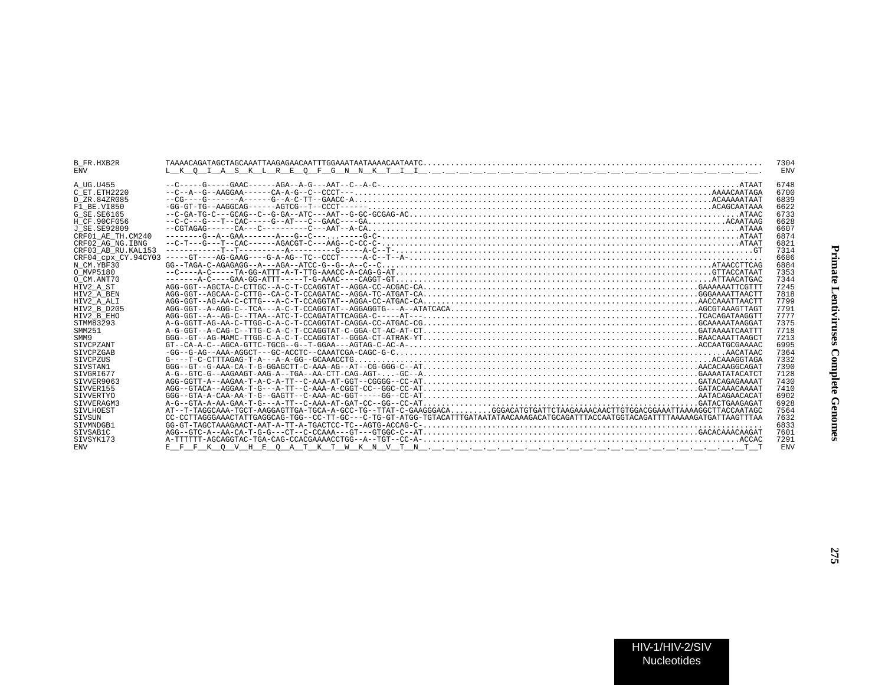| B FR.HXB2R         |                                                                                                                                                                                                                                                                                                                                                                                                         | 7304       |
|--------------------|---------------------------------------------------------------------------------------------------------------------------------------------------------------------------------------------------------------------------------------------------------------------------------------------------------------------------------------------------------------------------------------------------------|------------|
| $\bar{\text{ENV}}$ |                                                                                                                                                                                                                                                                                                                                                                                                         | <b>ENV</b> |
|                    |                                                                                                                                                                                                                                                                                                                                                                                                         |            |
| A UG.U455          |                                                                                                                                                                                                                                                                                                                                                                                                         | 6748       |
| C ET.ETH2220       |                                                                                                                                                                                                                                                                                                                                                                                                         | 6700       |
| D ZR.84ZR085       |                                                                                                                                                                                                                                                                                                                                                                                                         | 6839       |
| F1 BE.VI850        |                                                                                                                                                                                                                                                                                                                                                                                                         | 6622       |
| G SE SE6165        |                                                                                                                                                                                                                                                                                                                                                                                                         | 6733       |
| H CF.90CF056       |                                                                                                                                                                                                                                                                                                                                                                                                         | 6628       |
| J SE.SE92809       | $-{\tt CGTRGAG}\--\--{\tt CAP}\--{\tt C-P}\--{\tt C-P}\--{\tt C-P}\--{\tt APT}\--{\tt A-T-P}\--{\tt CCA}\+{\tt C.A.}\+{\tt C.A.}\+{\tt C.A.}\+{\tt C.A.}\+{\tt C.A.}\+{\tt C.A.}\+{\tt C.A.}\+{\tt C.A.}\+{\tt C.A.}\+{\tt C.A.}\+{\tt C.A.}\+{\tt C.A.}\+{\tt C.A.}\+{\tt C.A.}\+{\tt C.A.}\+{\tt C.A.}\+{\tt C.A.}\+{\tt C.A.}\+{\tt C.A.}\+{\tt C.A.}\+{\tt C.A.}\+{\tt C.A.}\+{\tt C.A.}\+{\tt C.A$ | 6607       |
| CRF01 AE TH.CM240  |                                                                                                                                                                                                                                                                                                                                                                                                         | 6874       |
| CRF02_AG_NG.IBNG   |                                                                                                                                                                                                                                                                                                                                                                                                         | 6821       |
| CRF03 AB RU.KAL153 |                                                                                                                                                                                                                                                                                                                                                                                                         | 7314       |
|                    |                                                                                                                                                                                                                                                                                                                                                                                                         | 6686       |
| N CM.YBF30         |                                                                                                                                                                                                                                                                                                                                                                                                         | 6884       |
| O MVP5180          |                                                                                                                                                                                                                                                                                                                                                                                                         | 7353       |
| O CM.ANT70         |                                                                                                                                                                                                                                                                                                                                                                                                         | 7344       |
| HIV2 A ST          |                                                                                                                                                                                                                                                                                                                                                                                                         | 7245       |
| HIV2 A BEN         | $AGG-GGT--AGCAA-C-TTTG--CA-C-T-CCAGATAC--AGGA-TC-ATGAT-CA, , , , , , , , , , , , , , GGAAATTAACTTCACTT$                                                                                                                                                                                                                                                                                                 | 7818       |
| HIV2 A ALI         |                                                                                                                                                                                                                                                                                                                                                                                                         | 7799       |
| HIV2 B D205        |                                                                                                                                                                                                                                                                                                                                                                                                         | 7791       |
| HIV2 B EHO         |                                                                                                                                                                                                                                                                                                                                                                                                         | 7777       |
| STMM83293          |                                                                                                                                                                                                                                                                                                                                                                                                         | 7375       |
| SMM251             |                                                                                                                                                                                                                                                                                                                                                                                                         | 7718       |
| SMM9               |                                                                                                                                                                                                                                                                                                                                                                                                         | 7213       |
| <b>STVCPZANT</b>   |                                                                                                                                                                                                                                                                                                                                                                                                         | 6995       |
| <b>STVCPZGAB</b>   |                                                                                                                                                                                                                                                                                                                                                                                                         | 7364       |
| <b>STVCPZUS</b>    |                                                                                                                                                                                                                                                                                                                                                                                                         | 7332       |
| SIVSTAN1           | $GGG - GT - G - AAA - CA - T - G - GGAGCTT - C - AAA - AG - AT - - CG - GGG - C - -AT, , , , , , , , , , , , , , , , $                                                                                                                                                                                                                                                                                  | 7390       |
| STVGRT677          |                                                                                                                                                                                                                                                                                                                                                                                                         | 7128       |
| STVVER9063         |                                                                                                                                                                                                                                                                                                                                                                                                         | 7430       |
| SIVVER155          |                                                                                                                                                                                                                                                                                                                                                                                                         | 7410       |
| SIVVERTYO          |                                                                                                                                                                                                                                                                                                                                                                                                         | 6902       |
| STVVERAGM3         |                                                                                                                                                                                                                                                                                                                                                                                                         | 6928       |
| <b>STVLHOEST</b>   | AT--T-TAGGCAAA-TGCT-AAGGAGTTGA-TGCA-A-GCC-TG--TTAT-C-GAAGGGACAGGGACATGTGATTCTAAGAAAACAACTTGTGGACGGAAATTAAAAGGCTTACCAATAGC                                                                                                                                                                                                                                                                               | 7564       |
| SIVSUN             | CC-CCTTAGGGAAACTATTGAGGCAG-TGG--CC-TT-GC---C-TG-GT-ATGG-TGTACATTTGATAATATAACAAAGACATGCAGATTTACCAATGGTACAGATTTTAAAAAGATGATTAACTATA                                                                                                                                                                                                                                                                       | 7632       |
| STVMNDGB1          |                                                                                                                                                                                                                                                                                                                                                                                                         | 6833       |
| SIVSAB1C           |                                                                                                                                                                                                                                                                                                                                                                                                         | 7601       |
| STVSYK173          | $A-TTTTTT-AGCAGGTAC-TGA-CAG-CCACGAAAACCTGG--A--TGT--CC-A-$                                                                                                                                                                                                                                                                                                                                              | 7291       |
| <b>ENV</b>         |                                                                                                                                                                                                                                                                                                                                                                                                         | <b>ENV</b> |
|                    |                                                                                                                                                                                                                                                                                                                                                                                                         |            |
|                    |                                                                                                                                                                                                                                                                                                                                                                                                         |            |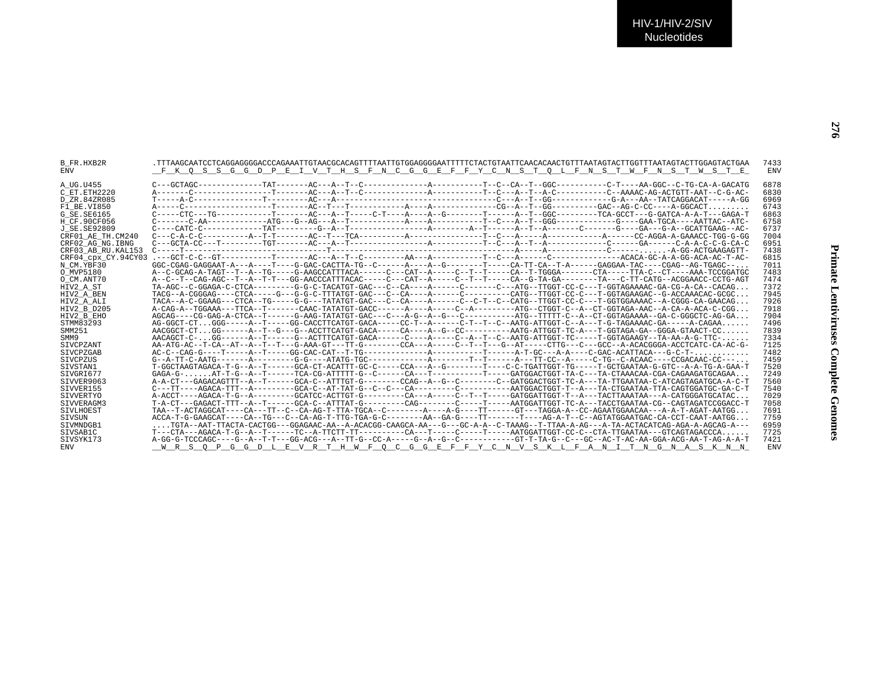| B FR.HXB2R          | TTTAAGCAATCCTCAGGAGGGACCCAGAAATTGTAACGCACAGTTTTAATTGTGGAGGGAATTTTTCTACTGTAATTCAACACAGTGTTTAATAGTACTTGATACTTGGAGTACTGAA            | 7433       |
|---------------------|-----------------------------------------------------------------------------------------------------------------------------------|------------|
| ENV                 | F K O S S G G D P E I V T H S F N C G G E F F Y C N S T O L F N S T W F N S T W S T E                                             | ENV        |
| A UG.U455           |                                                                                                                                   | 6878       |
| C ET. ETH2220       |                                                                                                                                   | 6830       |
| D ZR.84ZR085        |                                                                                                                                   | 6969       |
| F1 BE.VI850         |                                                                                                                                   | 6743       |
| G SE.SE6165         | C-----CTC---TG------------T------AC---A--T-----C-T----A----A--G------T-----A--T--GGC-------TCA-GCCT---G-GATCA-A-A-T---GGA         | 6863       |
| H CF.90CF056        |                                                                                                                                   | 6758       |
|                     |                                                                                                                                   | 6737       |
| J SE.SE92809        |                                                                                                                                   | 7004       |
| CRF01 AE TH.CM240   |                                                                                                                                   |            |
| CRF02 AG NG.IBNG    |                                                                                                                                   | 6951       |
| CRF03 AB RU.KAL153  |                                                                                                                                   | 7438       |
| CRF04 cpx CY.94CY03 |                                                                                                                                   | 6815       |
| N CM.YBF30          | GGC-CGAG-GAGGAAT-A---A----T---G-GAC-CACTTA-TG--C------A-----A--G------T----CA-TT-CA--T-A-----GAGGAA-TAC----CGAG--AG-TGAGC-----    | 7011       |
| O MVP5180           |                                                                                                                                   | 7483       |
| O CM.ANT70          | A--C--T--CAG-AGC--T--A--T-T---GG-AACCCATTTACAC-----C---CAT--A-----C--T--T-----CA--G-TA-GA-------TA---C-TT-CATG--ACGGAACC-CCTG-AGT | 7474       |
| HIV2 A ST           |                                                                                                                                   | 7372       |
| HIV2 A BEN          |                                                                                                                                   | 7945       |
| HIV2 A ALI          |                                                                                                                                   | 7926       |
| HIV2 B D205         | ZAG-A--TGGAAA---TTCA--T-------CAAC-TATATGT-GACC------A-----A-----C-A--------ATG--CTGGT-C--A--CT-GGTAGA-AAC--A-CA-A-ACA-C-CGG      | 7918       |
| HIV2 B EHO          |                                                                                                                                   | 7904       |
| STMM83293           | AG-GGCT-CTGGG-----A--T-----GG-CACCTTCATGT-GACA-----CC-T--A------C-T--T--C--AATG-ATTGGT-C--A---T-G-TAGAAAAC-GA-----A-CAGAA         | 7496       |
| SMM251              | AACGGCT-CTGG------A-T--G---A-CTTCATGT-GACA-----CA----A--G--CC--------AATG-ATTGGT-TC-A---T-GGTAGA-GA--GGGA-GTAACT-CC               | 7839       |
| SMM9                | AACAGCT-C-GG------A-T-----G--ACTTTCATGT-GACA------C----A----C--A-T--C--AATG-ATTGGT-TC-----T-GGTAGAAGY--TA-AA-A-G-TTC-             | 7334       |
| SIVCPZANT           |                                                                                                                                   | 7125       |
| SIVCPZGAB           |                                                                                                                                   | 7482       |
| STVCPZUS            |                                                                                                                                   | 7459       |
| STVSTAN1            | T-GGCTAAGTAGACA-T-G--A--T------GCA-CT-ACATTT-GC-C-----CCA---A--G-------T----C-C-TGATTGGT-TG-----T-GCTGAATAA-G-GTC--A-A-TG-A-GAA-T | 7520       |
| SIVGRI677           | GAGA-G- AT-T-G--A--T-----TCA-CG-ATTTT-G--C-------CA---T--------T-----T----GATGGACTGGT-TA-C---TA-CTAAACAAA-CGA-CAGAAGATGCAGAA      | 7249       |
| SIVVER9063          | A-A-CT---GAGACAGTTT--A--T-----GCA-C--ATTTGT-G-------CCAG--A--G--C-------C--GATGGACTGGT-TC-A---TA-TTGAATAA-C-ATCAGTAGATGCA-A-C-T   | 7560       |
| SIVVER155           | $C---TT---AGACA-TTT--A------GCA-C--AT-TAT-G---C---C---C-------------ATGGACTGGT-T--A---TACCGATAA-TTA-CAGTGGATGC-GA-C-T$            | 7540       |
| SIVVERTYO           | A-ACCT----AGACA-T-G--A--------GCATCC-ACTTGT-G---------CA---A-----C--T--T-----GATGGATTGGT-T--A---TACTTAAATAA---A-CATGGATGCATAC     | 7029       |
| STVVERAGM3          | T-A-CT---GAGACT-TTT--A--T------GCA-C--ATTTAT-G--------CAG-------C----T-----AATGGATTGGT-TC-A---TACCTGAATAA-CG--CAGTAGATCCGGACC-T   | 7058       |
| SIVLHOEST           |                                                                                                                                   | 7691       |
| SIVSUN              | ACCA-T-G-GAAGCAT----CA--TG---CA-AG-T-TTG-TGA-G-C--------AA--GA-G-----TT-------AG-A-T--C--AGTATGGAATGAC-CA-CCT-CAAT-AATGG          | 7759       |
| SIVMNDGB1           |                                                                                                                                   | 6959       |
| SIVSAB1C            | T---CTA---AGACA-T-G--A--T------TC--A-TTCTT-TT---------CA---T-----C----T-----AATGGATTGGT-CC-C--CTA-TTGAATAA---GTCAGTAGACCCA.       | 7725       |
| SIVSYK173           |                                                                                                                                   | 7421       |
| ENV                 | WRSOPGGD <u>LEVRTHWFQCGGEFFYCNVSKLFANITNGNASKN</u>                                                                                | <b>ENV</b> |
|                     |                                                                                                                                   |            |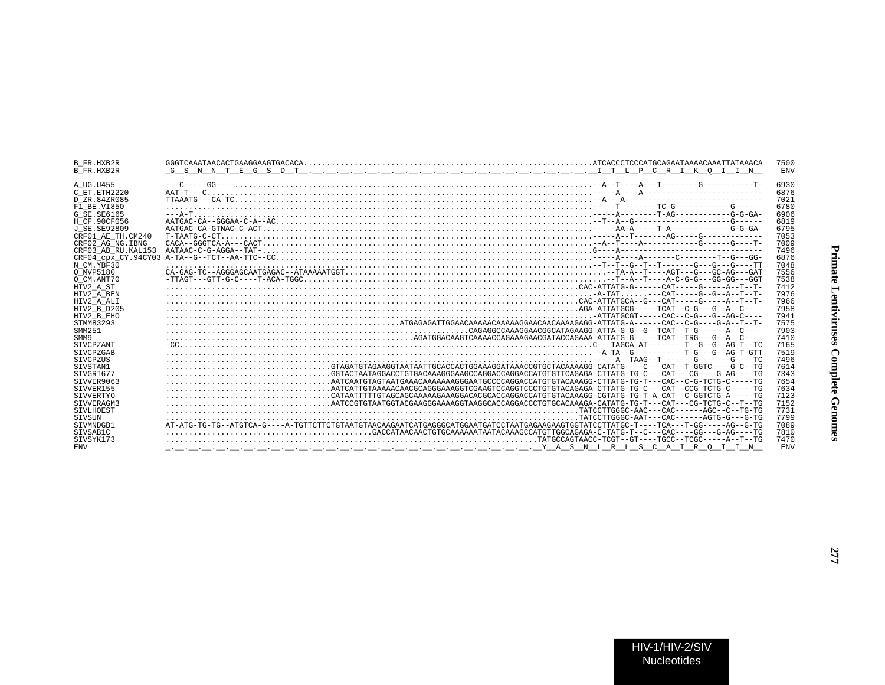| 6930<br>A UG.U455<br>6876<br>C ET.ETH2220<br>7021<br>D ZR.84ZR085<br>6780<br>F1 BE.VI850<br>6906<br>G SE.SE6165<br>6819<br>H CF.90CF056<br>6795<br>J SE. SE92809<br>CRF01 AE TH.CM240<br>7053<br>7009<br>CRF02 AG NG. IBNG<br>7496<br>CRF03 AB RU. KAL153<br>6876<br>7048<br>N CM.YBF30<br>7556<br>O MVP5180<br>7538<br>O CM.ANT70<br>7412<br>HIV2 A ST<br>7976<br>HIV2 A BEN<br>7966<br>HIV2 A ALI<br>7958<br>HIV2 B D205<br>7941<br>HIV2 B EHO<br>STMM83293<br>7575<br>7903<br>SMM251<br>$AGATGGGAAAGAAGAAGAAGGATGGACGATGGAAAA-ATTATG-G---TCAT---TRG---G-A--C---T-AC--G---A--C--T-AC--G---A--C--T-AC--G---A--C--T-AC--G---A--C--T-AC--G---A--C--T-AC--G---A--C--T-AC--G---A--C--T-AC--G---A--C--T-AC--G---A--C--T-AC--G---A--C--T-AC--G---A--C--T-AC--G---A--C--T-AC--G---A--C--T-AC--G---A--C--T-AC--G---A--C--T-AC--G---A--C--T-AC--G---A--C--T-AC--G---A--C--T$<br>7410<br>SMM9<br>7165<br><b>SIVCPZANT</b><br>7519<br><b>STVCPZGAB</b><br>7496<br>SIVCPZUS<br>7614<br>SIVSTAN1<br>GGTACTAATAGGACCTGTGACAAAGGGAAGCCAGGACCAGGACCATGTGTTCAGAGA-CTTATG-TG-C---CAT---GG----TG<br>7343<br>STVGRT677<br>STVVER9063<br>$\ldots \ldots \ldots \ldots \ldots \ldots \ldots \ldots \ldots \ldots \ldots$ AATCAATGTAGTAATGAAAAAAAAAGGGAATGCCCCAGGACCATGTGTACAAAGG-CTTATG-TG-T---CAC--C-G-TCTG-C-----TG<br>7654<br>7634<br>STVVER155<br>7123<br>SIVVERTYO<br>$\ldots \ldots \ldots \ldots \ldots \ldots \ldots \ldots \ldots \ldots$ . CATAATTTTGTAGCAGAGAAAAGGAACAGCAGGACCAGGACCATGTGTACAAAGG-CGTATG-TG-T-A-CAT--C-GGTCTG-A-----TG<br>7152<br>STVVERAGM3<br>7731<br><b>STVLHOEST</b><br>7799<br>SIVSUN<br>STVMNDGB1<br>7089<br>$\ldots \ldots \ldots \ldots \ldots \ldots \ldots \ldots \ldots \ldots \ldots \ldots$ . GACCATAACAACTGTGCAAAAATAATAAGAGCCATGTTGGCAGAGA-C-TATG-T--C---CAC----GG----GAC----TG<br>STVSAB1C<br>7810<br>SIVSYK173<br>7470<br><b>ENV</b><br><b>ENV</b> | <b>B FR.HXB2R</b><br>B FR.HXB2R | 7500<br><b>ENV</b> |
|---------------------------------------------------------------------------------------------------------------------------------------------------------------------------------------------------------------------------------------------------------------------------------------------------------------------------------------------------------------------------------------------------------------------------------------------------------------------------------------------------------------------------------------------------------------------------------------------------------------------------------------------------------------------------------------------------------------------------------------------------------------------------------------------------------------------------------------------------------------------------------------------------------------------------------------------------------------------------------------------------------------------------------------------------------------------------------------------------------------------------------------------------------------------------------------------------------------------------------------------------------------------------------------------------------------------------------------------------------------------------------------------------------------------------------------------------------------------------------------------------------------------------------------------------------------------------------------------------------------------------------------------------------------------------------------------------------------------------------------------------------------------------------------------------------------------------------------------------------------------------|---------------------------------|--------------------|
|                                                                                                                                                                                                                                                                                                                                                                                                                                                                                                                                                                                                                                                                                                                                                                                                                                                                                                                                                                                                                                                                                                                                                                                                                                                                                                                                                                                                                                                                                                                                                                                                                                                                                                                                                                                                                                                                           |                                 |                    |
|                                                                                                                                                                                                                                                                                                                                                                                                                                                                                                                                                                                                                                                                                                                                                                                                                                                                                                                                                                                                                                                                                                                                                                                                                                                                                                                                                                                                                                                                                                                                                                                                                                                                                                                                                                                                                                                                           |                                 |                    |
|                                                                                                                                                                                                                                                                                                                                                                                                                                                                                                                                                                                                                                                                                                                                                                                                                                                                                                                                                                                                                                                                                                                                                                                                                                                                                                                                                                                                                                                                                                                                                                                                                                                                                                                                                                                                                                                                           |                                 |                    |
|                                                                                                                                                                                                                                                                                                                                                                                                                                                                                                                                                                                                                                                                                                                                                                                                                                                                                                                                                                                                                                                                                                                                                                                                                                                                                                                                                                                                                                                                                                                                                                                                                                                                                                                                                                                                                                                                           |                                 |                    |
|                                                                                                                                                                                                                                                                                                                                                                                                                                                                                                                                                                                                                                                                                                                                                                                                                                                                                                                                                                                                                                                                                                                                                                                                                                                                                                                                                                                                                                                                                                                                                                                                                                                                                                                                                                                                                                                                           |                                 |                    |
|                                                                                                                                                                                                                                                                                                                                                                                                                                                                                                                                                                                                                                                                                                                                                                                                                                                                                                                                                                                                                                                                                                                                                                                                                                                                                                                                                                                                                                                                                                                                                                                                                                                                                                                                                                                                                                                                           |                                 |                    |
|                                                                                                                                                                                                                                                                                                                                                                                                                                                                                                                                                                                                                                                                                                                                                                                                                                                                                                                                                                                                                                                                                                                                                                                                                                                                                                                                                                                                                                                                                                                                                                                                                                                                                                                                                                                                                                                                           |                                 |                    |
|                                                                                                                                                                                                                                                                                                                                                                                                                                                                                                                                                                                                                                                                                                                                                                                                                                                                                                                                                                                                                                                                                                                                                                                                                                                                                                                                                                                                                                                                                                                                                                                                                                                                                                                                                                                                                                                                           |                                 |                    |
|                                                                                                                                                                                                                                                                                                                                                                                                                                                                                                                                                                                                                                                                                                                                                                                                                                                                                                                                                                                                                                                                                                                                                                                                                                                                                                                                                                                                                                                                                                                                                                                                                                                                                                                                                                                                                                                                           |                                 |                    |
|                                                                                                                                                                                                                                                                                                                                                                                                                                                                                                                                                                                                                                                                                                                                                                                                                                                                                                                                                                                                                                                                                                                                                                                                                                                                                                                                                                                                                                                                                                                                                                                                                                                                                                                                                                                                                                                                           |                                 |                    |
|                                                                                                                                                                                                                                                                                                                                                                                                                                                                                                                                                                                                                                                                                                                                                                                                                                                                                                                                                                                                                                                                                                                                                                                                                                                                                                                                                                                                                                                                                                                                                                                                                                                                                                                                                                                                                                                                           |                                 |                    |
|                                                                                                                                                                                                                                                                                                                                                                                                                                                                                                                                                                                                                                                                                                                                                                                                                                                                                                                                                                                                                                                                                                                                                                                                                                                                                                                                                                                                                                                                                                                                                                                                                                                                                                                                                                                                                                                                           |                                 |                    |
|                                                                                                                                                                                                                                                                                                                                                                                                                                                                                                                                                                                                                                                                                                                                                                                                                                                                                                                                                                                                                                                                                                                                                                                                                                                                                                                                                                                                                                                                                                                                                                                                                                                                                                                                                                                                                                                                           |                                 |                    |
|                                                                                                                                                                                                                                                                                                                                                                                                                                                                                                                                                                                                                                                                                                                                                                                                                                                                                                                                                                                                                                                                                                                                                                                                                                                                                                                                                                                                                                                                                                                                                                                                                                                                                                                                                                                                                                                                           |                                 |                    |
|                                                                                                                                                                                                                                                                                                                                                                                                                                                                                                                                                                                                                                                                                                                                                                                                                                                                                                                                                                                                                                                                                                                                                                                                                                                                                                                                                                                                                                                                                                                                                                                                                                                                                                                                                                                                                                                                           |                                 |                    |
|                                                                                                                                                                                                                                                                                                                                                                                                                                                                                                                                                                                                                                                                                                                                                                                                                                                                                                                                                                                                                                                                                                                                                                                                                                                                                                                                                                                                                                                                                                                                                                                                                                                                                                                                                                                                                                                                           |                                 |                    |
|                                                                                                                                                                                                                                                                                                                                                                                                                                                                                                                                                                                                                                                                                                                                                                                                                                                                                                                                                                                                                                                                                                                                                                                                                                                                                                                                                                                                                                                                                                                                                                                                                                                                                                                                                                                                                                                                           |                                 |                    |
|                                                                                                                                                                                                                                                                                                                                                                                                                                                                                                                                                                                                                                                                                                                                                                                                                                                                                                                                                                                                                                                                                                                                                                                                                                                                                                                                                                                                                                                                                                                                                                                                                                                                                                                                                                                                                                                                           |                                 |                    |
|                                                                                                                                                                                                                                                                                                                                                                                                                                                                                                                                                                                                                                                                                                                                                                                                                                                                                                                                                                                                                                                                                                                                                                                                                                                                                                                                                                                                                                                                                                                                                                                                                                                                                                                                                                                                                                                                           |                                 |                    |
|                                                                                                                                                                                                                                                                                                                                                                                                                                                                                                                                                                                                                                                                                                                                                                                                                                                                                                                                                                                                                                                                                                                                                                                                                                                                                                                                                                                                                                                                                                                                                                                                                                                                                                                                                                                                                                                                           |                                 |                    |
|                                                                                                                                                                                                                                                                                                                                                                                                                                                                                                                                                                                                                                                                                                                                                                                                                                                                                                                                                                                                                                                                                                                                                                                                                                                                                                                                                                                                                                                                                                                                                                                                                                                                                                                                                                                                                                                                           |                                 |                    |
|                                                                                                                                                                                                                                                                                                                                                                                                                                                                                                                                                                                                                                                                                                                                                                                                                                                                                                                                                                                                                                                                                                                                                                                                                                                                                                                                                                                                                                                                                                                                                                                                                                                                                                                                                                                                                                                                           |                                 |                    |
|                                                                                                                                                                                                                                                                                                                                                                                                                                                                                                                                                                                                                                                                                                                                                                                                                                                                                                                                                                                                                                                                                                                                                                                                                                                                                                                                                                                                                                                                                                                                                                                                                                                                                                                                                                                                                                                                           |                                 |                    |
|                                                                                                                                                                                                                                                                                                                                                                                                                                                                                                                                                                                                                                                                                                                                                                                                                                                                                                                                                                                                                                                                                                                                                                                                                                                                                                                                                                                                                                                                                                                                                                                                                                                                                                                                                                                                                                                                           |                                 |                    |
|                                                                                                                                                                                                                                                                                                                                                                                                                                                                                                                                                                                                                                                                                                                                                                                                                                                                                                                                                                                                                                                                                                                                                                                                                                                                                                                                                                                                                                                                                                                                                                                                                                                                                                                                                                                                                                                                           |                                 |                    |
|                                                                                                                                                                                                                                                                                                                                                                                                                                                                                                                                                                                                                                                                                                                                                                                                                                                                                                                                                                                                                                                                                                                                                                                                                                                                                                                                                                                                                                                                                                                                                                                                                                                                                                                                                                                                                                                                           |                                 |                    |
|                                                                                                                                                                                                                                                                                                                                                                                                                                                                                                                                                                                                                                                                                                                                                                                                                                                                                                                                                                                                                                                                                                                                                                                                                                                                                                                                                                                                                                                                                                                                                                                                                                                                                                                                                                                                                                                                           |                                 |                    |
|                                                                                                                                                                                                                                                                                                                                                                                                                                                                                                                                                                                                                                                                                                                                                                                                                                                                                                                                                                                                                                                                                                                                                                                                                                                                                                                                                                                                                                                                                                                                                                                                                                                                                                                                                                                                                                                                           |                                 |                    |
|                                                                                                                                                                                                                                                                                                                                                                                                                                                                                                                                                                                                                                                                                                                                                                                                                                                                                                                                                                                                                                                                                                                                                                                                                                                                                                                                                                                                                                                                                                                                                                                                                                                                                                                                                                                                                                                                           |                                 |                    |
|                                                                                                                                                                                                                                                                                                                                                                                                                                                                                                                                                                                                                                                                                                                                                                                                                                                                                                                                                                                                                                                                                                                                                                                                                                                                                                                                                                                                                                                                                                                                                                                                                                                                                                                                                                                                                                                                           |                                 |                    |
|                                                                                                                                                                                                                                                                                                                                                                                                                                                                                                                                                                                                                                                                                                                                                                                                                                                                                                                                                                                                                                                                                                                                                                                                                                                                                                                                                                                                                                                                                                                                                                                                                                                                                                                                                                                                                                                                           |                                 |                    |
|                                                                                                                                                                                                                                                                                                                                                                                                                                                                                                                                                                                                                                                                                                                                                                                                                                                                                                                                                                                                                                                                                                                                                                                                                                                                                                                                                                                                                                                                                                                                                                                                                                                                                                                                                                                                                                                                           |                                 |                    |
|                                                                                                                                                                                                                                                                                                                                                                                                                                                                                                                                                                                                                                                                                                                                                                                                                                                                                                                                                                                                                                                                                                                                                                                                                                                                                                                                                                                                                                                                                                                                                                                                                                                                                                                                                                                                                                                                           |                                 |                    |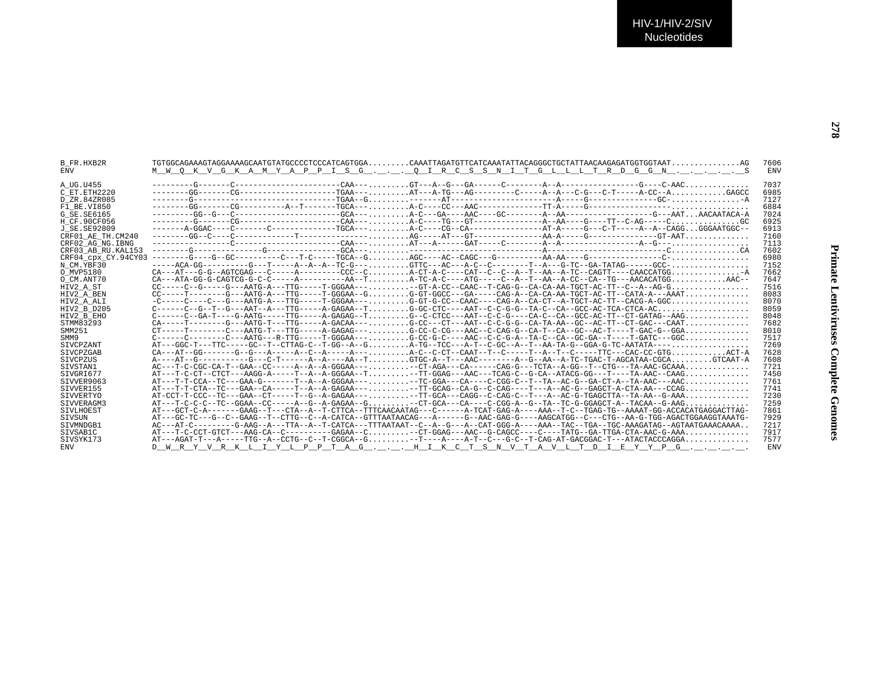| <b>ENV</b><br><b>ENV</b><br>M W O K V G K A M Y A P P I S G O I R C S S N I T G L L L T R D G G N S<br>7037<br>A UG.U455<br>6985<br>C ET.ETH2220<br>7127<br>D ZR.84ZR085<br>6884<br>F1 BE.VI850<br>7024<br>G SE.SE6165<br>--------G------CG-------------------CAA---,,,,,,,,A-C---TG---GT---------------A--AA----G----TT--C-AG-----C,,,,,,,,,,,,,,,GC<br>6925<br>H CF.90CF056<br>J SE.SE92809<br>6913<br>7160<br>CRF01 AE TH.CM240<br>$\texttt{-----} \texttt{-----} \texttt{---} \texttt{---} \texttt{---} \texttt{---} \texttt{CAA} \texttt{---} \texttt{---} \texttt{CAA} \texttt{---} \texttt{---} \texttt{---} \texttt{A} \texttt{---} \texttt{---} \texttt{CAA} \texttt{---} \texttt{---} \texttt{CAA} \texttt{---} \texttt{---} \texttt{---} \texttt{C} \texttt{---} \texttt{---} \texttt{--} \texttt{A} \texttt{---} \texttt{---} \texttt{--} \texttt{---} \texttt{---} \texttt{--} \texttt{---} \texttt{--}$<br>7113<br>CRF02 AG NG. IBNG<br>7602<br>CRF03 AB RU. KAL153<br>6980<br>CRF04_cpx_CY.94CY03<br>7152<br>N CM.YBF30<br>7662<br>O MVP5180<br>$CA---ATA-GG-G-CARTCG-G-C-C---C---A---A---A-A---A---A-TC.$<br>7647<br>O CM.ANT70<br>7516<br>HIV2 A ST<br>$CC-----T------G---AATG-A---TTG-----T-GGGAA---G.$ G=GT-GGCC---GA------CAG-A--CA-AA-TGCT-AC-TT--CATA-A---AAAT<br>8083<br>HIV2 A BEN<br>8070<br>HIV2 A ALI<br>8059<br>HIV2 B D205<br>$C-----C--GA-T---G-AATG---TTG---T-TG---A-GAGAG---T, , , G--C-CTCC---AAT--C-C-G----CA-C--CA-C-CTC-AC-TT--CT-GATAG---AAG, , ,$<br>8048<br>HIV2 B EHO<br>$CA---T---C---AATG---AATG---TTG---A-GACAA---A$ G-CC---CT---AAT--C-C-G-G--CA-TA-AA--GC--AC-TT--CT-GAC---CAAT<br>STMM83293<br>7682<br>SMM251<br>8010<br>$C----C-----C---AATG---R-TGG---T-GGAA---T-GGAA---G-CC-G--AAC--C-C-G-A--TA-C-C-GA--GC-GA--T---C-GG-A--T---T-GATC---GGC$<br>7517<br>SMM9<br>AT---GGC-T---TTC-----GC--T--CTTAG-C--T-GG--A--GA-TG--T-CC---A-T--C-GC--A--T--AA-TA-G--GGA-G-TC-AATATA----<br>7269<br><b>STVCPZANT</b><br>$CA--AT--GG------G--G---A---A---A--C-A---A---A---A---C--C--C--C-AT--TAAT--T--C---T-A--T--C----TTC---CAC-CC-GTGACT-A$<br>7628<br>SIVCPZGAB<br>A----AT--G----------G---C-T------A--A----AA--TGTGC-A--T---AAC-------A-G--AA--A-TC-TGAC-T-AGCATAA-CGCAGTCAAT-A<br>7608<br><b>STVCPZUS</b><br>AC---T-C-CGC-CA-T--GAA--CC-----A--A--A-GGGAA-----CT-AGA---CA----CAG-G---TCTA--A-GG--T--CTG---TA-AAC-GCAAA<br>7721<br>SIVSTAN1<br>AT---T-C-CT--CTCT---AAGG-A-----T--A--A-GGGAA--T-TT-GGAG---AAC---TCAG-C--G-CA--ATACG-GG---T----TA-AAC--CAAG<br>7450<br>STVGRT677<br>AT---T-T-CCA--TC---GAA-G-------T--A--GGGAA---,,,,,,,--TC-GGA---CA----C-CGG-C--T--TA--AC-G--GA-CT-A--TA-AAC---AAC.,,,,,,,,,,,,<br>7761<br>SIVVER9063<br>AT---T-T-CTA--TC---GAA--CA-----T--A--A-GAGAA---,,,,,,,--TT-GCAG--CA-G--C-CAG-----T---A--AC-G--GAGCT-A-CTA-AA---CCAG,,,,,,,,,,,,,<br>7741<br>SIVVER155<br>7230<br>SIVVERTYO<br>AT---T-C-C-C--TC--GGAA--CC-----A--G--A-GAGAA--G-CT-GCA---CA----C-CGG-A--G--TA--TC-G-GGAGCT-A--TACAA--G-AAG<br>7259<br>STVVERAGM3<br>7861<br><b>STVLHOEST</b><br>AT---GC-TC---G--C--GAAG--T--CTTG--C--A-CATCA--GTTTAATAACAG---A------G--AAC-GAG-G----AAGCATGG--C---CTG--AA-G-TGG-AGACTGGAAGGTAAATG-<br>7929<br>SIVSUN<br>AC---AT-C------G-AG--A--TTA--A--T-CATCA---TTAATAAT--C--A-T-G---A-CAT-GGG-A----AAA--TAC--TGA--TGC-AAAGATAG--AGTAATGAAACAAAA<br>7217<br>STVMNDGB1<br>AT---T-C-CCT-GTCT---AAG-CA--C---------GAGAA--C-CT-GGAG---AAC--G-CAGCC----C----TATG--GA-TTGA-CTA-AAC-G-AAA<br>7917<br>SIVSAB1C<br>$AT---AGAT-T---A---TTG---A--CCTG---C-T-CGGCA--G$ -T---A----A-T--C---G-C--T-CAG-AT-GACGGAC-T---ATACTACCCAGGA<br>7577<br>STVSYK173 | B FR.HXB2R |                                                                                | 7606       |
|----------------------------------------------------------------------------------------------------------------------------------------------------------------------------------------------------------------------------------------------------------------------------------------------------------------------------------------------------------------------------------------------------------------------------------------------------------------------------------------------------------------------------------------------------------------------------------------------------------------------------------------------------------------------------------------------------------------------------------------------------------------------------------------------------------------------------------------------------------------------------------------------------------------------------------------------------------------------------------------------------------------------------------------------------------------------------------------------------------------------------------------------------------------------------------------------------------------------------------------------------------------------------------------------------------------------------------------------------------------------------------------------------------------------------------------------------------------------------------------------------------------------------------------------------------------------------------------------------------------------------------------------------------------------------------------------------------------------------------------------------------------------------------------------------------------------------------------------------------------------------------------------------------------------------------------------------------------------------------------------------------------------------------------------------------------------------------------------------------------------------------------------------------------------------------------------------------------------------------------------------------------------------------------------------------------------------------------------------------------------------------------------------------------------------------------------------------------------------------------------------------------------------------------------------------------------------------------------------------------------------------------------------------------------------------------------------------------------------------------------------------------------------------------------------------------------------------------------------------------------------------------------------------------------------------------------------------------------------------------------------------------------------------------------------------------------------------------------------------------------------------------------------------------------------------------------------------------------------------------------------------------------------------------------------------------------------------------------------------------------------------------------------------------------------------------------------------------------------------------------------------------------------------------------------------------------------------------------------------|------------|--------------------------------------------------------------------------------|------------|
|                                                                                                                                                                                                                                                                                                                                                                                                                                                                                                                                                                                                                                                                                                                                                                                                                                                                                                                                                                                                                                                                                                                                                                                                                                                                                                                                                                                                                                                                                                                                                                                                                                                                                                                                                                                                                                                                                                                                                                                                                                                                                                                                                                                                                                                                                                                                                                                                                                                                                                                                                                                                                                                                                                                                                                                                                                                                                                                                                                                                                                                                                                                                                                                                                                                                                                                                                                                                                                                                                                                                                                                                          |            |                                                                                |            |
|                                                                                                                                                                                                                                                                                                                                                                                                                                                                                                                                                                                                                                                                                                                                                                                                                                                                                                                                                                                                                                                                                                                                                                                                                                                                                                                                                                                                                                                                                                                                                                                                                                                                                                                                                                                                                                                                                                                                                                                                                                                                                                                                                                                                                                                                                                                                                                                                                                                                                                                                                                                                                                                                                                                                                                                                                                                                                                                                                                                                                                                                                                                                                                                                                                                                                                                                                                                                                                                                                                                                                                                                          |            |                                                                                |            |
|                                                                                                                                                                                                                                                                                                                                                                                                                                                                                                                                                                                                                                                                                                                                                                                                                                                                                                                                                                                                                                                                                                                                                                                                                                                                                                                                                                                                                                                                                                                                                                                                                                                                                                                                                                                                                                                                                                                                                                                                                                                                                                                                                                                                                                                                                                                                                                                                                                                                                                                                                                                                                                                                                                                                                                                                                                                                                                                                                                                                                                                                                                                                                                                                                                                                                                                                                                                                                                                                                                                                                                                                          |            |                                                                                |            |
|                                                                                                                                                                                                                                                                                                                                                                                                                                                                                                                                                                                                                                                                                                                                                                                                                                                                                                                                                                                                                                                                                                                                                                                                                                                                                                                                                                                                                                                                                                                                                                                                                                                                                                                                                                                                                                                                                                                                                                                                                                                                                                                                                                                                                                                                                                                                                                                                                                                                                                                                                                                                                                                                                                                                                                                                                                                                                                                                                                                                                                                                                                                                                                                                                                                                                                                                                                                                                                                                                                                                                                                                          |            |                                                                                |            |
|                                                                                                                                                                                                                                                                                                                                                                                                                                                                                                                                                                                                                                                                                                                                                                                                                                                                                                                                                                                                                                                                                                                                                                                                                                                                                                                                                                                                                                                                                                                                                                                                                                                                                                                                                                                                                                                                                                                                                                                                                                                                                                                                                                                                                                                                                                                                                                                                                                                                                                                                                                                                                                                                                                                                                                                                                                                                                                                                                                                                                                                                                                                                                                                                                                                                                                                                                                                                                                                                                                                                                                                                          |            |                                                                                |            |
|                                                                                                                                                                                                                                                                                                                                                                                                                                                                                                                                                                                                                                                                                                                                                                                                                                                                                                                                                                                                                                                                                                                                                                                                                                                                                                                                                                                                                                                                                                                                                                                                                                                                                                                                                                                                                                                                                                                                                                                                                                                                                                                                                                                                                                                                                                                                                                                                                                                                                                                                                                                                                                                                                                                                                                                                                                                                                                                                                                                                                                                                                                                                                                                                                                                                                                                                                                                                                                                                                                                                                                                                          |            |                                                                                |            |
|                                                                                                                                                                                                                                                                                                                                                                                                                                                                                                                                                                                                                                                                                                                                                                                                                                                                                                                                                                                                                                                                                                                                                                                                                                                                                                                                                                                                                                                                                                                                                                                                                                                                                                                                                                                                                                                                                                                                                                                                                                                                                                                                                                                                                                                                                                                                                                                                                                                                                                                                                                                                                                                                                                                                                                                                                                                                                                                                                                                                                                                                                                                                                                                                                                                                                                                                                                                                                                                                                                                                                                                                          |            |                                                                                |            |
|                                                                                                                                                                                                                                                                                                                                                                                                                                                                                                                                                                                                                                                                                                                                                                                                                                                                                                                                                                                                                                                                                                                                                                                                                                                                                                                                                                                                                                                                                                                                                                                                                                                                                                                                                                                                                                                                                                                                                                                                                                                                                                                                                                                                                                                                                                                                                                                                                                                                                                                                                                                                                                                                                                                                                                                                                                                                                                                                                                                                                                                                                                                                                                                                                                                                                                                                                                                                                                                                                                                                                                                                          |            |                                                                                |            |
|                                                                                                                                                                                                                                                                                                                                                                                                                                                                                                                                                                                                                                                                                                                                                                                                                                                                                                                                                                                                                                                                                                                                                                                                                                                                                                                                                                                                                                                                                                                                                                                                                                                                                                                                                                                                                                                                                                                                                                                                                                                                                                                                                                                                                                                                                                                                                                                                                                                                                                                                                                                                                                                                                                                                                                                                                                                                                                                                                                                                                                                                                                                                                                                                                                                                                                                                                                                                                                                                                                                                                                                                          |            |                                                                                |            |
|                                                                                                                                                                                                                                                                                                                                                                                                                                                                                                                                                                                                                                                                                                                                                                                                                                                                                                                                                                                                                                                                                                                                                                                                                                                                                                                                                                                                                                                                                                                                                                                                                                                                                                                                                                                                                                                                                                                                                                                                                                                                                                                                                                                                                                                                                                                                                                                                                                                                                                                                                                                                                                                                                                                                                                                                                                                                                                                                                                                                                                                                                                                                                                                                                                                                                                                                                                                                                                                                                                                                                                                                          |            |                                                                                |            |
|                                                                                                                                                                                                                                                                                                                                                                                                                                                                                                                                                                                                                                                                                                                                                                                                                                                                                                                                                                                                                                                                                                                                                                                                                                                                                                                                                                                                                                                                                                                                                                                                                                                                                                                                                                                                                                                                                                                                                                                                                                                                                                                                                                                                                                                                                                                                                                                                                                                                                                                                                                                                                                                                                                                                                                                                                                                                                                                                                                                                                                                                                                                                                                                                                                                                                                                                                                                                                                                                                                                                                                                                          |            |                                                                                |            |
|                                                                                                                                                                                                                                                                                                                                                                                                                                                                                                                                                                                                                                                                                                                                                                                                                                                                                                                                                                                                                                                                                                                                                                                                                                                                                                                                                                                                                                                                                                                                                                                                                                                                                                                                                                                                                                                                                                                                                                                                                                                                                                                                                                                                                                                                                                                                                                                                                                                                                                                                                                                                                                                                                                                                                                                                                                                                                                                                                                                                                                                                                                                                                                                                                                                                                                                                                                                                                                                                                                                                                                                                          |            |                                                                                |            |
|                                                                                                                                                                                                                                                                                                                                                                                                                                                                                                                                                                                                                                                                                                                                                                                                                                                                                                                                                                                                                                                                                                                                                                                                                                                                                                                                                                                                                                                                                                                                                                                                                                                                                                                                                                                                                                                                                                                                                                                                                                                                                                                                                                                                                                                                                                                                                                                                                                                                                                                                                                                                                                                                                                                                                                                                                                                                                                                                                                                                                                                                                                                                                                                                                                                                                                                                                                                                                                                                                                                                                                                                          |            |                                                                                |            |
|                                                                                                                                                                                                                                                                                                                                                                                                                                                                                                                                                                                                                                                                                                                                                                                                                                                                                                                                                                                                                                                                                                                                                                                                                                                                                                                                                                                                                                                                                                                                                                                                                                                                                                                                                                                                                                                                                                                                                                                                                                                                                                                                                                                                                                                                                                                                                                                                                                                                                                                                                                                                                                                                                                                                                                                                                                                                                                                                                                                                                                                                                                                                                                                                                                                                                                                                                                                                                                                                                                                                                                                                          |            |                                                                                |            |
|                                                                                                                                                                                                                                                                                                                                                                                                                                                                                                                                                                                                                                                                                                                                                                                                                                                                                                                                                                                                                                                                                                                                                                                                                                                                                                                                                                                                                                                                                                                                                                                                                                                                                                                                                                                                                                                                                                                                                                                                                                                                                                                                                                                                                                                                                                                                                                                                                                                                                                                                                                                                                                                                                                                                                                                                                                                                                                                                                                                                                                                                                                                                                                                                                                                                                                                                                                                                                                                                                                                                                                                                          |            |                                                                                |            |
|                                                                                                                                                                                                                                                                                                                                                                                                                                                                                                                                                                                                                                                                                                                                                                                                                                                                                                                                                                                                                                                                                                                                                                                                                                                                                                                                                                                                                                                                                                                                                                                                                                                                                                                                                                                                                                                                                                                                                                                                                                                                                                                                                                                                                                                                                                                                                                                                                                                                                                                                                                                                                                                                                                                                                                                                                                                                                                                                                                                                                                                                                                                                                                                                                                                                                                                                                                                                                                                                                                                                                                                                          |            |                                                                                |            |
|                                                                                                                                                                                                                                                                                                                                                                                                                                                                                                                                                                                                                                                                                                                                                                                                                                                                                                                                                                                                                                                                                                                                                                                                                                                                                                                                                                                                                                                                                                                                                                                                                                                                                                                                                                                                                                                                                                                                                                                                                                                                                                                                                                                                                                                                                                                                                                                                                                                                                                                                                                                                                                                                                                                                                                                                                                                                                                                                                                                                                                                                                                                                                                                                                                                                                                                                                                                                                                                                                                                                                                                                          |            |                                                                                |            |
|                                                                                                                                                                                                                                                                                                                                                                                                                                                                                                                                                                                                                                                                                                                                                                                                                                                                                                                                                                                                                                                                                                                                                                                                                                                                                                                                                                                                                                                                                                                                                                                                                                                                                                                                                                                                                                                                                                                                                                                                                                                                                                                                                                                                                                                                                                                                                                                                                                                                                                                                                                                                                                                                                                                                                                                                                                                                                                                                                                                                                                                                                                                                                                                                                                                                                                                                                                                                                                                                                                                                                                                                          |            |                                                                                |            |
|                                                                                                                                                                                                                                                                                                                                                                                                                                                                                                                                                                                                                                                                                                                                                                                                                                                                                                                                                                                                                                                                                                                                                                                                                                                                                                                                                                                                                                                                                                                                                                                                                                                                                                                                                                                                                                                                                                                                                                                                                                                                                                                                                                                                                                                                                                                                                                                                                                                                                                                                                                                                                                                                                                                                                                                                                                                                                                                                                                                                                                                                                                                                                                                                                                                                                                                                                                                                                                                                                                                                                                                                          |            |                                                                                |            |
|                                                                                                                                                                                                                                                                                                                                                                                                                                                                                                                                                                                                                                                                                                                                                                                                                                                                                                                                                                                                                                                                                                                                                                                                                                                                                                                                                                                                                                                                                                                                                                                                                                                                                                                                                                                                                                                                                                                                                                                                                                                                                                                                                                                                                                                                                                                                                                                                                                                                                                                                                                                                                                                                                                                                                                                                                                                                                                                                                                                                                                                                                                                                                                                                                                                                                                                                                                                                                                                                                                                                                                                                          |            |                                                                                |            |
|                                                                                                                                                                                                                                                                                                                                                                                                                                                                                                                                                                                                                                                                                                                                                                                                                                                                                                                                                                                                                                                                                                                                                                                                                                                                                                                                                                                                                                                                                                                                                                                                                                                                                                                                                                                                                                                                                                                                                                                                                                                                                                                                                                                                                                                                                                                                                                                                                                                                                                                                                                                                                                                                                                                                                                                                                                                                                                                                                                                                                                                                                                                                                                                                                                                                                                                                                                                                                                                                                                                                                                                                          |            |                                                                                |            |
|                                                                                                                                                                                                                                                                                                                                                                                                                                                                                                                                                                                                                                                                                                                                                                                                                                                                                                                                                                                                                                                                                                                                                                                                                                                                                                                                                                                                                                                                                                                                                                                                                                                                                                                                                                                                                                                                                                                                                                                                                                                                                                                                                                                                                                                                                                                                                                                                                                                                                                                                                                                                                                                                                                                                                                                                                                                                                                                                                                                                                                                                                                                                                                                                                                                                                                                                                                                                                                                                                                                                                                                                          |            |                                                                                |            |
|                                                                                                                                                                                                                                                                                                                                                                                                                                                                                                                                                                                                                                                                                                                                                                                                                                                                                                                                                                                                                                                                                                                                                                                                                                                                                                                                                                                                                                                                                                                                                                                                                                                                                                                                                                                                                                                                                                                                                                                                                                                                                                                                                                                                                                                                                                                                                                                                                                                                                                                                                                                                                                                                                                                                                                                                                                                                                                                                                                                                                                                                                                                                                                                                                                                                                                                                                                                                                                                                                                                                                                                                          |            |                                                                                |            |
|                                                                                                                                                                                                                                                                                                                                                                                                                                                                                                                                                                                                                                                                                                                                                                                                                                                                                                                                                                                                                                                                                                                                                                                                                                                                                                                                                                                                                                                                                                                                                                                                                                                                                                                                                                                                                                                                                                                                                                                                                                                                                                                                                                                                                                                                                                                                                                                                                                                                                                                                                                                                                                                                                                                                                                                                                                                                                                                                                                                                                                                                                                                                                                                                                                                                                                                                                                                                                                                                                                                                                                                                          |            |                                                                                |            |
|                                                                                                                                                                                                                                                                                                                                                                                                                                                                                                                                                                                                                                                                                                                                                                                                                                                                                                                                                                                                                                                                                                                                                                                                                                                                                                                                                                                                                                                                                                                                                                                                                                                                                                                                                                                                                                                                                                                                                                                                                                                                                                                                                                                                                                                                                                                                                                                                                                                                                                                                                                                                                                                                                                                                                                                                                                                                                                                                                                                                                                                                                                                                                                                                                                                                                                                                                                                                                                                                                                                                                                                                          |            |                                                                                |            |
|                                                                                                                                                                                                                                                                                                                                                                                                                                                                                                                                                                                                                                                                                                                                                                                                                                                                                                                                                                                                                                                                                                                                                                                                                                                                                                                                                                                                                                                                                                                                                                                                                                                                                                                                                                                                                                                                                                                                                                                                                                                                                                                                                                                                                                                                                                                                                                                                                                                                                                                                                                                                                                                                                                                                                                                                                                                                                                                                                                                                                                                                                                                                                                                                                                                                                                                                                                                                                                                                                                                                                                                                          |            |                                                                                |            |
|                                                                                                                                                                                                                                                                                                                                                                                                                                                                                                                                                                                                                                                                                                                                                                                                                                                                                                                                                                                                                                                                                                                                                                                                                                                                                                                                                                                                                                                                                                                                                                                                                                                                                                                                                                                                                                                                                                                                                                                                                                                                                                                                                                                                                                                                                                                                                                                                                                                                                                                                                                                                                                                                                                                                                                                                                                                                                                                                                                                                                                                                                                                                                                                                                                                                                                                                                                                                                                                                                                                                                                                                          |            |                                                                                |            |
|                                                                                                                                                                                                                                                                                                                                                                                                                                                                                                                                                                                                                                                                                                                                                                                                                                                                                                                                                                                                                                                                                                                                                                                                                                                                                                                                                                                                                                                                                                                                                                                                                                                                                                                                                                                                                                                                                                                                                                                                                                                                                                                                                                                                                                                                                                                                                                                                                                                                                                                                                                                                                                                                                                                                                                                                                                                                                                                                                                                                                                                                                                                                                                                                                                                                                                                                                                                                                                                                                                                                                                                                          |            |                                                                                |            |
|                                                                                                                                                                                                                                                                                                                                                                                                                                                                                                                                                                                                                                                                                                                                                                                                                                                                                                                                                                                                                                                                                                                                                                                                                                                                                                                                                                                                                                                                                                                                                                                                                                                                                                                                                                                                                                                                                                                                                                                                                                                                                                                                                                                                                                                                                                                                                                                                                                                                                                                                                                                                                                                                                                                                                                                                                                                                                                                                                                                                                                                                                                                                                                                                                                                                                                                                                                                                                                                                                                                                                                                                          |            |                                                                                |            |
|                                                                                                                                                                                                                                                                                                                                                                                                                                                                                                                                                                                                                                                                                                                                                                                                                                                                                                                                                                                                                                                                                                                                                                                                                                                                                                                                                                                                                                                                                                                                                                                                                                                                                                                                                                                                                                                                                                                                                                                                                                                                                                                                                                                                                                                                                                                                                                                                                                                                                                                                                                                                                                                                                                                                                                                                                                                                                                                                                                                                                                                                                                                                                                                                                                                                                                                                                                                                                                                                                                                                                                                                          |            |                                                                                |            |
|                                                                                                                                                                                                                                                                                                                                                                                                                                                                                                                                                                                                                                                                                                                                                                                                                                                                                                                                                                                                                                                                                                                                                                                                                                                                                                                                                                                                                                                                                                                                                                                                                                                                                                                                                                                                                                                                                                                                                                                                                                                                                                                                                                                                                                                                                                                                                                                                                                                                                                                                                                                                                                                                                                                                                                                                                                                                                                                                                                                                                                                                                                                                                                                                                                                                                                                                                                                                                                                                                                                                                                                                          |            |                                                                                |            |
|                                                                                                                                                                                                                                                                                                                                                                                                                                                                                                                                                                                                                                                                                                                                                                                                                                                                                                                                                                                                                                                                                                                                                                                                                                                                                                                                                                                                                                                                                                                                                                                                                                                                                                                                                                                                                                                                                                                                                                                                                                                                                                                                                                                                                                                                                                                                                                                                                                                                                                                                                                                                                                                                                                                                                                                                                                                                                                                                                                                                                                                                                                                                                                                                                                                                                                                                                                                                                                                                                                                                                                                                          |            |                                                                                |            |
|                                                                                                                                                                                                                                                                                                                                                                                                                                                                                                                                                                                                                                                                                                                                                                                                                                                                                                                                                                                                                                                                                                                                                                                                                                                                                                                                                                                                                                                                                                                                                                                                                                                                                                                                                                                                                                                                                                                                                                                                                                                                                                                                                                                                                                                                                                                                                                                                                                                                                                                                                                                                                                                                                                                                                                                                                                                                                                                                                                                                                                                                                                                                                                                                                                                                                                                                                                                                                                                                                                                                                                                                          |            |                                                                                |            |
|                                                                                                                                                                                                                                                                                                                                                                                                                                                                                                                                                                                                                                                                                                                                                                                                                                                                                                                                                                                                                                                                                                                                                                                                                                                                                                                                                                                                                                                                                                                                                                                                                                                                                                                                                                                                                                                                                                                                                                                                                                                                                                                                                                                                                                                                                                                                                                                                                                                                                                                                                                                                                                                                                                                                                                                                                                                                                                                                                                                                                                                                                                                                                                                                                                                                                                                                                                                                                                                                                                                                                                                                          |            |                                                                                |            |
|                                                                                                                                                                                                                                                                                                                                                                                                                                                                                                                                                                                                                                                                                                                                                                                                                                                                                                                                                                                                                                                                                                                                                                                                                                                                                                                                                                                                                                                                                                                                                                                                                                                                                                                                                                                                                                                                                                                                                                                                                                                                                                                                                                                                                                                                                                                                                                                                                                                                                                                                                                                                                                                                                                                                                                                                                                                                                                                                                                                                                                                                                                                                                                                                                                                                                                                                                                                                                                                                                                                                                                                                          |            |                                                                                |            |
|                                                                                                                                                                                                                                                                                                                                                                                                                                                                                                                                                                                                                                                                                                                                                                                                                                                                                                                                                                                                                                                                                                                                                                                                                                                                                                                                                                                                                                                                                                                                                                                                                                                                                                                                                                                                                                                                                                                                                                                                                                                                                                                                                                                                                                                                                                                                                                                                                                                                                                                                                                                                                                                                                                                                                                                                                                                                                                                                                                                                                                                                                                                                                                                                                                                                                                                                                                                                                                                                                                                                                                                                          |            |                                                                                |            |
|                                                                                                                                                                                                                                                                                                                                                                                                                                                                                                                                                                                                                                                                                                                                                                                                                                                                                                                                                                                                                                                                                                                                                                                                                                                                                                                                                                                                                                                                                                                                                                                                                                                                                                                                                                                                                                                                                                                                                                                                                                                                                                                                                                                                                                                                                                                                                                                                                                                                                                                                                                                                                                                                                                                                                                                                                                                                                                                                                                                                                                                                                                                                                                                                                                                                                                                                                                                                                                                                                                                                                                                                          |            |                                                                                |            |
|                                                                                                                                                                                                                                                                                                                                                                                                                                                                                                                                                                                                                                                                                                                                                                                                                                                                                                                                                                                                                                                                                                                                                                                                                                                                                                                                                                                                                                                                                                                                                                                                                                                                                                                                                                                                                                                                                                                                                                                                                                                                                                                                                                                                                                                                                                                                                                                                                                                                                                                                                                                                                                                                                                                                                                                                                                                                                                                                                                                                                                                                                                                                                                                                                                                                                                                                                                                                                                                                                                                                                                                                          |            |                                                                                |            |
|                                                                                                                                                                                                                                                                                                                                                                                                                                                                                                                                                                                                                                                                                                                                                                                                                                                                                                                                                                                                                                                                                                                                                                                                                                                                                                                                                                                                                                                                                                                                                                                                                                                                                                                                                                                                                                                                                                                                                                                                                                                                                                                                                                                                                                                                                                                                                                                                                                                                                                                                                                                                                                                                                                                                                                                                                                                                                                                                                                                                                                                                                                                                                                                                                                                                                                                                                                                                                                                                                                                                                                                                          | <b>ENV</b> | <u>D W R Y V R K L I Y L P P T A G H I K C T S N V T A V L T D I E Y Y P G</u> | <b>ENV</b> |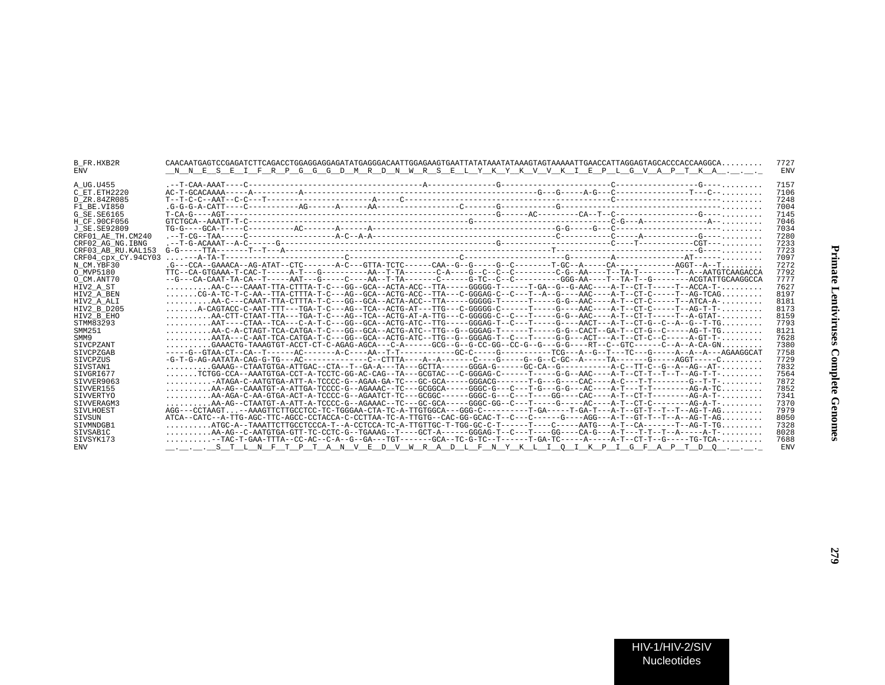| B FR.HXB2R<br><b>ENV</b> | $CAACAATGAGTCCGAGATCTTCAGACCTGGAGGGAGGAGATATGAGGGACAATTGGGAAAGTGAATTTATAAATATAAAATTAAAAATTGAAAATTGAAACCATAGGGAGTAGCCACCCACCAAGGCA.$<br>N N E S E I F R P G G G D M R D N W R S E L Y K Y K V V K I E P L G V A P T K A | 7727<br><b>ENV</b> |
|--------------------------|------------------------------------------------------------------------------------------------------------------------------------------------------------------------------------------------------------------------|--------------------|
| A UG.U455                |                                                                                                                                                                                                                        | 7157               |
| C ET.ETH2220             | $AC-T-GCACAAA$                                                                                                                                                                                                         | 7106               |
| D ZR.84ZR085             |                                                                                                                                                                                                                        | 7248               |
| F1 BE.VI850              |                                                                                                                                                                                                                        | 7004               |
| G SE.SE6165              |                                                                                                                                                                                                                        | 7145               |
| H CF.90CF056             |                                                                                                                                                                                                                        | 7046               |
| J SE. SE92809            |                                                                                                                                                                                                                        | 7034               |
| CRF01 AE TH.CM240        |                                                                                                                                                                                                                        | 7280               |
| CRF02 AG NG. IBNG        |                                                                                                                                                                                                                        | 7233               |
| CRF03 AB RU.KAL153       |                                                                                                                                                                                                                        | 7723               |
| CRF04 cpx CY.94CY03      |                                                                                                                                                                                                                        | 7097               |
| N CM.YBF30               |                                                                                                                                                                                                                        | 7272               |
| O MVP5180                |                                                                                                                                                                                                                        | 7792               |
| O CM.ANT70               | --G---CA-CAAT-TA-CA--T-----AAT---G-----C----AA--T-TA-------C-----G-TC--C------GG--AA----T--TA-T--G------ACGTATTGCAAGGCCA                                                                                               | 7777               |
| HIV2 A ST                | $\ldots \ldots \ldots$ AA-C---CAAAT-TTA-CTTTA-T-C---GG--GCA--ACTA-ACC--TTA-----GGGGG-T------T-GA--G--G-AAC----A-T--CT-T-----T-ACCA-T- $\ldots \ldots$                                                                  | 7627               |
| HIV2 A BEN               | CG-A-TC-T-C-AA--TTA-CTTTA-T-C---AG--GCA--ACTG-ACC--TTA---C-GGGAG-C--C---T--A--G----AAC----A-T--CT-C----T--AG-TCAG                                                                                                      | 8197               |
| HIV2 A ALI               | $\ldots \ldots \ldots$ AA-C---CAAAT-TTA-CTTTA-T-C---GG--GCA--ACTA-ACC--TTA-----GGGGG-T------T-----G-G--AAC----A-T--CT-C-----T--ATCA-A- $\ldots \ldots$                                                                 | 8181               |
| HIV2 B D205              | $\ldots \ldots$ . A-CAGTACC-C-AAT-TTT---TGA-T-C---AG--TCA--ACTG-AT---TTG---C-GGGGG-C------T----G----AAC----A-T--CT-C-----T--AG-T---AG-T----                                                                            | 8173               |
| HIV2 B EHO               | $\ldots \ldots \ldots$ AA-CTT-CTAAT-TTA---TGA-T-C---AG--TCA--ACTG-AT-A-TTG---C-GGGGG-C--C--T-----G-G--AAC----A-T--CT-T-----T--A-GTAT- $\ldots \ldots \ldots$                                                           | 8159               |
| STMM83293                | $\ldots \ldots \ldots$ AAT----CTAA--TCA---C-A-T-C---GG--GCA--ACTG-ATC--TTG----GGGAG-T--C---T-----G----AACT---A-T--CT-G--C--A--G--T-TG                                                                                  | 7793               |
| SMM251                   | $\ldots\ldots\ldots$ AA-C-A-CTAGT-TCA-CATGA-T-C---GG--GCA--ACTG-ATC--TTG--G--GGGAG-T------T----G-G--CACT--GA-T--CT-G--C-----AG-T-TG                                                                                    | 8121               |
| SMM9                     | $\ldots \ldots \ldots$ AATA---C-AAT-TCA-CATGA-T-C---GG--GCA--ACTG-ATC--TTG--G--GGGAG-T--C---T-----G-G---ACT---A-T--CT-C--C-----A-GT-T-                                                                                 | 7628               |
| SIVCPZANT                | $\ldots \ldots \ldots$ CAAACTG-TAAAGTGT-ACCT-CT-C-AGAG-AGCA---C-A------GCG--G--G-CC-GG--CC-G--G--G-G-----RT--C--GTC------C--A-CA-GN $\ldots \ldots \ldots$                                                             | 7380               |
| SIVCPZGAB                |                                                                                                                                                                                                                        | 7758               |
| SIVCPZUS                 |                                                                                                                                                                                                                        | 7729               |
| SIVSTAN1                 | .                                                                                                                                                                                                                      | 7832               |
| SIVGRI677                | $\ldots\ldots\ldots$ TCTGG-CCA--AAATGTGA-CCT-A-TCCTC-GG-AC-CAG--TA---GCGTAC---C-GGGAG-C------T-----G-G--AAC----A-T--CT-T--T--T--T--AG-T-T-                                                                             | 7564               |
| SIVVER9063               |                                                                                                                                                                                                                        | 7872               |
| STVVER155                | $\ldots \ldots \ldots$ AA-AG--CAAATGT-A-ATTGA-TCCCC-G--AGAAAC--TC---GCGGCA-----GGGC-G---C---T-G---G-G---AC----A-T---T-T-------AG-A-TC                                                                                  | 7852               |
| SIVVERTYO                | $\ldots\ldots\ldots$ AA-AGA-C-AA-GTGA-ACT-A-TCCCC-G--AGAATCT-TC---GCGGC------GGGC-G---C---T----GG----CAC----A-T--CT-T--------AG-A-T- $\ldots\ldots\ldots$                                                              | 7341               |
| SIVVERAGM3               | AA-AG--CTAATGT-A-ATT-A-TCCCC-G--AGAAAC--TC---GC-GCA-----GGGC-GG--C---T----G-----AC----A-T--CT-C--------AG-A-T-                                                                                                         | 7370               |
| SIVLHOEST                | AGG---CCTAAGT--AAAGTTCTTGCCTCC-TC-TGGGAA-CTA-TC-A-TTGTGGCA---GGG-C---------T-GA-----T-GA-T---A-T--GT-T--T--T-AG-T-AG-                                                                                                  | 7979               |
| SIVSUN                   | ATCA--CATC--A-TTG-AGC-TTC-AGCC-CCTACCA-C-CCTTAA-TC-A-TTGTG--CAC-GG-GCAC-T--C---C-----G---AGG---A-T--GT-T--T--A--AG-T-AG-                                                                                               | 8050               |
| STVMNDGB1                | $\ldots \ldots \ldots$ ATGC-A--TAAATTCTTGCCTCCCA-T--A-CCTCCA-TC-A-TTGTTGC-T-TGG-GC-C-T------T----C----AATG---A-T--CA-------T-AG-T-TG-                                                                                  | 7328               |
| SIVSAB1C                 | $\ldots \ldots \ldots$ AA-AG--C-AATGTGA-GTT-TC-CCTC-G--TGAAAG--T----GCT-A------GGGAG-T--C---T----GG----CA-G---A-T---T-T-T-T--A-----A-T-                                                                                | 8028               |
| STVSYK173                | $\ldots\ldots\ldots\ldots$ -TAC-T-GAA-TTTA--CC-AC--C-A--G--GA---TGT-------GCA--TC-G-TC--T------T-GA-TC------A-----A-T--CT-T--G-----TG-TCA-                                                                             | 7688               |
| <b>ENV</b>               | . S T L N F T P T A N V E D V W R A D L F N Y K L I O I K P I G F A P T D O                                                                                                                                            | <b>ENV</b>         |
|                          |                                                                                                                                                                                                                        |                    |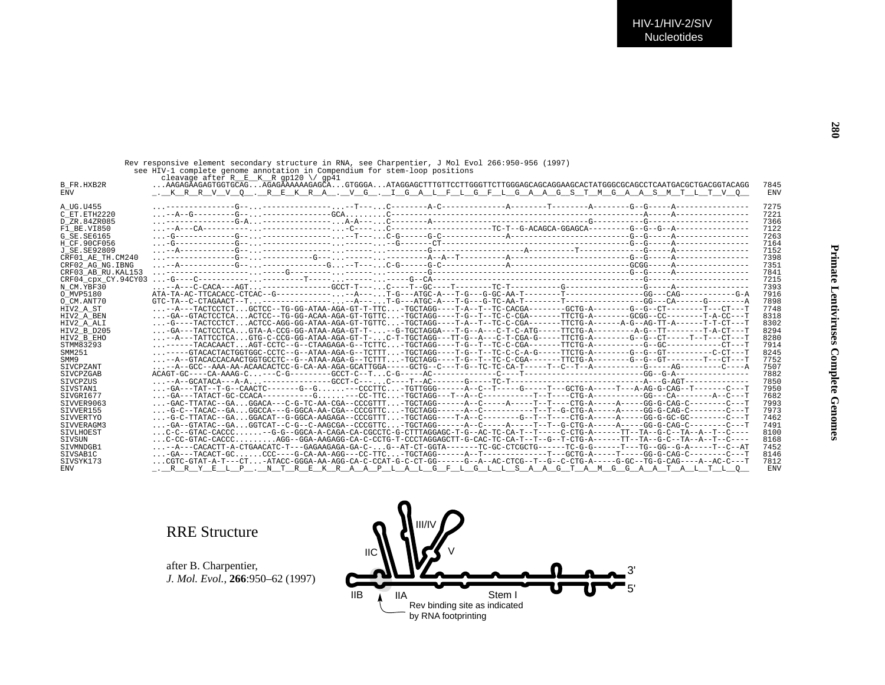| Primate Lentiviruses Complete Genomes |  |  |
|---------------------------------------|--|--|
|                                       |  |  |
|                                       |  |  |

Rev responsive element secondary structure in RNA, see Charpentier, J Mol Evol 266:950-956 (1997)<br>see HIV-1 complete genome annotation in Compendium for stem-loop positions<br>cleavage after R\_\_E\_\_K\_\_R\_Gg120 \/ gp41<br>B FR.HXB2

| n <sup>-r.</sup> v.monew<br><b>ENV</b> | <u>. KRRV VO.REKRA. VG. I GALFLGFLGAAGSTMGAASMT LTVO</u>                                                                                                  | , , , ,<br><b>ENV</b> |
|----------------------------------------|-----------------------------------------------------------------------------------------------------------------------------------------------------------|-----------------------|
|                                        |                                                                                                                                                           |                       |
| A UG.U455                              |                                                                                                                                                           | 7275                  |
| C ET. ETH2220                          |                                                                                                                                                           | 7221                  |
| D ZR.84ZR085                           |                                                                                                                                                           | 7366                  |
| F1 BE.VI850                            |                                                                                                                                                           | 7122                  |
| G SE. SE6165                           |                                                                                                                                                           | 7263                  |
| H CF.90CF056                           |                                                                                                                                                           | 7164                  |
| J SE. SE92809                          |                                                                                                                                                           | 7152                  |
| CRF01 AE TH.CM240                      |                                                                                                                                                           | 7398                  |
| CRF02 AG NG. IBNG                      |                                                                                                                                                           | 7351                  |
| CRF03 AB RU. KAL153                    |                                                                                                                                                           | 7841                  |
| CRF04 CDX CY.94CY03                    |                                                                                                                                                           | 7215                  |
| N CM.YBF30                             |                                                                                                                                                           | 7393                  |
| O MVP5180                              |                                                                                                                                                           | 7916                  |
| O CM.ANT70                             | $GTC-TA--C-CTAGAACT--T---------P---A---PT-G---ATGC-A---T-G---G-TC-AA-T------T------T-----------GG---CA-----G---A---F---F-1.$                              | 7898                  |
| HIV2 A ST                              | $\ldots$ --A---TACTCCTCTGCTCC--TG-GG-ATAA-AGA-GT-T-TTC-TGCTAGG----T-A--T--TC-CACGA-------GCTG-A-------G--G--CT-------T---CT----T                          | 7748                  |
| HIV2 A BEN                             | $\ldots$ -GA--GTACTCCTCAACTCC--TG-GG-ACAA-AGA-GT-TGTTC-TGCTAGG----T-G--T--TC-C-CGA-------TTCTG-A--------GCGG--CC-------T-A-CC---T                         | 8318                  |
| HIV2 A ALI                             | $\ldots$ -G----TACTCCTCTACTCC-AGG-GG-ATAA-AGA-GT-TGTTC-TGCTAGG----T-A--T--TC-C-CGA-------TTCTG-A------A-G--AG-TT-A------T-T-CT---T                        | 8302                  |
| HIV2 B D205                            | $\ldots$ -GA---TACTCCTCAGTA-A-CCG-GG-ATAA-AGA-GT-T---G-TGCTAGGA---T-G--A---C-T-C-ATG-----TTCTG-A--------A-G--TT-------T-A-CT---T                          | 8294                  |
| HIV2 B EHO                             | -A---TATTCCTCAGTG-C-CCG-GG-ATAA-AGA-GT-T-C-T-TGCTAGG---TT-G--A---C-T-CGA-G-----TTCTG-A-------G--G--CT-----T--T--CT---T                                    | 8280                  |
| STMM83293                              |                                                                                                                                                           | 7914                  |
| SMM251                                 | ----GTACACTACTGGTGGC-CCTC--G--ATAA-AGA-G--TCTTT-TGCTAGG----T-G--T--TC-C-C-A-G-----TTCTG-A-------G--G--GT--------C-CT----T-C-CT---T                        | 8245                  |
| SMM9                                   | -A--GTACACCACAACTGGTGCCTC--G--ATAA-AGA-G--TCTTT-TGCTAGG----T-G--T--TC-C-CGA-------TTCTG-A--------G--G--GT-------T---CT---T                                | 7752                  |
| SIVCPZANT                              |                                                                                                                                                           | 7507                  |
| SIVCPZGAB                              |                                                                                                                                                           | 7882                  |
| SIVCPZUS                               |                                                                                                                                                           | 7850                  |
| SIVSTAN1                               |                                                                                                                                                           | 7950                  |
| SIVGRI677                              |                                                                                                                                                           | 7682                  |
| SIVVER9063                             | $\ldots$ -GAC-TTATAC--GAGGACA---C-G-TC-AA-CGA--CCCGTTT-TGCTAGG------A--C----A----T--T---CTG-A-----A----GG-G-CAG-C-------C---T                             | 7993                  |
| SIVVER155                              |                                                                                                                                                           | 7973                  |
| SIVVERTYO                              | -G-C-TTATAC--GAGGACAT--G-GGCA-AAGAGA--CCCGTTT-TGCTAGG----T-A--C-------G--T--T---CTG-A-----A-----GG-G-GC-GC-------C---T                                    | 7462                  |
| SIVVERAGM3                             | $\ldots$ -GA--GTATAC--GA $\ldots$ GGTCAT--C-G--C-AAGCGA--CCCGTTC $\ldots$ -TGCTAGG------A--C-----A----T--T--G-CTG-A-----A-----A----GG-G-CAG-C-------C---T | 7491                  |
| SIVLHOEST                              | C-C--GTAC-CACCC-G-G--GGCA-A-CAGA-CA-CGCCTC-G-CTTTAGGAGC-T-G--AC-TC-CA-T--T-----C-CTG-A------TT--TA--G-C--TA--A--T--C----                                  | 8100                  |
| SIVSUN                                 | $\ldots$ C-CC-GTAC-CACCC $\ldots\ldots\ldots$ AGG--GGA-AAGAGG-CA-C-CCTG-T-CCCTAGGAGCTT-G-CAC-TC-CA-T--T--G--T-CTG-A------TT--TA--G-C--TA--A--T--C----     | 8168                  |
| STVMNDGB1                              |                                                                                                                                                           | 7452                  |
| SIVSAB1C                               | -GA---TACACT-GCCCC----G-CA-AA-AGG---CC-TTC-TGCTAGG------A--T------------T---GCTG-A-----T----GG-G-CAG-C-------C---T                                        | 8146                  |
| SIVSYK173                              | CGTC-GTAT-A-T---CT-ATACC-GGGA-AA-AGG-CA-C-CCAT-G-C-GC------G--A--AC-CTCG--T--G--C-CTG-A----G-GC--TG-G-CAG----A--AC-C---T                                  | 7812                  |
| <b>ENV</b>                             | . R R Y E L P . N T R E K R A A P L A L G F L G L L S A A G T A M G G A A T A L T L O                                                                     | <b>ENV</b>            |
|                                        |                                                                                                                                                           |                       |

## RRE Structure

after B. Charpentier, *J. Mol. Evol.*, **266**:950–62 (1997)

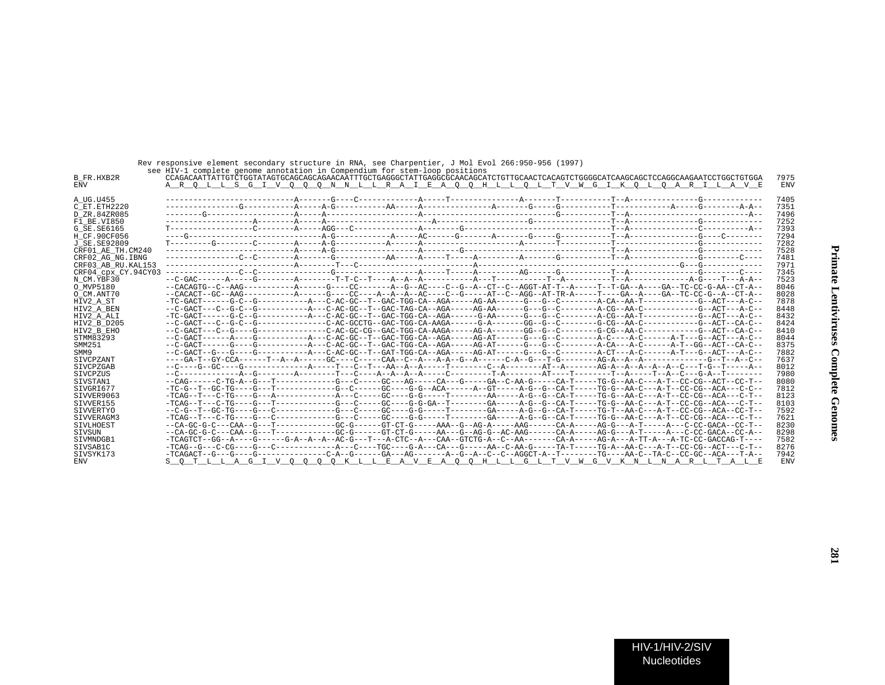| B FR.HXB2R<br>ENV   | SEE UIV-I COMPIECE GENOME QUNOCQUION IN COMPENDIUM IOI SCEM-IOOP POSICIONS |  |  | CCAGACAATTATTGTCTGGTATAGTGCAGCAGCAGAACAATTTGCTGAGGGCTATTGAGGCGCAACAGCATCTGTTGCAACTCACAGTCTGGGGCATCAAGCAGCTCCAGGCAAGAATCCTGGCTGTGGA<br>A R O L L S G I V O O O N N L L R A I E A O O H L L O L T V W G I K O L O A R I L A V E | 7975<br>ENV |
|---------------------|----------------------------------------------------------------------------|--|--|-------------------------------------------------------------------------------------------------------------------------------------------------------------------------------------------------------------------------------|-------------|
|                     |                                                                            |  |  |                                                                                                                                                                                                                               |             |
| A UG.U455           |                                                                            |  |  |                                                                                                                                                                                                                               | 7405        |
| C ET.ETH2220        |                                                                            |  |  |                                                                                                                                                                                                                               | 7351        |
| D ZR.84ZR085        |                                                                            |  |  |                                                                                                                                                                                                                               | 7496        |
| F1 BE.VI850         |                                                                            |  |  |                                                                                                                                                                                                                               | 7252        |
| G SE.SE6165         |                                                                            |  |  |                                                                                                                                                                                                                               | 7393        |
| H CF.90CF056        |                                                                            |  |  |                                                                                                                                                                                                                               | 7294        |
| J SE.SE92809        |                                                                            |  |  |                                                                                                                                                                                                                               | 7282        |
| CRF01 AE TH.CM240   |                                                                            |  |  |                                                                                                                                                                                                                               | 7528        |
| CRF02 AG NG.IBNG    |                                                                            |  |  |                                                                                                                                                                                                                               | 7481        |
| CRF03 AB RU.KAL153  |                                                                            |  |  |                                                                                                                                                                                                                               | 7971        |
| CRF04 cpx CY.94CY03 |                                                                            |  |  |                                                                                                                                                                                                                               | 7345        |
| N CM.YBF30          |                                                                            |  |  |                                                                                                                                                                                                                               | 7523        |
| O MVP5180           |                                                                            |  |  | --CACAGTG--C--AAG----------A-----G----CC------A--G--AC----C--G--A--CT--C--AGGT-AT-T--A----T--GA--A---GA--TC-CC-G-AA--CT-A--                                                                                                   | 8046        |
| O CM.ANT70          |                                                                            |  |  | --CACACT--GC--AAG-----------A-----GC----A--A--A--A--AC----CC-----AT--GT--AGG--AT-TR-A-----T----GA--A----CA--TC-CC-G--A--CT-A--                                                                                                | 8028        |
| HIV2 A ST           |                                                                            |  |  |                                                                                                                                                                                                                               | 7878        |
| HIV2 A BEN          |                                                                            |  |  |                                                                                                                                                                                                                               | 8448        |
| HIV2 A ALI          |                                                                            |  |  |                                                                                                                                                                                                                               | 8432        |
| HIV2 B D205         |                                                                            |  |  |                                                                                                                                                                                                                               | 8424        |
| HIV2 B EHO          |                                                                            |  |  |                                                                                                                                                                                                                               | 8410        |
| STMM83293           |                                                                            |  |  | --C-GACT------A----G-----------A---C-AC-GC--T--GAC-TGG-CA--AGA-----AG-AT------G---G--C--------A-C----A-C-----A-T---G--ACT---A-C--                                                                                             | 8044        |
| SMM251              |                                                                            |  |  |                                                                                                                                                                                                                               | 8375        |
| SMM9                |                                                                            |  |  |                                                                                                                                                                                                                               | 7882        |
| SIVCPZANT           |                                                                            |  |  |                                                                                                                                                                                                                               | 7637        |
| SIVCPZGAB           |                                                                            |  |  |                                                                                                                                                                                                                               | 8012        |
| <b>STVCPZUS</b>     |                                                                            |  |  |                                                                                                                                                                                                                               | 7980        |
| SIVSTAN1            |                                                                            |  |  | --CAG------C-TG-A--G---T-----------G---C----GC---AG----CA---G----GA--C-AA-G----CAT----CA-T---TG-G-AA-C---A-T--CC-CG--ACT--CC-T-                                                                                               | 8080        |
| SIVGRI677           |                                                                            |  |  | -TC-G--T--GC-TG----G--T-----------G--C----G-C-----GC----G-G--ACA------A--GT------A-G--CA-T----TG-G--AA-C---A-T--CC-CG--ACA---C-C--                                                                                            | 7812        |
| SIVVER9063          |                                                                            |  |  |                                                                                                                                                                                                                               | 8123        |
| SIVVER155           |                                                                            |  |  | -TCAG--T---C-TG----G---T------------G---C-C----GC----GC----G-GA--T--------GA-----A-G--CA-T-----TG-G--AA-C---A-T--CC-CG--ACA---C-T--                                                                                           | 8103        |
| SIVVERTYO           |                                                                            |  |  |                                                                                                                                                                                                                               | 7592        |
| SIVVERAGM3          |                                                                            |  |  |                                                                                                                                                                                                                               | 7621        |
| SIVLHOEST           |                                                                            |  |  | --CA-GC-G-C---CAA--G---T-----------GC-G------GT-CT-G-----AAA--G--AG-A-----AAG------CA-A-----AG-G---A-T-----A---C-CC-GACA--CC-T--                                                                                              | 8230        |
| SIVSUN              |                                                                            |  |  | --CA-GC-G-C---CAA--G---T-----------GC-G------GT-CT-G-----AA---G--AG-G--AC-AAG------CA-A-----AG-G-----A-T-----A--C-CC-GACA--CC-A                                                                                               | 8298        |
| SIVMNDGB1           |                                                                            |  |  | -TCAGTCT--GG--A----G------G-A--A--A--AC-G---T---A-CTC--A---CAA--GTCTG-A--C--AA-------CA-A-----AG-A---A-TT-A---A-TC-CC-GACCAG-T----                                                                                            | 7582        |
| SIVSAB1C            |                                                                            |  |  | -TCAG--G---C-CG----G---C-------------A--C----TGC----G-A--CA---G-----AA--C-AA-G-----TA-T----TG-A--AA-C---A-T--CC-CG--ACT---C-T--                                                                                               | 8276        |
| SIVSYK173           |                                                                            |  |  | -TCAGACT--G---G----G-------------C-A--G-----GA---AG------A--G--A--C--C--AGGCT-A--T-------TG----AA-C--TA-C--CC-GC--ACA---T-A-                                                                                                  | 7942        |
| ENV                 |                                                                            |  |  | <u>S O T L L A G I V O O O O K L L E A V E A O O H L L G L T V W G V K N L N A R L T A L E</u>                                                                                                                                | <b>ENV</b>  |
|                     |                                                                            |  |  |                                                                                                                                                                                                                               |             |

Rev responsive element secondary structure in RNA, see Charpentier, J Mol Evol 266:950-956 (1997) see HIV-1 complete genome annotation in Compendium for stem-loop positions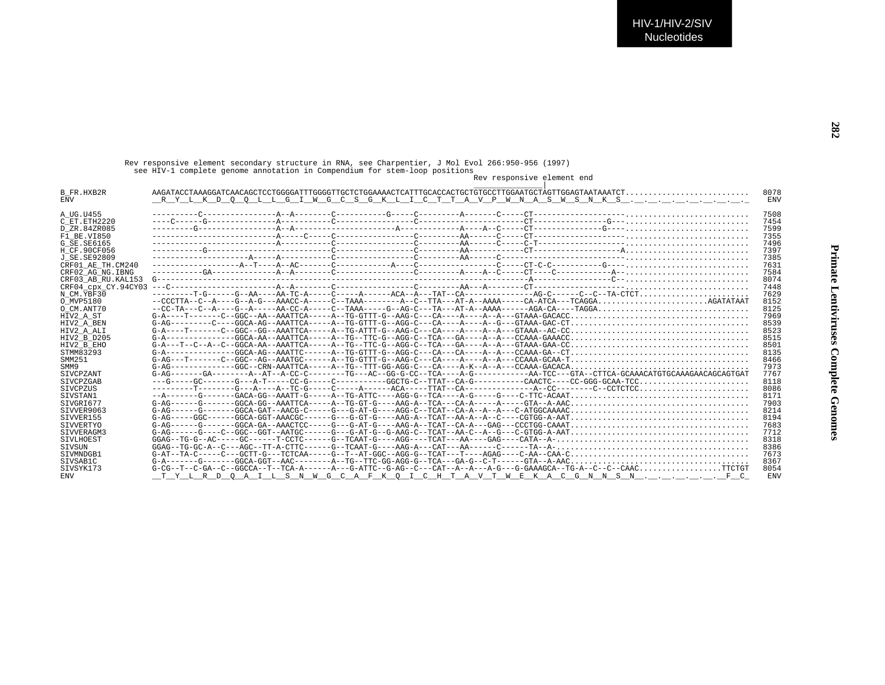Rev responsive element secondary structure in RNA, see Charpentier, J Mol Evol 266:950-956 (1997) see HIV-1 complete genome annotation in Compendium for stem-loop positions

## Rev responsive element end

| B FR.HXB2R          |                                                                                                                 | 8078       |
|---------------------|-----------------------------------------------------------------------------------------------------------------|------------|
| <b>ENV</b>          | <u>RYLKD Q Q LLG I WGCSGKLICTTAVPWNASWSNKS</u>                                                                  | <b>ENV</b> |
|                     |                                                                                                                 |            |
| A UG.U455           |                                                                                                                 | 7508       |
| C ET. ETH2220       |                                                                                                                 | 7454       |
| D ZR.84ZR085        |                                                                                                                 | 7599       |
| F1 BE.VI850         |                                                                                                                 | 7355       |
| G SE. SE6165        |                                                                                                                 | 7496       |
| H CF.90CF056        |                                                                                                                 | 7397       |
| J SE.SE92809        |                                                                                                                 | 7385       |
| CRF01 AE TH.CM240   |                                                                                                                 | 7631       |
|                     |                                                                                                                 | 7584       |
| CRF02 AG NG. IBNG   |                                                                                                                 | 8074       |
| CRF03 AB RU. KAL153 |                                                                                                                 | 7448       |
| CRF04 cpx CY.94CY03 |                                                                                                                 |            |
| N CM.YBF30          | $-----T-G---G---G-AA---AA-TC-A---C---A---A---A---TACA--TAT--CA------C---G---C---C---TA-CTCT$                    | 7629       |
| O MVP5180           | $-CCCTTA-C-PA---G-PA-G---AAACCA---C-TAAA---A--CTA--CTA---ATPA--A+AA---C-ATCA---CAA-CTA--CAA-.$                  | 8152       |
| O CM.ANT70          |                                                                                                                 | 8125       |
| HIV2 A ST           |                                                                                                                 | 7969       |
| HIV2 A BEN          |                                                                                                                 | 8539       |
| HIV2 A ALI          |                                                                                                                 | 8523       |
| HIV2 B D205         |                                                                                                                 | 8515       |
| HIV2 B EHO          |                                                                                                                 | 8501       |
| STMM83293           |                                                                                                                 | 8135       |
| SMM251              | $G-AG---T---C---GGC--AGC---AG---AAATGC----A---TC-GTTT-G---AAG-C---CA---A---A---A---CCAAA-GCAA--CCAAA--C.$       | 8466       |
| SMM9                | $G-AG----------GGC--CRN-AAATTCA---A--TG--TTT-GG-AGG-C---CA---A-K--A---CCAAA-GACACA-$                            | 7973       |
| SIVCPZANT           |                                                                                                                 | 7767       |
| SIVCPZGAB           | ---G-----GC-------G---A-T-----CC-G-----C--------GCCTG-C--TTAT--CA-G---------CAACTC----CC-GGG-GCAA-TCC           | 8118       |
| SIVCPZUS            |                                                                                                                 | 8086       |
| SIVSTAN1            |                                                                                                                 | 8171       |
| STVGRT677           | $G-AG-----G----GGCA-GG--AAATTCA---A-TTG-GT-G---AAG-A---TCA---CA-A----A---GTA---A-A-AAC$                         | 7903       |
| SIVVER9063          |                                                                                                                 | 8214       |
| SIVVER155           |                                                                                                                 | 8194       |
| SIVVERTYO           |                                                                                                                 | 7683       |
| SIVVERAGM3          |                                                                                                                 | 7712       |
| SIVLHOEST           |                                                                                                                 | 8318       |
| SIVSUN              | $GGAG---TG-GC-A--C---AGC--TT-A-CTTC-----G---TCAAT-G---AAG-A---CAT---AA---C-----TA---TA-.$                       | 8386       |
| STVMNDGB1           | $G-AT-TA-C---C---GCTT-G---TCTCAA---G-T--AT-GGC--AGG-G---TCAT---T-CT---AGAG---C-AA-C$                            | 7673       |
| SIVSAB1C            | $G-A------G----GGCA-GGT--AAC------A-TG-TTC-GG-AGG-G--TCA---GA-G--C-T----GTA-A-AAC$                              | 8367       |
| SIVSYK173           | $G-CG-T-C-GA-C-GGCCA-T-T-TCA-A---A---A--G-ATTC-G-AG---C-TCAT-A---A--A--G---G-GAAAGCA---TG-A---C--C--CAACTTCTGT$ | 8054       |
| <b>ENV</b>          | Y L R D O A I L S N W G C A F K O I C H T A V T W E K A C G N N S N F C                                         | <b>ENV</b> |
|                     |                                                                                                                 |            |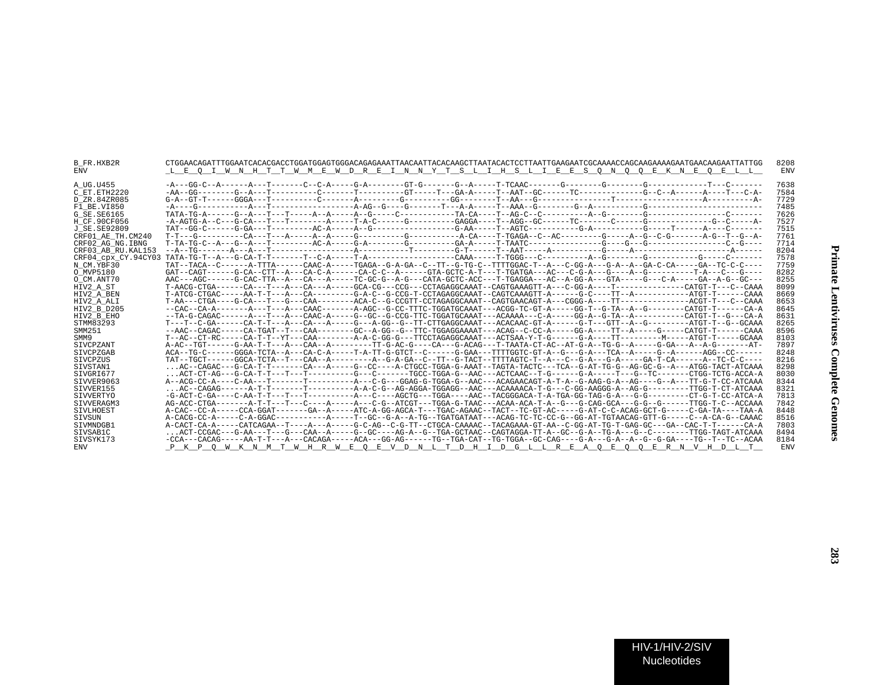| <b>B FR.HXB2R</b><br><b>ENV</b> | L E O I W N H T T W M E W D R E I N N Y T S L I H S L I E E S O N O O E K N E O E L L                                               | 8208<br><b>ENV</b> |
|---------------------------------|-------------------------------------------------------------------------------------------------------------------------------------|--------------------|
| A UG.U455                       |                                                                                                                                     | 7638               |
| C ET.ETH2220                    |                                                                                                                                     | 7584               |
| D ZR.84ZR085                    |                                                                                                                                     | 7729               |
| F1 BE.VI850                     |                                                                                                                                     | 7485               |
| G SE. SE6165                    |                                                                                                                                     | 7626               |
| H CF.90CF056                    |                                                                                                                                     | 7527               |
| J SE. SE92809                   |                                                                                                                                     | 7515               |
| CRF01 AE TH.CM240               |                                                                                                                                     | 7761               |
| CRF02 AG NG. IBNG               |                                                                                                                                     | 7714               |
| CRF03 AB RU. KAL153             |                                                                                                                                     | 8204               |
| CRF04 cpx CY.94CY03             |                                                                                                                                     | 7578               |
| N CM.YBF30                      | TAT--TACA--C------A-TTTA------CAAC-A-----TGAGA--G-A-GA--C--TT--G-TG-C--TTTTGGAC-T--A---C-GG-A---G-A--A--GA-C-CA-----GA--TC-C-C----  | 7759               |
| O MVP5180                       | GAT--CAGT------G-CA--CTT--A---CA-C-A------CA-C-C--A------GTA-GCTC-A-T---T-TGATGA---AC---C-G-A---G----A--G------T-A---C---G----      | 8282               |
| O CM.ANT70                      | AAC---AGC------G-CAC-TTA--A---CA---A-----TC-GC-G--A-G---CATA-GCTC-ACC---T-TGAGGA---AC--A-GG-A---GTA-----G-A-----GA--A-G--GC---      | 8255               |
| HIV2 A ST                       |                                                                                                                                     | 8099               |
| HIV2 A BEN                      |                                                                                                                                     | 8669               |
| HIV2 A ALI                      |                                                                                                                                     | 8653               |
| HIV2 B D205                     | --CAC--CA-A-------A---T---A---CAAC-------A-AGC--G-CC-TTTC-TGGATGCAAAT---ACGG-TC-GT-A-----GG-T--G-TA--A--G--------CATGT-T------CA-A  | 8645               |
| HIV2 B EHO                      |                                                                                                                                     | 8631               |
| STMM83293                       | T---T--C-GA------CA-T-T---A---CA---A-----G---A-GG--G--TT-CTTGAGGCAAAT---ACACAAC-GT-A------G-TT--AT-G---------ATGT-T--G-GCAAA        | 8265               |
| SMM251                          | --AAC--CAGAC-----CA-TGAT--T---CAA--------GC--A-GG--G--TTC-TGGAGGAAAAT---ACAG--C-CC-A-----GG-A----TT--A-----G----CATGT-T-----CAAA    | 8596               |
| SMM9                            | T--AC--CT-RC-----CA-T-T--YT---CAA--------A-A-C-GG-G---TTCCTAGAGGCAAAT---ACTSAA-Y-T-G------G-A----TT---------M-----ATGT-T----GCAAA   | 8103               |
| <b>STVCPZANT</b>                | A-AC--TGT------G-AA-T-T---A---CAA--A--------TT-G-AC-G----CA---G-ACAG---T-TAATA-CT-AC--AT-G-A--TG-G--A-----G-GA---A-G-------AT-      | 7897               |
| SIVCPZGAB                       | ACA--TG-C------GGGA-TCTA--A---CA-C-A-----T-A-TT-G-GTCT--C------G-GAA---TTTGGTC-GT-A--G---G-A---TCA--A-----G--A-----AGG--CC------    | 8248               |
| SIVCPZUS                        | TAT--TGCT------GGCA-TCTA--T---CAA--A--------A--G-A-GA--C--TT--G-TACT--TTTTAGTC-T--A---C--G-A---G-A-----GA-T-CA------A--TC-C-C----   | 8216               |
| SIVSTAN1                        | AC--CAGAC---G-CA-T-T-------CA---A-----G--CC----A-CTGCC-TGGA-G-AAAT--TAGTA-TACTC---TCA--G-AT-TG-G--AG-GC-G--A---ATGG-TACT-ATCAAA     | 8298               |
| STVGRT677                       | ACT-CT-AG---G-CA-T-T---T----T-------G---C------TGCC-TGGA-G--AAC---ACTCAAC--T-G------G-A-----T---G--TC------CTGG-TCTG-ACCA-A         | 8030               |
| SIVVER9063                      | A--ACG-CC-A----C-AA---T-------T--------A---C-G---GGAG-G-TGGA-G--AAC---ACAGAACAGT-A-T-A--G-AAG-G-A--AG----G--A---TT-G-T-CC-ATCAAA    | 8344               |
| SIVVER155                       |                                                                                                                                     | 8321               |
| SIVVERTYO                       | -G-ACT-C-GA----C-AA-T-T---T---T--------A---C----AGCTG---TGGA----AAC--TACGGGACA-T-A-TGA-GG-TAG-G-A---G-G---------CT-G-T-CC-ATCA-A    | 7813               |
| SIVVERAGM3                      |                                                                                                                                     | 7842               |
| SIVLHOEST                       | A-CAC--CC-A-----CCA-GGAT-------GA--A-----ATC-A-GG-AGCA-T---TGAC-AGAAC--TACT--TC-GT-AC-----G-AT-C-C-ACAG-GCT-G-----C-GA-TA----TAA-A  | 8448               |
| SIVSUN                          | A-CACG-CC-A-----C-A-GGAC----------A-----T--GC--G-A--A-TG--TGATGATAAT---ACAG-TC-TC-CC-G--GG-AT-TGTAACAG-GTT-G----C-A-G--CAAAC        | 8516               |
| STVMNDGB1                       | A-CACT-CA-A-----CATCAGAA--T----A---A-----G-C-AG--C-G-TT--CTGCA-CAAAAC--TACAGAAA-GT-AA--C-GG-AT-TG-T-GAG-GC---GA--CAC-T-T------CAC-T | 7803               |
| SIVSAB1C                        | ACT-CCGAC---G-AA---T---G---CAA--A-----G--GC----AG-A--G--TGA-GCTAAC--CAGTAGGA-TT-A--GC--G-A--TG-A---G--C--------TTGG-TAGT-ATCAAA     | 8494               |
| SIVSYK173                       | -CCA---CACAG-----AA-T-T---A---CACAGA-----ACA---GG-AG------TG--TGA-CAT--TG-TGGA--GC-CAG----G-A---G-A--A--G--G-GA----TG--T--TC--ACAA  | 8184               |
| <b>ENV</b>                      | P K P O W K N M T W H R W E O E V D N L T D H I D G L L R E A O E O O E R N V H D L T                                               | <b>ENV</b>         |
|                                 |                                                                                                                                     |                    |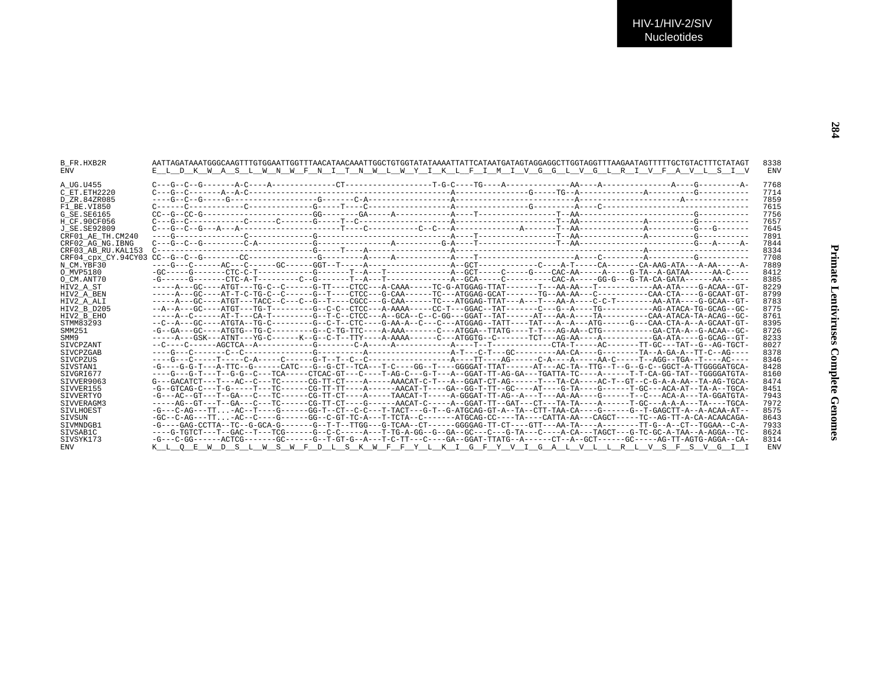| B FR.HXB2R<br>ENV  | AATTAGATAAATGGGCAAGTTTGTGGAATTGGTTTAACATAACAAATTGGCTGTGGTATATAAAATTATTCATAATGATAGTAGGAGGCTTGGTAGGTTTAAGAATAGTTTTTGCTGTACTTTCTATAGT<br>E L D K W A S L W N W F N I T N W L W Y I K L F I M I V G G L V G L R I V F A V L S I V | 8338<br>ENV |
|--------------------|-------------------------------------------------------------------------------------------------------------------------------------------------------------------------------------------------------------------------------|-------------|
|                    |                                                                                                                                                                                                                               |             |
| A UG.U455          |                                                                                                                                                                                                                               | 7768        |
| C ET.ETH2220       |                                                                                                                                                                                                                               | 7714        |
| D ZR.84ZR085       |                                                                                                                                                                                                                               | 7859        |
| F1 BE.VI850        |                                                                                                                                                                                                                               | 7615        |
| G SE.SE6165        | $CC-GC-GC-GC-1$                                                                                                                                                                                                               | 7756        |
| H CF.90CF056       |                                                                                                                                                                                                                               | 7657        |
| J SE.SE92809       |                                                                                                                                                                                                                               | 7645        |
| CRF01 AE TH.CM240  |                                                                                                                                                                                                                               | 7891        |
| CRF02 AG NG.IBNG   |                                                                                                                                                                                                                               | 7844        |
| CRF03 AB RU.KAL153 |                                                                                                                                                                                                                               | 8334        |
|                    |                                                                                                                                                                                                                               | 7708        |
| N CM.YBF30         |                                                                                                                                                                                                                               | 7889        |
| O MVP5180          |                                                                                                                                                                                                                               | 8412        |
| O CM.ANT70         |                                                                                                                                                                                                                               | 8385        |
| HIV2 A ST          |                                                                                                                                                                                                                               | 8229        |
| HIV2 A BEN         |                                                                                                                                                                                                                               | 8799        |
| HIV2 A ALI         |                                                                                                                                                                                                                               | 8783        |
| HIV2 B D205        |                                                                                                                                                                                                                               | 8775        |
| HIV2 B EHO         |                                                                                                                                                                                                                               | 8761        |
| STMM83293          | --C--A---GC----ATGTA--TG-C--------G--C-T--CTC----G-AA-A--C---C--ATGGAG--TATT----TAT---A--A-G---G---CAA-CTA-A--A-GCAAT-GT-                                                                                                     | 8395        |
| SMM251             |                                                                                                                                                                                                                               | 8726        |
| SMM9               |                                                                                                                                                                                                                               | 8233        |
| SIVCPZANT          |                                                                                                                                                                                                                               | 8027        |
| SIVCPZGAB          |                                                                                                                                                                                                                               | 8378        |
| STVCPZUS           |                                                                                                                                                                                                                               | 8346        |
| SIVSTAN1           | -G----G-G-T---A-TTC--G------CATC---G--G-CT--TCA---T-C---GG--T----GGGGAT-TTAT-----AT---AC-TA--TTG--T--G--G-C--GGCT-A-TTGGGGATGCA-                                                                                              | 8428        |
| STVGRT677          | ---G-T---F-C-T--C-G-C--C--TCA-----CCCCAC-GT---C----T-AG-C---G-T---A--GGAT-TT-AG-GA---TGATTA-TC----A----T-T-CA-GG-TAT--TGGGGATGTA-                                                                                             | 8160        |
| SIVVER9063         | G---GACATCT---T---AC--C---TC------CG-TT-CT----A-----AAACAT-C-T---A--GGAT-CT-AG------T---TA-CA----AC-T--GT--C-G-A-A-AA--TA-AG-TGCA-                                                                                            | 8474        |
| STVVER155          | -G--GTCAG-C---T-G-----T---TC-----CG-TT-TT----A------AACAT-T----GA--GG-T-TT--GC----AT----G-TA----G-----T-GC---ACA-AT--TA-A--TGCA-                                                                                              | 8451        |
| SIVVERTYO          | -G---AC--GT---T--GA---C---TC------CG-TT-CT----A----TAACAT-T-----A-GGGAT-TT-AG--A---T---AA-AA----G------T--C---ACA-A---TA-GGATGTA                                                                                              | 7943        |
| STVVERAGM3         |                                                                                                                                                                                                                               | 7972        |
| SIVLHOEST          | -G---C-AG---TT-AC--T---G-----GC-T---CG-T-CC-C---T-TACT---G-T--G-ATGCAG-GT-A--TA--CTT-TAA-CA----G-----G--T-GAGCTT-A--A-ACAA-AT--                                                                                               | 8575        |
| SIVSUN             | -GC--C-AG---TT-AC--C----G-----GG--C-GT-TC-A---T-TCTA--C-------ATGCAG-CC----TA----CATTA-AA---CAGCT-----TC--AG-TT-A-CA-ACAACAGA-                                                                                                | 8643        |
| SIVMNDGB1          |                                                                                                                                                                                                                               | 7933        |
| SIVSAB1C           | ----G-TGTCT---T--GAC--T---TCG------G--C-C-----A---T-TG-A-GG--G--GA--GC---C---G-TA---C----A-CA---TAGCT---G-TC-GC-A-TAA--A-AGGA--TC                                                                                             | 8624        |
| SIVSYK173          | -G---C-GG------ACTCG-------GC------G--T-GT-G--A---T-C-TT---C----GA--GGAT-TTATG--A------CT--A--GCT-------GC-----AG-TT-AGTG-AGGA--CA-                                                                                           | 8314        |
| ENV                | K L O E W D S L W S W F D L S K W F F Y L K I G F Y V I G A L V L L R L V S F S V G I I                                                                                                                                       | <b>ENV</b>  |
|                    |                                                                                                                                                                                                                               |             |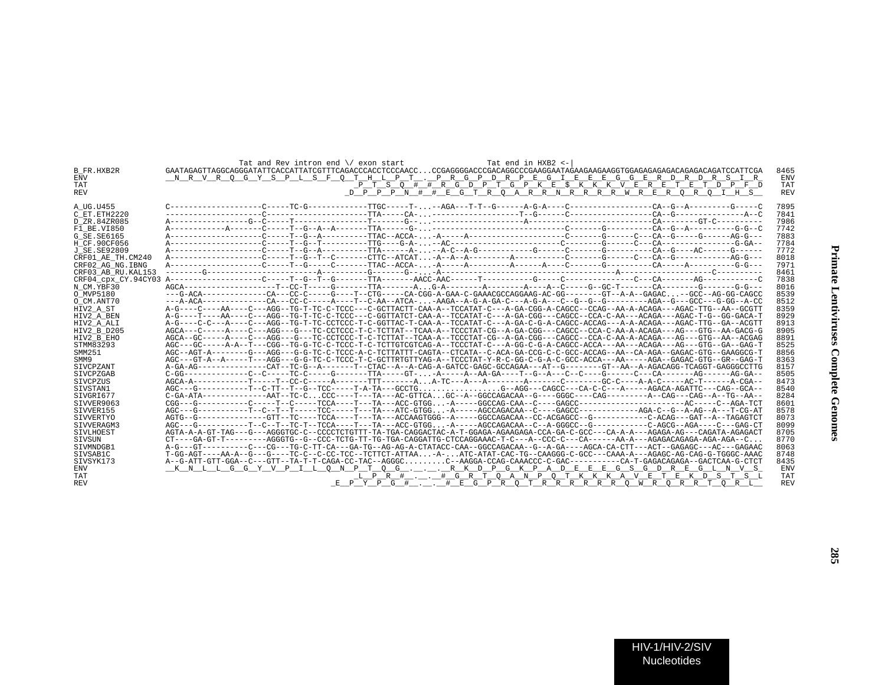|                    | Tat and Rev intron end \/ exon start<br>Tat end in HXB2 <-                                                                             |            |
|--------------------|----------------------------------------------------------------------------------------------------------------------------------------|------------|
| B FR.HXB2R         |                                                                                                                                        | 8465       |
| ENV                | NR VR OG Y S PL S F O T H L P T . PR G P D R P E G I E E E G G E R D R D R S I R                                                       | <b>ENV</b> |
| TAT                | P T S O # # R G D P T G P K E \$ K K K V E R E T E T D P F D                                                                           | TAT        |
| REV                | <u>D P P P N # # E G T R Q A R R N R R R R W R E R Q R Q I H S</u>                                                                     | <b>REV</b> |
|                    |                                                                                                                                        |            |
| A UG.U455          |                                                                                                                                        | 7895       |
| C ET.ETH2220       |                                                                                                                                        | 7841       |
| D ZR.84ZR085       |                                                                                                                                        | 7986       |
| F1 BE.VI850        |                                                                                                                                        | 7742       |
| G SE.SE6165        |                                                                                                                                        | 7883       |
| H CF.90CF056       |                                                                                                                                        | 7784       |
| J SE.SE92809       |                                                                                                                                        | 7772       |
| CRF01 AE TH.CM240  |                                                                                                                                        | 8018       |
| CRF02 AG NG.IBNG   |                                                                                                                                        | 7971       |
| CRF03 AB RU.KAL153 |                                                                                                                                        | 8461       |
|                    |                                                                                                                                        | 7838       |
| N CM.YBF30         |                                                                                                                                        | 8016       |
| O MVP5180          |                                                                                                                                        | 8539       |
| O CM.ANT70         |                                                                                                                                        | 8512       |
| HIV2_A_ST          | A-G----C----AA----C---AGG--TG-T-TC-C-TCCC---C-GCTTACTT-CAA-A--TCCATAT-C---A-GA-CGG-A-CAGCC--CCAG--AA-A-ACAGA---AGAC-TTG--AA--GCGTT     | 8359       |
| HIV2 A BEN         | A-G----T----AA----C---AGG--TG-T-TC-C-TCCC---C-GGTTATCT-CAA-A--TCCATAT-C---A-GA-CGG---CAGCC--CCA-C-AA---ACAGA---AGAC-T-G--GG-GACA-T     | 8929       |
| HIV2 A ALI         | A-G----C-C---A----C---AGG--TG-T-TC-CCTCCC-T-C-GGTTAC-T-CAA-A--TCCATAT-C---A-GA-C-G-A-CAGCC-ACCAG---A-A-ACAGA---AGAC-TTG--GA--ACGTT     | 8913       |
| HIV2 B D205        | AGCA---C----A----C---AGG---G---TC-CCTCCC-T-C-TCTTAT--TCAA-A--TCCCTAT-CG--A-GA-CGG---CAA-C-C-AA-A-ACAGA---AG---GTG--AA-GACG-G           | 8905       |
| HIV2 B EHO         | AGCA--GC-----A---C---AGG---G---TC-CCTCCC-T-C-TCTTAT--TCAA-A--TCCCTAT-CG--A-GA-CGG---CAGCC--CCA-C-AA-A-ACAGA---AG---GTG--AA-AACAGGAG    | 8891       |
| STMM83293          |                                                                                                                                        | 8525       |
| SMM251             | AGC--AGT-A-------G---AGG---G-G-TC-C-TCCC-A-C-TCTTATTT-CAGTA--CTCATA--C-ACA-GA-CCG-C-C-GCC-ACCAG--AA--CA-AGA--GAGAC-GTG--GAAGGCG-T      | 8856       |
| SMM9               | AGC---GT-A--A-----T---AGG---G-G-TC-C-TCCC-T-C-GCTTRTGTTYAG-A--TCCCTAT-Y-R-C-GG-C-G-A-C-GCC-ACCA---AA-----AGA--GAGAC-GTG--GR--GAG-T     | 8363       |
| SIVCPZANT          | A-GA-AG-------------CAT--TC-G--A-------T--CTAC--A--A-CAG-A-GATCC-GAGC-GCCAGAA---AT--G-------GT--AA--A-AGACAGG-TCAGGT-GAGGGCCTTG        | 8157       |
| SIVCPZGAB          | $C-GG---------C---C---TC-C-----TC-C-----G------TTA----GT- -A---A--AA-GA---T--G--A---C---C---C----CA----CA---AG---AG---A-G--A---A$      | 8505       |
| STVCPZUS           |                                                                                                                                        | 8473       |
| SIVSTAN1           | AGC---G-----------T--C-TT--T--G--TCC-----T-A-TA---GCCTGG--AGG---CAGCC---CA-C-C---A-----AGACA-AGATTC---CAG--GCA--                       | 8540       |
| STVGRI677          | $C-GA-ATA--------AAT--TC-CCC---T---TA---AC-GTICAGC--A--GGCCAGACA-AG---GGGC----GGGC----CAG------AA--CAG---CAG---CAG---A--TG--AA--$      | 8284       |
| SIVVER9063         |                                                                                                                                        | 8601       |
| SIVVER155          |                                                                                                                                        | 8578       |
| SIVVERTYO          |                                                                                                                                        | 8073       |
| SIVVERAGM3         |                                                                                                                                        | 8099       |
| SIVLHOEST          | AGTA-A-A-GT-TAG---G---AGGGTGC-C--CCCCTCTGTTT-TA-TGA-CAGGACTAC-A-T-GGAGA-AGAAGAGA-CCA-GA-C-GCC---CA-A-A---AGAGA-AG---CAGATA-AGAGACT     | 8705       |
| SIVSUN             | $CT---GA-GT-T------AGGGTG--G--CCC-TCTG-TT-G-TGA-CAGGATTG-CTCCAGGAAAC-T-C---A--CCC-C---CA----AA-A---AGAGACAGAGA-AGA-AGA-AGA-C.$         | 8770       |
| STVMNDGB1          | A-G---GT---------CT--CG---TG---TG-C-TT-CA---GA-TG--AG-AG-A-CTATACC-CAA--GGCCAGACAA--G--A-GA----AGCA-CA-CTT---ACT--GAGAGC---AC---GAGAAC | 8063       |
| SIVSAB1C           | T-GG-AGT----AA-A--G---G---TC-C--C-CC-TCC--TCTTCT-ATTAA-A-ATC-ATAT-CAC-TG--CAAGGG-C-GCC---CAAA-A---AGAGC-AG-CAG-G-TGGGC-AAAC            | 8748       |
| SIVSYK173          |                                                                                                                                        | 8435       |
| ENV                | <u>KNLLGGYVPILONPTOG. RKDPGKPADEEEGSGDREGLNVS</u>                                                                                      | <b>ENV</b> |
| TAT                | <u>LPRH., HGRTQANPQTKKAVETEKDSTSL</u>                                                                                                  | TAT        |
| REV                | <u>EPYPG#_._.#EGPRQTRRRRRRQWRQRRTQRL</u>                                                                                               | <b>REV</b> |
|                    |                                                                                                                                        |            |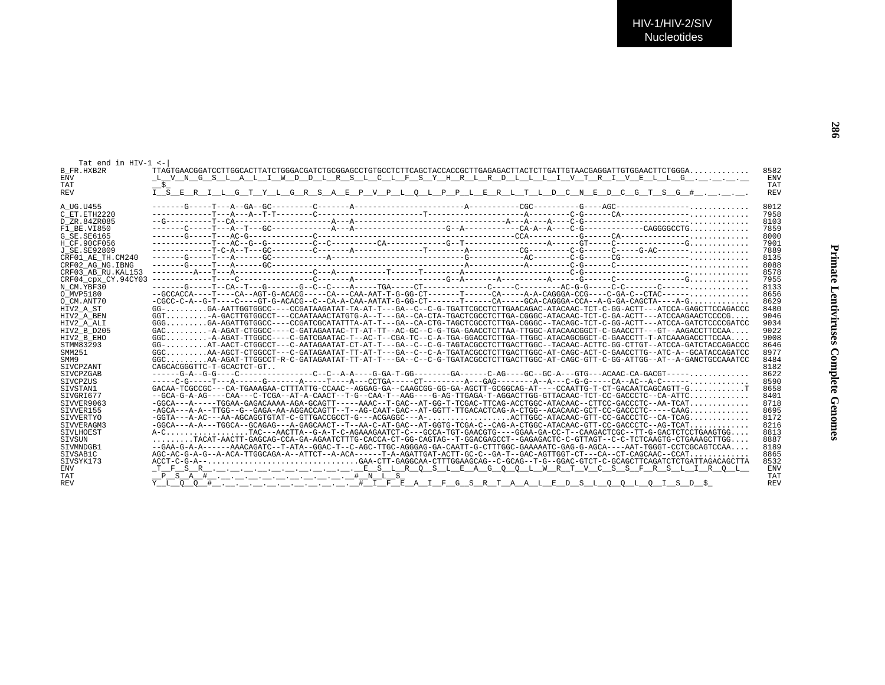**286**

| Tat end in HIV-1 <- |                                                                                                                                                                 |            |
|---------------------|-----------------------------------------------------------------------------------------------------------------------------------------------------------------|------------|
| B FR.HXB2R          |                                                                                                                                                                 | 8582       |
| <b>ENV</b>          | <u>L V N G S L A L I W D D L R S L C L F S Y H R L R D L L L I V T R I V E L L G </u>                                                                           | <b>ENV</b> |
| TAT                 |                                                                                                                                                                 | TAT        |
| REV                 | <u>I SERILGTYLGRSAEPVPLOLPPLERLTLDCNEDCGTSG#</u> .                                                                                                              | <b>REV</b> |
|                     |                                                                                                                                                                 |            |
| A UG.U455           |                                                                                                                                                                 | 8012       |
| C ET.ETH2220        |                                                                                                                                                                 | 7958       |
| D ZR.84ZR085        |                                                                                                                                                                 | 8103       |
| F1 BE.VI850         |                                                                                                                                                                 | 7859       |
| G SE.SE6165         |                                                                                                                                                                 | 8000       |
| H CF.90CF056        |                                                                                                                                                                 | 7901       |
| J SE.SE92809        |                                                                                                                                                                 | 7889       |
| CRF01 AE TH.CM240   |                                                                                                                                                                 | 8135       |
| CRF02 AG NG.IBNG    |                                                                                                                                                                 | 8088       |
|                     |                                                                                                                                                                 |            |
| CRF03 AB RU.KAL153  |                                                                                                                                                                 | 8578       |
|                     |                                                                                                                                                                 | 7955       |
| N CM.YBF30          |                                                                                                                                                                 | 8133       |
| O MVP5180           |                                                                                                                                                                 | 8656       |
| O CM.ANT70          | $-CGCC-C-A-G-T---C---GT-G-ACACGC-C-CA-A-CAA-AATAT-G-GG-CT---C-A---CT---CA----GCA-CAGGGA-CCA-G-GG-GA-CAGGTA---C-GA-CAGCTA---A-G, , , ,$                          | 8629       |
| HIV2 A ST           | GG-GA-AATTGGTGGCC----CCGATAAGATAT-TA-AT-T---GA--C--C-G-TGATTCGCCTCTTGAACAGAC-ATACAAC-TCT-C-GG-ACTT---ATCCA-GAGCTTCCAGACCC                                       | 8480       |
| HIV2 A BEN          | GGTA-GACTTGTGGCCT---CCAATAAACTATGTG-A--T---GA--CA-CTA-TGACTCGCCTCTTGA-CGGGC-ATACAAC-TCT-C-GA-ACTT---ATCCAAGAACTCCCCG                                            | 9046       |
| HIV2 A ALI          | GGGGA-AGATTGTGGCC----CCGATCGCATATTTA-AT-T---GA--CA-CTG-TAGCTCGCCTCTTGA-CGGGC--TACAGC-TCT-C-GG-ACTT---ATCCA-GATCTCCCCGATCC                                       | 9034       |
| HIV2 B D205         | $GAC$ -A-AGAT-CTGGCC----C-GATAGAATAC-TT-AT-TT--AC-GC--C-G-TGA-GAACCTCTTAA-TTGGC-ATACAACGGCT-C-GAACCTT---GT--AAGACCTTCCAA                                        | 9022       |
| HIV2_B_EHO          | GGCA-AGAT-TTGGCC----C-GATCGAATAC-T--AC-T--CGA-TC--C-A-TGA-GGACCTCTTGA-TTGGC-ATACAGCGGCT-C-GAACCTT-T-ATCAAAGACCTTCCAA                                            | 9008       |
| STMM83293           | $GG AT-AACT-CTGGCCT---C-AATAGAATAT-CT-AT-T---GA---C-C-C-G-TAGTACGCCTCTTGACTTGGC---TACAAC-ACTTC-GG-CTTGT---ATCCA-GATCTACCAGACCC$                                 | 8646       |
| SMM251              | GGCAA-AGCT-CTGGCCT---C-GATAGAATAT-TT-AT-T---GA--C--C-A-TGATACGCCTCTTGACTTGGC-AT-CAGC-ACT-C-GAACCTTG--ATC-A--GCATACCAGATCC                                       | 8977       |
| SMM9                | GGCAA-AGAT-TTGGCCT-R-C-GATAGAATAT-TT-AT-T---GA--C--C-G-TGATACGCCTCTTGACTTGGC-AT-CAGC-GTT-C-GG-ATTGG--AT--A-GANCTGCCAAATCC                                       | 8484       |
| SIVCPZANT           | CAGCACGGGTTC-T-GCACTCT-GT                                                                                                                                       | 8182       |
| SIVCPZGAB           |                                                                                                                                                                 | 8622       |
| SIVCPZUS            |                                                                                                                                                                 | 8590       |
| SIVSTAN1            | GACAA-TCGCCGC---CA-TGAAAGAA-CTTTATTG-CCAAC--AGGAG-GA--CAAGCGG-GG-GA-AGCTT-GCGGCAG-AT----CCAATTG-T-CT-GACAATCAGCAGTT-GT                                          | 8658       |
| SIVGRI677           | --GCA-G-A-AG----CAA---C-TCGA--AT-A-CAACT--T-G--CAA-T--AAG----G-AG-TTGAGA-T-AGGACTTGG-GTTACAAC-TCT-CC-GACCCTC--CA-ATTC                                           | 8401       |
| SIVVER9063          | -GGCA---A-----TGGAA-GAGACAAAA-AGA-GCAGTT-----AAAC--T-GAC--AT-GG-T-TCGAC-TTCAG-ACCTGGC-ATACAAC--CTTCC-GACCCTC--AA-TCAT                                           | 8718       |
| SIVVER155           | -AGCA---A-A--TTGG--G--GAGA-AA-AGGACCAGTT--T--AG-CAAT-GAC--AT-GGTT-TTGACACTCAG-A-CTGG--ACACAAC-GCT-CC-GACCCTC-----CAAG                                           | 8695       |
| SIVVERTYO           | -GGTA---A-AC---AA-AGCAGGTGTAT-C-GTTGACCGCCT-G---ACGAGGC---A-ACTTGGC-ATACAAC-GTT-CC-GACCCTC--CA-TCAG                                                             | 8172       |
| SIVVERAGM3          | -GGCA---A-A---TGGCA--GCAGAG---A-GAGCAACT--T--AA-C-AT-GAC--AT-GGTG-TCGA-C--CAG-A-CTGGC-ATACAAC-GTT-CC-GACCCTC--AG-TCAT                                           | 8216       |
| SIVLHOEST           | A-CTAC---AACTTA--G-A-T-C-AGAAAGAATCT-C---GCCA-TGT-GAACGTG----GGAA-GA-CC-T--CAAGACTCGC--TT-G-GACTCTCCTGAAGTGG                                                    | 8813       |
| SIVSUN              | $\ldots\ldots\ldots\ldots$ TACAT-AACTT-GAGCAG-CCA-GA-AGAATCTTTG-CACCA-CT-GG-CAGTAG--T-GGACGAGCCT--GAGAGACTC-C-GTTAGT--C-C-TCTCAAGTG-CTGAAAGCTTGG $\ldots\ldots$ | 8887       |
| STVMNDGB1           | --GAA-G-A-A------AAACAGATC--T-ATA--GGAC-T--C-AGC-TTGC-AGGGAG-GA-CAATT-G-CTTTGGC-GAAAAATC-GAG-G-AGCA----AAT-TGGGT-CCTCGCAGTCCAA                                  | 8189       |
| SIVSAB1C            | AGC-AC-G-A-G--A-ACA-TTGGCAGA-A--ATTCT--A-ACA------T-A-AGATTGAT-ACTT-GC-C--GA-T--GAC-AGTTGGT-CT---CA--CT-CAGCAAC--CCAT                                           | 8865       |
| SIVSYK173           |                                                                                                                                                                 | 8532       |
| ENV                 |                                                                                                                                                                 | ENV        |
| TAT                 |                                                                                                                                                                 | TAT        |
| REV                 |                                                                                                                                                                 | <b>REV</b> |
|                     |                                                                                                                                                                 |            |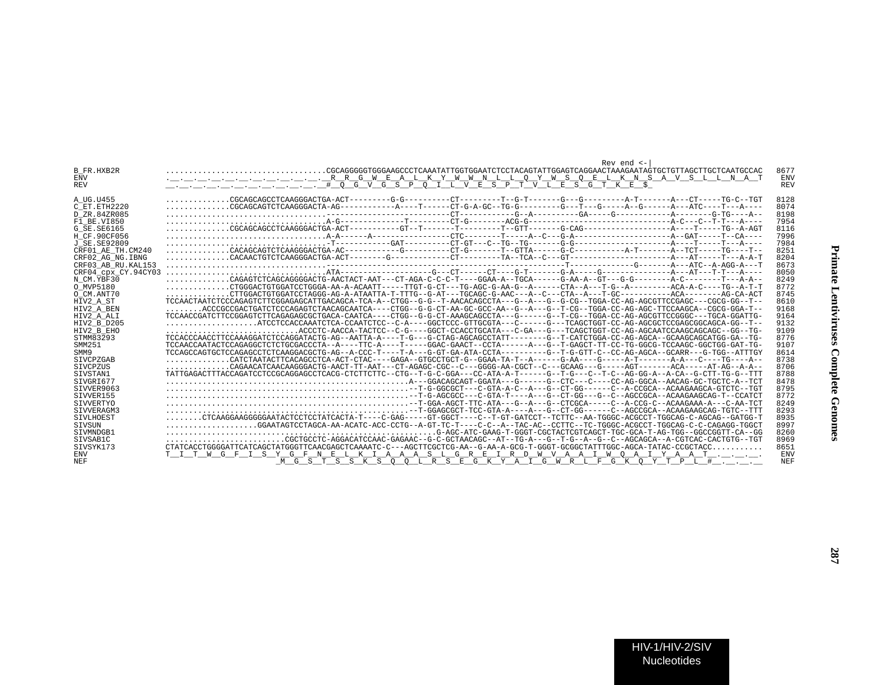|                                | Rev end $\le$ -                                                                                                                                                                                                                                                                                                                                                                             |            |
|--------------------------------|---------------------------------------------------------------------------------------------------------------------------------------------------------------------------------------------------------------------------------------------------------------------------------------------------------------------------------------------------------------------------------------------|------------|
| B FR.HXB2R                     |                                                                                                                                                                                                                                                                                                                                                                                             | 8677       |
| <b>ENV</b>                     |                                                                                                                                                                                                                                                                                                                                                                                             | <b>ENV</b> |
| REV                            |                                                                                                                                                                                                                                                                                                                                                                                             | <b>REV</b> |
|                                |                                                                                                                                                                                                                                                                                                                                                                                             |            |
| A UG.U455                      | CGCAGCAGCCTCAAGGGACTGA-ACT--------G-G--------CT---------T--G-T------G-T-------A-T------A-T-----CT-----TG-C                                                                                                                                                                                                                                                                                  | 8128       |
| C ET. ETH2220                  |                                                                                                                                                                                                                                                                                                                                                                                             | 8074       |
| D ZR.84ZR085                   |                                                                                                                                                                                                                                                                                                                                                                                             | 8198       |
| $\overline{{\tt F1}}$ BE.VI850 |                                                                                                                                                                                                                                                                                                                                                                                             | 7954       |
| G SE.SE6165                    |                                                                                                                                                                                                                                                                                                                                                                                             | 8116       |
| H CF.90CF056                   |                                                                                                                                                                                                                                                                                                                                                                                             | 7996       |
| J SE.SE92809                   |                                                                                                                                                                                                                                                                                                                                                                                             | 7984       |
| CRF01 AE TH.CM240              |                                                                                                                                                                                                                                                                                                                                                                                             | 8251       |
| CRF02 AG NG. IBNG              |                                                                                                                                                                                                                                                                                                                                                                                             | 8204       |
| CRF03 AB RU.KAL153             |                                                                                                                                                                                                                                                                                                                                                                                             | 8673       |
| CRF04 cpx CY.94CY03            |                                                                                                                                                                                                                                                                                                                                                                                             | 8050       |
| N CM.YBF30                     |                                                                                                                                                                                                                                                                                                                                                                                             | 8249       |
| O MVP5180                      | CTGGGACTGTGGATCCTGGGA-AA-A-ACAATT-----TTGT-G-CT---TG-AGC-G-AA-G--A------CTA--A----T-G--A--------ACA-A-C----TG--A-T-T                                                                                                                                                                                                                                                                        | 8772       |
| O CM.ANT70                     | $\ldots \ldots \ldots \ldots \ldots \text{CTTGGACTGTGGATCCTAGGG-AG-A-ATAATTA-T-TTTG--G-AT---TGCAGC-G-AAC---A--C--CTA--A--T-GC-------CCA-----ACA-----A-G----C-A-C----C\_T\_G--------C\_T\_G--------C\_T\_G--------C\_T\_G------C\_T\_G------C\_T\_G------C\_T\_G------C\_T\_G------C\_T\_G------C\_T\_G------C\_T\_G----C\_T\_G----C\_T\_G----C\_T\_G----C\_T\_G----C\_T\_G----C\_T\_G----C$ | 8745       |
| HIV2 A ST                      | --DREACTAATCTCCCAGAGTCTTCGGAGAGCATTGACAGCA-TCA-A--CTGG--G-G--T-AACACAGCCTA---G--A---G--G-CG--TGGA-CC-AG-AGCGTTCCGAGC---CGCG-GG--T-                                                                                                                                                                                                                                                          | 8610       |
| HIV2 A BEN                     | ACCCGCCGACTGATCTCCCAGAGTCTAACAGCAATCA----CTGG--G-G-CT-AA-GC-GCC-AA--G--A---G--T-CG--TGGA-CC-AG-AGC-TTCCAAGCA--CGCG-GGA-T--                                                                                                                                                                                                                                                                  | 9168       |
| HIV2_A_ALI                     | TCCAACCGATCTTCCGGAGTCTTCAGAGAGCGCTGACA-CAATCA----CTGG--G-CT-AAAGCAGCCTA---G-----G--T-CG--TGGA-CC-AG-AGCGTTCCGGGC---TGCA-GGATTG-                                                                                                                                                                                                                                                             | 9164       |
| HIV2 B D205                    | $\ldots \ldots \ldots \ldots \ldots$ . ATCCTCCACCAAATCTCA-CCAATCTCC--C-A----GGCTCCC-GTTGCGTA---C-----G---TCAGCTGGT-CC-AG-AGCGCTCCGAGCGGCAGCA-GG--T--                                                                                                                                                                                                                                        | 9132       |
| HIV2 B EHO                     | $\ldots \ldots \ldots \ldots \ldots \ldots \ldots$ ACCCTC-AACCA-TACTCC--C-G----GGCT-CCACCTGCATA---C-GA---G---TCAGCTGGT-CC-AG-AGCAATCCAAGCAGCAGC--GG--TG-                                                                                                                                                                                                                                    | 9109       |
| STMM83293                      | TCCACCCAACCTTCCAAAGGATCTCCAGGATACTG-AG--AATTA-A----T-G---G-CTAG-AGCAGCCTATT-------G-T-CATCTGGA-CC-AG-AGCA-GCAAGCAGCATGG-GA--TG-                                                                                                                                                                                                                                                             | 8776       |
| SMM251                         | TCCAACCAATACTCCAGAGGCTCTCTGCGACCCTA--A----TTC-A----T----GGAC-GAACT--CCTA------A---G--T-GAGCT-TT-CC-TG-GGCG-TCCAAGC-GGCTGG-GAT-TG-                                                                                                                                                                                                                                                           | 9107       |
| SMM9                           | TCCAGCCAGTGCTCCAGAGCCTCTCAAGGACGCTG-AG--A-CCC-T----T-A---G-GT-GA-ATA-CCTA---------G--T-G-GTT-C--CC-AG-AGCA--GCARR---G-TGG--ATGG--ATTTGY                                                                                                                                                                                                                                                     | 8614       |
| SIVCPZGAB                      |                                                                                                                                                                                                                                                                                                                                                                                             | 8738       |
| SIVCPZUS                       | CAGAACATCAACAAGGGACTG-AACT-TT-AAT---CT-AGAGC-CGC--C---GGGG-AA-CGCT--C---GCAAG---G----AGT-------ACA-----AT-AG--A-A--                                                                                                                                                                                                                                                                         | 8706       |
| SIVSTAN1                       | TATTGAGACTTTACCAGATCCTCCGCAGGAGCCTCACG-CTCTTCTTC--CTG--T-G-C-GGA---CC-ATA-A-T------G--T-G---C--T-C--AG-GG-A--A-CA--G-CTT-TG-G--TTT                                                                                                                                                                                                                                                          | 8788       |
| STVGRT677                      |                                                                                                                                                                                                                                                                                                                                                                                             | 8478       |
| SIVVER9063                     |                                                                                                                                                                                                                                                                                                                                                                                             | 8795       |
| SIVVER155                      |                                                                                                                                                                                                                                                                                                                                                                                             | 8772       |
| SIVVERTYO                      |                                                                                                                                                                                                                                                                                                                                                                                             | 8249       |
| SIVVERAGM3                     |                                                                                                                                                                                                                                                                                                                                                                                             | 8293       |
| SIVLHOEST                      | CTCAAGGAAGGGGAATACTCCTCCTATCACTA-T----C-GAG-----GT-GGCT----C-T-GT-GATCCT--TCT-GATCCT--TCTTC--AA-TGGGC-ACGCCT-TGGCAG-C-AGCAG--GATGG-T                                                                                                                                                                                                                                                        | 8935       |
| SIVSUN                         | $\ldots \ldots \ldots \ldots \ldots$ .GGAATAGTCCTAGCA-AA-ACATC-ACC-CCTG--A-GT-TC-T---C-C--A--TAC-AC--CCTTC--TC-TGGGC-ACGCCT-TGGCAG-C-C-CAGAGG-TGGCT                                                                                                                                                                                                                                         | 8997       |
| STVMNDGB1                      |                                                                                                                                                                                                                                                                                                                                                                                             | 8260       |
| STVSAB1C                       | CGCTGCCTC-AGGACATCCAAC-GAGAAC--G-C-GCTAACAGC--AT--TG-A---G--T-G--A--G--C--AGCAGCA--A-CGTCAC-CACTGTG--TGT-                                                                                                                                                                                                                                                                                   | 8969       |
| STVSYK173                      | CTATCACCTGGGGATTCATCACCTATGGGTTCAACGAGCTCAAAATC-C---AGCTTCGCTCG-AA--G-AA-A-GCG-T-GGGT-GCGGCTATTTGGC-AGCA-TATAC-CCGCTACC                                                                                                                                                                                                                                                                     | 8651       |
| ENV                            | T I T W G F I S Y G F N E L K I A A A S L G R E I R D W V A A I W O A I Y A A T                                                                                                                                                                                                                                                                                                             | ENV        |
| NEF.                           | M G S T S S K S O O L R S E G K Y A I G W R L F G K O Y T P L #                                                                                                                                                                                                                                                                                                                             | <b>NEF</b> |
|                                |                                                                                                                                                                                                                                                                                                                                                                                             |            |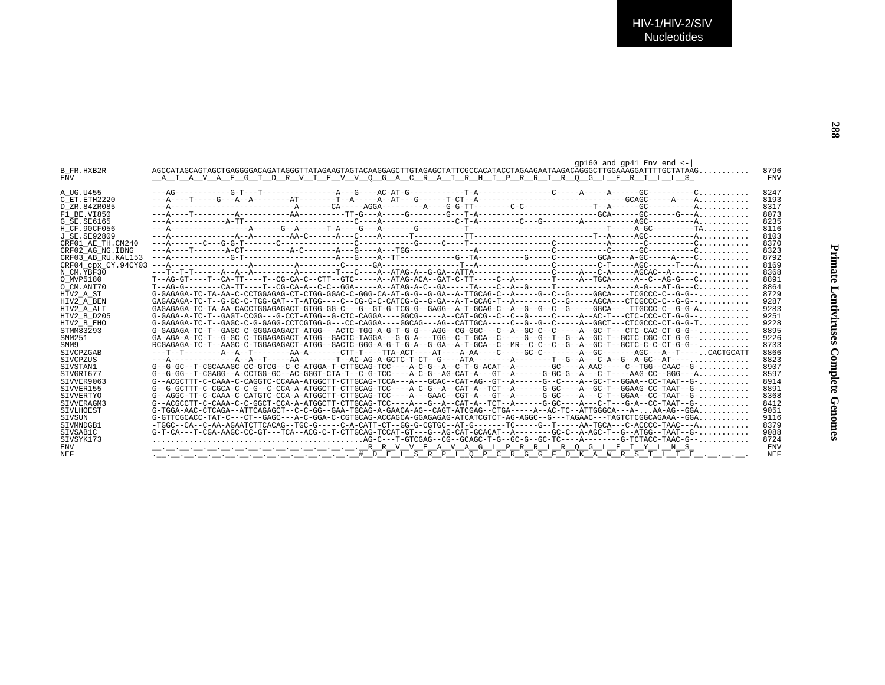| <b>B FR.HXB2R</b><br><b>ENV</b> | $qp160$ and $qp41$ Env end $<-$<br>$AGCCATAGCAGTGAGGGGACAGATAGGGTTTATAGAAGTAGTACAAGGAGGCTTGTAGAGCCTATTCGCCACATACCTAGAAGACTAAGACAGGGGCTTGGAAAGGATTTTGCTATAÀG.$<br><u>. A I A V A E G T D R V I E V V O G A C R A I R H I P R R I R O G L E R I L L \$</u> | 8796<br><b>ENV</b> |
|---------------------------------|----------------------------------------------------------------------------------------------------------------------------------------------------------------------------------------------------------------------------------------------------------|--------------------|
| A UG.U455                       |                                                                                                                                                                                                                                                          | 8247               |
| C ET.ETH2220                    |                                                                                                                                                                                                                                                          | 8193               |
| D ZR.84ZR085                    |                                                                                                                                                                                                                                                          | 8317               |
| F1 BE.VI850                     |                                                                                                                                                                                                                                                          | 8073               |
| G SE.SE6165                     |                                                                                                                                                                                                                                                          | 8235               |
| H CF.90CF056                    |                                                                                                                                                                                                                                                          | 8116               |
| J SE. SE92809                   |                                                                                                                                                                                                                                                          | 8103               |
| CRF01 AE TH.CM240               |                                                                                                                                                                                                                                                          | 8370               |
| CRF02 AG NG. IBNG               |                                                                                                                                                                                                                                                          | 8323               |
| CRF03 AB RU. KAL153             |                                                                                                                                                                                                                                                          | 8792               |
| CRF04 cpx CY.94CY03             |                                                                                                                                                                                                                                                          | 8169               |
| N CM.YBF30                      |                                                                                                                                                                                                                                                          | 8368               |
| O MVP5180                       | $T-AG-GT---T-CA-TT---T-CG-CA-C--CTT-GTC---A--ATAG-ACA-CAT-C-TT---C-A---T---A---T---A-TGCA---A--C--AG-G---C-.$                                                                                                                                            | 8891               |
| O CM.ANT70                      |                                                                                                                                                                                                                                                          | 8864               |
| HIV2 A ST                       | G-GAGAGA-TC-TA-AA-C-CCTGGAGAG-CT-CTGG-GGAC-C-GGG-CA-AT-G-G--G-GA--A-TTGCAG-C--A-----G--C--G-----GGCA----TCGCCC-C--G-G--                                                                                                                                  | 8729               |
| HIV2 A BEN                      |                                                                                                                                                                                                                                                          | 9287               |
| HIV2 A ALI                      | $GAGAGAGA-TC-TA-AA-CACCTGGAGAGACT-GTGG-GC----G-GT-G-TCG-G--GAGG-A-T-GCAG-C-A-C-G-G-C-C-C-G-C--G--C-C-GC-A---TTCCCC-C-G-G-A.$                                                                                                                             | 9283               |
| HIV2 B D205                     |                                                                                                                                                                                                                                                          | 9251               |
| HIV2 B EHO                      | G-GAGAGA-TC-T--GAGC-C-G-GAGG-CCTCGTGG-G---CC-CAGGA----GGCAG---AG--CATTGCA-----C--G--G--C-----A--GGCT---CTCGCCC-CT-G-G-T                                                                                                                                  | 9228               |
| STMM83293                       |                                                                                                                                                                                                                                                          | 8895               |
| SMM251                          |                                                                                                                                                                                                                                                          | 9226               |
| SMM9                            | RCGAGAGA-TC-T--AAGC-C-TGGAGAGACT-ATGG--GACTC-GGG-A-G-T-G-A--G-GA--A-T-GCA--C--MR--C-C--G--A--GC-T--GCTC-C-C-CT-G-G--                                                                                                                                     | 8733               |
| <b>STVCPZGAB</b>                |                                                                                                                                                                                                                                                          | 8866               |
| SIVCPZUS                        |                                                                                                                                                                                                                                                          | 8823               |
| SIVSTAN1                        | $G-G-GC--T-CGCAAAGC-CC-GTCG--C-C-ATGGA-T-CTTCAG-TCC---A-C-G--A--C-T-G-ACAT--A-----GC---A-AAC---C-AAC--C-AAC--C-AAC--C-AAC--C-0.$                                                                                                                         | 8907               |
| SIVGRI677                       |                                                                                                                                                                                                                                                          | 8597               |
| SIVVER9063                      | G--ACGCTTT-C-CAAA-C-CAGGTC-CCAAA-ATGGCTT-CTTGCAG-TCCA---A---GCAC--CAT-AG--GT--A------G--C----A--GC-T--GGAA--CC-TAAT--G-                                                                                                                                  | 8914               |
| SIVVER155                       |                                                                                                                                                                                                                                                          | 8891               |
| SIVVERTYO                       | G--AGGC-TT-C-CAAA-C-CATGTC-CCA-A-ATGGCTT-CTTGCAG-TCC----A---GAAC--CGT-A---GT--A-----G-GC----A---C-T--GGAA--CC-TAAT--G-                                                                                                                                   | 8368               |
| STVVERAGM3                      | $G--ACGCCTT-C-CAAA-C-C-GGCT-CCA-A-ATGGCTT-CTTGCAG-TCC---A---G--A--CAT-A--TCT--A---G-GC---A---C-T---G-A--CC-TACCT-AA---C--AA--C--AA---G-.$                                                                                                                | 8412               |
| SIVLHOEST                       | $G-TGGA-AAC-CTCAGA--ATTCAGAGCT--C-C-GG--GAA-TGCAG-A-GAACA-AG--CAGT-ATCGAG--CTGA---A--AC-TC--ATTGGGCA---A-AA-AG--GGA$                                                                                                                                     | 9051               |
| SIVSUN                          | $G-GTTCGCACC-TAT-C---CT--GAGC---A-C-GGA-C-CGTGCAG-ACCAGCA-GGAGAGAG-ATCATCGTCT-AG-AGGGC--G---TAGAAC---TAGTCTCGGCGAGAAA---GGA$                                                                                                                             | 9116               |
| STVMNDGB1                       | -TGGC--CA--C-AA-AGAATCTTCACAG--TGC-G----C-A-CATT-CT--GG-G-CGTGC--AT-G-------TC-----G--T----AA-TGCA---C-ACCCC-TAAC---A                                                                                                                                    | 8379               |
| STVSAB1C                        | $G-T-CA--T-CGA-AAGC-CC-GT---TCA--ACG-C-T-CTTGCAG-TCCAT-GT---G--AG-CAT-GCACAT-A--------GC-C-A-AGC-T--G--ATGG--TAAT--G-$                                                                                                                                   | 9088               |
| STVSYK173                       |                                                                                                                                                                                                                                                          | 8724               |
| <b>ENV</b>                      |                                                                                                                                                                                                                                                          | <b>ENV</b>         |
| NEF                             |                                                                                                                                                                                                                                                          | <b>NEF</b>         |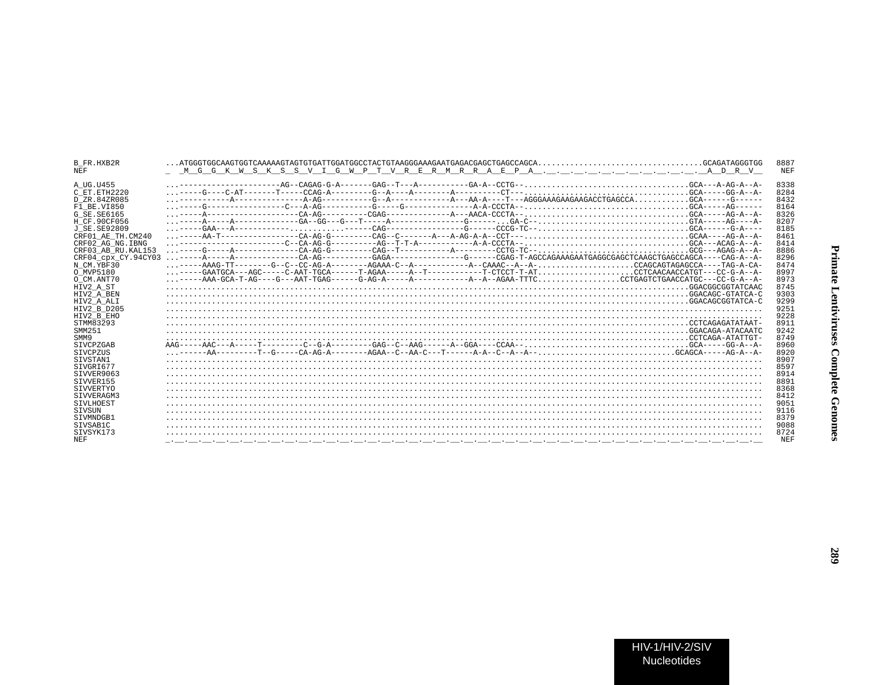| <b>B FR.HXB2R</b><br><b>NEF</b> |                                                                                                                                                                                                                                                                                                                                                                                                                        | 8887<br><b>NEF</b> |
|---------------------------------|------------------------------------------------------------------------------------------------------------------------------------------------------------------------------------------------------------------------------------------------------------------------------------------------------------------------------------------------------------------------------------------------------------------------|--------------------|
| A UG.U455                       | ------------------AG--CAGAG-G-A--------GAG--T-------GA-A--CCTG--GCA---A-AG-A--A-                                                                                                                                                                                                                                                                                                                                       | 8338               |
| C ET.ETH2220                    |                                                                                                                                                                                                                                                                                                                                                                                                                        | 8284               |
| D ZR.84ZR085                    |                                                                                                                                                                                                                                                                                                                                                                                                                        | 8432               |
| F1 BE.VI850                     |                                                                                                                                                                                                                                                                                                                                                                                                                        | 8164               |
| G SE.SE6165                     |                                                                                                                                                                                                                                                                                                                                                                                                                        | 8326               |
| H CF.90CF056                    |                                                                                                                                                                                                                                                                                                                                                                                                                        | 8207               |
| J SE. SE92809                   |                                                                                                                                                                                                                                                                                                                                                                                                                        | 8185               |
| CRF01 AE TH.CM240               |                                                                                                                                                                                                                                                                                                                                                                                                                        | 8461               |
| CRF02 AG NG. IBNG               | $\ldots \hbox{---} \hbox{---} \hbox{---} \hbox{---} \hbox{---} \hbox{---} \hbox{---} \hbox{---} \hbox{---} \hbox{---} \hbox{---} \hbox{---} \hbox{---} \hbox{---} \hbox{---} \hbox{---} \hbox{---} \hbox{---} \hbox{---} \hbox{---} \hbox{---} \hbox{---} \hbox{---} \hbox{---} \hbox{---} \hbox{---} \hbox{---} \hbox{---} \hbox{---} \hbox{---} \hbox{---} \hbox{---} \hbox{---} \hbox{---} \hbox{---} \hbox{---} \$ | 8414               |
| CRF03 AB RU. KAL153             |                                                                                                                                                                                                                                                                                                                                                                                                                        | 8886               |
| CRF04 cpx CY.94CY03             |                                                                                                                                                                                                                                                                                                                                                                                                                        | 8296               |
| N CM.YBF30                      |                                                                                                                                                                                                                                                                                                                                                                                                                        | 8474               |
| O MVP5180                       | $\ldots \mbox{---GAATGCA---AGC-----C-AAT-TGCA-----T-AGAA----A--T-------T-CCCT-T-AT\\ \ldots \mbox{---}\ldots \mbox{---CTCCT-CAACAACCATGT---CC-G-A--A--A--C-CA-CA-CA}$                                                                                                                                                                                                                                                  | 8997               |
| O CM.ANT70                      |                                                                                                                                                                                                                                                                                                                                                                                                                        | 8973               |
| HIV2 A ST                       |                                                                                                                                                                                                                                                                                                                                                                                                                        | 8745               |
| HIV2 A BEN                      |                                                                                                                                                                                                                                                                                                                                                                                                                        | 9303               |
| HIV2 A ALI                      |                                                                                                                                                                                                                                                                                                                                                                                                                        | 9299               |
| HIV2 B D205                     |                                                                                                                                                                                                                                                                                                                                                                                                                        | 9251               |
|                                 |                                                                                                                                                                                                                                                                                                                                                                                                                        | 9228               |
| HIV2 B EHO<br>STMM83293         |                                                                                                                                                                                                                                                                                                                                                                                                                        | 8911               |
|                                 |                                                                                                                                                                                                                                                                                                                                                                                                                        |                    |
| SMM251                          |                                                                                                                                                                                                                                                                                                                                                                                                                        | 9242               |
| SMM9                            |                                                                                                                                                                                                                                                                                                                                                                                                                        | 8749               |
| <b>STVCPZGAB</b>                |                                                                                                                                                                                                                                                                                                                                                                                                                        | 8960               |
| SIVCPZUS                        |                                                                                                                                                                                                                                                                                                                                                                                                                        | 8920               |
| SIVSTAN1                        |                                                                                                                                                                                                                                                                                                                                                                                                                        | 8907               |
| STVGRT677                       |                                                                                                                                                                                                                                                                                                                                                                                                                        | 8597               |
| SIVVER9063                      |                                                                                                                                                                                                                                                                                                                                                                                                                        | 8914               |
| STVVER155                       |                                                                                                                                                                                                                                                                                                                                                                                                                        | 8891               |
| SIVVERTYO                       |                                                                                                                                                                                                                                                                                                                                                                                                                        | 8368               |
| SIVVERAGM3                      |                                                                                                                                                                                                                                                                                                                                                                                                                        | 8412               |
| SIVLHOEST                       |                                                                                                                                                                                                                                                                                                                                                                                                                        | 9051               |
| STVSUN                          |                                                                                                                                                                                                                                                                                                                                                                                                                        | 9116               |
| STVMNDGB1                       |                                                                                                                                                                                                                                                                                                                                                                                                                        | 8379               |
| SIVSAB1C                        |                                                                                                                                                                                                                                                                                                                                                                                                                        | 9088               |
| STVSYK173                       |                                                                                                                                                                                                                                                                                                                                                                                                                        | 8724               |
| <b>NEF</b>                      | والمتحافظ فالمستحيظ والمستحيظ فالمستحيظ فالمستحيظ فالمستحيظ والمستحيظ والمستحيظ والمستحيظ والمستحيظ والمستحيظ والمستحيظ                                                                                                                                                                                                                                                                                                | NEF                |
|                                 |                                                                                                                                                                                                                                                                                                                                                                                                                        |                    |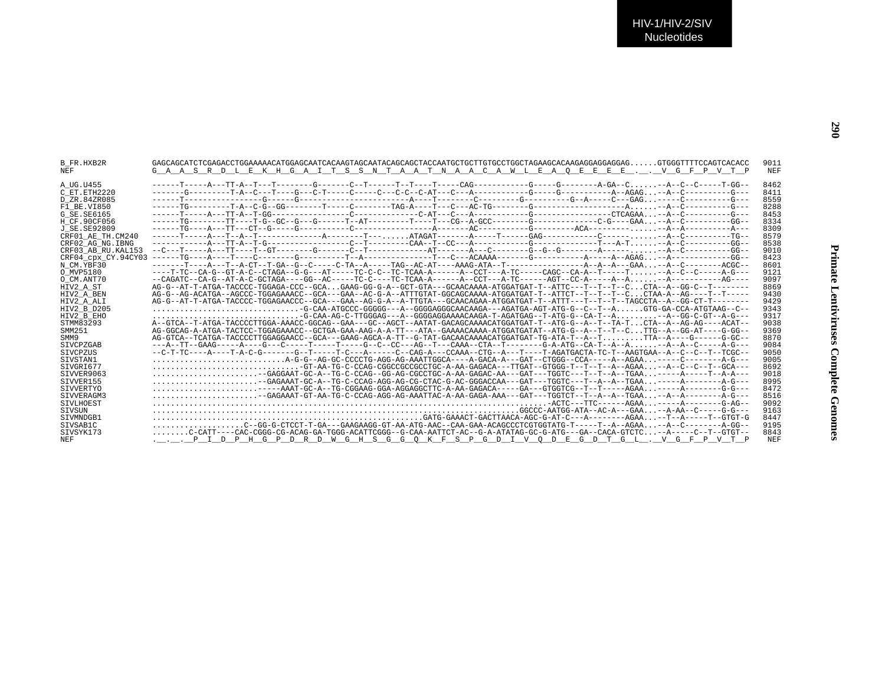| <b>B FR.HXB2R</b><br><b>NEF</b>                                | GAGCAGCATCTCGAGACCTGGAAAAACATGGAGCAATCACAAGTAGCAATACAGCAGCTACCAATGCTGCTTGTGCCTGGCTAGAAGCACAAGGAGGAGGAGGAGGTGGGTTTTCCAGTCACACC<br>G A A S R D L E K H G A I T S S N T A A T N A A C A W L E A O E E E E V G F P V T P | 9011<br>NEF                  |
|----------------------------------------------------------------|----------------------------------------------------------------------------------------------------------------------------------------------------------------------------------------------------------------------|------------------------------|
| A UG.U455<br>$C$ $ET$ $ETH2220$<br>D ZR.84ZR085<br>F1 BE.VI850 |                                                                                                                                                                                                                      | 8462<br>8411<br>8559<br>8288 |
| G SE. SE6165                                                   |                                                                                                                                                                                                                      | 8453                         |
| H CF.90CF056                                                   |                                                                                                                                                                                                                      | 8334                         |
| J SE SE92809<br>CRF01 AE TH.CM240                              |                                                                                                                                                                                                                      | 8309<br>8579                 |
| CRF02 AG NG. IBNG                                              |                                                                                                                                                                                                                      | 8538                         |
| CRF03 AB RU. KAL153                                            |                                                                                                                                                                                                                      | 9010                         |
| CRF04 cpx CY.94CY03                                            |                                                                                                                                                                                                                      | 8423                         |
| N CM.YBF30                                                     |                                                                                                                                                                                                                      | 8601                         |
| O MVP5180                                                      |                                                                                                                                                                                                                      | 9121                         |
| O CM.ANT70                                                     |                                                                                                                                                                                                                      | 9097                         |
| HIV2 A ST                                                      | AG-G--AT-T-ATGA-TACCCC-TGGAGA-CCC--GCAGAAG-GG-G-A--GCT-GTA---GCAACAAAA-ATGGATGAT-T--ATTC---T--T--T--CCTA--A--GG-C--T-------                                                                                          | 8869                         |
| HIV2 A BEN                                                     |                                                                                                                                                                                                                      | 9430                         |
| HIV2 A ALI                                                     | $\ldots \ldots \ldots \ldots \ldots \ldots \ldots \ldots \ldots -$ G-CAA-ATGCCC-GGGGG---A--GGGGAGGGCAACAAGA---AGATGA-AGT-ATG-G--C--T--AGTG-GA-CCA-ATGTAAG--C--                                                       | 9429<br>9343                 |
| HIV2 B D205<br>HIV2 B EHO                                      | $\ldots \ldots \ldots \ldots \ldots \ldots \ldots \ldots \ldots -$ G-CAA-AG-C-TTGGGAG---A--GGGGAGGAAAACAAGA-T-AGATGAG--T-ATG-G--CA-T--A--A--GG-C-GT--A-G---                                                          | 9317                         |
| STMM83293                                                      | --GE---DA---RE-ACCOCTTGGA-AAACC-GGCAG--GAA---GC--AGCT--AATAT-GACAGCAAAACATGGATGAT-T--ATG-G--A--T--TA-TCTA--A--AG-AG---ACAT                                                                                           | 9038                         |
| SMM251                                                         |                                                                                                                                                                                                                      | 9369                         |
| SMM9                                                           |                                                                                                                                                                                                                      | 8870                         |
| <b>STVCPZGAB</b>                                               | ---A--TT--GAAG-----A----G---C-----T-----G--C--C---AG--T---CAAA--CTA--T-------G-A-ATG--CA-T--A--A--A--A--C-----A-G---                                                                                                 | 9084                         |
| SIVCPZUS                                                       |                                                                                                                                                                                                                      | 9050                         |
| SIVSTAN1                                                       | A-G-G--AG-GC-CCCCTG-AGG-AAATTGGCA----A-GACA-A---GAT--CTGGG--CCA-----A-AGAA------C-------A-G-G-                                                                                                                       | 9005                         |
| STVGRT677                                                      | $\ldots \ldots \ldots \ldots \ldots \ldots \ldots \ldots \ldots$ -GT-AA-TG-C-CCAG-CGGCCGCCCCCC-A-AA-GAGACA---TTGAT--GTGGG-T--T--A--AGAA--A--C--C--T--GCA---                                                          | 8692                         |
| SIVVER9063                                                     | $\ldots\ldots\ldots\ldots\ldots\ldots\ldots$ --GAGGAAT-GC-A--TG-C-CCAG--GG-AG-CGCCTGC-A-AA-GAGAC-AA---GAT---TGGTC---T--T--A--TGAA-----A----T--A-A---                                                                 | 9018                         |
| SIVVER155                                                      |                                                                                                                                                                                                                      | 8995                         |
| <b>SIVVERTYO</b>                                               | $\ldots \ldots \ldots \ldots \ldots \ldots \ldots$                                                                                                                                                                   | 8472                         |
| SIVVERAGM3                                                     | $\ldots \ldots \ldots \ldots \ldots \ldots$ --GAGAAAT-GT-AA-TG-C-CCAG-AGG-AA-TAA-TAC-A-AA-GAGA-AAA---GAT---TGGTCT--T--A--A--TGAA--A--A---------A-G---                                                                | 8516                         |
| SIVLHOEST<br>SIVSUN                                            |                                                                                                                                                                                                                      | 9092<br>9163                 |
| STVMNDGB1                                                      |                                                                                                                                                                                                                      | 8447                         |
| SIVSAB1C                                                       |                                                                                                                                                                                                                      | 9195                         |
| SIVSYK173                                                      | C-CATT---CAC-CGGG-CG-ACAG-GA-TGGG-ACATTCGGG--G-CAA-AATTCT-AC--G-A-ATATAG-GC-G-ATG---GA--CACA-GTCTC--A-----C--T--GTGT--                                                                                               | 8843                         |
| <b>NEF</b>                                                     | . P I D P H G P D R D W G H S G G O K F S P G D I V O D E G D T G L . V G F P V T P                                                                                                                                  | NEF                          |
|                                                                |                                                                                                                                                                                                                      |                              |

**290**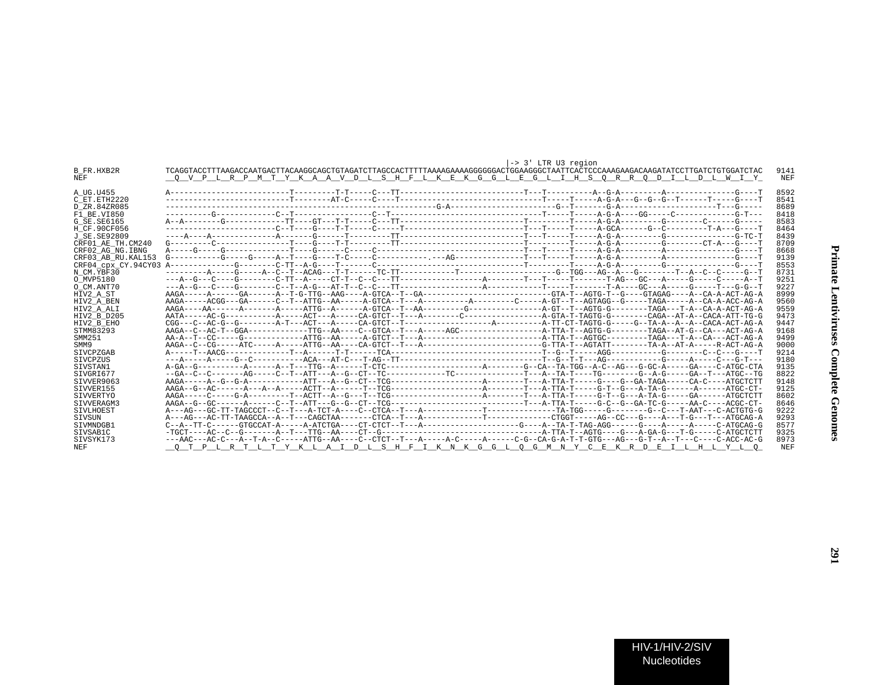|                     | -> 3' LTR U3 region                                                                                                                    |                 |
|---------------------|----------------------------------------------------------------------------------------------------------------------------------------|-----------------|
| B FR.HXB2R          | TCAGGTACCTTTAAGACCAATGACTTACAAGGCAGCTGTAGATCTTAGCCACTTTTAAAAGAAAAGGGGGGAACTGGAAGGGCTAATTCACTCCCAAAGAAGACAAGATATCCTTGATCTGGGATGTGGATCTC | 9141            |
| <b>NEF</b>          | O V P L R P M T Y K A A V D L S H F L K E K G G L E G L I H S O R R O D I L D L W I Y                                                  | NEF             |
|                     |                                                                                                                                        |                 |
| A UG.U455           |                                                                                                                                        | 8592            |
| C ET.ETH2220        |                                                                                                                                        | 8541            |
| D ZR.84ZR085        |                                                                                                                                        | 8689            |
| F1 BE.VI850         |                                                                                                                                        | 8418            |
| G SE.SE6165         |                                                                                                                                        | 8583            |
| H CF.90CF056        |                                                                                                                                        | 8464            |
| J SE.SE92809        |                                                                                                                                        | 8439            |
| CRF01 AE TH.CM240   |                                                                                                                                        | 8709            |
| CRF02 AG NG. IBNG   |                                                                                                                                        | 8668            |
| CRF03 AB RU. KAL153 |                                                                                                                                        | 9139            |
| CRF04 cpx CY.94CY03 |                                                                                                                                        | 8553            |
| N CM.YBF30          |                                                                                                                                        | 8731            |
| O MVP5180           |                                                                                                                                        | 9251            |
| O CM.ANT70          |                                                                                                                                        | 9227            |
|                     |                                                                                                                                        | 8999            |
| HIV2 A ST           |                                                                                                                                        | 9560            |
| HIV2 A BEN          | AAGA----AA------A------A-----ATTG--A------A-GTCA--T--AA--------G--------G--------A-GT--T--AGTG-G------TAGA---T-A--CA-A-ACT-AG-A        | 9559            |
| HIV2 A ALI          |                                                                                                                                        |                 |
| HIV2 B D205         |                                                                                                                                        | 9473            |
| HIV2 B EHO          |                                                                                                                                        | 9447            |
| STMM83293           |                                                                                                                                        | 9168            |
| SMM251              |                                                                                                                                        | 9499            |
| SMM9                |                                                                                                                                        | 9000            |
| <b>STVCPZGAB</b>    |                                                                                                                                        | 9214            |
| <b>STVCPZUS</b>     |                                                                                                                                        | 9180            |
| SIVSTAN1            |                                                                                                                                        | 9135            |
| STVGRT677           |                                                                                                                                        | 8822            |
| STVVER9063          |                                                                                                                                        | 9148            |
| STVVER155           |                                                                                                                                        | 9125            |
| SIVVERTYO           |                                                                                                                                        | 8602            |
| STVVERAGM3          |                                                                                                                                        | 8646            |
| <b>STVLHOEST</b>    |                                                                                                                                        | 9222            |
| SIVSUN              |                                                                                                                                        | 9293            |
| STVMNDGB1           |                                                                                                                                        | 8577            |
| STVSAB1C            |                                                                                                                                        | 9325            |
| SIVSYK173           | ---AAC---AC-C---A--T-A--C-----ATTG--AA----C--CTCT--T---A-c----A-C-----A-c---C-G--CA-G-A-T-T-GTG---AG---G-T--A--T---C-A-C-ACC-AC-G      | 8973            |
| NEF                 | P L R T L T Y K L A I D L S H F I K N K G G L O G M N Y C E K R D E I L H L Y L O                                                      | NE <sub>F</sub> |
|                     |                                                                                                                                        |                 |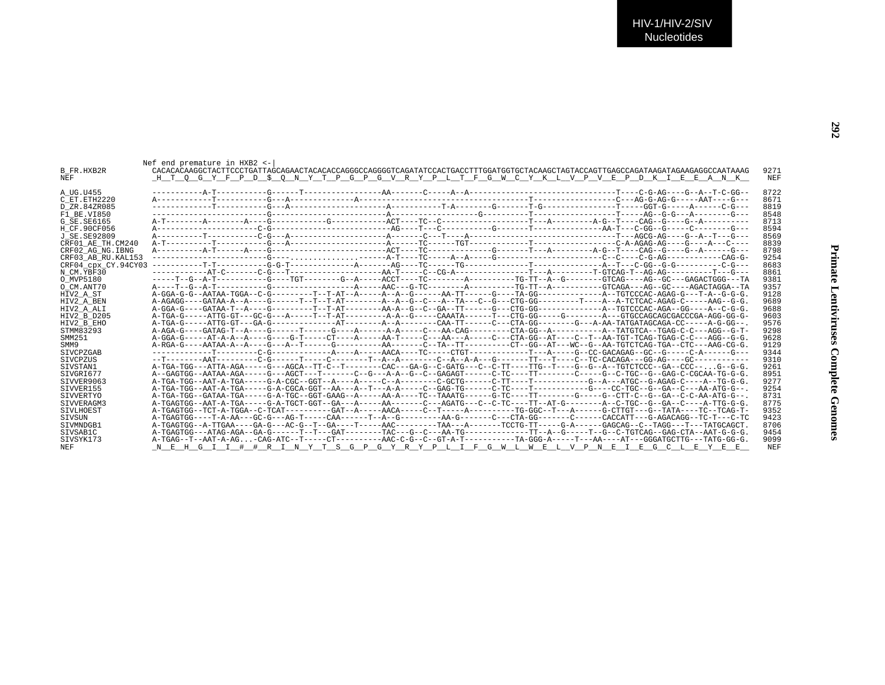| $r - c - GG - -$                           | 8722 |  |
|--------------------------------------------|------|--|
|                                            |      |  |
|                                            |      |  |
|                                            |      |  |
|                                            |      |  |
|                                            |      |  |
|                                            |      |  |
|                                            |      |  |
| ----C<br>----G----<br>----G---<br>--CAG-G- | 8839 |  |
|                                            | 8798 |  |
|                                            | 9254 |  |
| $- -C - G - - -$                           | 8683 |  |
| $r$ – – – $G$ – – –                        | 8861 |  |
| 3GG---TA                                   | 9381 |  |
| AGGA--TA                                   | 9357 |  |
| --G-G-G.                                   | 9128 |  |
| AG--G-G.                                   | 9689 |  |
| $- - C - G - G$ .                          | 9688 |  |
| $G-GG-G-$                                  | 9603 |  |
| $-G-GG--$ .                                | 9576 |  |
| $3G - -G - T -$                            | 9298 |  |
| $3G - -G - G$ .                            | 9628 |  |
| AG-CG-G.                                   | 9129 |  |
|                                            | 9344 |  |
| ----G---<br>--------                       |      |  |
|                                            | 9310 |  |
| .G--G-G.                                   | 9261 |  |
| - TG-G-G.<br>- TG-G-G.                     | 8951 |  |
|                                            | 9277 |  |
| $ATG-G--$ .                                | 9254 |  |
| $ATG-G--$ .                                | 8731 |  |
| $TTG-G-G$ .                                | 8775 |  |
| -TCAG-T-                                   | 9352 |  |
| $r---c-rc$                                 | 9423 |  |
| TGCAGCT.                                   | 8706 |  |
| $r$ -G-G-G.                                | 9454 |  |
| ΓG-GG-G.                                   | 9099 |  |
|                                            |      |  |

| 8722<br>A UG.U455<br>8671<br>C ET.ETH2220<br>D ZR.84ZR085<br>8819<br>8548<br>F1 BE.VI850<br>8713<br>G SE.SE6165<br>8594<br>H CF.90CF056<br>8569<br>J SE.SE92809<br>8839<br>CRF01 AE TH.CM240<br>8798<br>CRF02 AG NG. IBNG<br>CRF03 AB RU. KAL153<br>9254<br>8683<br>CRF04 cpx CY.94CY03<br>8861<br>N CM.YBF30<br>9381<br>O MVP5180<br>9357<br>O CM.ANT70<br>9128<br>HIV2 A ST<br>9689<br>HIV2 A BEN<br>9688<br>HIV2 A ALI<br>9603<br>HIV2 B D205<br>9576<br>HIV2 B EHO<br>STMM83293<br>9298<br>9628<br>SMM251<br>A-RGA-G----AATAA-A--A----G---A-T------G-------AA-------C--TA--TT-------CT---AG-CG-AT---WC--G--AA-TGTCTCAG-TGAO-CCH-AAG-CG-G<br>9129<br>SMM9<br><b>STVCPZGAB</b><br>9344<br>9310<br>SIVCPZUS<br>.A-TGA-TGG---ATTA-AGA-----G---AGCA--TT-C--T------CAC---GACA--TD-C-GATG---C-GTT----TTG--TT---G--G-A--TGTCTCCC--GA<br>9261<br>SIVSTAN1<br>A--GAGTGG--AATAA-AGA-----G---AGCT---T------C--G---A-A--G--C--GAGAGT------C-TC----TT-------C---G--C-TGC--G-GAG-C-CGCAA-TG-G-G<br>8951<br>SIVGRI677<br>STVVER9063<br>9277<br>STVVER155<br>9254<br>A-TGA-TGG--GATAA-TGA-----G-A-TGC--GGT-GAAG--A-----AA-A-----TC--TAAATG------G-TC----TT-------G---C---G--CTT-C--G--GA--C-C-AA-ATG-G--<br>SIVVERTYO<br>8731<br>.A-TGAGTGG--AAT-A-TGA-----G-A-TGCT-GGT--GA---A-----AA------C---AGATG---C--C-TC---TT--AT-G-----A-C-TGC--GA--C-BA----ATTG---A-TTG-G-G<br>8775<br>STVVERAGM3<br>-7-70AGTGG--TCT-A-TGGA--C-TCAT---------GAT--A-----ACA-----C--T----A-------TG-GGC--T---A------GCTTGT---G-TATA---TC-TCAG<br>9352<br>SIVLHOEST<br>A-TGAGTGG----T-A-AA---GC-G---AG-T-----CAA------T--A--G--------AA-G-------CTA-GG------C-----CACCATT---G-AGACAGG--TC-T---C-TC<br>9423<br>SIVSUN<br>A-TGAGCAG--C--TAGCA----GA-G---AC-G--T--GA----T---AAC-------AAC-------TAA---A-----TCCTG-TT----G-A-----GAGCAG--C--TAGGAG---T--TAGCAGCT.<br>8706<br>STVMNDGB1<br>A-TGAGTGG---ATAG-AGA--GA-G-----------GAT-------TAC---G-C---AA-TG---------TT-----TT--A-G------T--G-GAG-CTA--GAG-CTA--AAT-G-G-G-G-G-G-G-<br>SIVSAB1C<br>9454<br>SIVSYK173<br>A-TGAG--T--AAT-A-AG-CAG-ATC--T-----CT-------AAC-C-G--G--CT-------AAC-C-GT-A-T-------TA-GGG-A-----T---AA----AT---ATC-GGGATGCTTG---TATG-GG-G<br>9099<br>N E H G I I # # R I N Y T S G P G Y R Y P L I F G W L W E L V P N E I E G C L E Y E E<br><b>NEF</b><br>NEF | <b>B FR.HXB2R</b><br>NEF | Nef end premature in HXB2 <-<br>CACACACACACACACACTTCCCTGATTAGCAGAACTACACACCAGGGCCAGGGGTCAGATATCCACTGACCTTTGGATGCTGCTACAAGCTAGTACCAGTTGAGCCAGATAAGATAAGAGGCCAATAAAG<br>H T O G Y F P D \$ O N Y T P G P G V R Y P L T F G W C Y K L V P V E P D K I E E A N K | 9271<br>NEF |
|--------------------------------------------------------------------------------------------------------------------------------------------------------------------------------------------------------------------------------------------------------------------------------------------------------------------------------------------------------------------------------------------------------------------------------------------------------------------------------------------------------------------------------------------------------------------------------------------------------------------------------------------------------------------------------------------------------------------------------------------------------------------------------------------------------------------------------------------------------------------------------------------------------------------------------------------------------------------------------------------------------------------------------------------------------------------------------------------------------------------------------------------------------------------------------------------------------------------------------------------------------------------------------------------------------------------------------------------------------------------------------------------------------------------------------------------------------------------------------------------------------------------------------------------------------------------------------------------------------------------------------------------------------------------------------------------------------------------------------------------------------------------------------------------------------------------------------------------------------------------------------------------------------------------------------------------------------------------------------------------------------------------------------------------------------------------------------------------------------------------------------------------------------------------------------------------------------------------------------------------------------------------------------------------|--------------------------|--------------------------------------------------------------------------------------------------------------------------------------------------------------------------------------------------------------------------------------------------------------|-------------|
|                                                                                                                                                                                                                                                                                                                                                                                                                                                                                                                                                                                                                                                                                                                                                                                                                                                                                                                                                                                                                                                                                                                                                                                                                                                                                                                                                                                                                                                                                                                                                                                                                                                                                                                                                                                                                                                                                                                                                                                                                                                                                                                                                                                                                                                                                            |                          |                                                                                                                                                                                                                                                              |             |
|                                                                                                                                                                                                                                                                                                                                                                                                                                                                                                                                                                                                                                                                                                                                                                                                                                                                                                                                                                                                                                                                                                                                                                                                                                                                                                                                                                                                                                                                                                                                                                                                                                                                                                                                                                                                                                                                                                                                                                                                                                                                                                                                                                                                                                                                                            |                          |                                                                                                                                                                                                                                                              |             |
|                                                                                                                                                                                                                                                                                                                                                                                                                                                                                                                                                                                                                                                                                                                                                                                                                                                                                                                                                                                                                                                                                                                                                                                                                                                                                                                                                                                                                                                                                                                                                                                                                                                                                                                                                                                                                                                                                                                                                                                                                                                                                                                                                                                                                                                                                            |                          |                                                                                                                                                                                                                                                              |             |
|                                                                                                                                                                                                                                                                                                                                                                                                                                                                                                                                                                                                                                                                                                                                                                                                                                                                                                                                                                                                                                                                                                                                                                                                                                                                                                                                                                                                                                                                                                                                                                                                                                                                                                                                                                                                                                                                                                                                                                                                                                                                                                                                                                                                                                                                                            |                          |                                                                                                                                                                                                                                                              |             |
|                                                                                                                                                                                                                                                                                                                                                                                                                                                                                                                                                                                                                                                                                                                                                                                                                                                                                                                                                                                                                                                                                                                                                                                                                                                                                                                                                                                                                                                                                                                                                                                                                                                                                                                                                                                                                                                                                                                                                                                                                                                                                                                                                                                                                                                                                            |                          |                                                                                                                                                                                                                                                              |             |
|                                                                                                                                                                                                                                                                                                                                                                                                                                                                                                                                                                                                                                                                                                                                                                                                                                                                                                                                                                                                                                                                                                                                                                                                                                                                                                                                                                                                                                                                                                                                                                                                                                                                                                                                                                                                                                                                                                                                                                                                                                                                                                                                                                                                                                                                                            |                          |                                                                                                                                                                                                                                                              |             |
|                                                                                                                                                                                                                                                                                                                                                                                                                                                                                                                                                                                                                                                                                                                                                                                                                                                                                                                                                                                                                                                                                                                                                                                                                                                                                                                                                                                                                                                                                                                                                                                                                                                                                                                                                                                                                                                                                                                                                                                                                                                                                                                                                                                                                                                                                            |                          |                                                                                                                                                                                                                                                              |             |
|                                                                                                                                                                                                                                                                                                                                                                                                                                                                                                                                                                                                                                                                                                                                                                                                                                                                                                                                                                                                                                                                                                                                                                                                                                                                                                                                                                                                                                                                                                                                                                                                                                                                                                                                                                                                                                                                                                                                                                                                                                                                                                                                                                                                                                                                                            |                          |                                                                                                                                                                                                                                                              |             |
|                                                                                                                                                                                                                                                                                                                                                                                                                                                                                                                                                                                                                                                                                                                                                                                                                                                                                                                                                                                                                                                                                                                                                                                                                                                                                                                                                                                                                                                                                                                                                                                                                                                                                                                                                                                                                                                                                                                                                                                                                                                                                                                                                                                                                                                                                            |                          |                                                                                                                                                                                                                                                              |             |
|                                                                                                                                                                                                                                                                                                                                                                                                                                                                                                                                                                                                                                                                                                                                                                                                                                                                                                                                                                                                                                                                                                                                                                                                                                                                                                                                                                                                                                                                                                                                                                                                                                                                                                                                                                                                                                                                                                                                                                                                                                                                                                                                                                                                                                                                                            |                          |                                                                                                                                                                                                                                                              |             |
|                                                                                                                                                                                                                                                                                                                                                                                                                                                                                                                                                                                                                                                                                                                                                                                                                                                                                                                                                                                                                                                                                                                                                                                                                                                                                                                                                                                                                                                                                                                                                                                                                                                                                                                                                                                                                                                                                                                                                                                                                                                                                                                                                                                                                                                                                            |                          |                                                                                                                                                                                                                                                              |             |
|                                                                                                                                                                                                                                                                                                                                                                                                                                                                                                                                                                                                                                                                                                                                                                                                                                                                                                                                                                                                                                                                                                                                                                                                                                                                                                                                                                                                                                                                                                                                                                                                                                                                                                                                                                                                                                                                                                                                                                                                                                                                                                                                                                                                                                                                                            |                          |                                                                                                                                                                                                                                                              |             |
|                                                                                                                                                                                                                                                                                                                                                                                                                                                                                                                                                                                                                                                                                                                                                                                                                                                                                                                                                                                                                                                                                                                                                                                                                                                                                                                                                                                                                                                                                                                                                                                                                                                                                                                                                                                                                                                                                                                                                                                                                                                                                                                                                                                                                                                                                            |                          |                                                                                                                                                                                                                                                              |             |
|                                                                                                                                                                                                                                                                                                                                                                                                                                                                                                                                                                                                                                                                                                                                                                                                                                                                                                                                                                                                                                                                                                                                                                                                                                                                                                                                                                                                                                                                                                                                                                                                                                                                                                                                                                                                                                                                                                                                                                                                                                                                                                                                                                                                                                                                                            |                          |                                                                                                                                                                                                                                                              |             |
|                                                                                                                                                                                                                                                                                                                                                                                                                                                                                                                                                                                                                                                                                                                                                                                                                                                                                                                                                                                                                                                                                                                                                                                                                                                                                                                                                                                                                                                                                                                                                                                                                                                                                                                                                                                                                                                                                                                                                                                                                                                                                                                                                                                                                                                                                            |                          |                                                                                                                                                                                                                                                              |             |
|                                                                                                                                                                                                                                                                                                                                                                                                                                                                                                                                                                                                                                                                                                                                                                                                                                                                                                                                                                                                                                                                                                                                                                                                                                                                                                                                                                                                                                                                                                                                                                                                                                                                                                                                                                                                                                                                                                                                                                                                                                                                                                                                                                                                                                                                                            |                          |                                                                                                                                                                                                                                                              |             |
|                                                                                                                                                                                                                                                                                                                                                                                                                                                                                                                                                                                                                                                                                                                                                                                                                                                                                                                                                                                                                                                                                                                                                                                                                                                                                                                                                                                                                                                                                                                                                                                                                                                                                                                                                                                                                                                                                                                                                                                                                                                                                                                                                                                                                                                                                            |                          |                                                                                                                                                                                                                                                              |             |
|                                                                                                                                                                                                                                                                                                                                                                                                                                                                                                                                                                                                                                                                                                                                                                                                                                                                                                                                                                                                                                                                                                                                                                                                                                                                                                                                                                                                                                                                                                                                                                                                                                                                                                                                                                                                                                                                                                                                                                                                                                                                                                                                                                                                                                                                                            |                          |                                                                                                                                                                                                                                                              |             |
|                                                                                                                                                                                                                                                                                                                                                                                                                                                                                                                                                                                                                                                                                                                                                                                                                                                                                                                                                                                                                                                                                                                                                                                                                                                                                                                                                                                                                                                                                                                                                                                                                                                                                                                                                                                                                                                                                                                                                                                                                                                                                                                                                                                                                                                                                            |                          |                                                                                                                                                                                                                                                              |             |
|                                                                                                                                                                                                                                                                                                                                                                                                                                                                                                                                                                                                                                                                                                                                                                                                                                                                                                                                                                                                                                                                                                                                                                                                                                                                                                                                                                                                                                                                                                                                                                                                                                                                                                                                                                                                                                                                                                                                                                                                                                                                                                                                                                                                                                                                                            |                          |                                                                                                                                                                                                                                                              |             |
|                                                                                                                                                                                                                                                                                                                                                                                                                                                                                                                                                                                                                                                                                                                                                                                                                                                                                                                                                                                                                                                                                                                                                                                                                                                                                                                                                                                                                                                                                                                                                                                                                                                                                                                                                                                                                                                                                                                                                                                                                                                                                                                                                                                                                                                                                            |                          |                                                                                                                                                                                                                                                              |             |
|                                                                                                                                                                                                                                                                                                                                                                                                                                                                                                                                                                                                                                                                                                                                                                                                                                                                                                                                                                                                                                                                                                                                                                                                                                                                                                                                                                                                                                                                                                                                                                                                                                                                                                                                                                                                                                                                                                                                                                                                                                                                                                                                                                                                                                                                                            |                          |                                                                                                                                                                                                                                                              |             |
|                                                                                                                                                                                                                                                                                                                                                                                                                                                                                                                                                                                                                                                                                                                                                                                                                                                                                                                                                                                                                                                                                                                                                                                                                                                                                                                                                                                                                                                                                                                                                                                                                                                                                                                                                                                                                                                                                                                                                                                                                                                                                                                                                                                                                                                                                            |                          |                                                                                                                                                                                                                                                              |             |
|                                                                                                                                                                                                                                                                                                                                                                                                                                                                                                                                                                                                                                                                                                                                                                                                                                                                                                                                                                                                                                                                                                                                                                                                                                                                                                                                                                                                                                                                                                                                                                                                                                                                                                                                                                                                                                                                                                                                                                                                                                                                                                                                                                                                                                                                                            |                          |                                                                                                                                                                                                                                                              |             |
|                                                                                                                                                                                                                                                                                                                                                                                                                                                                                                                                                                                                                                                                                                                                                                                                                                                                                                                                                                                                                                                                                                                                                                                                                                                                                                                                                                                                                                                                                                                                                                                                                                                                                                                                                                                                                                                                                                                                                                                                                                                                                                                                                                                                                                                                                            |                          |                                                                                                                                                                                                                                                              |             |
|                                                                                                                                                                                                                                                                                                                                                                                                                                                                                                                                                                                                                                                                                                                                                                                                                                                                                                                                                                                                                                                                                                                                                                                                                                                                                                                                                                                                                                                                                                                                                                                                                                                                                                                                                                                                                                                                                                                                                                                                                                                                                                                                                                                                                                                                                            |                          |                                                                                                                                                                                                                                                              |             |
|                                                                                                                                                                                                                                                                                                                                                                                                                                                                                                                                                                                                                                                                                                                                                                                                                                                                                                                                                                                                                                                                                                                                                                                                                                                                                                                                                                                                                                                                                                                                                                                                                                                                                                                                                                                                                                                                                                                                                                                                                                                                                                                                                                                                                                                                                            |                          |                                                                                                                                                                                                                                                              |             |
|                                                                                                                                                                                                                                                                                                                                                                                                                                                                                                                                                                                                                                                                                                                                                                                                                                                                                                                                                                                                                                                                                                                                                                                                                                                                                                                                                                                                                                                                                                                                                                                                                                                                                                                                                                                                                                                                                                                                                                                                                                                                                                                                                                                                                                                                                            |                          |                                                                                                                                                                                                                                                              |             |
|                                                                                                                                                                                                                                                                                                                                                                                                                                                                                                                                                                                                                                                                                                                                                                                                                                                                                                                                                                                                                                                                                                                                                                                                                                                                                                                                                                                                                                                                                                                                                                                                                                                                                                                                                                                                                                                                                                                                                                                                                                                                                                                                                                                                                                                                                            |                          |                                                                                                                                                                                                                                                              |             |
|                                                                                                                                                                                                                                                                                                                                                                                                                                                                                                                                                                                                                                                                                                                                                                                                                                                                                                                                                                                                                                                                                                                                                                                                                                                                                                                                                                                                                                                                                                                                                                                                                                                                                                                                                                                                                                                                                                                                                                                                                                                                                                                                                                                                                                                                                            |                          |                                                                                                                                                                                                                                                              |             |
|                                                                                                                                                                                                                                                                                                                                                                                                                                                                                                                                                                                                                                                                                                                                                                                                                                                                                                                                                                                                                                                                                                                                                                                                                                                                                                                                                                                                                                                                                                                                                                                                                                                                                                                                                                                                                                                                                                                                                                                                                                                                                                                                                                                                                                                                                            |                          |                                                                                                                                                                                                                                                              |             |
|                                                                                                                                                                                                                                                                                                                                                                                                                                                                                                                                                                                                                                                                                                                                                                                                                                                                                                                                                                                                                                                                                                                                                                                                                                                                                                                                                                                                                                                                                                                                                                                                                                                                                                                                                                                                                                                                                                                                                                                                                                                                                                                                                                                                                                                                                            |                          |                                                                                                                                                                                                                                                              |             |
|                                                                                                                                                                                                                                                                                                                                                                                                                                                                                                                                                                                                                                                                                                                                                                                                                                                                                                                                                                                                                                                                                                                                                                                                                                                                                                                                                                                                                                                                                                                                                                                                                                                                                                                                                                                                                                                                                                                                                                                                                                                                                                                                                                                                                                                                                            |                          |                                                                                                                                                                                                                                                              |             |
|                                                                                                                                                                                                                                                                                                                                                                                                                                                                                                                                                                                                                                                                                                                                                                                                                                                                                                                                                                                                                                                                                                                                                                                                                                                                                                                                                                                                                                                                                                                                                                                                                                                                                                                                                                                                                                                                                                                                                                                                                                                                                                                                                                                                                                                                                            |                          |                                                                                                                                                                                                                                                              |             |
|                                                                                                                                                                                                                                                                                                                                                                                                                                                                                                                                                                                                                                                                                                                                                                                                                                                                                                                                                                                                                                                                                                                                                                                                                                                                                                                                                                                                                                                                                                                                                                                                                                                                                                                                                                                                                                                                                                                                                                                                                                                                                                                                                                                                                                                                                            |                          |                                                                                                                                                                                                                                                              |             |
|                                                                                                                                                                                                                                                                                                                                                                                                                                                                                                                                                                                                                                                                                                                                                                                                                                                                                                                                                                                                                                                                                                                                                                                                                                                                                                                                                                                                                                                                                                                                                                                                                                                                                                                                                                                                                                                                                                                                                                                                                                                                                                                                                                                                                                                                                            |                          |                                                                                                                                                                                                                                                              |             |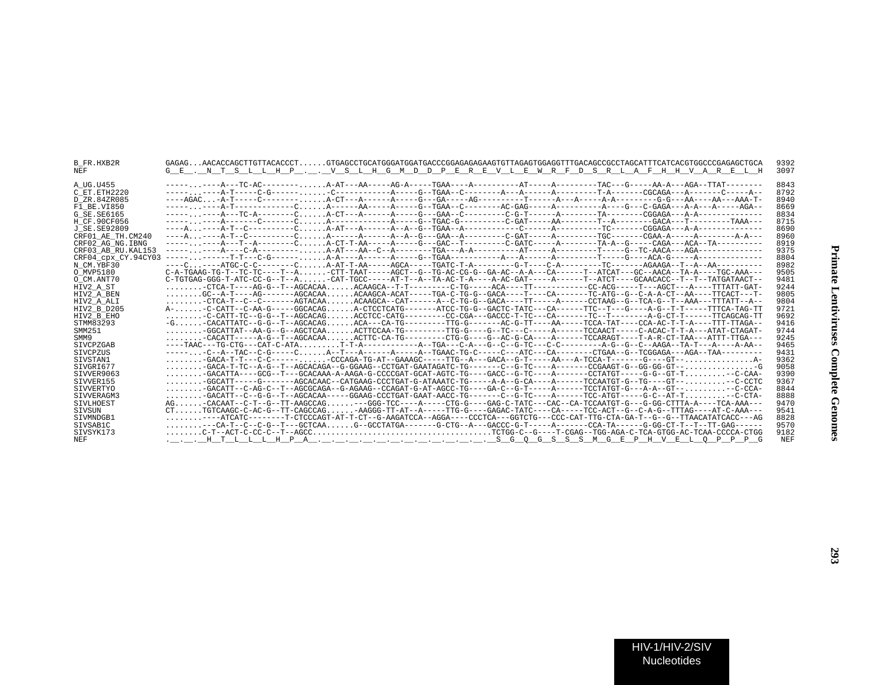| B FR.HXB2R          | GAGAGAACACCAGCTTGTTACACCCTGTGAGCCTGCATGGATGGATGACCCGGAGAGAGAGTGTTAGAGTGGAGGTTTGACAGCCGCCTAGCATTTCATCACGTGGCCCGAGAGCTGCA                                                            | 9392 |
|---------------------|------------------------------------------------------------------------------------------------------------------------------------------------------------------------------------|------|
| NEF                 | G E . N T S L L H P V S L H G M D D P E R E V L E W R F D S R L A F H H V A R E L H                                                                                                | 3097 |
|                     |                                                                                                                                                                                    |      |
| A UG.U455           |                                                                                                                                                                                    | 8843 |
| C ET.ETH2220        |                                                                                                                                                                                    | 8792 |
| D ZR.84ZR085        |                                                                                                                                                                                    | 8940 |
| F1 BE.VI850         |                                                                                                                                                                                    | 8669 |
| G SE. SE6165        |                                                                                                                                                                                    | 8834 |
| H CF.90CF056        |                                                                                                                                                                                    | 8715 |
| J SE. SE92809       |                                                                                                                                                                                    | 8690 |
| CRF01 AE TH.CM240   |                                                                                                                                                                                    | 8960 |
| CRF02 AG NG. IBNG   | --------A---T--A-------CA-CT-T-AA-----A----GAC--T-------C-GATC----A--------TA-A--G----CAGA---ACA--TA---------                                                                      | 8919 |
| CRF03 AB RU. KAL153 |                                                                                                                                                                                    | 9375 |
| CRF04 cpx CY.94CY03 |                                                                                                                                                                                    | 8804 |
| N CM.YBF30          |                                                                                                                                                                                    | 8982 |
| O MVP5180           | C-A-TGAAG-TG-T--TC-TC----T--A-CTT-TAAT-----AGCT--G--TG-AC-CG-G--GA-AC--A-A---CA------T--ATCAT---GC--AACA--TA-A----TGC-AAA---                                                       | 9505 |
| O CM.ANT70          | $C- TGTGAG-GRGG-T- ATC-CC-G--T--A$ -CAT-TGCC-----AT-T--A--TA-AC-T-A----A-AC-GAT-----A---T--A--T--ATCT---GCAACACC--T--T--TATGATAACT--                                               | 9481 |
| HIV2 A ST           | $\ldots \ldots \ldots \text{-CTCA-T---AG-G--T--AGCACAA} \ldots \text{ACAAGCA--T-T-------C-TG----ACA---TT-----------CC-ACG----T---AC-G---T---ACG--------A-GCT---A---TTTATT-GAT---.$ | 9244 |
| HIV2 A BEN          | GC--A-T----AG-------AGCACAAACAAGCA-ACAT-----TGA-C-TG-G-GACA----T----CA-------TC-ATG--G--C-A-A-CT--AA----TTCACT---T-                                                                | 9805 |
| HIV2 A ALI          | $\ldots \ldots \ldots$ -CTCA-T--C--C-------AGTACAAACAAGCA--CAT------A--C-TG-G--GACA----TT-----A----CCTAAG--G--TCA-G--T--AAA---TTTATT--A--                                          | 9804 |
| HIV2 B D205         | A--C-CATT--C-AA-G-----GGCACAGA-CTCCTCATG------ATCC-TG-G--GACTC-TATC---CA------TTC--T---G----A-G--T-T----TTCA-TAG-TT                                                                | 9721 |
| HIV2 B EHO          | -C-CATT-TC--G-G--T--AGCACAGACCTCC-CATG--------CC-CGA---GACCC-T-TC---CA-------TC--TC--T------A-G-CT-T-----TTCAGCAG-TT                                                               | 9692 |
| STMM83293           | -G. -CACATTATC--G-G--T--AGCACAG. ACA---CA-TG--------TTG-G------AC-G-TT----AA-----TCCA-TAT----CCA-AC-T-T-A----TTT-TTAGA--                                                           | 9416 |
| SMM251              | GGCATTAT--AA-G--G--AGCTCAAACTTCCAA-TG--------TTG-G---G--TC----G----A-----TCCAACT-----C-ACAC-T-T-A---ATAT-CTAGAT-                                                                   | 9744 |
| SMM9                |                                                                                                                                                                                    | 9245 |
| <b>STVCPZGAB</b>    |                                                                                                                                                                                    | 9465 |
|                     |                                                                                                                                                                                    | 9431 |
| SIVCPZUS            |                                                                                                                                                                                    |      |
| SIVSTAN1            |                                                                                                                                                                                    | 9362 |
| SIVGRI677           | $\ldots \ldots \ldots -$ GACA-T-TC--A-G--T--AGCACAGA--G-GGAAG--CCTGAT-GAATAGATC-TG-------C-G-TC----A-------CCGAAGT-G--GG-GG-GT-- $\ldots \ldots \ldots \ldots$                     | 9058 |
| SIVVER9063          | $\ldots \ldots \ldots -$ GACATTA----GCG--T---GCACAAA-A-AAGA-G-CCCCGAT-GCAT-AGTC-TG----GACC--G-TC----A-------CCTATGT-----G-G--GT-T--C-CAA-                                          | 9390 |
| SIVVER155           |                                                                                                                                                                                    | 9367 |
| SIVVERTYO           | $\ldots \ldots \ldots -$ GACATT--C-AG-C--T--AGCGCAGA--G-AGAAG--CCAGAT-G-AT-AGCC-TG----GA-C--G-T----A------TCCTATGT-G---A-A--GT-- $\ldots \ldots \ldots$                            | 8844 |
| SIVVERAGM3          | $\ldots \ldots \ldots$ -GACATT--C--G-G--T--AGCACAA-----GGAAG-CCCTGAT-GAAT-AACC-TG-------C--G-TC----A------TCC-ATGT-----G-C--AT-T $\ldots \ldots \ldots$ --C-CTA-                   | 8888 |
| <b>STVLHOEST</b>    | AG-CACAAT--C-T--G--TT-AAGCCAG---GGG-TCC----A-----CTG-G----GAG-C-TATC---CAC--CA-TCCAATGT-G---G-GG-CTTTA-A----TCA-AAA---                                                             | 9470 |
| SIVSUN              | CTTGTCAAGC-C-AC-G--TT-CAGCCAG-AAGGG-TT-AT--A-----TTG-G----GAGAC-TATC----CA-----TCC-ACT--G--C-A-G--TTTAG----AT-C-AAA---                                                             | 9541 |
| STVMNDGB1           | $\ldots\ldots\ldots--$ ATCATC-------T-CTCCCAGT-AT-T-CT--G-AAGATCCA--AGGA----CCCTCA---GGTCTG---CCC-CAT-TTG-CTA-GA-T--G--G--TTAACATATCACC---AG                                       | 8828 |
| SIVSAB1C            | --CA-T--C--C-G--T---GCTCAAG--GCCTATGA------G-CTG--A---GACCC-G-T-----A------CCA-TA------G-GG-CT-T--T--TT-GAG------                                                                  | 9570 |
| SIVSYK173           |                                                                                                                                                                                    | 9182 |
| NEF                 |                                                                                                                                                                                    | NEF  |
|                     |                                                                                                                                                                                    |      |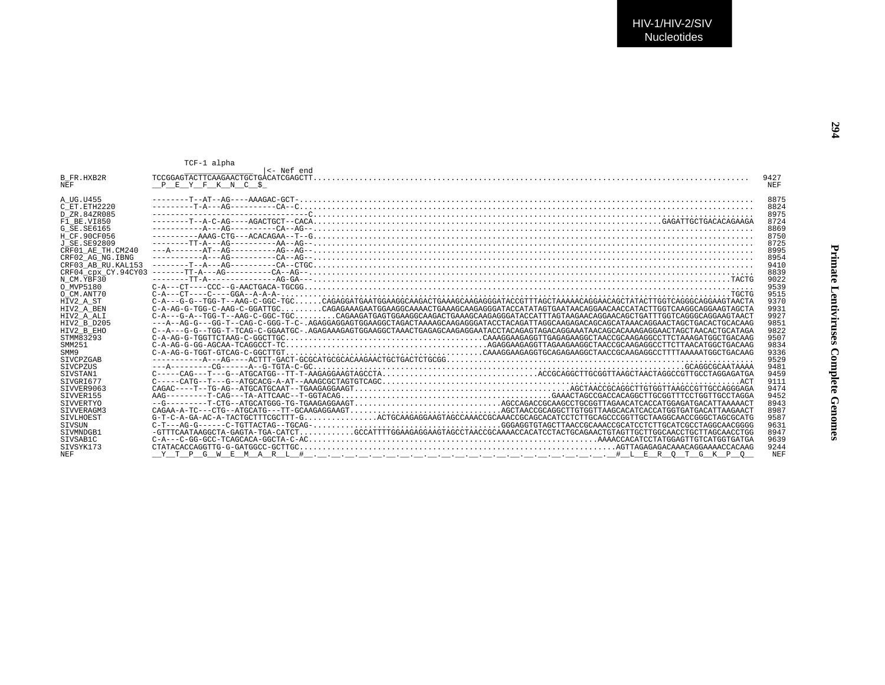| rinate Lentiviruses Complete Genome |
|-------------------------------------|
|                                     |
|                                     |
|                                     |

|                     | TCF-1 alpha                                                                                                                        |            |
|---------------------|------------------------------------------------------------------------------------------------------------------------------------|------------|
| B FR.HXB2R          |                                                                                                                                    | 9427       |
| NEF.                | PEYFKNCS                                                                                                                           | <b>NEF</b> |
|                     |                                                                                                                                    |            |
| A UG.U455           |                                                                                                                                    | 8875       |
| C ET.ETH2220        |                                                                                                                                    | 8824       |
| D ZR.84ZR085        |                                                                                                                                    | 8975       |
| F1 BE.VI850         |                                                                                                                                    | 8724       |
| G SE SE6165         |                                                                                                                                    | 8869       |
| H CF.90CF056        |                                                                                                                                    | 8750       |
| J SE.SE92809        |                                                                                                                                    | 8725       |
| CRF01 AE TH.CM240   |                                                                                                                                    | 8995       |
| CRF02 AG NG.IBNG    |                                                                                                                                    | 8954       |
| CRF03 AB RU. KAL153 |                                                                                                                                    | 9410       |
|                     |                                                                                                                                    | 8839       |
| N CM YBF30          |                                                                                                                                    | 9022       |
| O MVP5180           | $C-A---CT---CCC--G-AACTGACA-TGCCG.$                                                                                                | 9539       |
| O CM.ANT70          |                                                                                                                                    | 9515       |
| HIV2 A ST           |                                                                                                                                    | 9370       |
| HIV2 A BEN          | C-A-AG-G-TGG-C-AAG-C-GGATTGCCAGAGAAAGAATGGAAGGCAAAACTGAAAGCAAGAGGGATACCATATAGTGAATAACAGGAACCATACTTGGTCAAGGCAGGAAGTAGCTA            | 9931       |
| HIV2 A ALI          |                                                                                                                                    | 9927       |
| HTV2 B D205         | --AG--GG-T--GG-T-C-GGG-T-C-.AGAGGAGGAGTGGAAGCTAGAAGGAAGAGAGGAAGGGATACCTACAGATTAGGCAAGAGACAGCATAAACAGGAACTAGCTGACACTGACAGA          | 9851       |
| HIV2 B EHO          | C--A---G-G--TGG-T-TCAG-C-GGAATGC-.AGAGAAAGAGTGGAAGGCTAAACTGAGAGCAAGAGAATACCTACAGAGTAGACAGGAAATAACAGCACAAAGAGGAACTAGCTAACACTGCATAGA | 9822       |
| STMM83293           |                                                                                                                                    | 9507       |
| SMM251              |                                                                                                                                    | 9834       |
| SMM9                |                                                                                                                                    | 9336       |
| <b>STVCPZGAB</b>    |                                                                                                                                    | 9529       |
| <b>STVCPZUS</b>     |                                                                                                                                    | 9481       |
| SIVSTAN1            | $C----CAG---T---G---ATGCATGG---TT-T-AGAGAGAGAAGTAGCCTA$                                                                            | 9459       |
| STVGRT677           |                                                                                                                                    | 9111       |
| SIVVER9063          |                                                                                                                                    | 9474       |
| SIVVER155           |                                                                                                                                    | 9452       |
| SIVVERTYO           |                                                                                                                                    | 8943       |
| STVVERAGM3          |                                                                                                                                    | 8987       |
| SIVLHOEST           | $G-T-C-A-GA-AC-A-TACTGCTTTCGCTTT-GCCTGCAAGAGGGAAGTAGTAGCCQAAACCGCAACCGGCAGCACCTCTTGCAGCCCGGTTGCTAAGGCAACCGGGCTAGCGGCTAGCGCATG$     | 9587       |
| STVSUN              |                                                                                                                                    | 9631       |
| STVMNDGB1           |                                                                                                                                    | 8947       |
| SIVSAB1C            |                                                                                                                                    | 9639       |
| STVSYK173           |                                                                                                                                    | 9244       |
| NEF.                |                                                                                                                                    | <b>NEF</b> |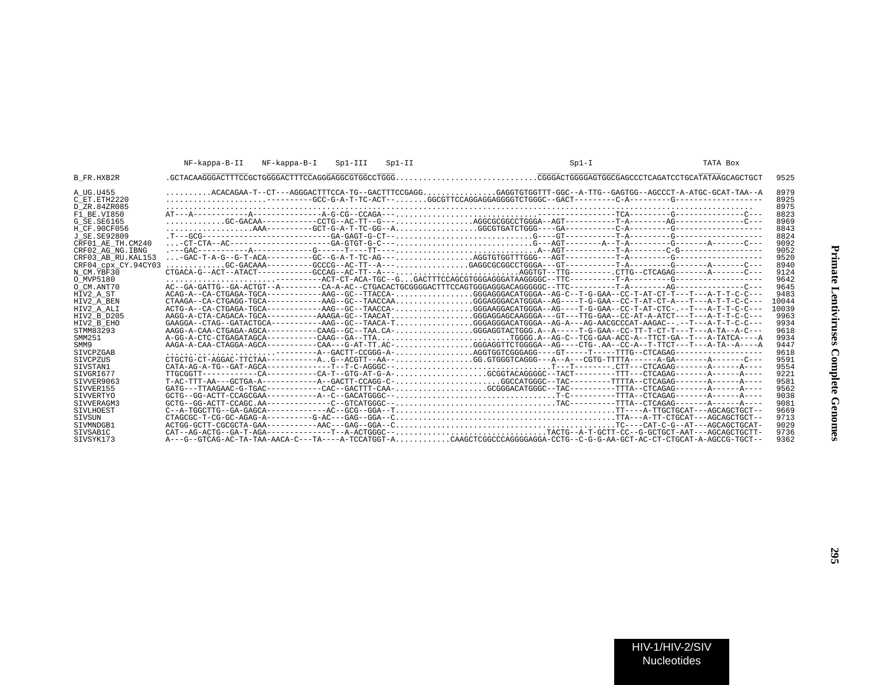| 9525<br><b>B</b> FR.HXB2R<br>ACACAGAA-T--CT---AGGGACTTTCCA-TG--GACTTTCCGAGGGAGGTGTGGTTT-GGC--A-TTG--GAGTGG--AGCCCT-A-ATGC-GCAT-TAA--A<br>8979<br>A UG.U455<br>$\ldots \ldots \ldots \ldots \ldots \ldots$<br>8925<br>C ET. ETH2220                                                                                                                                                                                                                                                                                                |
|-----------------------------------------------------------------------------------------------------------------------------------------------------------------------------------------------------------------------------------------------------------------------------------------------------------------------------------------------------------------------------------------------------------------------------------------------------------------------------------------------------------------------------------|
|                                                                                                                                                                                                                                                                                                                                                                                                                                                                                                                                   |
|                                                                                                                                                                                                                                                                                                                                                                                                                                                                                                                                   |
| 8975<br>D ZR.84ZR085<br>8823<br>F1 BE.VI850                                                                                                                                                                                                                                                                                                                                                                                                                                                                                       |
| 8969<br>G SE.SE6165                                                                                                                                                                                                                                                                                                                                                                                                                                                                                                               |
| 8843<br>H CF.90CF056                                                                                                                                                                                                                                                                                                                                                                                                                                                                                                              |
| 8824<br>J SE. SE92809                                                                                                                                                                                                                                                                                                                                                                                                                                                                                                             |
| 9092<br>CRF01 AE TH.CM240<br>9052<br>CRF02 AG NG. IBNG                                                                                                                                                                                                                                                                                                                                                                                                                                                                            |
| 9520<br>CRF03 AB RU.KAL153                                                                                                                                                                                                                                                                                                                                                                                                                                                                                                        |
| GC-GACAAA---------GCCCG--AC-TT--A---GAGGCGCGGCCTGGGA---GT---------T-A---------G------A-------C---<br>8940<br>CRF04 cpx CY.94CY03                                                                                                                                                                                                                                                                                                                                                                                                  |
| 9124<br>N CM.YBF30                                                                                                                                                                                                                                                                                                                                                                                                                                                                                                                |
| $\ldots \ldots \ldots \ldots \ldots \ldots \ldots$<br>9642<br>O MVP5180<br>9645<br>O_CM.ANT70                                                                                                                                                                                                                                                                                                                                                                                                                                     |
| ACAG-A--CA-CTGAGA-TGCA-----------AAG--GC--TTACCA-GGGAGGGACATGGGA--AG-C--T-G-GAA--CC-T-AT-CT-T---T---A-T-T-C-C---<br>9483<br>HIV2 A ST                                                                                                                                                                                                                                                                                                                                                                                             |
| CTAAGA--CA-CTGAGG-TGCA-----------AAG--GC--TAACCAAGGGAGGGACATGGGA--AG----T-G-GAA--CC-T-AT-CT-A---T---A-T-T-C-C---<br>10044<br>HIV2 A BEN                                                                                                                                                                                                                                                                                                                                                                                           |
| ACTG-A--CA-CTGAGA-TGCA-----------AAG--GC--TAACCA-GGGAAGGACATGGGA--AG----T-G-GAA--CC-T-AT-CTC-.--T---A-T-T-C-C---<br>10039<br>HIV2 A ALI                                                                                                                                                                                                                                                                                                                                                                                           |
| AAGG-A-CTA-CAGACA-TGCA----------AAAGA-GC--TAACATGGGAGGAGCAAGGGA---GT---TTG-GAA--CC-AT-A-ATCT---T---A-T-T-C-C---<br>9963<br>HIV2 B D205<br>$GAAGGA--CTAG--GATACTGCA--------AAG--GC--TAACA-T$ GGGAGGGACATGGGA--AG-A---AG-AACGCCCAT-AAGAC--.--T---A-T-T-C-C---<br>9934<br>HIV2 B EHO                                                                                                                                                                                                                                                 |
| AAGG-A-CAA-CTGAGA-AGCA----------CAAG--GC--TAA.CA-GGGAGGTACTGGG.A--A-----T-G-GAA--CC-TT-T-CT-T---T---A-TA--C---<br>9618<br>STMM83293                                                                                                                                                                                                                                                                                                                                                                                               |
| A-GG-A-CTC-CTGAGATAGCA----------CAAG--GA--TTATGGGG.A--AG-C--TCG-GAA-ACC-A--TTCT-GA--T---A-TATCA----A<br>9934<br>SMM251                                                                                                                                                                                                                                                                                                                                                                                                            |
| AAGA-A-CAA-CTAGGA-AGCA----------CAA---G-AT-TT.AC-GGGAGGTTCTGGGGA--AG----CTG-.AA--CC-A--T-TTCT---T---A-TA--A----A<br>9447<br>SMM9                                                                                                                                                                                                                                                                                                                                                                                                  |
| $\ldots\ldots\ldots\ldots\ldots\ldots\ldots\ldots\ldots\ldots\vdots$ $\vdots$ $\vdots$ $\vdots$ $\vdots$ $\vdots$ $\vdots$ $\vdots$ $\vdots$ $\vdots$ $\vdots$ $\vdots$ $\vdots$ $\vdots$ $\vdots$ $\vdots$ $\vdots$ $\vdots$ $\vdots$ $\vdots$ $\vdots$ $\vdots$ $\vdots$ $\vdots$ $\vdots$ $\vdots$ $\vdots$ $\vdots$ $\vdots$ $\vdots$ $\vdots$ $\vdots$<br>9618<br><b>STVCPZGAB</b><br>CTGCTG-CT-AGGAC-TTCTAA----------AG--ACGTT--AA--GG.GTGGGTCAGGG---A--A---CGTG-TTTA------A-GA-------A-----C---<br>9591<br><b>STVCPZUS</b> |
| 9554<br>STVSTAN1                                                                                                                                                                                                                                                                                                                                                                                                                                                                                                                  |
| 9221<br>SIVGRI677                                                                                                                                                                                                                                                                                                                                                                                                                                                                                                                 |
| 9581<br>SIVVER9063                                                                                                                                                                                                                                                                                                                                                                                                                                                                                                                |
| GATG---TTAAGAAC-G-TGAC-----------CAC--GACTTT-CAA-GCGGGACATGGGC--TAC---------TTTA--CTCAGAG-------A-----A----<br>9562<br>SIVVER155<br>GCTG--GG-ACTT-CCAGCGAA-----------A--C--GACATGGGC--T-C-------TTTA--CTCAGAG-------A------A----<br>9038<br>SIVVERTYO                                                                                                                                                                                                                                                                             |
| GCTG--GG-ACTT-CCAGC.AA------------C--GTCATGGGC--TAC--------TTTA--CTCAGAG-------A------A----<br>9081<br>STVVERAGM3                                                                                                                                                                                                                                                                                                                                                                                                                 |
| 9669<br>SIVLHOEST                                                                                                                                                                                                                                                                                                                                                                                                                                                                                                                 |
| 9713<br>SIVSUN                                                                                                                                                                                                                                                                                                                                                                                                                                                                                                                    |
| 9029<br>STVMNDGB1                                                                                                                                                                                                                                                                                                                                                                                                                                                                                                                 |
| CAT--AG-ACTG--GA-T-AGA-------------T--A-ACTGGGC--TACTG--A-T-GCTT-CC--G-GCTGCT-AAT---AGCAGCTGCTT-<br>9736<br>SIVSAB1C<br>A---G--GTCAG-AC-TA-TAA-AACA-C---TA----A-TCCATGGT-ACAAGCTCGGCCCAGGGGAGGA-CCTG--C-G-G-AA-GCT-AC-CT-CTGCAT-A-AGCCG-TGCT--<br>STVSYK173<br>9362                                                                                                                                                                                                                                                               |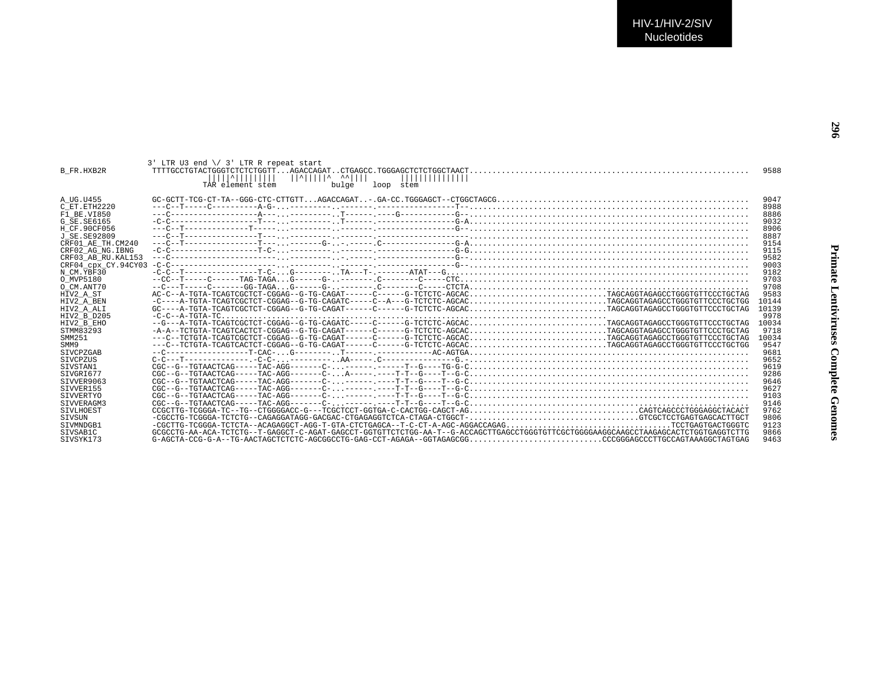|                    | $3'$ LTR U3 end $\setminus$ 3' LTR R repeat start                                                                                                                                                                              |       |
|--------------------|--------------------------------------------------------------------------------------------------------------------------------------------------------------------------------------------------------------------------------|-------|
| <b>B FR.HXB2R</b>  | ^            ^     ^ ^^    <br>,,,,,,,,,,,,,,                                                                                                                                                                                  | 9588  |
|                    | TAR element stem<br>bulge<br>loop stem                                                                                                                                                                                         |       |
| A UG.U455          |                                                                                                                                                                                                                                | 9047  |
| C ET. ETH2220      |                                                                                                                                                                                                                                | 8988  |
| F1 BE.VI850        |                                                                                                                                                                                                                                | 8886  |
| G SE. SE6165       |                                                                                                                                                                                                                                | 9032  |
|                    |                                                                                                                                                                                                                                | 8906  |
| H CF.90CF056       |                                                                                                                                                                                                                                |       |
| J SE. SE92809      |                                                                                                                                                                                                                                | 8887  |
| CRF01 AE TH.CM240  |                                                                                                                                                                                                                                | 9154  |
| CRF02 AG NG. IBNG  |                                                                                                                                                                                                                                | 9115  |
| CRF03 AB RU.KAL153 |                                                                                                                                                                                                                                | 9582  |
|                    |                                                                                                                                                                                                                                | 9003  |
| N CM.YBF30         |                                                                                                                                                                                                                                | 9182  |
| O MVP5180          |                                                                                                                                                                                                                                | 9703  |
| O CM.ANT70         |                                                                                                                                                                                                                                | 9708  |
| HIV2 A ST          | AC-C--A-TGTA-TCAGTCGCTCT-CGGAG--G-TG-CAGAT------C-----G-TCTCTC-AGCACTAGCAGGTAGAGCCTGGGTGTTCCCTGCTAG                                                                                                                            | 9583  |
| HIV2 A BEN         | -C----A-TGTA-TCAGTCGCTCT-CGGAG--G-TG-CAGATC-----C--A---G-TCTCTC-AGCACTAGCAGGTAGAGCCTGGGTGTTCCCTGCTG                                                                                                                            | 10144 |
| HIV2 A ALI         | GC----A-TGTA-TCAGTCGCTCT-CGGAG--G-TG-CAGAT------C-----G-TCTCTC-AGCACTAGCAGGTAGAGCCTGGGTGTTCCCTGCTAG                                                                                                                            | 10139 |
| HIV2 B D205        | $-C-C-A-TGTA-TC$                                                                                                                                                                                                               | 9978  |
| HIV2 B EHO         | --G---A-TGTA-TCAGTCGCTCT-CGGAG--G-TG-CAGATC-----C-----G-TCTCTC-AGCACTAGCAGGTAGAGCCTGGGTGTTCCCTGCTAG                                                                                                                            | 10034 |
| STMM83293          | -A-A--TCTGTA-TCAGTCACTCT-CGGAG--G-TG-CAGAT------C-----G-TCTCTC-AGCACTAGCAGGTAGAGCCTGGGTGTTCCCTGCTAG                                                                                                                            | 9718  |
| SMM251             | ---C--TCTGTA-TCAGTCGCTCT-CGGAG--G-TG-CAGAT------C-----G-TCTCTC-AGCACTAGCAGGTAGAGCCTGGGTGTTCCCTGCTAG                                                                                                                            | 10034 |
| SMM9               | ---C--TCTGTA-TCAGTCACTCT-CGGAG--G-TG-CAGAT------C-----G-TCTCTC-AGCACTAGCAGGTAGAGCCTGGGTGTTCCCTGCTGG                                                                                                                            | 9547  |
| <b>STVCPZGAB</b>   |                                                                                                                                                                                                                                | 9681  |
| <b>STVCPZUS</b>    |                                                                                                                                                                                                                                | 9652  |
| STVSTAN1           |                                                                                                                                                                                                                                | 9619  |
| STVGRT677          | $CGC--G--TGTAACTCAG----TAC-AGG------C-A-----:---T--G---T--G-C$                                                                                                                                                                 | 9286  |
| STVVER9063         | $CGC--G--TGTAA2TC2AG----TAC-AGG-----C------T--T--G---T--G-C$                                                                                                                                                                   | 9646  |
| STVVER155          |                                                                                                                                                                                                                                | 9627  |
| SIVVERTYO          |                                                                                                                                                                                                                                | 9103  |
| SIVVERAGM3         |                                                                                                                                                                                                                                | 9146  |
| SIVLHOEST          | CCGCTTG-TCGGGA-TC--TG--CTGGGGACC-G---TCGCTCCT-GGTGA-C-CACTGG-CAGCT-AGCAGTCAGCCCTGGGAGGCTACACT                                                                                                                                  | 9762  |
| SIVSUN             |                                                                                                                                                                                                                                | 9806  |
| SIVMNDGB1          |                                                                                                                                                                                                                                | 9123  |
| SIVSAB1C           | GCGCCTG-AA-ACA-TCTCTG--T-GAGGCT-C-AGAT-GAGCCT-GGTGTTCTCTGG-AA-T--G-ACCAGCTTGAGCCTGGGTGTTCGCTGGGAAGGCAAGCCTAAGAGCACTCTGGTGAGGTAAGCACTCTGGTGAGGTCTTGGTGAGGTCTTGGTGAGGTCTTGGTGAGGTCTTGGTGAGGTCTTGGTGAGGTCTTGGTGAGGTCTTGGTGAGGCAGC | 9866  |
| SIVSYK173          |                                                                                                                                                                                                                                | 9463  |
|                    |                                                                                                                                                                                                                                |       |

**296**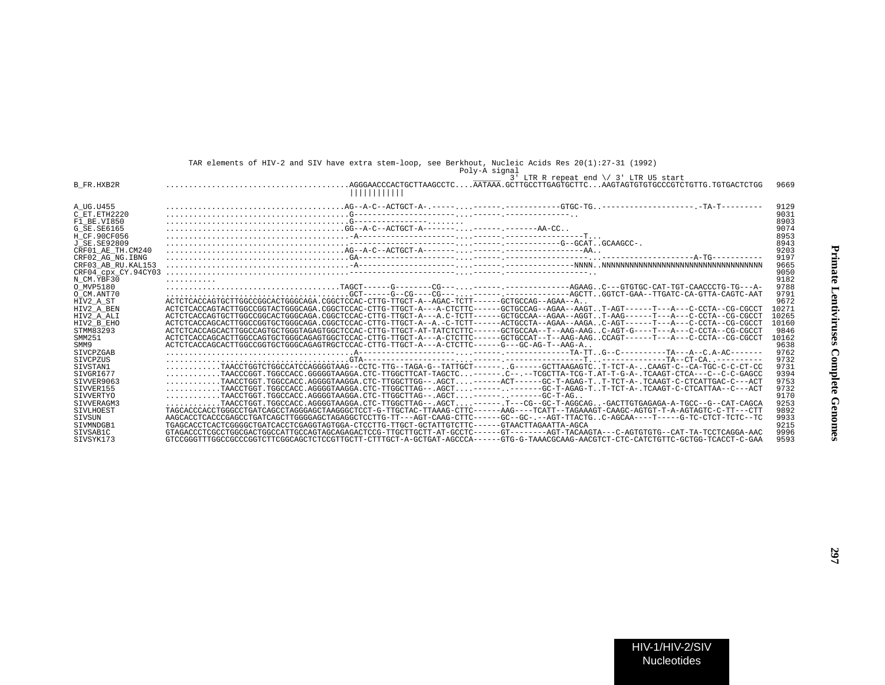|                     | Poly-A signal                                                                                                                                                                            |       |
|---------------------|------------------------------------------------------------------------------------------------------------------------------------------------------------------------------------------|-------|
|                     | $\frac{1}{3}$ J' LTR R repeat end \/ 3' LTR U5 start                                                                                                                                     |       |
| <b>B FR.HXB2R</b>   | $\ldots\ldots\ldots\ldots\ldots\ldots\ldots\ldots\ldots\ldots$ AGGGAACCCACTGCTTAAGCCTC $\ldots\ldots$ AATAAA .GCTTGCCTTGAGTGCTTC $\ldots\ldots$ AAGTAGTGTGCCCGTCTGTTG . TGTGACTCTGG<br>. | 9669  |
| A UG.U455           |                                                                                                                                                                                          | 9129  |
| C ET ETH2220        |                                                                                                                                                                                          | 9031  |
| F1 BE.VI850         |                                                                                                                                                                                          | 8903  |
| G SE. SE6165        |                                                                                                                                                                                          | 9074  |
| H CF.90CF056        |                                                                                                                                                                                          | 8953  |
| J SE. SE92809       |                                                                                                                                                                                          | 8943  |
| CRF01 AE TH.CM240   |                                                                                                                                                                                          | 9203  |
| CRF02 AG NG. IBNG   |                                                                                                                                                                                          | 9197  |
| CRF03 AB RU. KAL153 |                                                                                                                                                                                          | 9665  |
| CRF04 CDX CY.94CY03 |                                                                                                                                                                                          | 9050  |
| N CM.YBF30          | distribution district                                                                                                                                                                    | 9182  |
| O MVP5180           |                                                                                                                                                                                          | 9788  |
| O CM.ANT70          |                                                                                                                                                                                          | 9791  |
| HIV2 A ST           | ACTCTCACCAGTGCTTGGCCGGCACTGGGCAGA.CGGCTCCAC-CTTG-TTGCT-A--AGAC-TCTT-----GCTGCCAG--AGAA--A                                                                                                | 9672  |
| HIV2 A BEN          | ACTCTCACCAGTACTTGGCCGGTACTGGGCAGA.CGGCTCCAC-CTTG-TTGCT-A---A-CTCTTC------GCTGCCAG--AGAA--AAGTT-AGT------T---A--C-CCTA--CG-CGCCT                                                          | 10271 |
| HIV2 A ALI          | ACTCTCACCAGTGCTTGGCCGGCACTGGGCAGA,CGGCTCCAC-CTTG-TTGCT-A---A,C-TCTT-----GCTGCCAA--AGAA--AGGT..T-AAG----------C-CCTA--CG-CGCCT                                                            | 10265 |
| HIV2 B EHO          | ACTCTCACCAGCACTTGGCCGGTGCTGGCAGA.CGGCTCCAC-CTTG-TTGCT-A--A.-C-TCTT------ACTGCCTA--AGAA--AAGAC-AGT------T---A--C-CCTA--CG-CGCCT                                                           | 10160 |
| STMM83293           | ACTCTCACCAGCACTTGGCCAGTGCTGGGTAGAGTGGCTCCAC-CTTG-TTGCT-AT-TATCTCTTC-----GCTGCCAA--T--AAG-AAGC-AGT-G----T---A---C-CCTA--CGCCT                                                             | 9846  |
| SMM251              | ACTCTCACCAGCACTTGGCCAGTGCTGGCGCAGAGTGGCTCCAC-CTTG-TTGCT-A---A-CTCTTC------GCTGCCAT--T--AAG-AAGCCAGT------T---A--C-CCTA--CG-CGCCT                                                         | 10162 |
| SMM9                | ACTCTCACCAGCACTTGGCCGGTGCTGGGCAGAGTRGCTCCAC-CTTG-TTGCT-A---A-CTCTTC-----GC--AG-T--AAG-A                                                                                                  | 9638  |
| <b>STVCPZGAB</b>    |                                                                                                                                                                                          | 9762  |
| <b>STVCPZUS</b>     |                                                                                                                                                                                          | 9732  |
| SIVSTAN1            | TAACCTGGTCTGGCCATCCAGGGGTAAG--CCTC-TTG--TAGA-G--TATTGCT------G-----GCTTAAGAGTCT-TCT-A-CAAGT-C--CA-TGC-C-C-CT-CC                                                                          | 9731  |
| STVGRT677           | TAACCCGGT.TGGCCACC.GGGGGTAAGGA.CTC=TTGGCTTCAT=TAGCTC======.C==.==TCGCTTA=TCG=T.AT=T=G=A=.TCAAGT=CTCA===C=-C=G=GAGCC                                                                      | 9394  |
| STVVER9063          | TAACCTGGT.TGGCCACC.AGGGGTAAGGA.CTC=TTGGCTTGG==.AGCT======ACT=====GC=T=AGAG=TT=TCT=A=.TCAAGT=C=CTCATTGAC=C===ACT                                                                          | 9753  |
| STVVER155           | TAACCTGGT.TGGCCACC.AGGGGTAAGGA.CTC=TTGGCTTAG==.AGCT===========GC=T=AGAG=TT=TCT=A=.TCAAGT=C=CTCATTAA==C===ACT                                                                             | 9732  |
| SIVVERTYO           | $\ldots \ldots \ldots$ . TAACCTGGT. TGGCCACC. AGGGGTAAGGA. CTC-TTGGCTTAG--. AGCT. $\ldots \ldots \ldots \ldots \ldots \ldots \ldots$ -GC-T-AG                                            | 9170  |
| STVVERAGM3          | TAACCTGGT.TGGCCACC.AGGGGTAAGGA.CTC=TTGGCTTAG==.AGCT======.T==CG==GC=T=AGGCAG=GACTTGTGAGAGA=A=TGCC==G-CAT-CAGCA                                                                           | 9253  |
| SIVLHOEST           | TAGCACCCACCTGGGCCTGATCAGCCTAGGGAGCTAAGGGCTCCT-G-TTGCTAC-TTAAAG-CTTC------AAG----TCATT--TAGAAAGT-CAAGC-AGTGT-T-A-AGTAGTC-C-TT---CTT                                                       | 9892  |
| STVSUN              | AAGCACCTCACCCGAGCCTGATCAGCTTGGGGAGCTAGAGGCTCCTTG-TT---AGT-CAAG-CTTC-----GC--GC-.--AGT-TTACTGC-AGCAA----T----G-TC-CTCT-TCC--TC                                                            | 9933  |
| STVMNDGB1           | TGAGCACCTCACTCGGGGCTGATCACCTCGAGGTAGTGGA-CTCCTTG-TTGCT-GCTATTGTCTTC------GTAACTTAGAATTA-AGCA                                                                                             | 9215  |
| STVSAB1C            | GTAGACCCTCGCCTGGCGACTGGCCATTGCCAGTAGCAGAGACTCCG-TTGCTTGCTT-AT-GCCTC------GT------AGT-TACAAGTA---C-AGTGTGTG--CAT-TA-TCCTCAGGA-AAC                                                         | 9996  |
| SIVSYK173           | GTCCGGGTTTGGCCGCCCGGTCTTCGGCAGCTCTCCGTTGCTT-CTTTGCT-A-GCTGAT-AGCCCA------GTG-G-TAAACGCAAG-AACGTCT-CTC-CATCTGTTC-GCTGG-TCACCT-C-GAA                                                       | 9593  |

TAR elements of HIV-2 and SIV have extra stem-loop, see Berkhout, Nucleic Acids Res 20(1):27-31 (1992)